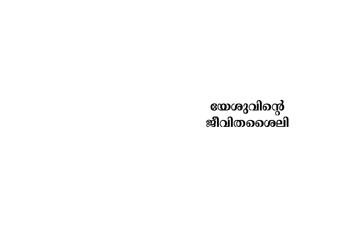# യേശുവിന്റെ<br>ജീവിതശൈലി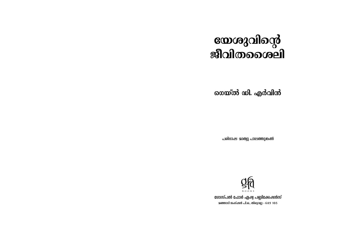## യേശുവിന്റെ<br>ജീവിതശൈലി

ഗെയ്ൽ ഡി. എർവിൻ

പരിഭാഷ: മാത്വു പാലത്തുങ്കൽ



ഗോസ്പൽ ഫോർ ഏഷ്വ പബ്ലിക്കേഷൻസ് 2ഞ്ഞാടി ജംഗ്ഷൻ പി.ഒ., തിരുവല്ല – 689 105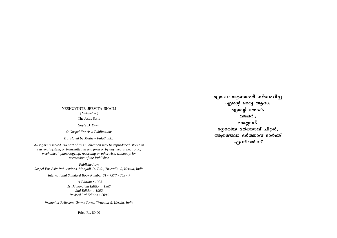### YESHUVINTE JEEVITA SHAILI *( Malayalam )*

The Jesus Style

*Gayle D. Erwin*

*© Gospel For Asia Publications*

*Translated by Mathew Palathunkal*

*All rights reserved. No part of this publication may be reproduced, stored in retrieval system, or transmitted in any form or by any means electronic, mechanical, photocopying, recording or otherwise, without prior permission of the Publisher.*

*Published by: Gospel For Asia Publications, Manjadi Jn. P.O., Tiruvalla-5, Kerala, India.*

*International Standard Book Number 81 - 7377 - 363 - 7*

*1st Edition : 1983 1st Malayalam Edition : 1987 2nd Edition : 1992 Revised 3rd Edition : 2006*

*Printed at Believers Church Press, Tiruvalla-5, Kerala, India*

Price Rs. 80.00

എന്നെ <mark>ആ</mark>ഴമായി സ്നേഹിച്ച എന്റെ ഭാര്വ ആദാ, എന്റെ  $a$ ക്കൾ, വലേറി $\boldsymbol{\cdot}$ ജൈഡ്, ഭഗ്ലാറിയ ഭർത്താവ് പീറ്റർ, അക്തെലാ ഭർത്താവ് മാർക്ക് എന്നിവർ**ക്ക**്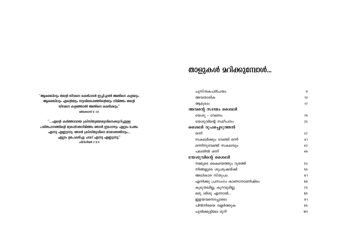### താളുകൾ മറിക്കുമ്പോൾ...

| പുസ്തകപരിചയം                 | 9   |
|------------------------------|-----|
| അവതാരിക                      | 13  |
| ആമുഖം                        | 17  |
| അവന്റെ സ്വന്തം ശൈലി          |     |
| യേശു - വേണം                  | 19  |
| യേശുവിന്റെ സമീപനം            | 23  |
| ശൈലി രൂപപ്പെടുത്തൽ           |     |
| ഒന്ന്                        | 37  |
| സകലർക്കും വേണ്ടി ഒന്ന്       | 41  |
| ഒന്നിനുവേണ്ടി സകലവും         | 43  |
| പലതിൽ ഒന്ന്                  | 49  |
| യേശുവിന്റെ ശൈലി              |     |
| നമ്മുടെ കൈയെത്തും ദൂരത്ത്    | 53  |
| നിങ്ങളുടെ ശുശ്രൂഷയ്ക്ക്      | 55  |
| അധികാര സ്തൂപം                | 61  |
| എനിക്കു പ്രസംഗം കാണാനാണിഷ്ടം | 69  |
| കൂടുതലില്ല, കുറവുമില്ല       | 75  |
| ഒരു ശിശു എന്നാൽ              | 85  |
| ഇളയവനെപ്പോലെ                 | 91  |
| പിൻനിരയെ വളർത്തുക            | 95  |
| പുൽക്കൂട്ടിലെ മുറി           | 101 |

"ആരെങ്കിലും തന്റെ ജീവനെ രക്ഷിപ്പാൻ ഇച്ഛിച്ചാൽ അതിനെ കളയും; ആരെങ്കിലും എന്റെയും സുവിശേഷത്തിന്റെയും നിമിത്തം തന്റെ ജീവനെ കളഞ്ഞാൽ അതിനെ രക്ഷിക്കും.'' മർക്കൊസ് 8:35

്....എന്റെ കർത്താവായ ക്രിസ്തുയേശുവിനെക്കുറിച്ചുള്ള പരിജ്ഞാനത്തിന്റെ ശ്രേഷ്ഠതനിമിത്തം ഞാൻ ഇപ്പോഴും എല്ലാം ചേതം എന്നു എണ്ണുന്നു. ഞാൻ ക്രിസ്തുവിനെ നേടേണ്ടതിനും.... എല്ലാം ഉപേക്ഷിച്ചു ചവറ് എന്നു എണ്ണുന്നു." ഫിലിപ്പിയർ 3:8,11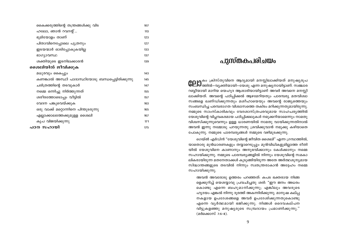| കൈക്കരുത്തിന്റെ തന്ത്രങ്ങൾക്കു വിട                | 107 |
|---------------------------------------------------|-----|
| ഹലോ, ഞാൻ റവറന്റ്                                  | 113 |
| ഭൂമിയോളം താണ്                                     | 123 |
| പിതാവിനെപ്പോലെ പുത്രനും                           | 127 |
| ഇടയന്മാർ ഓടിപ്പോകുകയില്ല                          | 133 |
| ഭാഗ്യാവസ്ഥ                                        | 137 |
| ശക്തിയുടെ ഇടനിലക്കാരൻ                             | 139 |
| ശൈലിയിൽ ജീവിക്കുക                                 |     |
| മധുരവും കൈപ്പും                                   | 143 |
| കണങ്കാൽ അസ്ഥി പാദാസ്ഥിയോടു ബന്ധപ്പെട്ടിരിക്കുന്നു | 145 |
| ചരിത്രത്തിന്റെ തടവുകാർ                            | 147 |
| നമ്മെ ഒന്നിച്ചു നിർത്തുന്നത്                      | 155 |
| ശരീരത്തോടൊപ്പം വീട്ടിൽ                            | 157 |
| വേദന പങ്കുവെയ്ക്കുക                               | 163 |
| ഒരു വാക്ക് മറ്റൊന്നിനെ പിന്തുടരുന്നു              | 165 |
| എല്ലാക്കാലത്തേക്കുമുള്ള ശൈലി                      | 167 |
| കൃപ വിജയിക്കുന്നു                                 | 171 |
| പഠന സഹായി                                         | 175 |

### പുസ്തകപരിചയം

COLIO<sup>കം ക്രിസ്തുവിനെ ആദ്യമായി മനസ്സിലാക്കിയത് മനുഷ്യരൂപ<br>COLIO ത്തിൽ–വ്യക്തിയായി–യേശു എന്ന മനുഷ്യനായിട്ടാണ്. സഞ്ചാര</sup> റബ്ബീയായി മാറിയ യെഹുദ ആശാരിയായിട്ടാണ് അവർ അവനെ മനസ്സി ലാക്കിയത്. അവന്റെ പഠിപ്പിക്കൽ ആഴമേറിയതും പാരമ്പര്യ മതവിശ്വാ സങ്ങളെ ഖണ്ഡിക്കുന്നതും മശീഹായെയും അവന്റെ രാജ്യത്തെയും സംബന്ധിച്ച പരമ്പരാഗത വിശ്വാസത്തെ തകിടം മറിക്കുന്നതുമായിരുന്നു. നമ്മുടെ സാംസ്കാരികവും വേദശാസ്ത്രപരവുമായ സാഹചര്യത്തിൽ യേശുവിന്റെ വിപ്ലവകരമായ പഠിപ്പിക്കലുകൾ നമുക്കറിയാമെന്നും നാമതു വിശ്വസിക്കുന്നുവെന്നും ഉള്ള ധാരണയിൽ നാമതു വായിക്കുന്നതിനാൽ അവൻ ഇന്നു നമ്മോടു പറയുന്നതു ശ്രവിക്കുവാൻ നമുക്കു കഴിയാതെ പോകുന്നു. നമ്മുടെ പാരമ്പര്യങ്ങൾ നമ്മുടെ വഴിമുടക്കുന്നു.

ഗെയ്ൽ എർവിൻ "യേശുവിന്റെ ജീവിത ശൈലി" എന്ന ഗ്രന്ഥത്തിൽ, യാതൊരു മുൻധാരണകളും തയ്യാറെടുപ്പും മുൻവിധികളുമില്ലാത്ത രീതി യിൽ യേശുവിനെ കാണാനും അനുഭവിക്കാനും കേൾക്കാനും നമ്മെ സഹായിക്കുന്നു. നമ്മുടെ പാരമ്പര്യങ്ങളിൽ നിന്നും യേശുവിന്റെ സമകാ ലികരായിരുന്ന മതനേതാക്കൾ കുടുങ്ങിയിരുന്ന അതേ അർത്ഥശുന്യമായ സിദ്ധാന്തങ്ങളുടെ തടവിൽ നിന്നും സ്വതന്ത്രരാകാൻ അദ്ദേഹം നമ്മെ സഹായിക്കുന്നു.

അവൻ അവരോടു ഉത്തരം പറഞ്ഞത്: കപട ഭക്തരായ നിങ്ങ ളെക്കുറിച്ച് യെശയ്യാവു പ്രവചിച്ചതു ശരി: "ഈ ജനം അധരം കൊണ്ടു എന്നെ ബഹുമാനിക്കുന്നു; എങ്കിലും അവരുടെ ഹൃദയം എങ്കൽ നിന്നു ദൂരത്ത് അകന്നിരിക്കുന്നു. മാനുഷ കല്പ്പ നകളായ ഉപദേശങ്ങളെ അവർ ഉപദേശിക്കുന്നതുകൊണ്ടു എന്നെ വൃർത്ഥമായി ഭജിക്കുന്നു. നിങ്ങൾ ദൈവകല്പന വിട്ടുകളഞ്ഞു മനുഷ്യരുടെ സമ്പ്രദായം പ്രമാണിക്കുന്നു." (മർക്കൊസ് 7:6-8).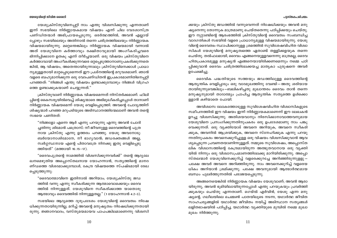#### പ്പാസ്തകപരിചയം

ക്കയും ക്രിസ്തു ജഡത്തിൽ വന്നുവെന്നത് നിഷേധിക്കയും അവൻ മനു ഷ്യനെന്നു തോന്നുക മാത്രമാണു ചെയ്തതെന്നു പഠിപ്പിക്കയും ചെയ്തു. ഈ നൂറ്റാണ്ടിന്റെ ആരംഭത്തിൽ ക്രിസ്തുവിന്റെ ദൈവത്വം സംബന്ധിച്ച വാദഗതികൾ സഭയിൽ വളരെ പ്രാധാന്യമുള്ള വിഷയമായിരുന്നു. യേശു വിന്റെ ദൈവത്വം സ്ഥാപിക്കാനുള്ള ശ്രമത്തിൽ സുവിശേഷവിഹിത വിശ്വാ സികൾ യേശുവിന്റെ മനുഷ്യത്വത്തെ ഏതാണ്ട് തള്ളിക്കളയുക തന്നെ ചെയ്തു. തൽഫലമായി, ദൈവം എങ്ങനെയുള്ളവനെന്നു മാത്രമല്ല, ദൈവ ഹിതപ്രകാരമുള്ള മനുഷ്യൻ എങ്ങനെയായിരിക്കണമെന്നും നമ്മെ പഠി പ്പിക്കുവാൻ ദൈവം ചരിത്രത്തിലേക്കയച്ച മാതൃകാ പുരുഷനെ അവർ ഉപേക്ഷിച്ചു.

ദൈവിക പദ്ധതിയുടെ സത്തയും ജഡത്തിലുള്ള ദൈവത്തിന്റെ ആത്യന്തിക വെളിപ്പാടും ഒരു വാദമുഖത്തിനു വേണ്ടി – അതു ശരിയായ തായിരുന്നുവെങ്കിലും–ബലികഴിച്ചതു മുഖാന്തരം ദൈവം താൻ തന്നെ മനുഷ്യനുമായി താദാത്മ്യം പ്രാപിച്ച ആത്യന്തിക സത്യത്തെ ഉൾക്കൊ ള്ളാൻ കഴിയാതെ പോയി.

അവിശ്വാസ ലോകത്തോടുള്ള സുവിശേഷവിഹിത വിശ്വാസികളുടെ സമീപനത്തിൽ ഈ വിഷയം ഇന്ന് നിർണ്ണായകമാണെന്ന് ഈ ലേഖകൻ ഉറച്ചു വിശ്വസിക്കുന്നു. അതിശയവാനും നിരസിക്കാനാവാത്തവനുമായ യേശുവിനെ പ്രസംഗിക്കുന്നതിനുപകരം ഒരു ഉപദേശമാണു നാം പങ്കു വെക്കുന്നത്. ഒരു വ്യക്തിയോട് അവനെ അറിയുക, അവനെ സ്വീകരി ക്കുക, അവനിൽ ആശ്രയിക്കുക, അവനെ സ്നേഹിക്കുക എന്നു പറയു ന്നതിനുപകരം അവനെക്കുറിച്ചുള്ള ഒരു വിഷയം വിശ്വസിക്കുവാൻ ആവ ശ്യപ്പെടുന്ന പ്രവണതയാണിന്നുള്ളത്. നമ്മുടെ സുവിശേഷം, അപ്പൊസ്ത ലിക വിശ്വാസത്തിന്റെ കേന്ദ്രമായിരുന്ന അത്ഭുതവാനായ ഒരു വ്യക്തി യിൽ നിന്നും ഒരു വിശ്വാസപ്രമാണത്തിലേക്കു മാറിയിരിക്കുന്നു. അപ്പൊ സ്തലന്മാർ യേശുവിനെക്കുറിച്ച് വളരെക്കുറച്ചേ അറിഞ്ഞിരുന്നുള്ളു – പക്ഷേ അവർ അവനെ അറിഞ്ഞിരുന്നു. നാം അവനെക്കുറിച്ച് വളരെയ ധികം അറിയാൻ ശ്രമിക്കുന്നു. പക്ഷേ അവനുമായി ആത്മാർത്ഥമായ ബന്ധം പുലർത്തുന്നതിൽ പരാജയപ്പെടുന്നു.

അങ്ങനെയെങ്കിൽ നിർണ്ണായക വിഷയം യേശുവാണ്; അവൻ ആരാ യിരുന്നു, അവൻ ഭൂമിയിലായിരുന്നപ്പോൾ എന്തു പറയുകയും പ്രവർത്തി ക്കുകയും ചെയ്തു എന്നതാണ്. ഗെയ്ൽ എർവിൻ, യേശു എന്ന മനു ഷ്യന്റെ, ഗലീലയിലെ ചെമ്മൺ പാതയിലൂടെ നടന്ന, യഥാർത്ഥ ജീവിത സാഹചര്യങ്ങളിൽ യഥാർത്ഥ ജീവിതം നയിച്ച് അടിസ്ഥാന സത്യങ്ങൾ ലളിതഭാഷയിൽ പഠിപ്പിച്ച, യഥാർത്ഥ വ്യക്തിയുടെ മുമ്പിൽ നമ്മെ മുഖാ മുഖം നിർത്തുന്നു.

യേശുക്രിസ്തുവിനെപ്പറ്റി നാം എന്തു വിശ്വസിക്കുന്നു എന്നതാണ് ഇന്ന് സഭയിലെ നിർണ്ണായകമായ വിഷയം എന്ന് ചില വേദശാസ്ത്ര പണ്ഡിതന്മാർ അഭിപ്രായപ്പെടുന്നു. ഒരർത്ഥത്തിൽ, അവൻ എല്ലായ് പ്പോഴും സഭയിലെയും അതിനാൽ തന്നെ ചരിത്രത്തിലെയും നിർണ്ണായക വിഷയമായിരുന്നു. മറ്റെന്തെങ്കിലും നിർണ്ണായക വിഷയമായി വന്നാൽ അത് യേശുവിനെ കർത്താവും രക്ഷിതാവുമായി അംഗീകരിച്ചവരെ ഭിന്നിപ്പിക്കാനേ ഉതകൂ എന്ന് തീർച്ചയാണ്. ഒരു വിഷയം ക്രിസ്തുവിനെ കർത്താവായി അംഗീകരിക്കുന്നവരെ ഒറ്റപ്പെടുത്താനാണുപകരിക്കുന്നതെ ങ്കിൽ, ആ വിഷയം, അതെന്തായിരുന്നാലും ക്രിസ്തുവിനെക്കാൾ പ്രാധാ ന്യമുള്ളതായി മാറ്റപ്പെടുമെന്നത് ഈ പ്രശ്നത്തിന്റെ മറുവശമാണ്. ഞാൻ വളരെ ബഹുമാനിക്കുന്ന ഒരു വേദപണ്ഡിതൻ ഇപ്രകാരമാണിതിനെപ്പറ്റി പറഞ്ഞത്: "നിങ്ങൾ എന്തു വിഷയം ഉണ്ടാക്കുമ്പോഴും നിങ്ങൾ വിഗ്രഹ ത്തെ ഉണ്ടാക്കുകയാണ് ചെയ്യുന്നത്."

ക്രിസ്തുവാണ് നിർണ്ണായക വിഷയമെന്നത് നിസ്തർക്കമാണ്. ഫിലി പ്പിന്റെ കൈസര്യയിൽവെച്ച് ശിഷ്യന്മാരെ അഭിമുഖീകരിച്ചപ്പോൾ താനാണ് നിർണ്ണായക വിഷയമെന്ന് യേശു വെളിപ്പെടുത്തി. അവന്റെ ചോദ്യത്തിന് ശിഷ്യന്മാർ പറഞ്ഞ മറുപടിയുടെ അടിസ്ഥാനത്തിന്മേലാണ് അവൻ തന്റെ സഭയെ പണിതത്:

"നിങ്ങളോ എന്നെ ആർ എന്നു പറയുന്നു എന്നു അവൻ ചോദി ച്ചതിന്നു ശിമോൻ പത്രൊസ്: നീ ജീവനുള്ള ദൈവത്തിന്റെ പുത്ര നായ ക്രിസ്തു എന്നു ഉത്തരം പറഞ്ഞു. യേശു അവനോടു: ബർയോനാശിമോനേ, നീ ഭാഗൃവാൻ; ജഡരക്തങ്ങൾ അല്ല, സ്വർഗ്ഗസ്ഥനായ എന്റെ പിതാവത്രേ നിനക്കു ഇതു വെളിപ്പെടു ത്തിയത്" (മത്തായി 16:15-17).

"ദൈവപുത്രന്റെ നാമത്തിൽ വിശ്വസിക്കുന്നവർക്ക്" തന്റെ ആദൃലേ ഖനമെഴുതിയ അപ്പൊസ്തലനായ യോഹന്നാൻ, സത്യത്തിന്റെ മാനദ ണ്ഡത്തെ വിശദമാക്കുമ്പോൾ, കേന്ദ്ര വിഷയത്തെ സ്പഷ്ടമായി രേഖ പ്പെടുത്തുന്നു.

"ദൈവാത്മാവിനെ ഇതിനാൽ അറിയാം; യേശുക്രിസ്തു ജഡ ത്തിൽ വന്നു എന്നു സ്വീകരിക്കുന്ന ആത്മാവൊക്കെയും ദൈവ ത്തിൽ നിന്നുള്ളത്. യേശുവിനെ സ്വീകരിക്കാത്ത യാതൊരു ആത്മാവും ദൈവത്തിൽ നിന്നുള്ളതല്ല." (1 യോഹന്നാൻ 4:2–3).

സഭയിലെ ആദ്യത്തെ ദുരുപദേശം യേശുവിന്റെ ദൈവത്വം നിഷേ ധിക്കുന്നതായിരുന്നില്ല, മറിച്ച് അവന്റെ മനുഷ്യത്വം നിഷേധിക്കുന്നതായി രുന്നു. ജ്ഞാനവാദം, വസ്തുമയമായവ പാപപങ്കിലമാണെന്നു വിശ്വസി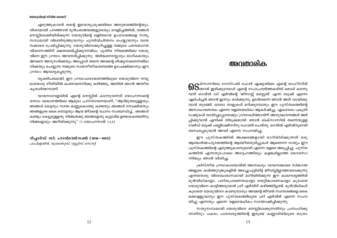എഴുത്തുകാരൻ തന്റെ ഇടയശുശ്രൂഷയിലെ അനുഭവത്തിന്റെയും, വിശദമായി പറഞ്ഞാൽ മുൻപരാജയങ്ങളുടെയും വെളിച്ചത്തിൽ, തങ്ങൾ മനസ്സിലാക്കിയിരിക്കുന്ന യേശുവിന്റെ ലളിതമായ ഉപദേശങ്ങളെ സത്യ സന്ധമായി വിലയിരുത്തുവാനും പുനർവിചിന്തനം ചെയ്യുവാനും വായ നക്കാരെ പ്രേരിപ്പിക്കുന്നു. യേശുവിനെക്കുറിച്ചുള്ള നമ്മുടെ പരമ്പരാഗത വിശ്വാസത്തിന് ക്ഷതമേൽപ്പിക്കുന്നവിധം പുതിയ നിയമത്തിലെ യേശു വിനെ ഈ ഗ്രന്ഥം അവതരിപ്പിക്കുന്നു. അർദ്ധമനസ്സോടും ഭാഗികമായും അവനെ അനുസരിക്കയും അപ്പോൾ തന്നെ അവന്റെ ശിഷ്യനാണെന്നഭിമാ നിക്കയും ചെയ്യുന്ന നമ്മുടെ സ്വയനീതീകരണത്തെ ഉപേക്ഷിക്കാനും ഈ ഗ്രന്ഥം ആവശ്യപ്പെടുന്നു.

വ്യക്തിപരമായി, ഈ ഗ്രന്ഥപാരായണത്തിലൂടെ യേശുവിനെ നവ്യ മായൊരു രീതിയിൽ കാണാനെനിക്കു കഴിഞ്ഞു, അതിൽ ഞാൻ അതീവ കൃതാർത്ഥനാണ്.

വായനാവേളയിൽ എന്റെ മനസ്സിൽ കടന്നുവന്നത് യോഹന്നാന്റെ ഒന്നാം ലേഖനത്തിലെ ആമുഖ പ്രസ്താവനയാണ്, "ആദിമുതലുള്ളതും ഞങ്ങൾ കേട്ടതും സ്വന്ത കണ്ണുകൊണ്ടു കണ്ടതും ഞങ്ങൾ നോക്കിയതും ഞങ്ങളുടെ കൈ തൊട്ടതും ആയ ജീവന്റെ വചനം സംബന്ധിച്ച്... ഞങ്ങൾ കണ്ടും കേട്ടുമുള്ളതു നിങ്ങൾക്കു ഞങ്ങളോടു കൂട്ടായ്മ ഉണ്ടാകേണ്ടതിനു നിങ്ങളോടും അറിയിക്കുന്നു" (1 യോഹന്നാൻ 1:1,3).

റിച്ചാർഡ് സി. ഹാൽവേഴ്സൺ (1916 – 1955) ചാപ്ളെയിൻ, യുണൈറ്റഡ് സ്റ്റേറ്റ്സ് സെനറ്റ്

### അവതാരിക

 $\mathbf{0}\mathbf{S}$ ക്സാസിലെ ഗോസ്പൽ ഫോർ ഏഷ്യയിലെ എന്റെ ഓഫീസിൽ<br> $\mathbf{0}\mathbf{S}$ ഞാൻ ഇരിക്കുമ്പോൾ എന്റെ സഹപ്രവർത്തകരിൽ ഒരാൾ കടന്നു വന്ന് ഗെയ്ൽ ഡി എർവിന്റെ 'ജീസസ്സ് സ്റ്റൈൽ' എന്ന ബുക്ക് എന്നെ ഏല്പിച്ചത് ഞാൻ ഇന്നും ഓർക്കുന്നു. ഉടൻതന്നെ ഞാൻ അത് വായിക്കു വാൻ തുടങ്ങി. ഓരോ താളുകൾ മറിക്കുമ്പോഴും ഈ പുസ്തകത്തിന്റെ അസാധാരണത്വം എന്നെ വളരെയധികം ആകർഷിച്ചു. ഏകദേശം പകുതി പേജുകൾ വായിച്ചപ്പോഴേക്കും ഗ്രന്ഥകർത്താവിന് അനുമോദനങ്ങൾ അർ പ്പിക്കുവാൻ എനിക്ക് തിടുക്കമായി. ഞാൻ ടെക്സാസിൽ തന്നെയുളള വേർഡ് ബുക്ക് പബ്ലിഷേഴ്സിനു ഫോൺ ചെയ്തു. ഗെയ്ൽ എർവിനുമായി ബന്ധപ്പെടുവാൻ അവർ എന്നെ സഹായിച്ചു.

ഈ പുസ്തകത്തിൽ അക്ഷരങ്ങളായി മാറിയിരിക്കുന്നത് ഒരു ആത്മാർത്ഥഹൃദയത്തിന്റെ ആത്മീയതുടിപ്പുകൾ ആണെന്ന സത്യം ഈ പുസ്തകത്തിന്റെ എഴുത്തുകാരനുമായി എന്നെ വളരെ അടുപ്പിച്ചു. പുസ്ത കത്തിൽ എന്നതുപോലെ അദ്ദേഹത്തിലും കളങ്കമില്ലാത്ത ദൈവസാ ന്നിദ്ധ്യം ഞാൻ ദർശിച്ചു.

ക്രിസ്തീയ ഗ്രന്ഥകാരന്മാരിൽ അനേകരും വായനക്കാരെ സിദ്ധാന്ത ങ്ങളുടെ കൽത്തുറുങ്കുകളിൽ അടച്ചുപൂട്ടിയിട്ട് ജീവസ്സില്ലാത്തവരാക്കുന്നു എന്നതൊരു വിരോധാഭാസമായി മാറിയിരിക്കുന്ന ഈ കാലഘട്ടത്തിൽ മുൻവിധികളോ, പരീശപ്രവണതകളോ തെറ്റിദ്ധാരണകളോ കൂടാതെ യേശുവിനെ കാട്ടിത്തരുവാൻ ശ്രീ എർവിന് കഴിഞ്ഞിട്ടുണ്ട്. മുൻവിധികൾ കൂടാതെ യേശുവിനെ കാണുവാനും അവന്റെ ജീവൽ സന്ദേശങ്ങളെ കൈ ക്കൊള്ളുവാനും ഈ പുസ്തകത്തിലൂടെ ശ്രീ എർവിൻ എന്നെ സഹാ യിച്ചു എന്നതും എന്നെ വളരെയധികം സന്തോഷിപ്പിക്കുന്നു.

സത്യസന്ധമായി യേശുവിനെ മനസ്സിലാക്കുന്നതിനും പ്രസംഗിക്കു ന്നതിനും പകരം പാരമ്പര്യത്തിന്റെ ഇരുണ്ട കണ്ണാടിയിലൂടെ മാത്രം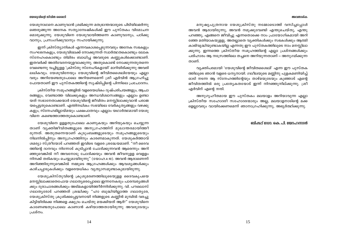യേശുനാഥനെ കാണുവാൻ ശ്രമിക്കുന്ന മതഭ്രാന്തന്മാരുടെ പിടിയിലമർന്നു ഞെരുങ്ങുന്ന അനേക സത്യാന്വേഷികൾക്ക് ഈ പുസ്തകം വിമോചന മൊരുക്കുന്നു. യേശുവിനെ യേശുവായിത്തന്നെ കാണുവാനും, പഠിക്കു വാനും, പ്രസംഗിക്കുവാനും സഹായിക്കുന്നു.

ഇന്ന് ക്രിസ്ത്യാനികൾ എന്നവകാശപ്പെടുന്നവരും അനേക സഭകളും സംഘടനകളും, യേശുവിലേക്ക് നോക്കുന്നത് സ്വാർത്ഥതകൊണ്ടും ലോക സ്നേഹംകൊണ്ടും തിമിരം ബാധിച്ച അവരുടെ കണ്ണുകൾക്കൊണ്ടാണ്. ഇതവർക്ക് അതിവേദനയുളവാക്കുന്നു. അതുകൊണ്ട് നോക്കുന്നതുതന്നെ വേണ്ടെന്നു വച്ചിട്ടുള്ള 'ക്രിസ്തു സ്നേഹികളായി' മാറിയിരിക്കുന്നു അവരി ലധികവും. യേശുവിനേയും യേശുവിന്റെ ജീവിതശൈലിയേയും എല്ലാ വരും അറിയേണ്ടതുപോലെ അറിയണമെന്ന് ശ്രീ എർവിൻ ആഗ്രഹിച്ചു പോയതാണ് ഈ പുസ്തകത്തിന്റെ സൃഷ്ടിപ്പിന്റെ പിന്നിലെ പ്രചോദനം.

ക്രിസ്തീയ സമുഹങ്ങളിൽ വളരെയധികം ദുഷ്പരിചയങ്ങളും, ആചാ രങ്ങളും, വേണ്ടാത്ത വിലക്കുകളും അന്ധവിശ്വാസങ്ങളും എല്ലാം ഉണ്ടാ യത് സഭാനേതാക്കന്മാർ യേശുവിന്റെ ജീവിതം മനസ്സിലാക്കുവാൻ പരാജ യപ്പെട്ടതുകൊണ്ടാണ്. എന്തിനധികം സഭയിലെ വേർകൃത്യങ്ങളും വഴക്കു കളും, സ്നേഹമില്ലായ്മയും പക്ഷപാതവും എല്ലാം യഥാർത്ഥമായി യേശു വിനെ കണ്ടെത്താത്തതുകൊണ്ടാണ്.

യേശുവിനെ ഉള്ളതുപോലെ കാണുകയും അറിയുകയും ചെയ്യുന്ന താണ് വൃക്തിജീവിതങ്ങളുടെ അനുഗ്രഹത്തിന് മുഖാന്തരമായിത്തീ രുന്നത്. അതുതന്നെയാണ് കുടുംബങ്ങളുടെയും സമൂഹങ്ങളുടെയും നിലനിൽപ്പിനും അനുഗ്രഹത്തിനും കാരണമാകുന്നത്. യേശുകർത്താവ് ശമര്യാ സ്ത്രീയോട് പറഞ്ഞത് ഇവിടെ വളരെ ശ്രദ്ധേയമാണ്. "നീ ദൈവ ത്തിന്റെ ദാനവും നിന്നോട് കുടിപ്പാൻ ചോദിക്കുന്നവൻ ആരെന്നും അറി ഞ്ഞുവെങ്കിൽ നീ അവനോടു ചോദിക്കയും അവൻ ജീവനുള്ള വെള്ളം നിനക്ക് തരികയും ചെയ്യുമായിരുന്നു" (യോഹ.4:10). അവൻ ആരാണെന്ന് അറിഞ്ഞിരുന്നുവെങ്കിൽ നമ്മുടെ ആഗ്രഹങ്ങൾക്കും ആവശ്യങ്ങൾക്കും കാഴ്ചപ്പാടുകൾക്കും വളരെയധികം വ്യത്യാസമുണ്ടാകുമായിരുന്നു.

യേശുക്രിസ്തുവിന്റെ ക്രുശുമരണത്തിലുടെയുള്ള ദൈവകൃപയെ മനസ്സിലാക്കാതെപോയ ഗലാതൃരെപ്പോലെ ഇന്നനേകരും പാരമ്പരൃങ്ങൾ ക്കും ദുരാചാരങ്ങൾക്കും അടിമകളായിത്തീർന്നിരിക്കുന്നു. വി. പൗലൊസ് ഗലാത്യരോട് പറഞ്ഞത് ശ്രദ്ധിക്കു: "ഹാ ബുദ്ധിയില്ലാത്ത ഗലാത്യരേ, യേശുക്രിസ്തു ക്രൂശിക്കപ്പെട്ടവനായി നിങ്ങളുടെ കണ്ണിൻ മുമ്പിൽ വരച്ചു കിട്ടിയിരിക്കെ നിങ്ങളെ ക്ഷുദ്രം ചെയ്തു മയക്കിയത് ആർ?" യേശുവിനെ കാണേണ്ടതുപോലെ കാണാൻ കഴിയാത്തതായിരുന്നു അവരുടേയും പ്രശ്നം.

#### അവതാരിക

മനുഷ്യപുത്രനായ യേശുക്രിസ്തു നമ്മോടൊത്ത് വസിച്ചപ്പോൾ അവൻ ആരായിരുന്നു, അവൻ നമുക്കുവേണ്ടി എന്തുചെയ്തു, എന്തു പറഞ്ഞു, എങ്ങനെ ജീവിച്ചു എന്നതൊക്കെ നാം പ്രായോഗികമായി അറി ഞ്ഞേ മതിയാകയുള്ളു. അതല്ലാതെ വ്യക്തികൾക്കും സഭകൾക്കും ആത്മി കാഭിവൃദ്ധിയുണ്ടാകയില്ല എന്നതു ഈ പുസ്തകത്തിലുടെ നാം മനസ്സിലാ ക്കുന്നു. ഇന്നത്തെ ക്രിസ്തീയ സമൂഹത്തിന്റെ എല്ലാ പ്രശ്നങ്ങൾക്കും പരിഹാരം ആ നസ്രേത്തിലെ തച്ചനെ അറിയുന്നതാണ് – അനുഗമിക്കുന്ന താണ്.

വ്യക്തിപരമായി 'യേശുവിന്റെ ജീവിതശൈലി' എന്ന ഈ പുസ്തക ത്തിലൂടെ ഞാൻ വളരെ ധന്യനായി. ഗലീലയുടെ മണ്ണിനു പുളകമണിയിച്ച് ഓടി നടന്ന ആ സ്നേഹത്തിന്റേയും താഴ്മയുടേയും കുഞ്ഞാട് എന്റെ ജീവിതത്തിൽ ഒരു പ്രത്യേകതയോട് ഇന്ന് നിറഞ്ഞുനില്ക്കുന്നു. ശ്രീ എർവിന് എന്റെ നന്ദി.

അനുഗൃഹീതമായ ഈ പുസ്തകം മലയാളം അറിയാവുന്ന എല്ലാ ക്രിസ്തീയ സഹോദരീ സഹോദരന്മാരും അല്ല, മലയാളനാടിന്റെ മക്ക ളെല്ലാവരും വായിക്കേണമെന്ന് ഞാനാഗ്രഹിക്കുന്നു, അഭ്യർത്ഥിക്കുന്നു.

ബിഷപ്പ് ഡോ. കെ. പി. യോഹന്നാൻ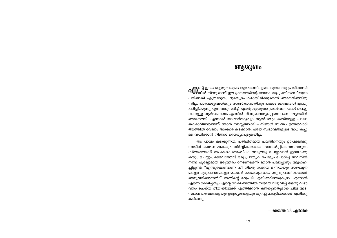### ആമുഖം

**∩⊕**ിന്റെ ഇടയ ശുശ്രൂഷയുടെ ആരംഭത്തിലുടലെടുത്ത ഒരു പ്രതിസന്ധി<br>**∩⊕**യിൽ നിന്നുമാണ് ഈ ഗ്രന്ഥത്തിന്റെ ജനനം. ആ പ്രതിസന്ധിയുടെ പരിണതി എത്രമാത്രം ദൂരവ്യാപകമായിരിക്കുമെന്ന് ഞാനറിഞ്ഞിരു ന്നില്ല. പാരമ്പര്യങ്ങൾക്കും സംസ്കാരത്തിനും പകരം ബൈബിൾ എന്തു പഠിപ്പിക്കുന്നു എന്നതനുസരിച്ച് എന്റെ ശുശ്രൂഷാ പ്രവർത്തനങ്ങൾ ചെയ്യു വാനുള്ള ആർജ്ജവത്വം എന്നിൽ നിന്നുമാവശ്യപ്പെടുന്ന ഒരു ഘട്ടത്തിൽ ഞാനെത്തി. എന്നാൽ യാഥാർത്ഥ്യവും ആദർശവും തമ്മിലുള്ള പാലം തകരാറിലാണെന്ന് ഞാൻ മനസ്സിലാക്കി — നിങ്ങൾ സ്വന്തം ഉത്തരവാദി ത്തത്തിൽ വേണം അക്കരെ കടക്കാൻ; പഴയ സ്വഭാവങ്ങളുടെ അധികച്ചു മട് വഹിക്കാൻ നിങ്ങൾ ധൈര്യപ്പെടുകയില്ല.

ആ പാലം കടക്കുന്നത്, പരിചിതമായ പലതിനെയും ഉപേക്ഷിക്കു ന്നതിന് കാരണമാകയും നിർവ്വികാരമായ സാങ്കൽപ്പികാവസ്ഥയുടെ ഗർത്തത്തോട് അപകടകരമാംവിധം അടുത്തു ചെല്ലുവാൻ ഇടയാക്കു കയും ചെയ്യും. ദൈവത്തോട് ഒരു പ്രത്യേക ചോദ്യം ചോദിച്ച് അവനിൽ നിന്ന് പൂർണ്ണമായ ഒരുത്തരം നേടണമെന്ന് ഞാൻ പലപ്പോഴും ആഗ്രഹി ച്ചിട്ടുണ്ട്: "എന്തുകൊണ്ടാണ് നീ നിന്റെ സഭയെ ഭിന്നതയും സംഘട്ടന ങ്ങളും ദുരുപദേശങ്ങളും കൊണ്ട് ശോകമുകമായ ഒരു രുപത്തിലാക്കാൻ അനുവദിക്കുന്നത്?" അതിന്റെ മറുപടി എനിക്കറിഞ്ഞുകൂടാ. എന്നാൽ എന്നെ രക്ഷിച്ചതും എന്റെ വീക്ഷണത്തിൽ സഭയെ വിടുവിച്ച് യേശു വിഭാ വനം ചെയ്ത രീതിയിലേക്ക് എത്തിക്കാൻ കഴിയുന്നതുമായ ചില അടി സ്ഥാന തത്ത്വങ്ങളെയും ഉദ്ദേശ്യങ്ങളെയും കുറിച്ച് മനസ്സിലാക്കാൻ എനിക്കു കഴിഞ്ഞു.

— ഗെയ്ൽ ഡി. എർവിൻ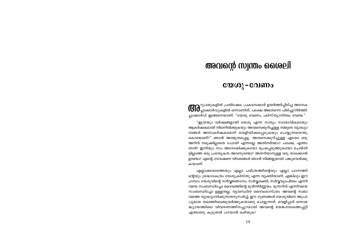### അവന്റെ സ്വന്തം ശൈലി

### യേശു-വേണം

**(6) കൂ**റുപതുകളിൽ പ്രതിഷേധ പ്രകടനക്കാർ ഉയർത്തിപ്പിടിച്ച അനേക<br>**(6) ക്ലാക്കാർഡുകളിൽ ഒന്നാണിത്, പക്ഷേ അതെന്നെ പിടിച്ചുനിർത്തി.** പ്ലാക്കാർഡ് ഇങ്ങനെയാണ്, "യേശു വേണം, ക്രിസ്ത്യാനിത്വം വേണ്ട."

"ഇത്രയും വർഷങ്ങളായി യേശു എന്ന സത്യം സ്വാഭാവികമായും ആകർഷകമായി നിലനിൽക്കുകയും അവനെക്കുറിച്ചുള്ള നമ്മുടെ വ്യാഖ്യാ നങ്ങൾ അനാകർഷകമെന്ന് തെളിയിക്കപ്പെടുകയും ചെയ്യുന്നതെന്തു കൊണ്ടാണ്?" ഞാൻ അത്ഭുതപ്പെട്ടു. അവനെക്കുറിച്ചുള്ള ഏതോ ഒരു അറിവ് നമുക്കില്ലാതെ പോയി എന്നല്ലേ അതിനർത്ഥം? പക്ഷേ, എന്താ ണത്? ഇനിയും നാം അന്വേഷിക്കുകയോ രൂപപ്പെടുത്തുകയോ ചെയ്തി ട്ടില്ലാത്ത ഒരു പ്രത്യേകത അവനുണ്ടോ? അതറിയാനുള്ള ഒരു താക്കോൽ ഉണ്ടോ? എന്റെ ഗവേഷണ വിവരങ്ങൾ ഞാൻ നിങ്ങളുമായി പങ്കുവെയ്ക്കു കയാണ്.

എല്ലാക്കാലത്തെയും എല്ലാ ചരിത്രത്തിന്റെയും എല്ലാ പഠനത്തി ന്റെയും ശ്രദ്ധാകേന്ദ്രം യേശുക്രിസ്തു എന്ന വ്യക്തിയാണ്. എങ്കിലും ഈ ഗ്രന്ഥം യേശുവിന്റെ സർവ്വജ്ഞാനം, സർവ്വശക്തി, സർവ്വവ്യാപിത്വം എന്നി വയെ സംബന്ധിച്ചോ ദൈവത്തിന്റെ മുൻനിർണ്ണയം, മുന്നറിവ് എന്നിവയെ സംബന്ധിച്ചോ ഉള്ളതല്ല. വ്യവസ്ഥിത ദൈവശാസ്ത്രം അവന്റെ സ്വഭാ വത്തെ വ്യാഖ്യാനിക്കുന്നതനുസരിച്ച്, ഈ ഗുണങ്ങൾ യേശുവിനെ അപ്രാ പൃമായ തലത്തിലേക്കുയർത്തുകയാണു ചെയ്യുന്നത്. വെളിപ്പാട് ഒന്നാമ ദ്ധ്യായത്തിലെ വിവരണത്തിനപ്പുറമായി അവന്റെ ഭയങ്കരത്വത്തെപ്പറ്റി എന്താണു കൂടുതൽ പറയാൻ കഴിയുക?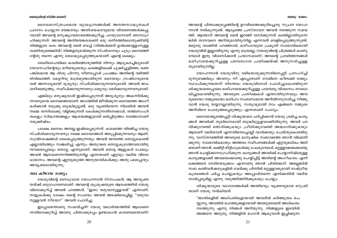#### യേശാ – വേണം

യേശുവിന്റെ ജീവിത ശൈലി

അവന്റെ ചിന്താക്കുഴപ്പത്തിന്റെ ഉറവിടത്തെക്കുറിച്ചൊരു സൂചന യോഹ ന്നാൻ നൽകുന്നുണ്ട്. ആദ്യത്തെ പ്രസ്താവന അവൻ നടത്തുന്ന സമയ ത്ത്, ആത്മാവ് അവന്റെ മേൽ ഇറങ്ങി വസിക്കുന്നത് കണ്ടില്ലായിരുന്നെ ങ്കിൽ താനവനെ അറിയുമായിരുന്നില്ല എന്നവൻ വെളിപ്പെടുത്തുന്നുണ്ട്. മറ്റൊരു വാക്കിൽ പറഞ്ഞാൽ, മശീഹായുടെ പ്രകൃതി സ്വാഭാവികമായി യേശുവിൽ ഇല്ലായിരുന്നു എന്നു മാത്രമല്ല, (യേശുവിന്റെ ചിത്രങ്ങൾ കാണു മ്പോൾ ഇതു വിശ്വസിക്കാൻ പ്രയാസമാണ്) അവന്റെ പ്രവർത്തനങ്ങൾ മശീഹായെക്കുറിച്ചുള്ള പരമ്പരാഗത പ്രതീക്ഷയ്ക്ക് അനുസരിച്ചുള്ള തുമായിരുന്നില്ല.

യോഹന്നാൻ യേശുവിനു വഴിയൊരുക്കുന്നതിനെപ്പറ്റി പ്രസംഗിച്ചി രുന്നുവെങ്കിലും അവനും നീ എപ്പോഴാണ് റോമിനെ കീഴടക്കി രാജ്യം സ്ഥാപിക്കുന്നതെന്ന് നിരന്തരം യേശുവിനോട് ചോദിച്ചുകൊണ്ടിരുന്ന ശിഷ്യന്മാരെപ്പോലെ മശീഹായെക്കുറിച്ചുള്ള പാരമ്പര്യ വിശ്വാസം താലോ ലിച്ചുകൊണ്ടിരുന്നു. അവരുടെ പ്രതീക്ഷകൾ എന്തായിരുന്നാലും അവ രുടെയോ നമ്മുടെയോ മശീഹാ സംബന്ധമായ അറിവിനനുസരിച്ചു നീങ്ങു വാൻ യേശു തയ്യാറല്ലായിരുന്നു. സത്യവുമായി നാം എങ്ങനെ നമ്മുടെ അറിവിനെ പൊരുത്തപ്പെടുത്തും എന്നതാണ് ചോദ്യം.

ദൈവരാജ്യത്തെപ്പറ്റി ശിഷ്യന്മാരെ പഠിപ്പിക്കാൻ യേശു ശ്രമിച്ച കാര്യ ങ്ങൾ അവർക്ക് തുടർമാനമായി ബുദ്ധിമുട്ടുളവാക്കിയിരുന്നു. അവർ പദ വിക്കുവേണ്ടി മത്സരിക്കുകയും പ്രീതിക്കുവേണ്ടി അദ്ധ്വാനിക്കുകയും ആരാണ് വലിയവൻ എന്നതിനെച്ചൊല്ലി വാദിക്കയും ചെയ്തുകൊണ്ടിരു ന്നു. വാസ്തവത്തിൽ അവരുടെ മാനുഷിക സ്വഭാവത്തെ ഞാൻ വിലമതി ക്കുന്നു. സ്വാഭാവികമായും അത്തരം സമീപനങ്ങൾക്ക് എറ്റവുമധികം അടി മയാണ് ഞാൻ. കമ്മിറ്റി മീറ്റിംഗുകൾക്കു പോകുമ്പോൾ, മറ്റുള്ളവരെക്കൊണ്ടു ഞാൻ ചെയ്യിക്കാനാഗ്രഹിക്കുന്ന കാര്യങ്ങൾ അവർക്ക് ചെയ്യാനിഷ്ടമുള്ള കാര്യങ്ങളാക്കി അവരെക്കൊണ്ടു ചെയ്യിച്ചിട്ട് അതിന്റെ അംഗീകാരം എനി ക്കെങ്ങനെ നേടിയെടുക്കാം എന്നാണു ഞാൻ ചിന്തിക്കാറ്. അല്ലെങ്കിൽ സഭാ കൺവൻഷനുകളിൽ വേദിക്കു പിന്നിൽ മറ്റുള്ളവരുമായി രാഷ്ട്രീയ കുശലങ്ങൾ ചർച്ച ചെയ്യുകയും അപ്പോൾതന്നെ എനിക്കതിൽ വലിയ താൽപ്പര്യമില്ല എന്നു വരുത്തിത്തീർക്കുകയും ചെയ്യും.

ശിഷ്യന്മാരുടെ വാഗ്വാദങ്ങൾക്ക് അന്തിമവും വ്യക്തവുമായ മറുപടി യാണ് യേശു നൽകിയത്:

"ജാതികളിൽ അധിപതികളായവർ അവരിൽ കർത്തൃത്വം ചെ യ്യുന്നു; അവരിൽ മഹത്തുക്കളായവർ അവരുടെമേൽ അധികാരം നടത്തുന്നു എന്നു നിങ്ങൾ അറിയുന്നു. നിങ്ങളുടെ ഇടയിൽ അങ്ങനെ അരുതു; നിങ്ങളിൽ മഹാൻ ആകുവാൻ ഇച്ഛിക്കുന്ന

ദൈവശാസ്ത്രപരമായ വ്യാഖ്യാനങ്ങൾക്ക് അനന്തസാദ്ധ്യതകൾ പ്രദാനം ചെയ്യുന്ന ഭയങ്കരവും അതിശയകരവുമായ വിവരണങ്ങൾക്കപ്പു റമായി അവന്റെ മനുഷ്യാവതാരത്തെക്കുറിച്ചു പറയുവാനാണ് ഞാനാഗ്ര ഹിക്കുന്നത്. അവന്റെ അതിഭയങ്കരശക്തി ഒരു ശരീരത്തിലൊതുക്കിയിട്ട് നിങ്ങളുടെ കരം അവന്റെ മേൽ വെച്ച് (നിങ്ങൾക്കത് ഉൾക്കൊള്ളാനുള്ള ശക്തിയുണ്ടെങ്കിൽ) നിങ്ങളനുഭവിക്കുന്ന സ്പർശനവും ചൂടും ദൈവത്തി ന്റേതു തന്നെ എന്നു ബോദ്ധ്യപ്പെടുത്തുകയാണ് എന്റെ ലക്ഷ്യം.

ബേത്ലഹേമിലെ കാലിത്തൊഴുത്തിൽ നിന്നും ആദ്യകരച്ചിലുമായി യോസേഫിന്റെയും മറിയയുടെയും കരങ്ങളിലേക്ക് ചുക്കിച്ചുളിഞ്ഞ, രക്ത പങ്കിലമായ ആ ശിശു പിറന്നു വീണപ്പോൾ പ്രപഞ്ചം അതിന്റെ വഴിത്തി രിവിലെത്തി. കേട്ടറിവു മാത്രമുണ്ടായിരുന്ന ദൈവവും സ്രഷ്ടാവുമായ വൻ അന്നാദ്യമായി ദൃശ്യനും സ്പർശിക്കാവുന്നവനുമായി. അവൻ ജഡ ശരീരമെടുത്തു...സമീപിക്കാവുന്നവനും ലഭ്യനും ഭേദിക്കാവുന്നവനുമായി.

എങ്കിലും മനുഷ്യരാശി ഇഷ്ടപ്പെടുന്നത് അദൃശ്യനും അകന്നിരിക്കു ന്നവനുമായ ദൈവത്തെയാണ്. ജഡത്തിൽ ജീവിക്കുന്ന ദൈവത്തെ അംഗീ കരിക്കാൻ നമുക്കു ബുദ്ധിമുട്ടുണ്ട്. ഒരു വ്യക്തിയെന്ന നിലയിൽ അവൻ നമ്മെ തന്നിലേക്കു വിളിക്കുന്നത് കേൾക്കുന്നതിനേക്കാൾ, തത്ത്വസംഹി തകളും സിദ്ധാന്തങ്ങളും ആശയങ്ങളുമായി മൽപ്പിടുത്തം നടത്താനാണ് നമുക്കിഷ്ടം.

പക്ഷേ, ദൈവം അതല്ല ഇഷ്ടപ്പെടുന്നത്. കാലത്തെ വിഭജിച്ച യേശു സ്പർശിക്കാവുന്നവനും നമ്മെ ദൈവത്തോട് അടുപ്പിക്കുന്നവനും ആണ്. സുവിശേഷങ്ങൾ രേഖപ്പെടുത്തുന്നതും അവൻ ജനത്തെ തൊട്ടുകൊണ്ട് എല്ലായിടത്തും സഞ്ചരിച്ചു എന്നും അതുവരെ തൊട്ടുകൂടാത്തവരായിരു ന്നവരെപ്പോലും തൊട്ടു എന്നുമാണ്. അവൻ തൊട്ട ആളുകൾ പോലും അവൻ ആരാണെന്നറിഞ്ഞിരുന്നില്ല എന്നതാണ് ഏറ്റവും വലിയ വിരോ ധാഭാസം. അവന്റെ ഏറ്റവുമടുത്ത അനുയായികൾക്കും അതു പലപ്പോഴും അവ്യക്തമായിരുന്നു.

### തല കീഴായ രാജ്യം

യേശുവിന്റെ ബന്ധുവായ യോഹന്നാൻ സ്നാപകൻ, ആ അവ്യക്ത തയ്ക്ക് ഒരുദാഹരണമാണ്. അവന്റെ ശുശ്രുഷയുടെ ആരംഭത്തിൽ യേശു വിനെക്കുറിച്ച് അവൻ പറഞ്ഞത്, "ഇതാ വരുവാനുള്ളവൻ" എന്നാണ്. നാളുകൾക്കു ശേഷം തന്റെ സംശയം അവൻ അടക്കിവെച്ചില്ല. "വരുവാ നുള്ളവൻ നീയോ?" അവൻ ചോദിച്ചു.

ഇപ്പോഴെന്താണു സംഭവിച്ചത്? യേശു യഥാർത്ഥത്തിൽ ആരാണെ ന്നതിനെക്കുറിച്ച് അവനു ചിന്താക്കുഴപ്പം ഉണ്ടാകാൻ കാരണമെന്താണ്?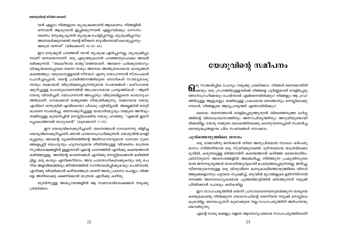വൻ എല്ലാം നിങ്ങളുടെ ശുശ്രുഷക്കാരൻ ആകേണം; നിങ്ങളിൽ ഒന്നാമൻ ആകുവാൻ ഇച്ഛിക്കുന്നവൻ എല്ലാവർക്കും ദാസനാ കേണം. മനുഷ്യപുത്രൻ ശുശ്രൂഷ ചെയ്യിപ്പാനല്ല, ശുശ്രൂഷിപ്പാനും അനേകർക്കുവേണ്ടി തന്റെ ജീവനെ മറുവിലയായി കൊടുപ്പാനും അത്രെ വന്നത്" (മർക്കൊസ് 10:42-45).

ഈ മനുഷ്യൻ പറഞ്ഞത് താൻ ശുശ്രൂഷ ഏൽപ്പാനല്ല, ശുശ്രൂഷിപ്പാ നാണ് വന്നതെന്നാണ്. ഒരു എഴുത്തുകാരൻ പറഞ്ഞതുപോലെ അവൻ ഭരിക്കുന്നത്, "തലകീഴായ രാജ്യ"ത്തെയാണ്. അവനെ പഠിക്കുന്തോറും ശിഷ്യന്മാരെപ്പോലെ തന്നെ നാമും അനേക അത്ഭുതകരമായ കാര്യങ്ങൾ കണ്ടെത്തും. വരുവാനുള്ളവൻ നീയോ? എന്നു യോഹന്നാൻ സ്നാപകൻ ചോദിച്ചപ്പോൾ, തന്റെ പ്രവർത്തനത്തിലൂടെ രോഗികൾ സൗഖ്യമാകു ന്നതും ബദ്ധന്മാർ വിടുവിക്കപ്പെടുന്നതുമായ സംഭവങ്ങൾ—മശീഹായെ ക്കുറിച്ചുള്ള പൊതുധാരണയിൽ അപ്രധാനമായ പ്രവൃത്തികൾ — ആണ് യേശു വിവരിച്ചത്. യോഹന്നാൻ അപ്പോഴും വിടുതലില്ലാതെ കാരാഗൃഹ ത്തിലാണ്. റോമാക്കാർ രാജ്യത്തെ നിയന്ത്രിക്കുന്നു. രാജാവായ യേശു എവിടെ? ഒന്നുകിൽ എവിടെയോ പിശകു പറ്റിയിട്ടുണ്ട്. അല്ലെങ്കിൽ തെറ്റി ദ്ധാരണ സംഭവിച്ചു. തന്നെക്കുറിച്ചുള്ള യാഥാർത്ഥ്യവും നമ്മുടെ അറിവും തമ്മിലുള്ള കുഴമറിച്ചിൽ മനസ്സിലാക്കിയ യേശു പറഞ്ഞു: "എങ്കൽ ഇടറി പ്പോകാത്തവൻ ഭാഗൃവാൻ" (ലൂക്കൊസ് 7:23).

ഈ യേശുവിനെക്കുറിച്ചാണ്, തന്നെത്താൻ ദാസനെന്നു വിളിച്ച യേശുവിനെക്കുറിച്ചാണ്, ഞാൻ പറയാനാഗ്രഹിക്കുന്നത്. യേശുവിൽ വെളി പ്പെട്ടതും അവന്റെ വ്യക്തിത്വത്തിന്റെ അടിസ്ഥാനവുമായ ദാസത്വ ഗുണ ങ്ങളെപ്പറ്റി ബാഹ്യവും ഹൃസ്വവുമായ രീതിയിലുള്ള വിവരണം മാത്രമേ സുവിശേഷങ്ങളിൽ ഉള്ളതായി എന്റെ പഠനത്തിൽ എനിക്കു കണ്ടെത്താൻ കഴിഞ്ഞുളളൂ. അതിന്റെ കാരണങ്ങൾ എനിക്കു മനസ്സിലാക്കാൻ കഴിഞ്ഞി ട്ടില്ല. ഒരു കാര്യം എനിക്കറിയാം; അവ പ്രായോഗികമാക്കുകയും ഒരു ചെ റിയ അളവിലെങ്കിലും ജീവിതത്തിൽ സന്നിവേശിപ്പിക്കുകയും ചെയ്താൽ, എനിക്കു വിവരിക്കാൻ കഴിയാത്തത്ര ശക്തി അതു പ്രദാനം ചെയ്യും; നിങ്ങ ളെ അതിലേക്കു ക്ഷണിക്കാൻ മാത്രമേ എനിക്കു കഴിയു.

തുടർന്നുള്ള അദ്ധ്യായങ്ങളിൽ ആ സ്വഭാവവിശേഷങ്ങൾ നമുക്കു ശ്രദ്ധിക്കാം.

## യേശുവിന്റെ സമീപനം

 $\bigcap$ രു സാങ്കൽപ്പിക ചോദ്യം നമുക്കു ശ്രദ്ധിക്കാം. നിങ്ങൾ ദൈവമായിരി О5 ക്കയും ഒരു ഗ്രഹത്തിലുള്ളവർക്ക് നിങ്ങളെ പൂർണ്ണമായി വെളിപ്പെടു ത്താനാഗ്രഹിക്കയും ചെയ്താൽ എങ്ങനെയിരിക്കും? നിങ്ങളും ആ ഗ്രഹ ത്തിലുള്ള ആളുകളും തമ്മിലുള്ള പ്രകടമായ വൈജാത്യം മനസ്സിലാക്കു മ്പോൾ, നിങ്ങളുടെ ആദ്യപ്രവൃത്തി എന്തായിരിക്കും?

ദൈവം തന്നെത്താൻ വെളിപ്പെടുത്തുവാൻ തിരഞ്ഞെടുത്ത മാർഗ്ഗ ത്തിന്റെ വിരോധാഭാസത്തിനും അനൗചിതൃത്തിനും അറുതിയുണ്ടായി രിക്കയില്ല. യേശു നമ്മുടെ ലോകത്തിലേക്കു കടന്നുവന്നപ്പോൾ സംഭവിച്ച വൈരുദ്ധ്യങ്ങളായ ചില സംഭവങ്ങൾ നോക്കാം.

### പുൽത്തൊഴുത്തിലെ ജനനം

ഒരു രാജാവിനു ജനിക്കാൻ തീരെ അനുചിതമായ സ്ഥലം! ഒൻപതു മാസം ഗർഭിണിയായ ഒരു സ്ത്രീക്കുവേണ്ടി, ദുർഘടമായ യാത്രയ്ക്കൊ ടുവിൽ, കരുതലുള്ള ഭർത്താവിന് കണ്ടെത്താൻ കഴിഞ്ഞ ഒരേയൊരിടം. ക്രിസ്തുമസ് അവസരങ്ങളിൽ അലങ്കരിച്ചു നിർത്തുന്ന പ്രകൃതിസുന്ദര മായ ജനനദൃശ്യങ്ങൾ യാഥാർത്ഥ്യവുമായി പൊരുത്തപ്പെടുന്നതല്ല. ജനിച്ചു വീണയുടനെയുള്ള ഒരു ശിശുവിനെ കന്നുകാലിത്തൊഴുത്തിലെ വിസർ ജ്ജ്യങ്ങളൊന്നും പറ്റാതെ സുക്ഷിച്ച്, ഒടുവിൽ മൃഗങ്ങളുടെ ഉമിനീരിനാൽ നനഞ്ഞ അനാരോഗ്യകരമായ പുൽത്തൊട്ടിയിൽ കിടത്തുന്നത് നമുക്ക് ചിന്തിക്കാൻ പോലും കഴികയില്ല.

ഈ സാഹചര്യത്തിൽ കിടന്ന് പ്രസവവേദനയനുഭവിക്കുന്ന ഭാര്യയെ കണ്ടുകൊണ്ടു നിൽക്കുന്ന യോസേഫിന്റെ ദയനീയത നമുക്ക് മനസ്സിലാ കുകയില്ല. ദൈവപുത്രന് കുറെക്കൂടെ നല്ല സാഹചര്യത്തിന് അർഹതയു ണ്ടായിരുന്നു.

എന്റെ നാലു മക്കളും വളരെ ആരോഗ്യപരമായ സാഹചര്യത്തിലാണ്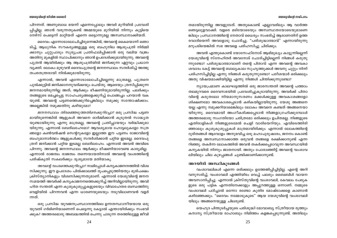### യേശുവിന്റെ സമീപനം

യേശുവിന്റെ ജീവിത ശൈലി

തമായിരുന്നില്ല അവളുടേത്. അതുകൊണ്ട് എല്ലാവരിലും ആ വാർത്ത ഞെട്ടലുളവാക്കി. വളരെ മടിയോടെയും അസ്വസ്ഥതയോടെയുമാണെ ങ്കിലും പ്രസ്ഥാനത്തിന്റെ നേതാവ് ധൈര്യം സംഭരിച്ച് ആരാണതിന് ഉത്ത രവാദിയെന്ന് അവളോടു ചോദിച്ചു. "പരിശുദ്ധാത്മാവ്" എന്നായിരുന്നു മറുപടിയെങ്കിൽ സഭ അവളെ പരിഹസിച്ചു ചിരിക്കും.

അവൻ എന്തുകൊണ്ട് യോസേഫിനോട് ആഭിമുഖ്യം കാട്ടുന്നില്ലെന്ന് യേശുവിന്റെ സ്നേഹിതർ അവനോട് ചോദിച്ചിട്ടില്ലെന്ന് നിങ്ങൾ കരുതു ന്നുണ്ടോ? പരിശുദ്ധാത്മാവാണ് തന്റെ പിതാവ് എന്ന അവന്റെ അവകാ ശവാദം കേട്ട് അവന്റെ ബാല്യകാല സുഹൃത്തുക്കൾ അവനു ചുറ്റും നിന്ന് പരിഹസിച്ചിട്ടില്ല എന്നു നിങ്ങൾ കരുതുന്നുണ്ടോ? പരീശന്മാർ ഒരിക്കലും അതു വിഷയമാക്കിയിട്ടില്ല എന്നു നിങ്ങൾ ചിന്തിക്കുന്നുണ്ടോ?

ന്യായപ്രമാണ കാലഘട്ടത്തിൽ ഒരു ജാരസന്തതി അവന്റെ പത്താം തലമുറവരെ ദൈവസഭയിൽ പ്രവേശിച്ചുകൂടായിരുന്നു. അവർക്ക് പിതാ വിന്റെ കരുതലോ നിയമാനുസരണം മക്കൾക്കുള്ള അവകാശങ്ങളോ ശിക്ഷണമോ അവകാശപ്പെടാൻ കഴികയില്ലായിരുന്നു. യേശു അങ്ങനെ യല്ല എന്നു നമുക്കറിയാമെങ്കിലും ലോകം അവനെ കണ്ടത് അങ്ങനെയാ യിരുന്നു. ദൈവമായി അംഗീകരിക്കപ്പെടാൻ നിങ്ങളാഗ്രഹിക്കുമ്പോൾ അത്തരമൊരു സംഗതിയോ ചരിത്രമോ ഒരിക്കലും ഉചിതമല്ല. നിങ്ങളുടെ എതിരാളികൾ നിങ്ങളുടെമേൽ ചെളി വാരിയെറിയും. എവിടെത്തിരി ഞ്ഞാലും കുശുകുശുപ്പുകൾ മാത്രമായിരിക്കും. എന്നാൽ ലോകത്തിന്റെ ദുരിതങ്ങൾ ആവോളം അനുഭവിച്ച ഒരു മഹാപുരുഷാരം, ജനനം കൊണ്ട് തങ്ങളെ അസ്വസ്ഥനാക്കാത്ത ഒരുവൻ തങ്ങളെ രക്ഷിക്കാനുണ്ട് എന്ന റിഞ്ഞു. തകർന്ന ലോകത്തിൽ അവൻ തകർക്കപ്പെടാവുന്ന അവസ്ഥയിൽ കന്യകയിൽ നിന്നും ജാതനായി. അതും പോരാഞ്ഞിട്ട് അവന്റെ വംശാവ ലിയിലും ചില കുഴപ്പങ്ങൾ ചൂണ്ടിക്കാണിക്കാനുണ്ട്.

### അറയിൽ അസ്ഥികൂടങ്ങൾ

വംശാവലികൾ എന്നെ ഒരിക്കലും ഉത്തേജിപ്പിച്ചിട്ടില്ല. എന്റെ അറി വനുസരിച്ച്, വംശാവലി എത്തിയിടം വെച്ച് പലരും ബൈബിൾ വായന അവസാനിപ്പിച്ചു. എന്നാൽ ക്രിസ്തുവിന്റെ വംശാവലി, കേവലം പേരുക ളുടെ ഒരു പട്ടിക എന്നതിനേക്കാളും അപ്പുറത്തുള്ള ഒന്നാണ്. നമ്മുടെ വംശാവലി പഠിച്ചാൽ ഒന്നോ രണ്ടോ കുതിര മോഷ്ടാക്കളെ കാണാൻ കഴിഞ്ഞേക്കും. "ദൈവം നമ്മോടുകൂടെ" ആയ യേശുവിന്റെ വംശാവലി യിലും അങ്ങനെയുള്ള ചിലരുണ്ട്.

യെഹുദ പിന്തുടർച്ചയുടെ പരിശുദ്ധി മോവാബ്യ സ്ത്രീയായ രുത്തും കനാന്യ സ്ത്രീയായ രാഹാബും നിമിത്തം കളങ്കപ്പെടുന്നുണ്ട്. അതിലും

പിറന്നത്. അണുബാധ ഭയന്ന് എന്നെപ്പോലും അവർ മുറിയിൽ പ്രവേശി പ്പിച്ചില്ല. ഞാൻ വരുന്നതുകണ്ട് അമ്മയുടെ മുറിയിൽ നിന്നും കുട്ടിയെ നേഴ്സ് പെട്ടെന്ന് മാറ്റിയത് എന്നെ ഒട്ടൊന്നുമല്ല അസ്വസ്ഥനാക്കിയത്.

ദൈവം എന്നോടാലോചിച്ചിരുന്നെങ്കിൽ, അവന്റെ കൈയൊന്ന് ഞൊ ടിച്ച്, ആധുനിക സൗകര്യങ്ങളുള്ള ഒരു ബഹുനില ആശുപത്രി നിർമ്മി ക്കാനും ചുറ്റുപാടും സൂര്യപ്രഭ പ്രതിഫലിപ്പിക്കാൻ ഒരു വലിയ വജ്രം അതിനു മുകളിൽ സ്ഥാപിക്കാനും ഞാൻ ഉപദേശിക്കുമായിരുന്നു. അവന്റെ പുത്രൻ ആയിരിക്കും ആ ആശുപത്രിയിൽ ജനിക്കുന്ന ഏറ്റവും പ്രധാന വ്യക്തി. ലോകം മുഴുവൻ ദൈവപുത്രന്റെ ജനനസ്ഥലം സന്ദർശിച്ച് അത്ഭു തപരതന്ത്രരായി നിൽക്കുമായിരുന്നു.

എന്നാൽ, അവൻ എന്നോടാലോചിച്ചില്ലെന്നു മാത്രമല്ല, പുത്രനെ പുൽക്കൂട്ടിൽ ജനിക്കാനനുവദിക്കയും ചെയ്തു. ആരെയും ത്രസിപ്പിക്കുന്ന ജനനമായിരുന്നില്ല അത്; ആർക്കും ഭീഷണിയുമായിരുന്നില്ല. പലർക്കും തങ്ങളുടെ മെച്ചപ്പെട്ട സാഹചര്യങ്ങളെക്കുറിച്ച് പൊങ്ങച്ചം പറയാൻ വക യുണ്ട്. അവന്റെ പട്ടണത്തെക്കുറിച്ചെങ്കിലും നമുക്കു സന്തോഷിക്കാം. അല്ലെങ്കിൽ നമുക്കതിനു കഴിയുമോ?

ജനനസ്ഥലം തിരഞ്ഞെടുത്തതിനെക്കുറിച്ചോ? ഒരു പ്രസിദ്ധ പട്ടണ മായിരുന്നെങ്കിൽ ആളുകൾ അവനെ ഓർമ്മിക്കാൻ കൂടുതൽ സാദ്ധ്യത യുണ്ടായിരുന്നു എന്നു മാത്രമല്ല, അവന്റെ പ്രതിച്ചായയും വർദ്ധിക്കുമാ യിരുന്നു. എന്നാൽ ബേത്ലഹേമോ? ആവശ്യമായ ഹോട്ടലുകളോ സത്ര ങ്ങളോ കൺവൻഷൻ സെന്ററുകളോ ഇല്ലാത്ത ഈ പട്ടണം രാജാവിന്റെ ബഹുമാനാർത്ഥം ആളുകൾക്കു സന്ദർശിക്കാൻ പറ്റിയ ഇടമല്ല. ദൈവപു ത്രന് ജനിക്കാൻ പറ്റിയ ഇടമല്ല ബേത്ലഹേം. എന്നാൽ അവൻ അവിടെ പിറന്നു. അവന്റെ ജനനസ്ഥലം ആർക്കും ഭീഷണിയാവേണ്ട കാര്യമില്ല. എന്നാൽ രാജത്വം രാജത്വം തന്നെയായതിനാൽ അവന്റെ വംശത്തിന്റെ പരിഷ്കൃതി സകലർക്കും ദൃശ്യമായേ മതിയാകു.

*അവന്റെ വംശത്തെക്കുറിച്ചോ?* നാമിപ്പോൾ കന്യകാജനനത്തിൽ വിശ്വ സിക്കുന്നു. ഈ ഉപദേശം പിൽക്കാലത്ത് രൂപപ്പെടുത്തിയതും ഭൂരിപക്ഷം ക്രിസ്ത്യാനികളും വിശ്വസിക്കുന്നതുമാണ്. എന്നാൽ യേശുവിന്റെ ജനന സമയത്ത് അവർക്ക് കന്യകാജനനത്തെക്കുറിച്ച് അറിവില്ലായിരുന്നു. അവി ഹിത സന്തതി എന്ന കുശുകുശുപ്പുകളുടെയും വിവാഹേതര ബന്ധത്തിനു വെളിയിൽ പിറന്നവൻ എന്ന ധാരണയുടെയും നടുവിലാണവൻ വളർ ന്നത്.

ഒരു പ്രസിദ്ധ യുവജനപ്രസ്ഥാനത്തിലെ ഉന്നതസ്ഥാനീയയായ ഒരു യുവതി ഗർഭിണിയാണെന്ന് പെട്ടെന്നു കേട്ടാൽ എന്തായിരിക്കും സംഭവി ക്കുക? അത്തരമൊരു അബദ്ധത്തിൽ ചെന്നു ചാടുന്ന തരത്തിലുള്ള ജീവി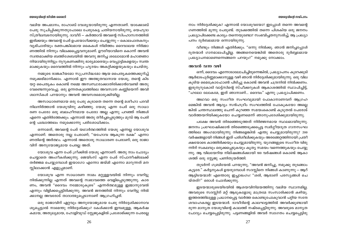വലിയ അപമാനം, രാഹാബ് വേശ്യയായിരുന്നു എന്നതാണ്. യാക്കോബ് പേരു സുചിപ്പിക്കുന്നതുപോലെ പേരുകേട്ട ചതിയനായിരുന്നു, യെഹുദാ സ്ത്രീലമ്പടനായിരുന്നു. ദാവീദ് — കർത്താവ് അവന്റെ സിംഹാസനത്തിൽ ഇരിക്കയും അവന്റെ പേര് ഉപയോഗിക്കയും ചെയ്യുന്നു — കൊലപാതകനും വ്യഭിചാരിയും രക്തപങ്കിലമായ കൈകൾ നിമിത്തം ദൈവാലയ നിർമ്മാ ണത്തിൽ നിന്നും വിലക്കപ്പെട്ടവനുമാണ്. ഊരീയാവിനെ കൊന്ന് അവൻ സ്വന്തമാക്കിയ ബത്ത്ശേബയിൽ അവനു ജനിച്ച ശലോമോൻ മഹാജ്ഞാ നിയായിരുന്നിട്ടും നൂറുകണക്കിനു ഭാര്യമാരെയും വെപ്പാട്ടികളെയും സ്വന്ത മാക്കുകയും ദൈവത്തിൽ നിന്നും ഹൃദയം അകറ്റിക്കളയുകയും ചെയ്തു.

നമ്മുടെ രാജകീയമോ സുപ്രസിദ്ധമോ ആയ പൈതൃകത്തെക്കുറിച്ച് നമുക്കഭിമാനിക്കാം. എന്നാൽ ഈ അത്ഭുതവാനായ യേശു, തന്റെ കിട യറ്റ പൈതൃകം കൊണ്ട് നമ്മെ അസ്വസ്ഥരാക്കാതിരിക്കാൻവേണ്ടി അതു വേണ്ടെന്നുവെച്ചു. ഒരു ഉന്നതകുലത്തിലെ അവസാന കണ്ണിയെന്ന് അവി ശ്വാസികൾ പറയാനും അവൻ അവസരമൊരുക്കിയില്ല.

അസാധാരണമായ ഒരു പേരു കുടാതെ തന്നെ തന്റെ മശീഹാ പദവി നിലനിർത്താൻ യേശുവിനു കഴിഞ്ഞു. യേശു എന്ന പേര് ഒരു സാധാ രണ പേരോ ഒരു ബലഹീനമായ പേരോ അല്ല എന്നു പറഞ്ഞ് നിങ്ങൾ എന്നെ എതിർത്തേക്കും. എന്നാൽ അതു തീർച്ചപ്പെടുത്തും മുമ്പ് ആ പേരി ന്റെ പശ്ചാത്തലം നമുക്കൊന്നു പരിശോധിക്കാം.

ഒന്നാമത്, അവന്റെ പേര് യഥാർത്ഥത്തിൽ യേശു എന്നല്ല യോശുവ എന്നാണ്. അതൊരു നല്ല പേരാണ്; "യഹോവ ആകുന്ന രക്ഷ" എന്നാ ണതിന്റെ അർത്ഥം. എന്നാൽ അതൊരു സാധാരണ പേരാണ്; ഒരു രാജാ വിന് അനുയോജ്യമായ പേരല്ല അത്.

യോശുവ എന്ന പേര് ഗ്രീക്കിൽ യേശു എന്നാണ്. അതു നാം ചോദ്യം ചെയ്യാതെ അംഗീകരിക്കുന്നു. ജെയിംസ് എന്ന പേര് സ്പാനീഷിലേക്ക് തർജ്ജമ ചെയ്യുമ്പോൾ ഇയാഗോ എന്നോ ജയ്മി എന്നോ മാറുന്നത് മന സ്സിലാക്കാൻ എളുപ്പമാണ്.

യോശുവ എന്ന സാധാരണ നാമം മറ്റുള്ളവയിൽ നിന്നും വേറിട്ടു നിൽക്കുന്നില്ല എന്നത് അവന്റെ സ്വഭാവത്തെ വെളിപ്പെടുത്തുന്നു. കാര ണം, അവൻ "ദൈവം നമ്മോടുകുടെ" എന്നർത്ഥമുള്ള ഇമ്മാനുവേൽ എന്നും വിളിക്കപ്പെട്ടിരിക്കുന്നു. അവൻ ജനത്തിൽ നിന്നും വേറിട്ടു നിൽ ക്കാനല്ല അവരോട് താദാത്മ്യപ്പെടാനാണ് ആഗ്രഹിച്ചത്.

ഒരു രാജാവിന് ഏറ്റവും അനുയോജ്യമായ പേരു നിർദ്ദേശിക്കാനാവ ശ്യപ്പെട്ടാൽ നാമെന്തു നിർദ്ദേശിക്കും? കേൾക്കാൻ ഇമ്പമുള്ള, ആകർഷ കമായ, അതുല്യമായ, ഹോളിവുഡ് സ്റ്റേജുകളിൽ പ്രശോഭിക്കുന്ന പേരല്ലേ നാം നിർദ്ദേശിക്കുക? എന്നാൽ യോശുവയോ? ഇപ്പോൾ തന്നെ അവന്റെ ഗണത്തിൽ മുന്നു പേരുണ്ട്. തുടക്കത്തിൽ തന്നെ പിശകിയ ഒരു ജനനം പ്രഖ്യാപിക്കേണ്ട കാര്യം തന്നെയുണ്ടോ? സംഭവിച്ചതനുസരിച്ച്, ആ പ്രഖ്യാ പനം ദുർബലമായ ഒന്നായിരുന്നു.

വീണ്ടും നിങ്ങൾ എതിർക്കും. "ഒന്നു നിൽക്കു. ഞാൻ ജനിച്ചപ്പോൾ ദുതന്മാർ ഗാനമാലപിച്ചില്ല. അങ്ങനെയെങ്കിൽ അതൊരു ദുർബ്ബലമായ പ്രഖ്യാപനമാണെന്നെങ്ങനെ പറയും?" നമുക്കു നോക്കാം.

### അവൻ വന്ന വഴി

ഒന്ന്, ദൈവം എന്നോടാലോചിച്ചിരുന്നെങ്കിൽ, പ്രഖ്യാപനം കുറേക്കൂടി ആർഭാടപൂർണ്ണമാക്കാനുള്ള വഴി ഞാൻ നിർദ്ദേശിക്കുമായിരുന്നു. ഒരു വില കുടിയ മൈക്രോഫോൺ പിടിച്ചു കൊണ്ട് അവൻ ചന്ദ്രനിൽ നിൽക്കണം. ഇരുനൂറുകോടി വാട്ട്സിന്റെ സ്പീക്കറുകൾ ആകാശത്തിൽ സ്ഥാപിച്ചിട്ട്, "ഹലോ ലോകമേ, ഇത് ഞാനാണ്… ദൈവം" എന്നു പ്രഖ്യാപിക്കണം.

അഥവാ ഒരു സംഗീത സംഘവുമായി പോകാനാണവന് ആഗ്രഹ മെങ്കിൽ അവൻ ആദ്യം സൻഹദ്രീം സംഘത്തിൽ പോകുകയോ അല്ലെ ങ്കിൽ ചന്തസ്ഥലത്തു ചെന്ന് കുറഞ്ഞ സമയംകൊണ്ട് കൂടുതൽ പേരോട് വാർത്തയറിയിക്കുകയോ ചെയ്യണമെന്ന് ഞാനുപദേശിക്കുമായിരുന്നു.

പക്ഷേ അവൻ തിരഞ്ഞെടുത്തത് നിർജ്ജനമായ സ്ഥലമായിരുന്നു. ജനനം പ്രഘോഷിക്കാൻ തിരഞ്ഞെടുക്കപ്പെട്ട സ്വർഗ്ഗീയദൂത ഗാനസംഘ ത്തിലെ അംഗമായിരുന്നു നിങ്ങളെങ്കിൽ എന്തു ചെയ്യുമായിരുന്നു? 200 വർഷങ്ങളായി നിങ്ങൾ ഇത് പരിശീലിക്കുകയും അരങ്ങേറ്റത്തിനായി പ്രതീ ക്ഷയോടെ കാത്തിരിക്കയും ചെയ്യുമായിരുന്നു. യുഗങ്ങളുടെ സംഗീത വിരു ന്നിന് സകലവും ഒരുക്കപ്പെടുകയും കൃത്യ സമയം വന്നെത്തുകയും ചെയ്യു ന്നു. ആ വിലയേറിയ നിമിഷങ്ങൾക്കായി 100 വർഷങ്ങൾ കൊണ്ട് ആകാ ശത്ത് ഒരു സ്റ്റേജു പണിതുയർത്തി.

തുടർന്ന് ഗബ്രിയേൽ പറയുന്നു, "അവൻ ജനിച്ചു, നമുക്കു തുടങ്ങാം കൂട്ടരേ." കർട്ടനുകൾ ഉയരുമ്പോൾ സദസ്സിനെ നിങ്ങൾ കാണുന്നു — ആറ് ആട്ടിടയന്മാർ! എന്തൊരു ഇച്ഛാഭംഗം! "ശരി, ആരാണ് പരസ്യങ്ങൾ ചെ യ്തത്?" ഒരാൾ ചോദിക്കുന്നു.

ഇടയന്മാരുടെയിടയിൽ ആശയവിനിമയത്തിനു വലിയ സ്ഥാനമില്ല. അവരുടെ സദസ്സിന് മറ്റ് ആടുകളോടു മാത്രമേ സംസാരിക്കാൻ കഴിയൂ. ഇത്തരത്തിലുള്ള പ്രധാനപ്പെട്ട വാർത്ത കൊണ്ടുപോകുവാൻ പറ്റിയ സന്ദേ ശവാഹകരല്ല ഇടയന്മാർ. ദാവീദിന്റെ കാലഘട്ടത്തിൽ അവർക്കുണ്ടായി രുന്ന മാന്യത യേശുവിന്റെ കാലത്ത് നഷ്ടപ്പെട്ടിരുന്നു. അവരുടെ മാന്യത ചോദ്യം ചെയ്യപ്പെട്ടിരുന്നു. പട്ടണങ്ങളിൽ അവർ സ്വാഗതം ചെയ്യപ്പെട്ടിരു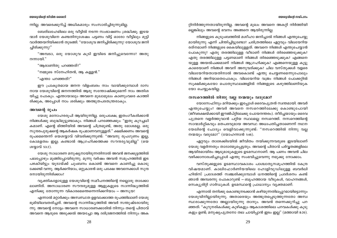ന്നില്ല. അവരെക്കുറിച്ച് അധികമാരും സംസാരിച്ചിരുന്നുമില്ല.

ബേത്ലഹേമിലെ ഒരു വീട്ടിൽ നടന്ന സംഭാഷണം ശ്രദ്ധിക്കു. ഇടയ ന്മാർ യേശുവിനെ കണ്ടതിനുശേഷം പട്ടണം വിട്ട് ഓരോ വീട്ടിലും മുട്ടി വാർത്തയറിയിക്കാൻ തുടങ്ങി. "യോശുവ ജനിച്ചിരിക്കുന്നു! യോശുവ ജനി ച്ചിരിക്കുന്നു!"

"അമ്പടാ, ഒരു യോശുവ കൂടി ഇവിടെ ജനിച്ചുവെന്നോ? അതു നന്നായി."

"ആരാണിതു പറഞ്ഞത്?"

"നമ്മുടെ സ്നേഹിതൻ, ആ കള്ളൻ."

"എന്താ പറഞ്ഞത്?"

ഈ പ്രാകൃതമായ ജനന വിളംബരം നാം വായിക്കുമ്പോൾ ദാസ നായ യേശുവിന്റെ ജനനത്തിൽ ആരു സന്തോഷിക്കുമെന്ന് നാം അതിശ യിച്ചു പോകും. എന്തായാലും അവനെ മുഖാമുഖം കാണുംവരെ കാത്തി രിക്കുക, അപ്പോൾ നാം ശരിക്കും അത്ഭുതപരതന്ത്രരാകും.

### അവന്റെ രൂപം

യേശു മനോഹരരൂപി ആയിരുന്നില്ല. ഒരുപക്ഷേ, ഇതംഗീകരിക്കാൻ നിങ്ങൾക്കു ബുദ്ധിമുട്ടുണ്ടാകും. നിങ്ങൾ പറഞ്ഞേക്കും: "ഇതു കുറച്ചധി കമാണ്. എന്റെ ഭിത്തിയിൽ അവന്റെ ചിത്രമുണ്ട്, അതു മോശമല്ല. ഒരു സുന്ദരപുരുഷന്റെ ആകർഷക രുപമാണവനുള്ളത്." ക്ഷമിക്കണം അവന്റെ രുപമെന്തെന്ന് യെശയ്യാവ് വിവരിക്കുന്നുണ്ട്: "അവനു രുപഗുണം ഇല്ല. കോമളത്വം ഇല്ല; കണ്ടാൽ ആഗ്രഹിക്കത്തക്ക സൗന്ദര്യവുമില്ല" (യെ ശയ്യാവ് 53:2).

യേശു സാധാരണ മനുഷ്യനായിരുന്നതിനാൽ അവൻ ജനക്കൂട്ടത്തിൽ പലപ്പോഴും മുങ്ങിപ്പോയിരുന്നു. മൂന്നു വർഷം അവൻ സമൂഹത്തിൽ ഇട പഴകിയിട്ടും യുദായ്ക്ക് ചുംബനം കൊണ്ട് അവനെ കാണിച്ചു കൊടു ക്കേണ്ടി വന്നു. ആർക്കറിയാം, ഒറ്റുകാരൻ ഒരു പക്ഷേ അവനേക്കാൾ സുന്ദ രനായിരുന്നിരിക്കാം?

വ്യക്തികളോടുള്ള യേശുവിന്റെ സമീപനത്തിന്റെ നല്ലൊരു താക്കോ ലാണിത്. അസാധാരണ സൗന്ദര്യമുള്ള ആളുകളുടെ സാന്നിദ്ധ്യത്തിൽ എനിക്കു തോന്നുന്ന വികാരമെന്തെന്നെനിക്കറിയാം — അസുയ!

എന്നാൽ മറ്റാർക്കും അസ്വസ്ഥത ഉളവാക്കാത്ത രൂപത്തിലാണ് യേശു ഭൂമിയിലവതരിച്ചത്. അവന്റെ സാന്നിദ്ധ്യത്തിൽ അവർ സന്തുഷ്ടരായിരു ന്നു. അവന്റെ നോട്ടം അവനെ സാധാരണക്കാരിൽ നിന്നും തന്റെ പിതാവ് അവനെ ആരുടെ അടുക്കൽ അയച്ചോ ആ ദരിദ്രജനത്തിൽ നിന്നും അക റ്റിനിർത്തുന്നതായിരുന്നില്ല. അവന്റെ മുഖം അവനെ അകറ്റി നിർത്തിയി ല്ലെങ്കിലും അവന്റെ ഭവനം അങ്ങനെ ആയിരുന്നില്ല.

നിങ്ങളുടെ കൂടുംബത്തിൽ മശീഹാ ജനിച്ചാൽ നിങ്ങൾ എന്തുചെയ്യു മായിരുന്നു എന്ന് ചിന്തിച്ചിട്ടുണ്ടോ? ചരിത്രത്തിലെ ഏറ്റവും വിലയേറിയ രത്നമാണ് നിങ്ങളുടെ കൈയിലുള്ളത്. അവനെ നിങ്ങൾ എന്തുചെയ്യാൻ പോകുന്നു? എതു തരത്തിലുള്ള വീടാണ് നിങ്ങൾ തിരഞ്ഞെടുക്കുക? എതു തരത്തിലുള്ള പട്ടണമാണ് നിങ്ങൾ തിരഞ്ഞെടുക്കുക? എങ്ങനെ യുള്ള അയൽപക്കമാണ് നിങ്ങൾ ആഗ്രഹിക്കുക? എങ്ങനെയുള്ള കുട്ടു കാരെയാണ് നിങ്ങൾ അവന് അനുവദിക്കുക? ചില വസ്തുക്കൾ വളരെ വിലയേറിയതായതിനാൽ അവകൊണ്ട് എന്തു ചെയ്യണമെന്നുപോലും നിങ്ങൾ അറിയാതെപോകും. വിലയേറിയ വജ്രം നിങ്ങൾ പോക്കറ്റിൽ സുക്ഷിക്കുകയോ പൊതുസ്ഥലങ്ങളിൽ നിങ്ങളുടെ കഴുത്തിലണിയുക യോ ചെയ്യുകയില്ല.

### നസറെത്തിൽ നിന്നു വല്ല നന്മയും വരുമോ?

യോസേഫിനും മറിയക്കും ഇപ്പോൾ ദൈവപുത്രൻ സ്ഥതമായി. അവർ എന്തുചെയ്യും? അവർ അവനെ നസറെത്തിലേക്കു കൊണ്ടുപോയി (ജീവരക്ഷയ്ക്കായി ഈജിപ്റ്റിലേക്കു പോയനന്തരം). തീർച്ചയായും ദൈവ പുത്രനെ വളർത്തുവാൻ പറ്റിയ സ്ഥലമല്ല നസറെത്ത്. നസറെത്തിന്റെ സാന്മാർഗ്ഗികവും മതപരവുമായ അവസ്ഥ അധഃപതിച്ചതാണെന്ന് നഥന യേലിന്റെ ചോദ്യം വെളിവാക്കുന്നുണ്ട്: "നസറെത്തിൽ നിന്നു വല്ല നന്മയും വരുമോ?" (യോഹന്നാൻ 1:46).

ഏറ്റവും താഴേക്കിടയിൽ ജീവിതം നയിക്കുന്നവരുടെ ഇടയിലാണ് യേശു വളർന്നതും താദാത്മ്യപ്പെട്ടതും. അവന്റെ പിതാവ് പർവ്വതങ്ങളിലെ ആയിരമായിരം ആടുമാടുകളുടെ ഉടമസ്ഥനാണ്. ആ പണം അവൻ ചില വഴിക്കാനാരംഭിച്ചപ്പോൾ എന്തു സംഭവിച്ചുവെന്നു നമുക്കു നോക്കാം.

വസ്തുക്കളുടെ ഉടമസ്ഥാവകാശം പാശ്ചാതൃസമൂഹത്തിൽ കേന്ദ്ര വിഷയമാണ്. കാലിഫോർണിയയിലെ ഹോളിവുഡിലുള്ള ബവർലി ഹിൽസ് പ്രദേശത്ത് സഞ്ചരിക്കുമ്പോൾ ധനത്തിന്റെ പ്രദർശനം കണ്ട് ഞാൻ അമ്പരന്നു പോകാറുണ്ട് — ബൃഹത്തായ വീടുകൾ, വാഹനങ്ങൾ, സെക്യുരിറ്റി ഗാർഡുകൾ. ഉടമസ്ഥന്റെ പ്രാധാന്യം വ്യക്തമാണ്.

എന്നാൽ തനിക്കു കൊണ്ടുനടക്കാൻ കഴിയുന്നതിലപ്പുറമായിട്ടൊന്നും യേശുവിനില്ലായിരുന്നു. അതാരെയും അത്ഭുതപ്പെടുത്തുന്നതോ അസ്വ സ്ഥരാക്കുന്നതോ അല്ലായിരുന്നു താനും. അവൻ തന്നെക്കുറിച്ചു പറ ഞ്ഞത്: "കുറുനരികൾക്കു കുഴികളും ആകാശത്തിലെ പറവകൾക്കു കൂടു കളും ഉണ്ട്; മനുഷ്യപുത്രനോ തല ചായിപ്പാൻ ഇടം ഇല്ല" (മത്തായി 8:20).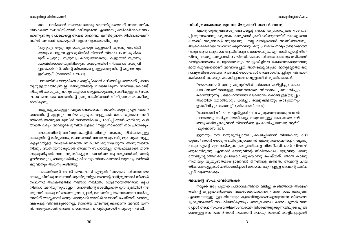തല ചായിക്കാൻ സ്വന്തമായൊരു ഭവനമില്ലാത്തവന് സാമ്പത്തിക ലോകത്തെ സ്വാധീനിക്കാൻ കഴിയുമെന്ന് എങ്ങനെ പ്രതീക്ഷിക്കാം? നാം കാണുന്നതു പോലെയല്ല അവൻ ധനത്തെ കണ്ടിരുന്നത്. ഗിരിപ്രഭാഷണ ത്തിൽ അവന്റെ വാക്കുകൾ വളരെ വ്യക്തമായിരുന്നു:

"പുഴുവും തുരുമ്പും കെടുക്കയും കള്ളന്മാർ തുരന്നു മോഷ്ടി ക്കയും ചെയ്യുന്ന ഈ ഭൂമിയിൽ നിങ്ങൾ നിക്ഷേപം സ്വരൂപിക്ക രുത്. പുഴുവും തുരുമ്പും കെടുക്കാതെയും കള്ളന്മാർ തുരന്നു മോഷ്ടിക്കാതെയുമിരിക്കുന്ന സ്വർഗ്ഗത്തിൽ നിക്ഷേപം സ്വരൂപി ച്ചുകൊൾവിൻ. നിന്റെ നിക്ഷേപം ഉള്ളേടത്തു നിന്റെ ഹൃദയവും ഇരിക്കും" (മത്തായി 6:19-21).

പണത്തിന് യേശുവിനെ കബളിപ്പിക്കാൻ കഴിഞ്ഞില്ല. അതവന് പ്രാധാ ന്യമുള്ളതായിരുന്നില്ല. മത്സ്യത്തിന്റെ വായിലിരുന്ന നാണയംകൊണ്ട് നികുതി കൊടുക്കുവാനും കല്ലിനെ അപ്പമാക്കുവാനും കഴിവുള്ളവന് സക ലകാലത്തെയും ധനത്തിന്റെ പ്രഭുവായിരിക്കാൻ നിഷ്പ്രയാസം കഴിയു മായിരുന്നു.

ആളുകളുമായുള്ള നമ്മുടെ ബന്ധത്തെ സ്വാധീനിക്കുന്നു എന്നതാണ് ധനത്തിന്റെ ഏറ്റവും വലിയ കുഴപ്പം. ആളുകൾ ധനാഢ്യരാണെന്നറി ഞ്ഞാൽ അവരുടെ മുമ്പിൽ സ്വാഭാവികത പ്രകടിപ്പിക്കാൻ എനിക്കു കഴി യാതെ വരും. അവരുടെ മുമ്പിൽ വളരെ "നല്ലവനാകാൻ" നാം ശ്രമിക്കും.

ലോകത്തിന്റെ വസ്തുവകകളിൽ നിന്നും അകന്നു നിൽക്കാനുള്ള യേശുവിന്റെ തീരുമാനം, തന്നെക്കാൾ ധനാഢ്യരും ദരിദ്രരും ആയ ആളു കളുമായുള്ള സംഭാഷണത്തെ സ്വാധീനിക്കുമായിരുന്ന അസൂയയിൽ നിന്നും സ്വതന്ത്രനാകുവാൻ അവനെ സഹായിച്ചു. തൽഫലമായി, താൻ ശുശ്രൂഷിപ്പാൻ വന്ന വ്യക്തികളുടെ യഥാർത്ഥ ആവശ്യങ്ങൾക്ക് തന്റെ ഊർജ്ജവും ശ്രദ്ധയും തിരിച്ചു വിടാനും സ്നേഹത്താൽ മാത്രം പ്രവർത്തി ക്കുവാനും അവനു കഴിഞ്ഞു.

2 കൊരിന്ത്യർ 8:9 ൽ പൗലൊസ് എഴുതി: "നമ്മുടെ കർത്താവായ യേശുക്രിസ്തു സമ്പന്നൻ ആയിരുന്നിട്ടും അവന്റെ ദാരിദ്ര്യത്താൽ നിങ്ങൾ സമ്പന്നർ ആകേണ്ടതിന് നിങ്ങൾ നിമിത്തം ദരിദ്രനായിത്തീർന്ന കൃപ നിങ്ങൾ അറിയുന്നുവല്ലോ." ധനത്തിന്റെ ഭാരമില്ലാതെ ഈ ഭൂമിയിൽ നട ക്കുന്നത് യേശു തിരഞ്ഞെടുത്തപ്പോൾ, ജനത്തിനു തന്നെത്തന്നെ നൽകു ന്നതിന് തടസ്സമായി ഒന്നും അനുവദിക്കാതിരിക്കയാണ് ചെയ്തത്. വസ്തു വകകളെ വീണ്ടെടുക്കാനല്ല, ജനത്തെ വീണ്ടെടുക്കാനാണ് അവൻ വന്ന ത്. അതുകൊണ്ട് അവൻ തന്നെത്തന്നെ പൂർണ്ണമായി നമുക്കു നൽകി.

### വിചിത്രമായൊരു മുന്നോടിയുമായി അവൻ വന്നു

എന്റെ ശുശ്രുഷയോടു ബന്ധപ്പെട്ട് ഞാൻ ക്രുസേഡുകൾ സംഘടി പ്പിക്കുന്നുവെന്നു കരുതുക. കാര്യങ്ങൾ ക്രമീകരിക്കുന്നതിന് ഒരാളെ അയ ക്കേണ്ടി വരുമ്പോൾ സുമുഖനും, നല്ല വസ്ത്രങ്ങൾ അണിഞ്ഞവനും ആകർഷകമായി സംസാരിക്കുന്നവനും ഒരു പ്രകോപനവും ഉണ്ടാക്കാത്ത വനും ആയ ഒരുവനെ ആയിരിക്കും ഞാനയക്കുക. എന്നാൽ എന്റെ രീതി യിലല്ല യേശു കാര്യങ്ങൾ ചെയ്തത്. പകരം കർക്കശക്കാരനും ശരിയായി വസ്ത്രധാരണം ചെയ്യാത്തവനും വെട്ടുക്കിളിയെ ഭക്ഷണമാക്കുന്നവനു മായ ഒരുവനെയാണ് അവനയച്ചത്. അതിലെല്ലാമുപരി മാനൃമല്ലാത്ത ഒരു പ്രവൃത്തിയോടെയാണ് അവൻ യോഗങ്ങൾ അവസാനിപ്പിച്ചിരുന്നത്: പ്രതി കരിക്കാൻ ധൈര്യം കാണിച്ചവരെ വെളളത്തിൽ മുക്കിക്കൊണ്ട്.

"യോഹന്നാൻ വന്നു മരുഭൂമിയിൽ സ്നാനം കഴിപ്പിച്ചും പാപ മോചനത്തിനായുള്ള മാനസാന്തര സ്നാനം പ്രസംഗിച്ചും കൊണ്ടിരുന്നു.... യോഹന്നാനോ ഒട്ടകരോമം കൊണ്ടുള്ള ഉടുപ്പും അരയിൽ തോൽവാറും ധരിച്ചും വെട്ടുക്കിളിയും കാട്ടുതേനും ഉപജീവിച്ചും പോന്നു" (മർക്കൊസ് 1:4,6).

"അവനാൽ സ്നാനം ഏൽപ്പാൻ വന്ന പുരുഷാരത്തോടു അവൻ പറഞ്ഞതു: സർപ്പസന്തതികളേ, വരുവാനുള്ള കോപത്തെ ഒഴി ഞ്ഞു ഓടിപ്പോകുവാൻ നിങ്ങൾക്കു ഉപദേശിച്ചുതന്നതു ആർ?" (ലുക്കൊസ് 3:7).

ഇത്രയും നയചാതുര്യമില്ലായ്മ പ്രകടിപ്പിക്കാൻ നിങ്ങൾക്കു കഴി യുമോ? ഞാൻ യേശു ആയിരുന്നുവെങ്കിൽ എന്റെ സമയത്തിന്റെ നല്ലൊരു പങ്കും എന്റെ മുന്നോടിയുടെ പ്രവൃത്തികളെ വിശദീകരിക്കാൻ ചിലവഴി ക്കുമായിരുന്നു. എന്നാൽ യേശുവിന്റെ ജീവിതകാലം മുഴുവനും അനു യോജ്യരല്ലാത്തവരെ ഉപയോഗിക്കുകയാണു ചെയ്തത്. ഞാൻ കാണു ന്നതിലും വ്യത്യസ്തമായിട്ടാണവൻ ജനങ്ങളെ കണ്ടത്. അവന്റെ ചില തിരഞ്ഞെടുപ്പുകൾ പരിശോധിച്ചാൽ ജനത്തെക്കുറിച്ചുള്ള അവന്റെ കാഴ്ച പ്പാട് വൃക്തമാകും.

### അവന്റെ സഹപ്രവർത്തകർ

നമുക്ക് ഒരു പുതിയ പ്രധാനമന്ത്രിയെ ലഭിച്ചു കഴിഞ്ഞാൽ അദ്ദേഹ ത്തിന്റെ കുട്ടുപ്രവർത്തകർ ആരൊക്കെയാണെന്ന് നാം ശ്രദ്ധിക്കാറുണ്ട്. എങ്ങനെയുള്ള സ്റ്റാഫിനെയും ക്യാബിനറ്റംഗങ്ങളെയുമാണു തിരഞ്ഞെ ടുക്കുന്നതെന്ന് നാം വിലയിരുത്തും. അതുപോലെ, ദൈവപുത്രൻ വന്ന പ്പോൾ തന്റെ സഹയാത്രികസംഘത്തെ തിരഞ്ഞെടുക്കുന്നതിലൂടെ എങ്ങ നെയുള്ള ഭരണമാണ് താൻ നടത്താൻ പോകുന്നതെന്ന് വെളിപ്പെടുത്തി.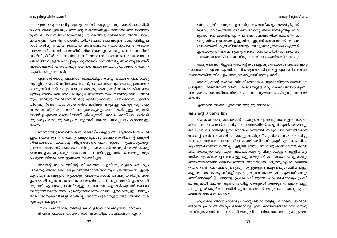#### യേശാവിന്റെ സമിപനം

### യേശുവിന്റെ ജീവിത ശൈലി

എന്നോടു ചോദിച്ചിരുന്നുവെങ്കിൽ ഏറ്റവും നല്ല സെമിനാരിയിൽ ചെന്ന് തിയോളജിയും അതിന്റെ വകഭേദങ്ങളും നന്നായി അറിയാവുന്ന മുന്നു പ്രൊഫസർമാരെയെങ്കിലും തിരഞ്ഞെടുക്കണമെന്ന് ഞാൻ പറയു ്മായിരുന്നു. എന്നിട്ട് ഹോളിവുഡിൽ ചെന്ന് ജനങ്ങളുടെ ശ്രദ്ധ പിടിച്ചുപ റ്റാൻ കഴിയുന്ന ചില ജനപ്രിയ നായകന്മാരെ കൊണ്ടുവരണം. അവൻ പറയുന്നത് അവർ ജനത്തിന് വിശദീകരിച്ചു കൊടുക്കണം. തുടർന്ന് വാൾസ്ട്രീറ്റിൽ ചെന്ന് ചില കോടീശ്വരന്മാരെ കണ്ടെത്തണം. (അങ്ങനെ ചിലർ ടീമിലുള്ളത് എപ്പോഴും നല്ലതാണ്). മസിൽബീച്ചിൽ നിന്നുള്ള ആറ് അംഗരക്ഷകർ ഏതായാലും വേണം. കാരണം മതനേതാക്കൾ അവനെ ക്രൂശിക്കാനും മടിക്കില്ല.

എന്നാൽ യേശു എന്നോട് ആലോചിച്ചതേയില്ല. പകരം അവൻ തെരു വുകളിലും കടൽത്തീരത്തും ചെന്ന്, ലോകത്തെ രൂപാന്തരപ്പെടുത്തുന്ന ദൗത്യത്തിന് ഒരിക്കലും അനുയോജ്യരല്ലാത്ത പ്രവർത്തകരെ തിരഞ്ഞെ ടുത്തു. അൻപതടി അവരോടുകൂടി നടന്നാൽ മതി, മീനിന്റെ ഗന്ധം അറി യും. അവന്റെ സംഘത്തിൽ ഒരു എരിവുകാരനും ചുങ്കക്കാരനും ഉണ്ടാ യിരുന്നു (രണ്ടു വൃത്യസ്ത തീവ്രവാദികൾ ഒരുമിച്ചു ചേരുന്നതു പോ ലെയാണിത്). സംഘത്തിന് അനുയോജ്യമല്ലാത്ത നിലയിലുള്ള പരുക്കൻ നാടൻ ഉച്ചാരണ ശൈലിയാണ് ചിലരുടേത്. അവർ പരസ്പരം തർക്കി ക്കുകയും വാദിക്കുകയും ചെയ്യുന്നത് യേശു പലപ്പോഴും കണ്ടിട്ടുള്ള താണ്.

ഞാനായിരുന്നെങ്കിൽ ഒന്നു രണ്ടാഴ്ചക്കുള്ളിൽ പത്രൊസിനെ പിരി ച്ചുവിടുമായിരുന്നു. അവന്റെ എടുത്തുചാട്ടം അവന്റെ കഴിവിന്റെ പകുതി നിഷ്പ്രയോജനമാക്കി. എന്നിട്ടും യേശു അവനെ തുടരാനനുവദിക്കുകയും പ്രഥമസ്ഥാനം നൽകുകയും ചെയ്തു. നമ്മെക്കാൾ വ്യത്യസ്തമായി യേശു ജനങ്ങളെ കാണുകയും ക്ഷമയോടെ അവരിലുള്ള നന്മ കണ്ടെത്തുകയും ചെയ്യന്നതിനാലാണ് ഇങ്ങനെ സംഭവിച്ചത്.

അവന്റെ സംഘത്തിന്റെ വിശകലനം എനിക്കു വളരെ ധൈര്യം പകർന്നു. അവരുടെകുടെ പ്രവർത്തിക്കാൻ അവനു കഴിഞ്ഞെങ്കിൽ എന്റെ കൂടെയും നിങ്ങളുടെ കൂടെയും പ്രവർത്തിക്കാൻ അവനു കഴിയും. നാം ഉപയോഗിക്കുന്ന സ്വാഭാവിക മാനദണ്ഡങ്ങൾ അല്ല അവൻ ഉപയോഗി ക്കുന്നത്. ഏറ്റവും പ്രാപ്തിയുള്ള അനുയായികളെ ലഭിക്കുവാൻ അദ്ധ്വാ നിക്കുന്നവരെയും ഭാരം ചുമക്കുന്നവരെയും ക്ഷണിച്ചുകൊണ്ടുള്ള പരസ്യം തീരെ അനുയോജ്യമല്ല. മാത്രമല്ല, അയോഗ്യരെയുള്ള വിളി അവൻ തുട രുകയും ചെയ്യുന്നു.

"സഹോദരന്മാരെ, നിങ്ങളുടെ വിളിയെ നോക്കുവിൻ; ലോകാ ഭിപ്രായപ്രകാരം ജ്ഞാനികൾ ഏറെയില്ല, ബലവാന്മാർ ഏറെ യില്ല, കുലീനന്മാരും ഏറെയില്ല. ജ്ഞാനികളെ ലജ്ജിപ്പിപ്പാൻ ദൈവം ലോകത്തിൽ ഭോഷത്വമായതു തിരഞ്ഞെടുത്തു; ബല മുള്ളതിനെ ലജ്ജിപ്പിപ്പാൻ ദൈവം ലോകത്തിൽ ബലഹീനമാ യതു തിരഞ്ഞെടുത്തു. ഉള്ളതിനെ ഇല്ലായ്മയാക്കുവാൻ ദൈവം ലോകത്തിൽ കുലഹീനമായതും നികൃഷ്ടവുമായതും ഏതുമി ല്ലാത്തതും തിരഞ്ഞെടുത്തു; ദൈവസന്നിധിയിൽ ഒരു ജഡവും പ്രശംസിക്കാതിരിക്കേണ്ടതിനു തന്നേ" (1 കൊരിന്ത്യർ 1:26-29).

ആളുകളെക്കുറിച്ചുള്ള അവന്റെ കാഴ്ചപ്പാടും അവരോടുള്ള അവന്റെ സ്നേഹവും എന്റെ യുക്തിക്കു നിരക്കുന്നതായിരുന്നില്ല. എന്നാൽ അവന്റെ സ്വഭാവത്തിന് തികച്ചും അനുയോജ്യമായിരുന്നു അത്.

അവനു തന്റെ മഹത്വം നിലനിർത്താൻ ചെയ്യാമായിരുന്ന അവസാന പ്രവൃത്തി മരണത്തിൽ നിന്നും പെട്ടെന്നുളള ഒരു രക്ഷപെടലായിരുന്നു. അവന്റെ ജനസ്വാധീനത്തിനേറ്റ കനത്ത ആഘാതമായിരുന്നു അവന്റെ മരണം.

എന്താണ് സംഭവിച്ചതെന്നു നമുക്കു നോക്കാം.

### അവന്റെ മരണവിധം

ഭീകരമായൊരു മരണമാണ് യേശു വരിച്ചതെന്നു നാമെല്ലാം സമ്മതി ക്കും. പക്ഷേ അവൻ സഹിച്ച അപമാനത്തിന്റെ അളവ് എനിക്കു മനസ്സി ലാക്കാൻ കഴിഞ്ഞിട്ടില്ലെന്ന് ഞാൻ കണ്ടെത്തി. തിരുവചന വിശദീകരണ ത്തിന്റെ അർത്ഥം എനിക്കു മനസ്സിലായില്ല: "ക്രൂശിന്റെ വചനം നശിച്ചു പോകുന്നവർക്കു ഭോഷത്വം" (1 കൊരിന്ത്യർ 1:18). ക്രൂശ് എനിക്കൊരിക്ക ലും ഭോഷത്വമായിരുന്നില്ല. എല്ലായിടത്തും ഞാനതു കാണാറുണ്ട്. ദേവാ ലയ ഗോപുരങ്ങളെ ക്രൂശ് അലങ്കരിക്കുന്നു. മിനുസമുള്ള വെള്ളിയിലും തടിയിലും നിർമ്മിച്ച അവ പള്ളികളുടെയും മറ്റ് മതസ്ഥാപനങ്ങളുടെയും അന്തർഭാഗത്തിന് അലങ്കാരമാണ്. സുന്ദരമായ കഴുത്തുകളിൽ വിലയേ റിയ ആഭരണത്തിലവ തൂങ്ങുന്നു. സ്യൂട്ടുകളുടെ ബട്ടണിലും വലിയ പള്ളി കളുടെ അലങ്കാരപ്പണികളിലും ക്രൂശ് അലങ്കാരമാണ്. എല്ലായിടത്തും അതിനെക്കുറിച്ച് പാടുന്നു; പ്രഘോഷിക്കുന്നു. പാപക്ഷമയ്ക്കും പ്രസി ദ്ധിക്കുമായി വലിയ ക്രുശും വഹിച്ച് ആളുകൾ നടക്കുന്നു. എന്റെ ചുറ്റു പാടുകളിൽ ക്രൂശ് നിറഞ്ഞിരിക്കുന്നു. അതൊരിക്കലും ഭോഷത്വമല്ല. എങ്ങ നെയത് ഭോഷത്വമാകും?

ക്രൂശിനെ ഞാൻ ശരിക്കും മനസ്സിലാക്കിയിട്ടില്ല. കാരണം ഇക്കാല ങ്ങളിൽ ക്രൂശിൽ ആരും മരിക്കാറില്ല. ഈ കാലഘട്ടത്തിലാണ് യേശു വന്നിരുന്നതെങ്കിൽ കുറേക്കൂടി മാനുഷിക പരിഗണന അവനു കിട്ടുമായി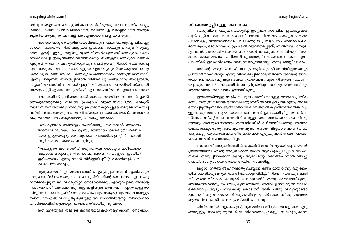രുന്നു. നമ്മളവനെ വൈദ്യുതി കസേരയിലിരുത്തുകയോ, തൂക്കിക്കൊല്ലു കയോ, ഗ്യാസ് ചേമ്പറിലിടുകയോ, വെടിവെച്ചു കൊല്ലുകയോ അതുമ ല്ലെങ്കിൽ മരുന്നു കുത്തിവച്ച് കൊല്ലുകയോ ചെയ്യുമായിരുന്നു.

അത്തരമൊരു ആധുനിക വധശിക്ഷയുടെ ഫലത്തെക്കുറിച്ച് ചിന്തിച്ചു നോക്കു. റോഡിൽ നിന്ന് ആളുകൾ ഇങ്ങനെ സാക്ഷ്യം പറയും: "സുഹൃ ത്തേ, എന്റെ ഏറ്റവും നല്ല സുഹൃത്ത് നിങ്ങൾക്കുവേണ്ടി വൈദ്യുത കസേ രയിൽ മരിച്ചു. ഇതു നിങ്ങൾ വിശ്വസിക്കയും നിങ്ങളുടെ വൈദ്യുത കസേര എടുത്ത് അവനെ അനുഗമിക്കുകയും ചെയ്താൽ നിങ്ങൾ രക്ഷിക്കപ്പെ ടും." നമ്മുടെ നല്ല ഗാനങ്ങൾ എല്ലാം എത്ര വ്യത്യസ്തമാകുമായിരുന്നു: "വൈദ്യുത കസേരയിൽ…. വൈദ്യുത കസേരയിൽ കാണുന്നതാരിതാ?" എന്നു പാടുന്നത് സങ്കൽപ്പിക്കാൻ നിങ്ങൾക്കു കഴിയുമോ? അല്ലെങ്കിൽ, "ഗ്യാസ് ചേമ്പറിൽ തലചായ്ച്ചനുദിനം" എന്നോ "ഫയറിംഗ് സ്ക്വാഡി നെയും കൂട്ടി എന്നെ അനുഗമിക്ക" എന്നോ പാടിയാൽ എന്തു തോന്നും?

ലോകത്തിന്റെ പരിഹാസമായി നാം മാറുമായിരുന്നു. അവൻ ഉയിർ ത്തെഴുന്നേറ്റെങ്കിലും നമ്മുടെ "പ്രത്യാശ" വളരെ നിന്ദാപൂർവ്വം മരിച്ചത് നമ്മെ സ്തബ്ധരാക്കുമായിരുന്നു. ക്രൂശിനെക്കുറിച്ചുള്ള നമ്മുടെ സങ്കൽപ്പ ത്തിൽ അത്തരമൊരു മരണം ചിന്തിക്കുക പ്രയാസകരമാണ്. അതനുസ രിച്ച് ദൈവവചനം നമുക്കൊന്നു ചിന്തിച്ചു നോക്കാം.

"യെഹുദന്മാർ അടയാളം ചോദിക്കയും യവനന്മാർ ജ്ഞാനം അമ്പേഷിക്കുകയും ചെയ്യുന്നു; ഞങ്ങളോ *വൈദ്യുതി കസേര യിൽ ഇരുത്തപ്പെട്ട* യോശുവയെ പ്രസംഗിക്കുന്നു" (1 കൊരി ന്ത്യർ 1:22,23 - ക്ഷമാപണപൂർവ്വം).

*"വൈദ്യുതി കസേരയിൽ ഇരുത്തപ്പെട്ട* യോശുവ മശീഹായെ അല്ലാതെ മറ്റൊന്നും അറിയാത്തവനായി നിങ്ങളുടെ ഇടയിൽ ഇരിക്കേണം എന്നു ഞാൻ നിർണ്ണയിച്ചു" (1 കൊരിന്ത്യർ 2:2-ക്ഷമാപണപൂർവ്വം).

ആരുടെയെങ്കിലും മരണത്തോട് ഐക്യപ്പെടണമെന്ന് എനിക്കാഗ്ര ഹമുണ്ടെങ്കിൽ അത് ഒരു സാധാരണ ക്രിമിനലിന്റെ മരണത്തോടല്ല, ബഹു മാനിക്കപ്പെടുന്ന ഒരു വീരമൃത്യുവിനോടായിരിക്കും എന്നുറപ്പാണ്. അവന്റെ "പാനപാത്രം" കേവലം ഒരു കുറ്റവാളിയുടെ മരണത്തിനപ്പുറത്തുള്ളതാ യിരുന്നു. സകല സൃഷ്ടിയുടെയും പാപവും അകൃതൃവും ലംഘനങ്ങളും സ്വന്തം തോളിൽ വഹിച്ചതു മുലമുള്ള അപമാനത്തിന്റെയും നിന്ദാർഹമാ യ ശിക്ഷാവിധിയുടെയും 'പാനപാത്ര'മായിരുന്നു അത്.

ഇതുവരെയുള്ള നമ്മുടെ കണ്ടെത്തലുകൾ നമുക്കൊന്നു നോക്കാം.

### തിരഞ്ഞെടുപ്പിനുള്ള അവസരം

യേശുവിന്റെ പ്രകൃതിയെക്കുറിച്ച് ഇതുവരെ നാം ചിന്തിച്ച കാര്യങ്ങൾ പുൽക്കൂട്ടിലെ ജനനം, സംശയാസ്പദമായ പിതൃത്വം, കറപുരണ്ട വംശ പാരമ്പര്യം, സാധാരണനാമം, വഴി തെറ്റിയ പ്രഖ്യാപനം, അനാകർഷക മായ രൂപം, മോശമായ ചുറ്റുപാടിൽ വളർത്തപ്പെട്ടത്, സ്വന്തമായി ഒന്നുമി ല്ലാത്തത്, അനാകർഷകമായ സഹപ്രവർത്തകരുടെ സാന്നിദ്ധ്യം, അപ മാനകരമായ മരണം – പരിഗണിക്കുമ്പോൾ, "ലോകത്തെ നേടുക" എന്ന പദ്ധതിക്ക് ഇതൊരിക്കലും അനുയോജ്യമായതല്ല എന്നു മനസ്സിലാകും.

അവന്റെ മുഴുവൻ സമീപനവും ആർക്കും ഭീഷണിയില്ലാത്തതും പ്രയോജനരഹിതവും എന്നു വിശേഷിപ്പിക്കാവുന്നതാണ്. അവന്റെ ജീവി തത്തിന്റെ ഓരോ ചുവടും ബലഹീനതയിലാണ് മുന്നേറിയതെന്ന് തോന്നി പ്പോകും. അവന് ലോകത്തിൽ ഒന്നുമില്ലായിരുന്നെങ്കിലും ദൈവത്തിലും ആത്മാവിലും സകലവും ഉണ്ടായിരുന്നു.

ഇത്തരത്തിലുള്ള സമീപനം മൂലം അതിനോടുള്ള നമ്മുടെ പ്രതിക രണം സത്യസന്ധമായ ഒന്നായിരിക്കുമെന്ന് അവന് ഉറപ്പായിരുന്നു. നമ്മെ ഭയപ്പെടുത്തുന്നതോ ആത്മാർത്ഥ വിശ്വാസത്തിൽ കുറഞ്ഞതെന്തെങ്കിലും ഉളവാക്കുന്നതോ ആയ യാതൊന്നും അവൻ ഉപയോഗിച്ചില്ല. യഥാർത്ഥ സ്നേഹത്തിന്റെ സ്വഭാവമാണിത്. മറ്റുള്ളവരുടെ താല്പര്യം സംരക്ഷിക്കു ന്നവനും അവരുടെ ദാസനും എന്ന നിലയിൽ, കഴിയുന്നിടത്തോളം അവരെ യഥാർത്ഥവും സതൃസന്ധവുമായ വ്യക്തികളായി വിടുവാൻ അവൻ താല് പര്യപ്പെട്ടു. ഹൃദയംഗമമായ തീരുമാനങ്ങൾ എടുക്കുവാൻ അവർ പ്രാപ്ത രാകണമെന്ന് അവനാഗ്രഹിച്ചു.

1956 ലെ സ്തോത്രദിനത്തിൽ കൈയിൽ മോതിരവുമായി ആദാ ഫെയ് ബ്രൗണിനോട് എന്റെ ഭാര്യയാകാൻ ഞാൻ ആവശ്യപ്പെട്ടപ്പോൾ മെംഫി സിലെ തണുപ്പിനേക്കാൾ ഭയവും ആവേശവും നിമിത്തം ഞാൻ വിറച്ചു പോയി. ഭാഗ്യവശാൽ അവൾ അതിനു സമ്മതിച്ചു.

മറ്റൊരു രീതിയിൽ എനിക്കതു ചെയ്യാൻ കഴിയുമായിരുന്നു. ഒരു കൈ യിൽ മോതിരവും മറുകൈയിൽ തോക്കും പിടിച്ച്, "നിന്റെ നന്മയ്ക്കുവേണ്ടി നീ എന്നെ വിവാഹം ചെയ്യാൻ പോകയാണ്" എന്നു പറയാമായിരുന്നു. അങ്ങനെയാണതു സംഭവിച്ചിരുന്നതെങ്കിൽ, അവൾ ഉണ്ടാക്കുന്ന ഓരോ ഭക്ഷണവും ആദ്യം നായക്കിട്ടു കൊടുത്ത് അത് ചത്തു വീഴുന്നുണ്ടോ എന്നെനിക്കു നോക്കേണ്ടിവരുമായിരുന്നു! സ്നേഹത്തിനു മാത്രമേ ആത്മാർത്ഥ പ്രതികരണം പ്രതീക്ഷിക്കാനാവു.

ജീവിതത്തിൽ വളരെക്കുറച്ച് ആത്മാർത്ഥ തീരുമാനങ്ങളേ നാം എടു ക്കാറുള്ളു. നാമെടുക്കുന്ന മിക്ക തിരഞ്ഞെടുപ്പുകളും ബാഹൃപ്രേരണ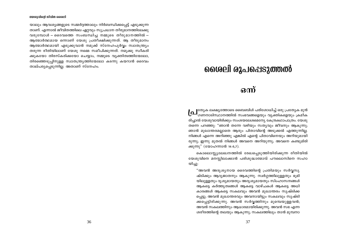യാലും ആവശ്യങ്ങളുടെ സമ്മർദ്ദത്താലും നിർബന്ധിക്കപ്പെട്ട് എടുക്കുന്ന താണ്. എന്നാൽ ജീവിതത്തിലെ ഏറ്റവും സുപ്രധാന തീരുമാനത്തിലേക്കു വരുമ്പോൾ – ദൈവത്തെ സംബന്ധിച്ച നമ്മുടെ തീരുമാനത്തിൽ – ആത്മാർത്ഥമായ ഒന്നാണ് യേശു പ്രതീക്ഷിക്കുന്നത്. ആ തീരുമാനം ആത്മാർത്ഥമായി എടുക്കുവാൻ നമുക്ക് സ്നേഹപുർവ്വം സ്വാതന്ത്ര്യം തരുന്ന രീതിയിലാണ് യേശു നമ്മെ സമീപിക്കുന്നത്. നമുക്കു സ്വീകരി ക്കുകയോ തിരസ്കരിക്കയോ ചെയ്യാം, നമ്മുടെ വ്യക്തിത്വത്തിന്മേലോ, തിരഞ്ഞെടുപ്പിനുള്ള സ്വാതന്ത്ര്യത്തിന്മേലോ കടന്നു കയറാൻ ദൈവം താല്പര്യപ്പെടുന്നില്ല. അതാണ് സ്നേഹം.

### ശൈലി രൂപപ്പെടുത്തൽ

### ഒന്ന്

**(റ്ഥി**ത്യേക ലക്ഷ്യത്തോടെ ബൈബിൾ പരിശോധിച്ച് ഒരു പ്രത്യേക മുൻ<br>ശ്മീ ഗണനാടിസ്ഥാനത്തിൽ സംഭവങ്ങളെയും വ്യക്തികളെയും ക്രമീക രിച്ചാൽ യേശുവായിരിക്കും സംശയലേശമെന്യേ കേന്ദ്രകഥാപാത്രം. യേശു തന്നെ പറഞ്ഞു: "ഞാൻ തന്നേ വഴിയും സതൃവും ജീവനും ആകുന്നു; ഞാൻ മുഖാന്തരമല്ലാതെ ആരും പിതാവിന്റെ അടുക്കൽ എത്തുന്നില്ല. നിങ്ങൾ എന്നെ അറിഞ്ഞു എങ്കിൽ എന്റെ പിതാവിനെയും അറിയുമായി രുന്നു; ഇന്നു മുതൽ നിങ്ങൾ അവനെ അറിയുന്നു; അവനെ കണ്ടുമിരി ക്കുന്നു" (യോഹന്നാൻ 14:6,7).

കൊലൊസ്സ്യലേഖനത്തിൽ രേഖപ്പെടുത്തിയിരിക്കുന്ന രീതിയിൽ യേശുവിനെ മനസ്സിലാക്കാൻ പരിശുദ്ധാത്മാവ് പൗലൊസിനെ സഹാ യിച്ചു:

"അവൻ അദൃശൃനായ ദൈവത്തിന്റെ പ്രതിമയും സർവ്വസൃ ഷ്ടിക്കും ആദ്യജാതനും ആകുന്നു. സ്വർഗ്ഗത്തിലുള്ളതും ഭൂമി യിലുള്ളതും ദൃശ്യമായതും അദൃശ്യമായതും സിംഹാസനങ്ങൾ ആകട്ടെ കർത്ത്യത്വങ്ങൾ ആകട്ടെ വാഴ്ചകൾ ആകട്ടെ അധി കാരങ്ങൾ ആകട്ടെ സകലവും അവൻ മുഖാന്തരം സൃഷ്ടിക്ക പ്പെട്ടു; അവൻ മുഖാന്തരവും അവനായിട്ടും സകലവും സൃഷ്ടി ക്കപ്പെട്ടിരിക്കുന്നു. അവൻ സർവ്വത്തിനും മുമ്പെയുള്ളവൻ; അവൻ സകലത്തിനും ആധാരമായിരിക്കുന്നു. അവൻ സഭ എന്ന ശരീരത്തിന്റെ തലയും ആകുന്നു; സകലത്തിലും താൻ മുമ്പനാ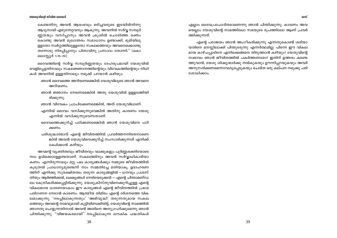കേണ്ടതിനു അവൻ ആരംഭവും മരിച്ചവരുടെ ഇടയിൽനിന്നു ആദ്യനായി എഴുന്നേറ്റവനും ആകുന്നു. അവനിൽ സർവ്വ സമ്പുർ ണ്ണതയും വസിപ്പാനും അവൻ ക്രൂശിൽ ചൊരിഞ്ഞ രക്തം കൊണ്ടു അവൻ മുഖാന്തരം സമാധാനം ഉണ്ടാക്കി, ഭൂമിയിലു ള്ളതോ സ്വർഗ്ഗത്തിലുള്ളതോ സകലത്തെയും അവനെക്കൊണ്ടു തന്നോടു നിരപ്പിപ്പാനും പിതാവിനു പ്രസാദം തോന്നി." (കൊ ലൊസ്സ്യർ 1:15-20)

ദൈവത്തിന്റെ സർവ്വ സമ്പൂർണ്ണതയും ദേഹരൂപമായി യേശുവിൽ വെളിപ്പെട്ടതിനാലും സകലജ്ഞാനത്തിന്റെയും വിവേകത്തിന്റെയും നിധി കൾ അവനിൽ ഉള്ളതിനാലും നമുക്ക് പറയാൻ കഴിയും:

- ഞാൻ ദൈവത്തെ അറിയണമെങ്കിൽ യേശുവിലൂടെ ഞാൻ അവനെ അറിയണം.
- ഞാൻ ജ്ഞാനം നേടണമെങ്കിൽ അതു യേശുവിൽ ഉള്ളടങ്ങിയി രിക്കുന്നു.
- ഞാൻ വിവേകം പ്രാപിക്കേണമെങ്കിൽ, അത് യേശുവിലാണ്.
- എന്നിൽ ദൈവം വസിക്കുന്നുവെങ്കിൽ അതിനു കാരണം യേശു എന്നിൽ വസിക്കുന്നുവെന്നതാണ്.
- ദൈവത്തെക്കുറിച്ച് പഠിക്കണമെങ്കിൽ ഞാൻ യേശുവിനെ പഠി ക്കണം.
- പരിശുദ്ധാത്മാവ് എന്റെ ജീവിതത്തിൽ പ്രവർത്തനനിരതനാണെ ങ്കിൽ അവൻ യേശുവിനെക്കുറിച്ച് സംസാരിക്കുന്നത് എനിക്ക് കേൾക്കാൻ കഴിയും.

അവന്റെ വ്യക്തിത്വവും ജീവിതവും വാക്കുകളും പൂർണ്ണശക്തിയോടെ നാം ഉൾക്കൊള്ളേണ്ടതാണ്. സകലത്തിനും അവൻ സർവ്വാധികാരിയാ കണം. എന്നിരുന്നാലും മറ്റു പല കാര്യങ്ങൾക്കും നമ്മുടെ ജീവിതത്തിൽ കൂടുതൽ പ്രാധാന്യമുണ്ടെന്ന് നാം സമ്മതിച്ചേ മതിയാകൂ. ഉദാഹരണ ത്തിന് എനിക്കു സുരക്ഷിതത്വം തരുന്ന കാര്യങ്ങളിൽ — ധനവും പ്രശസ് തിയും ആർജ്ജിക്കൽ, ലക്ഷ്യങ്ങൾ നേടിയെടുക്കൽ — എന്റെ ചിന്താമണ്ഡ ലം കേന്ദ്രീകരിക്കപ്പെട്ടിരിക്കുന്നു. യേശുക്രിസ്തുവിനെക്കുറിച്ചുള്ള എന്റെ വികലമായ ധാരണയാകാം ഈ കാര്യങ്ങൾ എന്റെ ജീവിതത്തിൽ പ്രഥമ പരിഗണന നേടാൻ കാരണം. ആത്മീയ തിമിരം എന്റെ ദർശനത്തെ വിക ്ലമാക്കുന്നു. 'നടപ്പിലാകുന്നതും' 'അഭിവൃദ്ധി' തരുന്നതുമായ സകല ത്തെയും അവന്റെ നാമവുമായി കൂട്ടിയിണക്കിയിട്ട്, യേശുവിന്റെ നാമത്തിൽ ഞാനതു ചെയ്യുന്നതിനാൽ അവൻ അതിനെ അനുഗ്രഹിക്കുമെന്നു ഞാൻ ചിന്തിക്കുന്നു. "വിജയകരമായി" നടപ്പിലാകുന്ന ലൗകിക പദ്ധതികൾ

എല്ലാം ദൈവപ്രചോദിതമാണെന്നു ഞാൻ ചിന്തിക്കുന്നു; കാരണം അവ യെല്ലാം യേശുവിന്റെ നാമത്തിലോ സഭയുടെ രൂപത്തിലോ ആണ് പ്രവർ ത്തിക്കുന്നത്.

എന്റെ പരാജയം ഞാൻ അംഗീകരിക്കുന്നു എന്നതുകൊണ്ട് ശരിയാ യതിനെ മനസ്സിലാക്കി പിന്തുടരുന്നു എന്നർത്ഥമില്ല. പിന്നെ ഈ വികല മായ കാഴ്ചപ്പാടിനെ എനിക്കെങ്ങനെ തിരുത്താൻ കഴിയും? യേശുവിന്റെ സ്വഭാവം ഞാൻ ജീവിതത്തിൽ പകർത്തണമോ? ഇതിന് ഉത്തരം കണ്ടെ ത്തുവാൻ, യേശു ശിഷ്യന്മാർക്കു നൽകുകയും ഊന്നിപ്പറയുകയും അവർ അനുസരിക്കണമെന്നാവശ്യപ്പെടുകയും ചെയ്ത ഒരു കല്പന നമുക്കു പരി ശോധിക്കാം.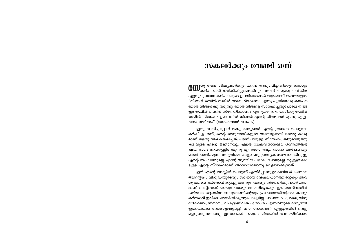### \സകലർക്കും വേണ്ടി ഒന്ന്

ശു തന്റെ ശിഷ്യന്മാർക്കും തന്നെ അനുഗമിച്ചവർക്കും ധാരാളം .<br>കല്പനകൾ നൽകിയിട്ടുണ്ടെങ്കിലും അവൻ നമുക്കു നൽകിയ  $\alpha$ ദുറവും പ്രധാന കല്പനയുടെ ഉപവിഭാഗങ്ങൾ മാത്രമാണ് അവയെല്ലാം. "നിങ്ങൾ തമ്മിൽ തമ്മിൽ സ്നേഹിക്കേണം എന്നു പുതിയോരു കല്പന ഞാൻ നിങ്ങൾക്കു തരുന്നു; ഞാൻ നിങ്ങളെ സ്നേഹിച്ചതുപോലെ നിങ്ങ  $g_{\lambda}$ ം തമ്മിൽ തമ്മിൽ സ്നേഹിക്കേണം എന്നുതന്നേ. നിങ്ങൾക്കു തമ്മിൽ തമ്മിൽ സ്നേഹം ഉണ്ടെങ്കിൽ നിങ്ങൾ എന്റെ ശിഷ്യന്മാർ എന്നു എല്ലാ വരും അറിയും" (യോഹന്നാൻ  $13:34,35$ ).

ഇതു വായിച്ചപ്പോൾ രണ്ടു കാര്യങ്ങൾ എന്റെ ശ്രദ്ധയെ പെട്ടെന്നാ കർഷിച്ചു. ഒന്ന്, തന്റെ അനുയായികളുടെ അടയാളമായി ഒരൊറ്റ കാര്യ മാണ് യേശു നിഷ്കർഷിച്ചത്: പരസ്പരമുള്ള സ്നേഹം. തിരുവെഴുത്തു കളിലുള്ള എന്റെ ജ്ഞാനമല്ല. എന്റെ വേഷവിധാനമോ, ശരീരത്തിന്റെ എത്ര ഭാഗം മറയപ്പെട്ടിരിക്കുന്നു എന്നതോ അല്ല. ഓരോ ആഴ്ചയിലും ഞാൻ പാലിക്കുന്ന അനുഷ്ഠാനങ്ങളും ഒരു പ്രത്യേക സംഘടനയിലുള്ള എന്റെ അംഗത്വവുമല്ല. എന്റെ ആത്മീയ പഴക്കം പോലുമല്ല. മറ്റുള്ളവരോ ടുള്ള എന്റെ സ്നേഹമാണ് ഞാനാരാണെന്നു വെളിവാക്കുന്നത്.

ഇത് എന്റെ മനസ്സിൽ പെട്ടെന്ന് എതിർപ്പാണുളവാക്കിയത്. ജ്ഞാന ത്തിന്റെയും വിശുദ്ധിയുടെയും ശരിയായ വേഷവിധാനത്തിന്റെയും ആവ ശൃകതയെ കർത്താവ് കുറച്ചു കാണുന്നതായും സ്നേഹിക്കുന്നവർ മാത്ര മാണ് തന്റേതെന്ന് പറയുന്നതായും തോന്നിപ്പോകും. ഈ സന്ദർഭത്തിൽ ശരിയായ ആത്മീയ അനുഭവത്തിന്റെയും പ്രയോഗത്തിന്റെയും കാര്യം കർത്താവ് ഇവിടെ പരാമർശിക്കുന്നുപോലുമില്ല. പാപബോധം, രക്ഷ, വിശു ദ്ധീകരണം, സ്നാനം, വിശുദ്ധജീവിതം, ദശാംശം എന്നിവയുടെ കാര്യമോ? ഇവയൊക്കെ അടയാളങ്ങളല്ലേ? ഞാനാരാണെന്ന് എളുപ്പത്തിൽ വെളു പ്പെടുത്തുന്നവയല്ലേ ഇതൊക്കെ? നമ്മുടെ ചിന്തയിൽ അതായിരിക്കാം,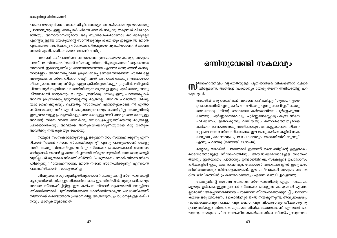പക്ഷേ യേശുവിനെ സംബന്ധിച്ചിടത്തോളം അവയ്ക്കൊന്നും യാതൊരു പ്രാധാന്യവും ഇല്ല. അപ്പോൾ പിന്നെ അവൻ നമുക്കു തരുന്നത് വിലകുറ ഞ്ഞതും അനായാസവുമായ ഒരു സുവിശേഷമാണോ? ഒരിക്കലുമല്ല! എന്റെയുള്ളിൽ യേശുവിന്റെ സാന്നിദ്ധ്യവും ശക്തിയും ഇല്ലെങ്കിൽ ഞാൻ എത്രമാത്രം സ്വാർത്ഥനും സ്നേഹരഹിതനുമായ വ്യക്തിയാണെന്ന് കണ്ടെ ത്താൻ എനിക്കധികസമയം വേണ്ടിവന്നില്ല.

അവന്റെ കല്പനയിലെ രണ്ടാമത്തെ ശ്രദ്ധേയമായ കാര്യം, നമ്മുടെ പരസ്പര സ്നേഹം 'ഞാൻ നിങ്ങളെ സ്നേഹിച്ചതുപോലെ' ആകണമെ ന്നതാണ്. ഇക്കാര്യത്തിലും അസാധാരണമായ എന്തോ ഒന്നു ഞാൻ കണ്ടു. നാമെല്ലാം അവനെപ്പോലെ ക്രൂശിക്കപ്പെടണമെന്നാണോ? എങ്കിലല്ലേ അതുപോലെ സ്നേഹിക്കാനാകു? അത് അനാകർഷകവും അപ്രായോ ഗികവുമാണെന്നതു തീർച്ച. എല്ലാ ക്രിസ്ത്യാനികളും ക്രുശിൽ മരിച്ചാൽ പിന്നെ ആര് സുവിശേഷം അറിയിക്കും? മാത്രമല്ല ഇതു പുതിയൊരു അനു ഷ്ഠാനമായി മാറുകയും ചെയ്യും. ശ്രദ്ധിക്കു. യേശു ഇതു പറഞ്ഞപ്പോൾ അവൻ ക്രൂശിക്കപ്പെട്ടിരുന്നില്ലെന്നു മാത്രമല്ല, അവൻ പറഞ്ഞത് ശിഷ്യ ന്മാർ ഗ്രഹിക്കുകയും ചെയ്തു. 'സ്നേഹം' എന്നതുകൊണ്ട് നീ എന്താ ണർത്ഥമാക്കുന്നത്? എന്ന് പത്രൊസുപോലും ചോദിച്ചില്ല. യേശുവിന്റെ ഇതുവരെയുള്ള പ്രവൃത്തികളും അവരോടുള്ള സമീപനവും അവരോടുള്ള അവന്റെ സ്നേഹത്തെ അവർക്കു ബോദ്ധ്യപ്പെടുത്തിയെന്നു മാത്രമല്ല, പ്രായോഗികവും അവർക്ക് അനുകരിക്കാവുന്നതുമായ ഒരു മാതൃക അവർക്കു നൽകുകയും ചെയ്തു.

നമ്മുടെ സംസ്കാരമനുസരിച്ച്, ഒരുവനെ നാം സ്നേഹിക്കുന്നു എന്ന റിയാൻ "ഞാൻ നിന്നെ സ്നേഹിക്കുന്നു" എന്നു പറയുകയാണ് ചെയ്യു ന്നത്. യേശു സ്നേഹിച്ചുവെങ്കിലും സ്നേഹം പ്രകടമാക്കാൻ അത്തരം മാർഗ്ഗങ്ങൾ അവൻ ഉപയോഗിച്ചതായി തിരുവെഴുത്തിൽ യാതൊരു തെളി വുമില്ല. ശിഷ്യന്മാരെ നിരത്തി നിർത്തി, "പത്രൊസേ, ഞാൻ നിന്നെ സ്നേ ഹിക്കുന്നു." "യോഹന്നാനേ, ഞാൻ നിന്നെ സ്നേഹിക്കുന്നു" എന്നവൻ പറഞ്ഞിരിക്കാൻ സാദ്ധ്യതയില്ല.

ശിഷ്യന്മാരെ ശുശ്രൂഷിച്ചതിലൂടെയാണ് യേശു തന്റെ സ്നേഹം വെളി പ്പെടുത്തിയത്. തികച്ചും നിസ്വാർത്ഥമായ ഈ രീതിയിൽ ആരും ഒരിക്കലും അവരെ സ്നേഹിച്ചിട്ടില്ല. ഈ കല്പന നിങ്ങൾ വ്യക്തമായി മനസ്സിലാ ക്കിക്കഴിഞ്ഞാൽ പുതിയനിയമത്തെ കോർത്തിണക്കുന്ന ചരടാണിതെന്ന് നിങ്ങൾക്ക് കണ്ടെത്താൻ പ്രയാസമില്ല. അത്രമാത്രം പ്രാധാന്യമുള്ള കല്പ നയും മാതൃകയുമാണിത്.

### ഒന്നിനുവേണ്ടി സകലവും

്രനേഹത്തോളം വ്യക്തതയുള്ള പുതിയനിയമ വിഷയങ്ങൾ വളരെ  $\prod$  വിരളമാണ്. അതിന്റെ പ്രാധാന്യം യേശു തന്നെ അടിവരയിട്ടു പറ യുന്നുണ്ട്.

അവരിൽ ഒരു വൈദികൻ അവനെ പരീക്ഷിച്ചു: "ഗുരോ, ന്യായ പ്രമാണത്തിൽ ഏതു കല്പന വലിയതു എന്നു ചോദിച്ചു." യേശു അവനോടു: "നിന്റെ ദൈവമായ കർത്താവിനെ പൂർണ്ണഹൃദയ ത്തോടും പൂർണ്ണാത്മാവോടും പൂർണ്ണമനസ്സോടും കൂടെ സ്നേ ഹിക്കണം. ഇതാകുന്നു വലിയതും ഒന്നാമത്തേതുമായ കല്പന. രണ്ടാമത്തേതു അതിനോടുസമം: കുട്ടുകാരനെ നിന്നെ പ്പോലെ തന്നേ സ്നേഹിക്കേണം. ഈ രണ്ടു കല്പനകളിൽ സക ലന്യായപ്രമാണവും പ്രവാചകന്മാരും അടങ്ങിയിരിക്കുന്നു" എന്നു പറഞ്ഞു (മത്തായി 22:35-40).

മറ്റൊരു വാക്കിൽ പറഞ്ഞാൽ ഇതാണ് ബൈബിളിന്റെ ഉള്ളടക്കം! ദൈവത്തോടുള്ള സ്നേഹത്തിനും അയൽക്കാരനോടുള്ള സ്നേഹ ത്തിനും ഇത്രമാത്രം പ്രാധാന്യം ഉണ്ടായിരിക്കെ, സഭകളുടെ ഉപദേശസം ഹിതകളിൽ ഇതു കാണാത്തതും, വേദശാസ്ത്രഗ്രന്ഥങ്ങളിൽ ഇതു പരാ മർശിക്കാത്തതും നിർഭാഗൃകരമാണ്. ഈ കല്പനകൾ നമ്മുടെ ദൈനം ദിന ജീവിതത്തിൽ പ്രകടമാകാത്തതും എന്നെ ഞെട്ടിച്ചുകളഞ്ഞു.

യേശുവിന്റെ ദാസത്വ സ്വഭാവം സ്നേഹത്തിന്റെ എല്ലാ ഘടകങ്ങ ളെയും ഉൾക്കൊള്ളുന്നുണ്ടോ? സ്നേഹം ചെയ്യുന്ന കാര്യങ്ങൾ എന്തെ ല്ലാമാണ്? അപ്പൊസ്തലനായ പൗലൊസ് സ്നേഹത്തെക്കുറിച്ച് പ്രാമാണി കമായ ഒരു വിവരണം 1കൊരിന്ത്യർ 13-ൽ നൽകുന്നുണ്ട്. അന്യഭാഷയും വാക്വൈഭവവും പ്രവചനവും ജ്ഞാനവും വിശ്വാസവും ജീവകാരുണ്യ പ്രവൃത്തികളും സ്നേഹം കൂടാതെ നിഷ്പ്രയോജനമാണ് എന്നവൻ പറ യുന്നു. നമ്മുടെ ചില ബലഹീനതകൾക്കെതിരെ വിരൽചൂണ്ടുന്നതാ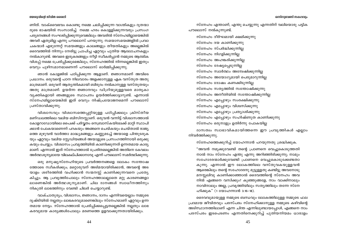ണിത്. വാക്വൈഭവം കൊണ്ടു നമ്മെ ചലിപ്പിക്കുന്ന വാഗ്മികളും ദുതന്മാ രുടെ ഭാഷയിൽ സംസാരിച്ച് നമ്മെ ഹരം കൊള്ളിക്കുന്നവരും പ്രസംഗ പര്യടനങ്ങൾ സംഘടിപ്പിക്കുന്നുവെങ്കിലും അവരിൽ സ്നേഹമില്ലായെങ്കിൽ അവർ ഏതുമില്ല എന്നു പൗലൊസ് പറയുന്നു. സമയാസമയങ്ങളിൽ പ്രവാ ചകന്മാർ എഴുന്നേറ്റ് സമയങ്ങളും കാലങ്ങളും തീയതികളും അല്ലെങ്കിൽ ദൈവത്തിൽ നിന്നും നേരിട്ടു പ്രാപിച്ച ഏറ്റവും പുതിയ ആലോചനകളും നൽകാറുണ്ട്. അവരെ ഇരുകരങ്ങളും നീട്ടി സ്വീകരിപ്പാൻ നമ്മുടെ ആത്മിക വിശപ്പ് നമ്മെ പ്രേരിപ്പിക്കുമെങ്കിലും, സ്നേഹത്തിൽ നിന്നല്ലെങ്കിൽ ഇതും വെറും പൂഴിസമാനമാണെന്ന് പൗലൊസ് ഓർമ്മിപ്പിക്കുന്നു.

ഞാൻ കോളജിൽ പഠിപ്പിക്കുന്ന ആളാണ്. ജ്ഞാനമാണ് അവിടെ പ്രധാനം. ഒരുവന്റെ പഠന നിലവാരം അളക്കാനുള്ള ഏക വസ്തുത അതു മാത്രമാണ്. ഒരുവന് ആതൃന്തികമായി ബിരുദം നൽകാനുള്ള വസ്തുതയും അതു മാത്രമാണ്. ഉയർന്ന ജ്ഞാനവും ഡിഗ്രിയുമുള്ളവരെ മാതൃകാ വ്യക്തികളായി ഞങ്ങളുടെ സ്ഥാപനം ഉയർത്തിക്കാട്ടാറുണ്ട്. എന്നാൽ സ്നേഹമില്ലായെങ്കിൽ ഇത് വെറും നിഷ്പ്രയോജനമെന്ന് പൗലൊസ് പ്രസ്താവിക്കുന്നു.

വിശ്വാസവും വിശ്വാസത്തെപ്പറ്റിയുള്ള പഠിപ്പിക്കലും ക്രിസ്തീയ മണ്ഡലത്തിലെ വലിയ ബിസിനസ്സാണ്. ഒരുവൻ വന്നിട്ട് വിശ്വാസത്താൽ കോളറാഡോയിലെ പൈക്ക് പർവ്വതം നെബ്രാസ്കയിലേക്ക് മാറ്റി സ്ഥാപി ക്കാൻ പോകയാണെന്ന് പറകയും അങ്ങനെ ചെയ്കയും ചെയ്താൽ രാജ്യ ത്തെ മുഴുവൻ വാർത്താ മാദ്ധ്യമങ്ങളും കണ്ണുമടച്ച് അയാളെ പിന്തുടരുക യും ഏറ്റവും വലിയ സ്റ്റേഡിയങ്ങൾ അയാളുടെ പ്രസംഗത്തിനായി ഒരുക്കു കയും ചെയ്യും. വിശ്വാസം പ്രവൃത്തിയിൽ കാണിക്കുന്നത് ഉന്നതമായ കാര്യ മാണ്. എന്നാൽ ഇത് സ്നേഹത്താൽ പ്രേരിതമല്ലെങ്കിൽ അതിനെ കേവലം അർത്ഥശൂന്യമായേ വിലകല്പിക്കാനാവു എന്ന് പൗലൊസ് സമർത്ഥിക്കുന്നു.

ഒരു മനുഷ്യസ്നേഹിയുടെ പ്രവർത്തനങ്ങളെ ലോകം സന്തോഷ ത്തോടെ സ്ഥീകരിക്കും; മറ്റൊരുവന് അടിമയായിരിക്കാൻ, അവന്റെ അട യാളം ശരീരത്തിൽ വഹിക്കാൻ സന്മനസ്സ് കാണിക്കുന്നവനെ പ്രത്യേ കിച്ചും. ആ പ്രവൃത്തിപോലും സ്നേഹത്താലല്ലാതെ മറ്റു കാരണങ്ങളാ ലാണെങ്കിൽ അർത്ഥശൂനൃമാണ്. ചില ദാനങ്ങൾ സ്വാധീനത്തിനും നികുതി ലാഭത്തിനും വേണ്ടി ചിലർ ചെയ്യാറുണ്ട്.

വാക്ചാതുര്യം, വിശ്വാസം, ജ്ഞാനം, ദാനം എന്നിവയെല്ലാം നമ്മുടെ ദൃഷ്ടിയിൽ നല്ലതും ലാഭകരവുമാണെങ്കിലും സ്നേഹമാണ് ഏറ്റവും ഉന്ന തമായ നേട്ടം. സ്നേഹത്താൽ പ്രേരിപ്പിക്കപ്പെട്ടതല്ലെങ്കിൽ നല്ലതും ലാഭ കരവുമായ കാര്യങ്ങൾപോലും മരണത്തെ ഉളവാക്കുന്നതായിരിക്കും.

സ്നേഹം എന്താണ്, എന്തു ചെയ്യുന്നു എന്നതിന് വലിയൊരു പട്ടിക പൗലൊസ് നൽകുന്നുണ്ട്.

സ്നേഹം ദീർഘമായി ക്ഷമിക്കുന്നു സ്നേഹം ദയ കാണിക്കുന്നു സ്നേഹം സ്പർദ്ധിക്കുന്നില്ല സ്നേഹം നിഗളിക്കുന്നില്ല സ്നേഹം അഹങ്കരിക്കുന്നില്ല സ്നേഹം ദേഷ്യപ്പെടുന്നില്ല സ്നേഹം സ്വാർത്ഥം അന്വേഷിക്കുന്നില്ല സ്നേഹം അയോഗ്യമായി പെരുമാറുന്നില്ല സ്നേഹം ദോഷം കണക്കിടുന്നില്ല സ്നേഹം സത്യത്തിൽ സന്തോഷിക്കുന്നു സ്നേഹം അനീതിയിൽ സന്തോഷിക്കുന്നില സ്നേഹം എപ്പോഴും സംരക്ഷിക്കുന്നു സ്നേഹം എപ്പോഴും വിശ്വസിക്കുന്നു സ്നേഹം എപ്പോഴും പ്രത്യാശിക്കുന്നു സ്നേഹം എപ്പോഴും സഹിഷ്ണുത കാണിക്കുന്നു സ്നേഹം ഒരുനാളും ഉതിർന്നു പോകയില്ല

ദാസത്വം സ്വാഭാവികമായിത്തന്നെ ഈ പ്രവൃത്തികൾ എല്ലാം നിവർത്തിക്കുന്നു.

സ്നേഹത്തെക്കുറിച്ച് യോഹന്നാൻ പറയുന്നതു ശ്രദ്ധിക്കുക.

"അവൻ നമുക്കുവേണ്ടി തന്റെ പ്രാണനെ വെച്ചുകൊടുത്തതി നാൽ നാം സ്നേഹം എന്തു എന്നു അറിഞ്ഞിരിക്കുന്നു; നാമും സഹോദരന്മാർക്കുവേണ്ടി പ്രാണനെ വെച്ചുകൊടുക്കേണ്ടതാ കുന്നു. എന്നാൽ ഈ ലോകത്തിലെ വസ്തുവകയുള്ളവൻ ആരെങ്കിലും തന്റെ സഹോദരനു മുട്ടുള്ളതു കണ്ടിട്ടു അവനോടു മനസ്സലിവു കാണിക്കാഞ്ഞാൽ ദൈവത്തിന്റെ സ്നേഹം അവ നിൽ എങ്ങനെ വസിക്കും? കുഞ്ഞുങ്ങളേ, നാം വാക്കിനാലും നാവിനാലും അല്ല, പ്രവൃത്തിയിലും സത്യത്തിലും തന്നേ സ്നേ ഹിക്കുക" (1 യോഹന്നാൻ 3:16-18).

ദൈവവുമായുള്ള നമ്മുടെ ബന്ധവും ലോകത്തിലുള്ള നമ്മുടെ ഫല പ്രദമായ ജീവിതവും പരസ്പരം സ്നേഹിക്കാനുള്ള നമ്മുടെ കഴിവിന്റെ അടിസ്ഥാനത്തിലാണ് എന്ന ചിന്ത എന്നിലുണ്ടായപ്പോൾ, എങ്ങനെ നാം പരസ്പരം ഇടപെടണം എന്നതിനെക്കുറിച്ച് പുതിയനിയമം ധാരാളം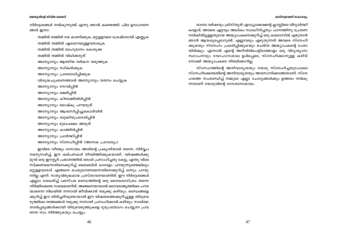### **ഒന്നിനുവേണ്ടി സകലവാം**

### യേശുവിന്റെ ജീവിത ശൈലി

 $\alpha$ ിർദ്ദേശങ്ങൾ നൽകുന്നുണ്ട് എന്നു ഞാൻ കണ്ടെത്തി. ചില ഉദാഹരണ ങ്ങൾ ഇതാ:

തമ്മിൽ തമ്മിൽ ദയ കാണിക്കുക, മറ്റുളളവരെ ശ്രേഷ്ഠരായി എണ്ണുക തമ്മിൽ തമ്മിൽ ഏകഭാവമുള്ളവരാകുക തമ്മിൽ തമ്മിൽ ബഹുമാനം കൊടുക്ക തമ്മിൽ തമ്മിൽ വിധിക്കരുത് അന്യോന്യം ആത്മീയ വർദ്ധന വരുത്തുക അന്യോന്യം സ്വീകരിക്കുക അന്യോന്യം പ്രബോധിപ്പിക്കുക വിശുദ്ധചുംബനത്താൽ അന്യോന്യം വന്ദനം ചെയ്യുക അന്യോന്യം സേവിപ്പിൻ അന്യോന്യം ക്ഷമിപ്പിൻ അന്യോന്യം കീഴടങ്ങിയിരിപ്പിൻ അന്യോന്യം ഭോഷ്കു പറയരുത് അന്യോന്യം ആശ്വസിപ്പിച്ചുകൊൾവിൻ അന്യോന്യം ബുദ്ധിയുപദേശിപ്പിൻ അന്യോന്യം മുഖപക്ഷം അരുത് അന്യോന്യം കാത്തിരിപ്പിൻ അന്യോന്യം പ്രാർത്ഥിപ്പിൻ അന്യോന്യം സ്നേഹിപ്പിൻ (അനേക പ്രാവശ്യം)

ഇവിടെ വീണ്ടും ദാസത്വം അതിന്റെ പ്രകൃതിയാൽ തന്നെ, നിർവ്വച നമനുസരിച്ച്, ഈ കല്പനകൾ നിവർത്തിക്കുകയാണ്. വർഷങ്ങൾക്കു <u>മുമ്പ് ഒരു ഈസ്റ്റർ പ്രഭാതത്തിൽ ഒരാൾ പ്രസംഗിച്ചതു കേട്ടു, എന്തു വിശ്വ</u> സിക്കണമെന്നതിനെക്കുറിച്ച് ബൈബിൾ ധാരാളം പറയുന്നുണ്ടെങ്കിലും മറ്റുളളവരോട് എങ്ങനെ പെരുമാറണമെന്നതിനെക്കുറിച്ച് ഒന്നും പറയു ന്നില്ല എന്ന്. സതൃവിരുദ്ധമായ പ്രസ്താവനയാണിത്. ഈ നിർദ്ദേശങ്ങൾ എല്ലാം ശേഖരിച്ച് പരസ്പര ബന്ധത്തിന്റെ ഒരു ദൈവശാസ്ത്രം തന്നെ നിർമ്മിക്കേണ്ട സമയമാണിത്. അങ്ങനെയായാൽ ദൈവരാജ്യത്തിലെ പൗര ന്മാരെന്ന നിലയിൽ നന്നായി ജീവിക്കാൻ നമുക്കു കഴിയും. ബന്ധങ്ങളെ ക്കുറിച്ച് ഈ തിരിച്ചറിവുണ്ടായാൽ ഈ വിഷയത്തെക്കുറിച്ചുള്ള തിരുവെ ഴുത്തിലെ തത്ത്വങ്ങൾ നമുക്കു നന്നായി പ്രസംഗിക്കാൻ കഴിയും. സ്വാർത്ഥ താൽപ്പര്യങ്ങൾക്കായി തിരുവെഴുത്തുകളെ ദുരുപയോഗം ചെയ്യുന്ന പ്രവ ണത നാം നിർത്തുകയും ചെയ്യും.

ഓരോ വർഷവും ക്രിസ്തൃൻ എഡ്യൂക്കേഷന്റെ ക്ലാസ്സിലെ വിദ്യാർത്ഥി കളോട്, അവരെ ഏറ്റവും അധികം സ്വാധീനിച്ചതും പഠനത്തിനു പ്രേരണ  $\,$ നൽകിയിട്ടുള്ളതുമായ അദ്ധ്യാപകനെക്കുറിച്ച് ഒരു കടലാസിൽ എഴുതാൻ ഞാൻ ആവശ്യപ്പെടാറുണ്ട്. എല്ലാവരും എഴുതുന്നത് അവരെ സ്നേഹി ക്കുകയും സ്നേഹം പ്രകടിപ്പിക്കുകയും ചെയ്ത അദ്ധ്യാപകന്റെ പേരാ യിരിക്കും. എന്നാൽ എന്റെ അറിവിൽപെട്ടിടത്തോളം ഒരു വിദ്യാഭ്യാസ  $\mu$ സ്ഥാപനവും വേദപഠനശാല ഉൾപ്പെടെ, സ്നേഹിക്കാനുള്ള കഴിവ് നോക്കി അദ്ധ്യാപകരെ നിയമിക്കാറില്ല.

സ്നേഹത്തിന്റെ അനിവാര്യതയും യേശു സ്നേഹിച്ചതുപോലെ സ്നേഹിക്കേണ്ടതിന്റെ അനിവാര്യതയും അവസാനിക്കാത്തതാണ്. സ്നേ ഹത്തെ സംബന്ധിച്ച് നമ്മുടെ എല്ലാ ചോദ്യങ്ങൾക്കും ഉത്തരം നൽകു  $m$ താണ് യേശുവിന്റെ ദാസമനോഭാവം.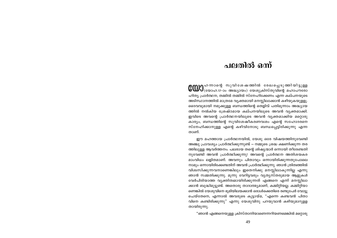### ചലതിൽ ഒന്ന്

**COD** പാരെ സുവിശേഷത്തിൽ രേഖപ്പെടുത്തിയിട്ടുള്ള<br>സാധ്യാഹ.17-ാം അദ്ധ്യായം) യേശുക്രിസ്തുവിന്റെ മഹാപൗരോ ഹിത്യ പ്രാർത്ഥന, തമ്മിൽ തമ്മിൽ സ്നേഹിക്കേണം എന്ന കല്പനയുടെ അടിസ്ഥാനത്തിൽ മാത്രമേ വ്യക്തമായി മനസ്സിലാക്കാൻ കഴിയുകയുളളൂ. ദൈവവുമായി നമുക്കുള്ള ബന്ധത്തിന്റെ തെളിവ് പതിമുന്നാം അദ്ധ്യായ ത്തിൽ നൽകിയ ശ്രേഷ്ഠമായ കല്പനയിലുടെ അവൻ വ്യക്തമാക്കി. ഇവിടെ അവന്റെ പ്രാർത്ഥനയിലൂടെ അവൻ വ്യക്തമാക്കിയ മറ്റൊരു കാര്യം, ബന്ധത്തിന്റെ സുവിശേഷീകരണവശം എന്റെ സഹോദരനെ സ്നേഹിക്കാനുള്ള എന്റെ കഴിവിനോടു ബന്ധപ്പെട്ടിരിക്കുന്നു എന്ന താണ്.

ഈ മഹത്തായ പ്രാർത്ഥനയിൽ, യേശു ഒരേ വിഷയത്തിനുവേണ്ടി അഞ്ചു പ്രാവശ്യം പ്രാർത്ഥിക്കുന്നുണ്ട് — നമ്മുടെ ശ്രദ്ധ ക്ഷണിക്കുന്ന തര ത്തിലുള്ള ആവർത്തനം. പലരായ തന്റെ ശിഷ്യന്മാർ ഒന്നായി തീരേണ്ടതി നുവേണ്ടി അവൻ പ്രാർത്ഥിക്കുന്നു! അവന്റെ പ്രാർത്ഥന അതിശയകര മാംവിധം ലളിതമാണ്. അവനും പിതാവും ഒന്നായിരിക്കുന്നതുപോലെ നാമും ഒന്നായിരിക്കേണ്ടതിന് അവൻ പ്രാർത്ഥിക്കുന്നു. ഞാൻ ത്രിത്വത്തിൽ വിശ്വസിക്കുന്നവനാണെങ്കിലും ഇതെനിക്കു മനസ്സിലാകുന്നില്ല എന്നു ഞാൻ സമ്മതിക്കുന്നു. മൂന്നു വേറിട്ടവരും വ്യത്യസ്തരുമായ ആളുകൾ വേർപിരിയാത്ത വ്യക്തിത്വമായിരിക്കുന്നത് എങ്ങനെ എന്ന് മനസ്സിലാ ക്കാൻ ബുദ്ധിമുട്ടുണ്ട്. അതൊരു താദാത്മ്യമാണ്, കമ്മിറ്റിയല്ല. കമ്മിറ്റിയാ ണെങ്കിൽ യേശുവിനെ ഭുമിയിലയക്കാൻ ഒരാൾക്കെതിരെ രണ്ടുപേർ വോട്ടു ചെയ്തേനെ, എന്നാൽ അവരുടെ കൂട്ടായ്മ, "എന്നെ കണ്ടവൻ പിതാ വിനെ കണ്ടിരിക്കുന്നു" എന്നു യേശുവിനു പറയുവാൻ കഴിയുമാറുളള തായിരുന്നു.

"ഞാൻ എങ്ങനെയുള്ള ക്രിസ്താനിയാണെന്നറിയണമെങ്കിൽ മറ്റൊരു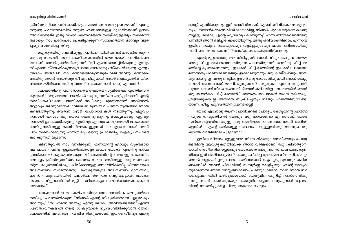പലതിൽ ഒന്ന്

### യേശുവിന്റെ ജീവിത ശൈലി

ക്രിസ്ത്യാനിയെ പരിശോധിക്കുക. ഞാൻ അവനെപ്പോലെയാണ്" എന്നു നമുക്കു പറയണമെങ്കിൽ നമുക്ക് എങ്ങനെയുള്ള കുട്ടായ്മയാണ് ഉണ്ടാ യിരിക്കേണ്ടത്? ഇതു സംഭവിക്കണമെങ്കിൽ സഭയ്ക്കുള്ളിലും സഭക്കതീ തമായും നാം പരസ്പരം പ്രകടിപ്പിക്കുന്ന സ്നേഹത്തിന് മാറ്റവും വളർ ച്ചയും സംഭവിച്ചേ തീരു.

ഐക്യത്തിനു വേണ്ടിയുള്ള പ്രാർത്ഥനയിൽ അവൻ പരാമർശിക്കുന്ന മറ്റൊരു സംഗതി, സുവിശേഷീകരണത്തിൽ ഗൗരവമായി പാലിക്കേണ്ട ഒന്നാണ്. അവൻ പ്രാർത്ഥിക്കുന്നത്, "നീ എന്നെ അയച്ചിരിക്കുന്നു എന്നും നീ എന്നെ സ്നേഹിക്കുന്നതുപോലെ *അവരെയും സ്നേഹിക്കുന്നു എന്നും ലോകം അറിവാൻ*, നാം ഒന്നായിരിക്കുന്നതുപോലെ അവരും ഒന്നാകേ ണ്ടതിനു ഞാൻ അവരിലും നീ എന്നിലുമായി അവർ ഐക്യത്തിൽ തിക ഞ്ഞവരായിരിക്കേണ്ടതിനു തന്നേ" (യോഹന്നാൻ 17:23) എന്നാണ്.

ലോകത്തിന്റെ പ്രതിരോധത്തെ തകർത്ത് സുവിശേഷം എത്തിക്കാൻ കൂടുതൽ ഫലപ്രദമായ പദ്ധതികൾ ഒരുക്കുന്നതിനെ ചുറ്റിപ്പറ്റിയാണ് എന്റെ സുവിശേഷീകരണ പദ്ധതികൾ അധികവും മുന്നേറുന്നത്. അതിനാൽ ആളാംപ്രതി സുവിശേഷ വേലയിൽ മുന്തിയ വിപണന തന്ത്രങ്ങൾ ഞാൻ കണ്ടെത്തുന്നു. ഉയർന്ന സ്റ്റേജ് പ്രോഗ്രാമുകൾ നടത്തുന്നു. ഏറ്റവും നന്നായി പ്രസംഗിക്കുന്നവരെ കൊണ്ടുവരുന്നു, മാദ്ധ്യമങ്ങളെ ഏറ്റവും നന്നായി ഉപയോഗിക്കുന്നു. എങ്കിലും ഏറ്റവും ഫലപ്രദമായി ലോകത്തെ നേരിടുന്നതിനുള്ള ശക്തി നിലകൊള്ളുന്നത് നാം എത്ര നന്നായി പരസ് പരം സ്നേഹിക്കുന്നു എന്നതിലും യേശു പ്രാർത്ഥിച്ച ഐക്യം സഫലീ കരിക്കുന്നതിലുമാണ്.

ക്രിസ്തുവിൽ നാം വസിക്കുന്നു എന്നതിന്റെ ഏറ്റവും വ്യക്തമായ ആ ഫലം നമ്മിൽ ഇല്ലാത്തിടത്തോളം കാലം ലോകം എന്തിനു നമ്മെ ശ്രദ്ധിക്കണം? ഐക്യതയാകുന്ന സ്നേഹത്തിന്റെ ഫലം ഉളവാകാത്തിട ത്തോളം ക്രിസ്ത്യാനിത്വം കേവലം സംവാദത്തിനുള്ള ഒരു തത്ത്വശാ സ്ത്രം മാത്രമായിരിക്കും; ജീവിക്കാനുള്ള ഒന്നായിരിക്കയില്ല. ഭിന്നതയുടെ അടിസ്ഥാനം സ്വാർത്ഥതയും ഐക്യതയുടെ അടിസ്ഥാനം ദാസത്വവു മാണ്. നമ്മുടെയിടയിൽ യഥാർത്ഥസ്നേഹം വെളിപ്പെട്ടാൽ, ലോകം നമ്മുടെ വീട്ടുവാതിലിൽ മുട്ടി "സ്വർഗ്ഗരാജ്യം ബലാൽക്കാരേണ കൈവ ശമാക്കും."

യോഹന്നാൻ 13–ലെ കല്പനയിലും യോഹന്നാൻ 17–ലെ പ്രാർത്ഥ നയിലും പറഞ്ഞിരിക്കുന്ന "നിങ്ങൾ എന്റെ ശിഷ്യൻമാരെന്ന് എല്ലാവരും അറിയും," "നീ എന്നെ അയച്ചു എന്നു ലോകം അറിയേണ്ടതിന്" എന്നീ പ്രസ്താവനകളാൽ തന്റെ ശിഷ്യന്മാരെ ന്യായംവിധിക്കുവാൻ യേശു ലോകത്തിന് അവസരം നൽകിയിരിക്കുകയാണ്. ഇവിടെ വീണ്ടും എന്റെ

മനസ്സ് എതിർക്കുന്നു. ഇത് അനീതിയാണ്! എന്റെ ജീവിതകാലം മുഴുവ നും, "നിങ്ങൾക്കെന്നെ വിധിക്കാനാവില്ല; നിങ്ങൾ പുറമേ മാത്രമേ കാണു ന്നുള്ളൂ; ദൈവം എന്റെ ഹൃദയവും കാണുന്നു" എന്ന നീതീകരണത്തിനു പിന്നിൽ ഞാൻ ഒളിച്ചിരിക്കയായിരുന്നു. അതു ശരിയായിരിക്കാം, എന്നാൽ ഇവിടെ നമ്മുടെ രക്ഷയുടെയും വളർച്ചയുടേയും ഫലം പരിശോധിക്കു വാൻ ദൈവം ലോകത്തിന് അധികാരം കൊടുത്തിരിക്കുന്നു.

എന്റെ മുറ്റത്തൊരു മരം നിൽപ്പുണ്ട്. ഞാൻ വീടു വാങ്ങുന്ന സമയം അതു പീച്ചു മരമാണെന്നായിരുന്നു പറഞ്ഞിരുന്നത്. അതിനു പീച്ച് മര ത്തിന്റെ രൂപമാണെന്നതും ഇലകൾ പീച്ച് മരത്തിന്റെ ഇലകൾപോലെയാ ണെന്നതും ശരിയാണെങ്കിലും ഇക്കാലമത്രയും ഒരു കായ്പോലും അതി ലുണ്ടായിട്ടില്ല. അതു വെട്ടിക്കളയാൻ ഒരു കോടാലിയുമായി ഞാൻ ചെല്ലു മ്പോൾ അതെന്നോട് യാചിക്കുന്നുവെന്ന് കരുതുക, "എന്നെ വെട്ടരുത്. പുറമേ നോക്കി നിനക്കെന്നെ വിധിക്കാൻ കഴികയില്ല. ഹൃദയത്തിൽ ഞാൻ ഒരു യഥാർത്ഥ പീച്ച് മരമാണ്." അത്തരം യാചനകൾ ഞാൻ ഒരിക്കലും ശ്രദ്ധിക്കുകയില്ല. അതിനെ സൃഷ്ടിച്ചതും നട്ടതും ഫലത്തിനുവേണ്ടി യാണ്; പീച്ച് ഹൃദയത്തിനുവേണ്ടിയല്ല!

ഞാൻ എന്നോടു തന്നെ ചോദിക്കേണ്ട ചോദ്യം, യേശുവിന്റെ പ്രാർത്ഥ നയുടെ നിവൃത്തിയിൽ ഞാനും ഒരു ഭാഗമാണോ എന്നതാണ്. ഞാൻ സ്വർഗ്ഗരാജ്യത്തിലേക്കുള്ള ഒരു വാതിലാണോ അതോ, നമ്പർ അറിയി ല്ലെങ്കിൽ — എന്റെ ശരിക്കുള്ള സ്വഭാവം — മറ്റുള്ളവർക്കു തുറന്നുകൊടു ക്കാത്ത വാതിലിലെ പൂട്ടാണോ?

ഇവിടെ വീണ്ടും മറ്റുള്ളവരെ സ്നേഹിക്കയും സേവിക്കയും ചെയ്യേ ണ്ടതിന്റെ ആവശ്യകതയിലേക്ക് ഞാൻ വരികയാണ്. ഒരു ക്രിസ്ത്യാനി യായി അംഗീകരിക്കപ്പെടാനും ലോകത്തെ നേടുന്നതിൽ ഫലപ്രദമാകുന്ന തിനും ഇത് അനിവാര്യമാണ്. യേശു കല്പിച്ചതുപോലെ സ്നേഹിക്കാനും അവൻ ആഗ്രഹിച്ചതുപോലെ ശരീരത്തോട് ഐക്യപ്പെടുവാനും കഴിയ ണമെങ്കിൽ, അവൻ പിതാവിന്റെ സമ്പൂർണ്ണ വെളിപ്പാടും എന്റെ മാതൃക യുമാണെന്ന് ഞാൻ മനസ്സിലാക്കണം. പരിശുദ്ധാത്മാവിനാൽ ഞാൻ നിറ യപ്പെട്ടവനെങ്കിൽ പരിശുദ്ധാത്മാവ് യേശുവിനെക്കുറിച്ച് പ്രസ്താവിക്കു ന്നതു ഞാൻ കേൾക്കുകയും യേശുവിനെപ്പോലെ ആകുവാൻ ആത്മാ വിന്റെ നടത്തിപ്പുകളെ പിന്തുടരുകയും ചെയ്യും.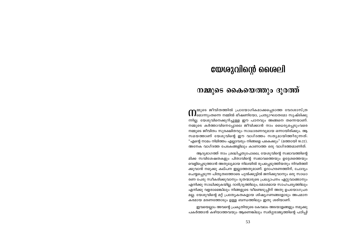### യേശുവിന്റെ ശൈലി

### നമ്മുടെ കൈയെത്തും ദൂരത്ത്

∩ മ്മുടെ ജീവിതത്തിൽ പ്രായോഗികമാക്കപ്പെടാത്ത വേദശാസ്ത്ര<br>∩ മൊന്നുംതന്നെ നമ്മിൽ ഭീഷണിയോ, പ്രത്യാഘാതമോ സൃഷ്ടിക്കു ന്നില്ല. യേശുവിനെക്കുറിച്ചുള്ള ഈ പഠനവും അങ്ങനെ തന്നെയാണ്. നമ്മുടെ കർത്താവിനെപ്പോലെ ജീവിക്കാൻ നാം ധൈര്യപ്പെടുംവരെ നമ്മുടെ ജീവിതം സുരക്ഷിതവും സാധാരണവുമായ ഒന്നായിരിക്കും. ആ സമയത്താണ് യേശുവിന്റെ ഈ വാഗ്ദത്തം സത്യമായിത്തീരുന്നത്: "എന്റെ നാമം നിമിത്തം എല്ലാവരും നിങ്ങളെ പകെക്കും" (മത്തായി 10:22). അനേക വാഗ്ദത്ത പേടകങ്ങളിലും കാണാത്ത ഒരു വാഗ്ദത്തമാണിത്.

ആദ്യഭാഗത്ത് നാം ശ്രദ്ധിച്ചതുപോലെ, യേശുവിന്റെ സ്വഭാവത്തിന്റെ മിക്ക സവിശേഷതകളും പിതാവിന്റെ സ്വഭാവത്തെയും ഉദ്ദേശത്തെയും വെളിപ്പെടുത്താൻ അതുല്യമായ നിലയിൽ രൂപപ്പെടുത്തിയതും നിവർത്തി ക്കുവാൻ നമുക്കു കല്പന ഇല്ലാത്തതുമാണ്. ഉദാഹരണത്തിന്, ചോദ്യം ചെയ്യപ്പെടുന്ന പിതൃത്വത്തോടെ പുൽക്കൂട്ടിൽ ജനിക്കുവാനും ഒരു സാധാ രണ പേരു സ്വീകരിക്കുവാനും ദുതന്മാരുടെ പ്രഖ്യാപനം ഏറ്റുവാങ്ങാനും എനിക്കു സാധിക്കുകയില്ല. ദാരിദ്ര്യത്തിലും, മോശമായ സാഹചര്യത്തിലും എനിക്കു വളരാമെങ്കിലും നിങ്ങളുടെ വീണ്ടെടുപ്പിന് അതു ഉപയോഗപ്രദ മല്ല. യേശുവിന്റെ മറ്റ് പ്രത്യേകതകളായ ശിഷ്യഗണങ്ങളോടും അപമാന കരമായ മരണത്തോടും ഉള്ള ബന്ധത്തിലും ഇതു ശരിയാണ്.

ഇവയെല്ലാം അവന്റെ പ്രകൃതിയുടെ കേവലം അടയാളങ്ങളും നമുക്കു പകർത്താൻ കഴിയാത്തവയും ആണെങ്കിലും സ്വർഗ്ഗരാജ്യത്തിന്റെ പഠിപ്പി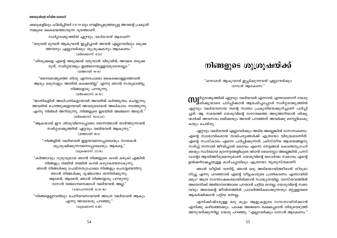ക്കലുകളിലും ഫിലിപ്പിയർ 2:5-11-ലും വെളിപ്പെടുത്തപ്പെട്ട അവന്റെ പ്രകൃതി നമ്മുടെ കൈയെത്താവുന്ന ദുരത്താണ്.

സ്ഥർഗ്ഗരാജ്യത്തിൽ ഏറ്റവും വലിയവൻ ആരാണ്?

"ഒരുവൻ മുമ്പൻ ആകുവാൻ ഇച്ചിച്ചാൽ അവൻ എല്ലാവരിലും ഒടുക്ക ത്തവനും എല്ലാവർക്കും ശുശ്രൂഷകനും ആകേണം." (മർക്കൊസ് 9:35)

"ശിശുക്കളെ എന്റെ അടുക്കൽ വരുവാൻ വിടുവിൻ; അവരെ തടുക്ക രുത്; സ്വർഗ്ഗരാജ്യം ഇങ്ങനെയുള്ളവരുടേതല്ലോ."

(മത്തായി 10:14)

"ദൈവരാജ്യത്തെ ശിശു എന്നപോലെ കൈക്കൊള്ളാത്തവൻ ആരും ഒരുനാളും അതിൽ കടക്കയില്ല" എന്നു ഞാൻ സത്യമായിട്ടു നിങ്ങളോടു പറയുന്നു. (മർക്കൊസ് 10:15)

"ജാതികളിൽ അധിപതികളായവർ അവരിൽ കർത്ത്യത്വം ചെയ്യുന്നു; അവരിൽ മഹത്തുക്കളായവർ അവരുടെമേൽ അധികാരം നടത്തുന്നു എന്നു നിങ്ങൾ അറിയുന്നു. നിങ്ങളുടെ ഇടയിൽ അങ്ങനെ അരുത്.' (മർക്കൊസ് 10:42,43)

"ആകയാൽ ഈ ശിശുവിനെപ്പോലെ തന്നെത്താൻ താഴ്ത്തുന്നവൻ സ്വർഗ്ഗരാജ്യത്തിൽ ഏറ്റവും വലിയവൻ ആകുന്നു." (മത്തായി 18:4)

"നിങ്ങളിൽ വലിയവൻ ഇളയവനെപ്പോലെയും നായകൻ ശുശ്രുഷിക്കുന്നവനെപ്പോലെയും ആകട്ടെ." (ലുക്കൊസ് 22:26)

"കർത്താവും ഗുരുവുമായ ഞാൻ നിങ്ങളുടെ കാൽ കഴുകി എങ്കിൽ നിങ്ങളും തമ്മിൽ തമ്മിൽ കാൽ കഴുകേണ്ടതാകുന്നു. ഞാൻ നിങ്ങൾക്കു ചെയ്തതുപോലെ നിങ്ങളും ചെയ്യേണ്ടതിനു ഞാൻ നിങ്ങൾക്കു ദൃഷ്ടാന്തം തന്നിരിക്കുന്നു. ആമേൻ, ആമേൻ, ഞാൻ നിങ്ങളോടു പറയുന്നു: ദാസൻ യജമാനനെക്കാൾ വലിയവൻ അല്ല."  $(\text{0000} \text{nm})$ ൻ 13:14-16)

"നിങ്ങളെല്ലാവരിലും ചെറിയവനായവൻ അത്രേ വലിയവൻ ആകും എന്നു അവരോടു പറഞ്ഞു." (ലുക്കൊസ് 9:48)

### നിങ്ങളുടെ ശുശ്രൂഷയ്ക്ക്

"ഒന്നാമൻ ആകുവാൻ ഇച്ചിക്കുന്നവൻ എല്ലാവർക്കും ദാസൻ ആകേണം"

**MJ**ിർഗ്ഗരാജ്യത്തിൽ ഏറ്റവും വലിയവൻ എന്നാൽ എന്താണെന്ന് യേശു<br>ആരംഭിച്ചുവാരെ പഠിപ്പിക്കാൻ ആരംഭിച്ചപ്പോൾ സ്വർഗ്ഗരാജ്യത്തിൽ ഏറ്റവും വലിയവനായ തന്റെ സ്വന്തം പ്രകൃതിയെക്കുറിച്ചാണ് പഠിപ്പി ച്ചത്. ആ സമയത്ത് യേശുവിന്റെ ദാസത്വത്തെ അടുത്തറിയാൻ ശിഷ്യ ന്മാർക്ക് അവസരം ലഭിക്കയും അവൻ പറഞ്ഞത് അവർക്കു മനസ്സിലാകു കയും ചെയ്തു.

ഏറ്റവും വലിയവൻ എല്ലാവർക്കും അടിമ അല്ലെങ്കിൽ ദാസനാകണം. എന്റെ സ്വാഭാവികമായ താല്പര്യങ്ങൾക്ക് എത്രയോ വിരുദ്ധമാണിത്. എന്റെ സംസ്കാരം എന്നെ പഠിപ്പിക്കുന്നത്, ക്രിസ്തീയ ആശയങ്ങളനു സരിച്ച് നന്നായി ജീവിച്ചാൽ ദൈവം എന്നെ നേട്ടങ്ങൾ കൊണ്ടനുഗ്രഹി ക്കയും സ്ഥിരമായ മുന്നേറ്റങ്ങളിലൂടെ ഞാൻ ബോസ്സോ അല്ലെങ്കിൽ പ്രസി ഡന്റോ ആയിത്തീരുമെന്നുമാണ്. യേശുവിന്റെ യഥാർത്ഥ സ്വഭാവം എന്റെ ഉൽക്കർഷേച്ചയുള്ള കാഴ്ചപ്പാടിലും എത്രയോ വ്യത്യസ്തമാണ്!

ഞാൻ വീട്ടിൽ വന്നിട്ട്, ഞാൻ ഒരു അടിമയായിത്തീരാൻ തീരുമാ നിച്ചു എന്നു പറഞ്ഞാൽ എന്റെ വീട്ടുകാരുടെ പ്രതികരണം എന്തായിരി ക്കും? അത്ര സന്തോഷകരമായിരിക്കാൻ സാദ്ധ്യതയില്ല. വാസ്തവത്തിൽ അതെനിക്ക് അഭിമാനത്തോടെ പറയാൻ പറ്റിയ ഒന്നല്ല. യേശുവിന്റെ സ്വഭാ വവും അതെന്റെ ജീവിതത്തിൽ പ്രാവർത്തികമാക്കുന്നതും മറ്റുള്ളവരെ ആകർഷിക്കാൻ പറ്റിയ ഒന്നല്ല.

എനിക്കിഷ്ടമുള്ള ഒരു കൂട്ടം ആളുകളുടെ ദാസനായിരിക്കാൻ എനിക്കു കഴിഞ്ഞേക്കും. പക്ഷേ അങ്ങനെ രക്ഷപ്പെടാൻ തിരുവെഴുത്ത് അനുവദിക്കുന്നില്ല. യേശു പറഞ്ഞു: "എല്ലാവർക്കും ദാസൻ ആകേണം."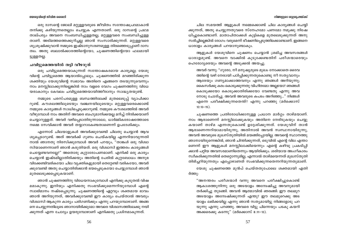#### നിങ്ങളുടെ ശുശ്രൂഷയ്ക്ക്

### യേശുവിന്റെ ജീവിത ശൈലി

ഒരു ദാസന്റെ ജോലി മറ്റുള്ളവരുടെ ജീവിതം സന്തോഷപ്രദമാകാൻ തനിക്കു കഴിയുന്നതെല്ലാം ചെയ്യുക എന്നതാണ്. ഒരു ദാസന്റെ പ്രഥമ താല്പര്യം അവനെ സംബന്ധിച്ചുള്ളതല്ല, മറ്റുള്ളവരെ സംബന്ധിച്ചുള്ള താണ്. അടിമത്തത്തെക്കുറിച്ചല്ല ഞാൻ സംസാരിക്കുന്നത്. മറ്റുള്ളവരെ ശുശ്രുഷിക്കുവാൻ നമ്മുടെ ഇഷ്ടാനുസരണമുള്ള തിരഞ്ഞെടുപ്പാണ് ദാസ ത്വം. അതു ബലാൽക്കാരത്തിന്റെയോ, ചുഷണത്തിന്റെയോ ഫലമായി ട്ടുള്ളതല്ല.

### ചവിട്ടുമെത്തയിൽ തട്ടി വീഴരുത്

ഒരു ചവിട്ടുമെത്തയാകുന്നത് സന്തോഷകരമായ കാര്യമല്ല; യേശു വിന്റെ ചവിട്ടുമെത്ത ആയാൽപ്പോലും. ചൂഷണത്തിൽ മറഞ്ഞിരിക്കുന്ന ശക്തിയും യേശുവിന്റെ സ്വഭാവം അതിനെ എങ്ങനെ തടയുന്നുവെന്നും നാം മനസ്സിലാക്കുന്നില്ലെങ്കിൽ നാം വളരെ വേഗം ചൂഷണത്തിനു വിധേ യരാകാനും കേവലം ചവിട്ടുമെത്തയായിത്തീരാനും സാദ്ധ്യതയുണ്ട്.

നമ്മുടെ പരസ്പരമുള്ള ബന്ധത്തിലേക്ക് മുതലെടുപ്പ് വ്യാപിക്കാ റുണ്ട്. കൗശലത്തിലൂടെയും വഞ്ചനയിലൂടെയും മറ്റുള്ളവരെക്കൊണ്ട് നമ്മുടെ കാര്യങ്ങൾ സാധിച്ചെടുക്കാറുണ്ട്. നമ്മുടെ കൗശലത്തിൽ അവർ വീഴുമ്പോൾ നാം അതിന് അവരെ ബഹുമാനിക്കയല്ല മറിച്ച് നിന്ദിക്കയാണ് ചെയ്യാറുള്ളത്. അവർ വഴിപ്പെടാതിരുന്നാലോ, ധാർമ്മികരോഷത്തോടെ നമ്മെ സേവിക്കാൻ അവർ തയ്യാറാകേണ്ടതാണെന്ന് ഉപദേശിക്കും.

എന്നോട് ചിലയാളുകൾ അവർക്കുവേണ്ടി ചിലതു ചെയ്യാൻ ആവ ശ്യപ്പെടാറുണ്ട്. അത് അവർക്ക് ഗുണം ചെയ്കയില്ല എന്നറിയാവുന്നതി നാൽ ഞാനതു നിരസിക്കുമ്പോൾ അവർ പറയും, "താങ്കൾ ഒരു വിശ്വാ സിയാണെന്നാണ് ഞാൻ കരുതിയത്. ഒരു വിശ്വാസി ഇത്തരം കാര്യങ്ങൾ ചെയ്യേണ്ടവനല്ലേ?" അതൊരു കുറ്റാരോപണമാണ്. എനിക്ക് ഒരു കാര്യം ചെയ്യാൻ ഇഷ്ടമില്ലാതിരിക്കയും അതിന്റെ പേരിൽ കുറ്റബോധം അനുഭ വിക്കേണ്ടിവരികയോ ചില വ്യക്തികളുമായി തെറ്റേണ്ടി വരികയോ, അവർ ക്കുവേണ്ടി അതു ചെയ്യാതിരിക്കാൻ ഭയപ്പെടുകയോ ചെയ്യുമ്പോൾ ഞാൻ മുതലെടുക്കപ്പെടുകയാണ്.

ഞാൻ ചൂഷണത്തിനു വിധേയനാകുമ്പോൾ എനിക്കു കൂടുതൽ വിഷ മമാകുന്നു. ഇനിയും എനിക്കതു സംഭവിക്കുമെന്നറിയുമ്പോൾ എന്റെ സ്വാഭിമാനം നഷ്ടപ്പെടുന്നു. ചൂഷണത്തിന്റെ ഏറ്റവും ശക്തമായ ഭാവം ഞാൻ അറിയുന്നത്, അവർക്കുവേണ്ടി ഈ കാര്യം ചെയ്താൽ അവരും വിശ്വാസി ആകുന്ന കാര്യം പരിഗണിക്കും എന്നു പറയുമ്പോഴാണ്. അങ്ങ നെ ചെയ്യുന്നതിലൂടെ ഞാനായിരിക്കുമോ അവരെ വിശ്വാസത്തിലേക്കു നയി ക്കുന്നത് എന്ന ചോദ്യം ഉയരുമ്പോഴാണ് എനിക്കതു പ്രശ്നമാകുന്നത്.

ചില സമയത്ത് ആളുകൾ നമ്മെക്കൊണ്ട് ചില കാര്യങ്ങൾ ചെയ്യി ക്കുന്നത്, അതു ചെയ്യുന്നതുവരെ സ്നേഹമോ പണമോ നമുക്കു നിഷേ ധിച്ചുകൊണ്ടാണ്. മാതാപിതാക്കൾ കുട്ടികളെ മുതലെടുക്കുന്നത് അനു സരിച്ചില്ലെങ്കിൽ രോഗം വരുമെന്ന് ഭീഷണിപെടുത്തിക്കൊണ്ടാണ്. ഇങ്ങനെ ധാരാളം കാര്യങ്ങൾ പറയാനുണ്ടാകും.

ആളുകൾ യേശുവിനെ ചുഷണം ചെയ്യാൻ ശ്രമിച്ച അവസരങ്ങൾ ധാരാളമുണ്ട്. അവനെ വാക്കിൽ കൂടുക്കേണ്ടതിന് പരീശന്മാരെയും ഹെരോദ്യരെയും അവന്റെ അടുക്കൽ അയച്ചു.

അവർ വന്നു: "ഗുരോ, നീ മനുഷ്യരുടെ മുഖം നോക്കാതെ ദൈവ ത്തിന്റെ വഴി നേരായി പഠിപ്പിക്കുന്നതുകൊണ്ടു നീ സത്യവാനും ആരേയും ഗണ്യമാക്കാത്തവനും എന്നു ഞങ്ങൾ അറിയുന്നു; കൈസർക്കു കരം കൊടുക്കുന്നതു വിഹിതമോ അല്ലയോ? ഞങ്ങൾ കൊടുക്കയോ കൊടുക്കാതിരിക്കയോ വേണ്ടതു എന്നു അവ നോടു ചോദിച്ചു. അവൻ അവരുടെ കപടം അറിഞ്ഞു..." നിങ്ങൾ എന്നെ പരീക്ഷിക്കുന്നതെന്ത്? എന്നു പറഞ്ഞു (മർക്കൊസ്  $12:13-15$ ).

ചൂഷണത്തെ പ്രതിരോധിക്കാനുള്ള പ്രധാന മാർഗ്ഗം താഴ്മയാണ്. നാം ആരാണെന്ന് മനസ്സിലാക്കുകയും അതിനെ നേരിടുകയും ചെയ്യു കയാണ് താഴ്മ എന്നതുകൊണ്ട് ഉദ്ദേശിക്കുന്നത്. യേശുവിന് താൻ ആരാണെന്നറിയാമായിരുന്നു, അതിനാൽ അവൻ സ്വസ്ഥനായിരുന്നു, അവൻ അവരുടെ മുഖസ്തുതിയിൽ മയങ്ങിപ്പോയില്ല. അവന്റെ സ്ഥാനത്തു ഞാനായിരുന്നെങ്കിൽ, ഞാൻ ചിന്തിക്കുന്നത്, ഒടുവിൽ എന്റെ വില എന്താ ണെന്ന് ഈ ആളുകൾ മനസ്സിലാക്കിയെന്നും എന്റെ കഴിവു പ്രകടിപ്പി ക്കാൻ പറ്റിയ അവസരമാണിതെന്നും ആയിരിക്കും. ശരിയായ അംഗീകാരം സ്ഥീകരിക്കുന്നതിൽ തെറ്റൊന്നുമില്ല, എന്നാൽ താഴ്മയെന്നത് മുഖസ്തുതി തിരിച്ചറിയുന്നതും എപ്പോഴാണത് സംഭവിക്കുന്നതെന്നറിയുന്നതുമാണ്.

യേശു ചൂഷണത്തെ മുൻപ് ചെയ്തതുപോലെ ശക്തമായി എതി ർത്തു:

"അനന്തരം പരീശന്മാർ വന്നു അവനെ പരീക്ഷിച്ചുകൊണ്ട് ആകാശത്തുനിന്നു ഒരു അടയാളം അന്വേഷിച്ചു അവനുമായി തർക്കിച്ചു തുടങ്ങി. അവൻ ആത്മാവിൽ ഞരങ്ങി: ഈ തലമുറ അടയാളം അന്വേഷിക്കുന്നത് എന്തു? ഈ തലമുറെക്കു അട യാളം ലഭിക്കയില്ല എന്നു ഞാൻ സത്യമായിട്ടു നിങ്ങളോടു പറ യുന്നു എന്നു പറഞ്ഞു. അവരെ വിട്ടു പിന്നെയും പടകു കയറി അക്കരെക്കു കടന്നു" (മർക്കൊസ് 8:11-13).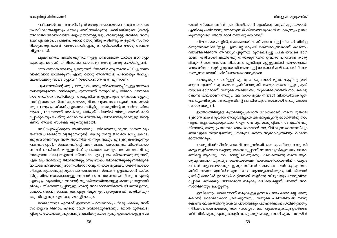പരീശന്മാർ തന്നെ സമീപിച്ചത് ശത്രുതയോടെയാണെന്നും സഹായം ചോദിക്കാനല്ലെന്നും യേശു അറിഞ്ഞിരുന്നു. താഴ്മയിലൂടെ (തന്റെ യഥാർത്ഥ അവസ്ഥയിൽ, ഒട്ടും ഉയർന്നല്ല, ഒട്ടും താണുമല്ല) തനിക്കു അനു ഭവപ്പെട്ട കോപം പ്രകടിപ്പിക്കാൻ യേശുവിനു കഴിഞ്ഞു. കൂടുതൽ സംസാ രിക്കുന്നതുകൊണ്ട് പ്രയോജനമില്ലെന്നു മനസ്സിലാക്കിയ യേശു അവരെ വിട്ടുപോയി.

ചൂഷണത്തെ എതിർക്കുന്നതിനുള്ള രണ്ടാമത്തെ മാർഗ്ഗം മാറിപ്പോ കുക എന്നതാണ്. ഒന്നിലധികം പ്രാവശ്യം യേശു അതു ചെയ്തിട്ടുണ്ട്.

യോഹന്നാൻ രേഖപ്പെടുത്തുന്നത്, "അവർ വന്നു തന്നെ പിടിച്ചു രാജാ വാക്കുവാൻ ഭാവിക്കുന്നു എന്നു യേശു അറിഞ്ഞിട്ടു പിന്നെയും തനിച്ചു മലയിലേക്കു വാങ്ങിപ്പോയി" (യോഹന്നാൻ 6:15) എന്നാണ്.

ചുഷണത്തിന്റെ ഒരു പ്രത്യേകത, അതു തിരഞ്ഞെടുപ്പിനുള്ള നമ്മുടെ സ്വാതന്ത്ര്യത്തെ ഹനിക്കുന്നു എന്നതാണ്. ഒന്നുകിൽ പ്രതിരോധത്തോടെ നാം അതിനെ സമീപിക്കും. അല്ലെങ്കിൽ മറ്റുള്ളവരുടെ തിരഞ്ഞെടുപ്പനു സരിച്ച് നാം പ്രവർത്തിക്കും. യേശുവിനെ ചൂഷണം ചെയ്യാൻ വന്ന ഒരാൾ ക്കുപോലും പ്രതീക്ഷിച്ച ഉത്തരം ലഭിച്ചില്ല. യേശുവിന്റെ യഥാർത്ഥ ചിന്ത യുടെ പ്രകടനമാണ് അവർക്കു ലഭിച്ചത്. ചിലരിൽ നിന്നും അവൻ മാറി പ്പോകുകയും ചെയ്തു. ഓരോ സംഭവത്തിലും തിരഞ്ഞെടുക്കാനുള്ള തന്റെ കഴിവ് അവൻ സംരക്ഷിക്കുകയുണ്ടായി.

അടിച്ചേൽപ്പിക്കുന്ന അടിമത്തവും തിരഞ്ഞെടുക്കുന്ന ദാസത്വവും തമ്മിൽ പ്രകടമായ വ്യത്യാസമുണ്ട്. യേശു തന്റെ ജീവനെ വെച്ചുകൊടു ക്കുകയാണെന്നും അത് അവനിൽ നിന്നും ആരും എടുക്കുകയില്ലെന്നും പറഞ്ഞപ്പോൾ, സ്നേഹത്തിന്റെ അടിസ്ഥാന പ്രമാണത്തെ വിവരിക്കയാ ണവൻ ചെയ്തത്. മറ്റുള്ളവർക്ക് പ്രയോജനകരവും അവരെ സേവിക്കു ന്നതുമായ കാര്യങ്ങളാണ് സ്നേഹം എപ്പോഴും തിരഞ്ഞെടുക്കുന്നത്; എങ്കിലും അതൊരു തിരഞ്ഞെടുപ്പാണ്; സ്വയം തിരഞ്ഞെടുക്കുന്നതിലൂടെ മാത്രമേ നിങ്ങൾക്കു സ്നേഹിക്കാനാവു. നിയമം മൂലമോ, ശക്തി പ്രയോ ഗിച്ചോ, മുതലെടുപ്പിലുടെയോ യഥാർത്ഥ സ്നേഹം ഉളവാക്കാൻ കഴിക യില്ല. തിരഞ്ഞെടുക്കാനുള്ള അവന്റെ അവകാശത്തെ ഹനിക്കുന്ന എന്റെ എന്തു പ്രവൃത്തിയും അവന്റെ വ്യക്തിത്വത്തിന്മേലുള്ള കടന്നുകയറ്റമായി രിക്കും. തിരഞ്ഞെടുപ്പിനുള്ള എന്റെ അവകാശത്തിന്മേൽ ഭീഷണി ഉയരു മ്പോൾ, ഞാൻ സ്നേഹിക്കപ്പെടുന്നില്ലെന്നും, ശുശ്രൂഷയ്ക്ക് വാതിൽ തുറ ക്കുന്നില്ലെന്നും എനിക്കു മനസ്സിലാകും.

താഴ്മയോടെ എനിക്ക് ഇങ്ങനെ പറയാനാകും: "ഒരു പക്ഷേ, അത് ശരിയല്ലായിരിക്കാം, എന്റെ മേൽ സമ്മർദ്ദമുണ്ടെന്നും ഞാൻ മുതലെടു പ്പിനു വിധേയനാകുന്നുവെന്നും എനിക്കു തോന്നുന്നു. ഇങ്ങനെയുള്ള സമ യത്ത് സ്നേഹത്തിൽ പ്രവർത്തിക്കാൻ എനിക്കു ബുദ്ധിമുട്ടാകയാൽ, എനിക്കു ശരിയെന്നു തോന്നുന്നത് തിരഞ്ഞെടുക്കാൻ സ്വാതന്ത്ര്യം ഉണ്ടാ കുന്നതുവരെ ഞാൻ മാറി നിൽക്കുകയാണ്."

ചില സമയങ്ങളിൽ, അപേക്ഷയിലാണ് മുതലെടുപ്പ് നിങ്ങൾ തിരിച്ച റിയുന്നതെങ്കിൽ 'ഇല്ല' എന്ന ഒറ്റ മറുപടി മതിയാകുന്നതാണ്. കാരണം വിശദീകരിക്കാൻ ആവശ്യപ്പെടുന്നത് മുതലെടുപ്പു പ്രക്രിയയുടെ ഭാഗ മാണ്. ശരിയായി എതിർത്തു നിൽക്കുന്നതിന് ഉത്തരം പറയേണ്ട കാര്യ മില്ലെന്ന് നാം അറിഞ്ഞിരിക്കണം. എങ്കിലും മറ്റുള്ളവർക്ക് പ്രയോജനക രവും സ്നേഹപൂർവ്വവുമായ തിരഞ്ഞെടുപ്പ് നടത്താൻ കഴിയേണ്ടതിന് നാം സത്യസന്ധരായി ജീവിക്കേണ്ടതാവശ്യമാണ്.

പലപ്പോഴും നാം 'ഇല്ല' എന്നു പറയുമ്പോൾ മുതലെടുപ്പിനു ശ്രമി ക്കുന്ന വ്യക്തി ഒരു രംഗം സൃഷ്ടിക്കാറുണ്ട്. അതും മുതലെടുപ്പു പ്രക്രി യയുടെ ഭാഗമാണ്. നമ്മുടെ ആർജവത്വം സൂക്ഷിക്കുന്നതിന് നാം കൊടു ക്കേണ്ട വിലയാണ് അതും. ആ രംഗം മൂലം നിങ്ങൾ വിഡ്ഢിയാകരുത്. ആ വ്യക്തിയുടെ സൗഖ്യത്തിന്റെ പ്രക്രിയയുടെ ഭാഗമായി അതു മാറാൻ സാദ്ധ്യതയുണ്ട്.

ഇത്തരത്തിലുള്ള മുതലെടുപ്പുകാരൻ രോഗിയാണ്. നമ്മെ മുതലെ ടുക്കാൻ നാം ഒരുവനെ അനുവദിച്ചാൽ ആ മനുഷ്യന്റെ രോഗത്തിനു നാം വളംവെച്ചുകൊടുക്കുകയാണ്. എന്നാൽ മുതലെടുപ്പിനെ നാം എതിർത്തു നിന്നാൽ, അതു പ്രയാസകരവും രംഗങ്ങൾ സൃഷ്ടിക്കുന്നതാണെങ്കിലും അയാളുടെ സൗഖ്യത്തിനും നമ്മുടെ തന്നെ ആരോഗ്യത്തിനും കാരണ മായിത്തീരും.

യേശുവിന്റെ ജീവിതശൈലി അനുവർത്തിക്കാനാഗ്രഹിക്കുന്ന വൃക്തി കളെ തളർത്തുന്ന മറ്റൊരു മുതലെടുപ്പാണ് സ്വയകേന്ദ്രീകൃതത്വം. ലോക ത്തിന്റെ ആവശ്യം നാം മനസ്സിലാക്കുകയും ലോകത്തിനു നമ്മെ ആവ ശ്യമുണ്ടെന്നറിയുകയും ചെയ്തശേഷം പ്രശ്നപരിഹാരത്തിന് നമ്മുടെ പക്കൽ വളരെയൊന്നും ഇല്ലെന്നറിഞ്ഞ് സ്വസ്ഥത നഷ്ടപ്പെടുന്നതാ ണിത്. നമ്മുടെ മുമ്പിൽ വരുന്ന സകല ആവശ്യങ്ങൾക്കും പ്രതികരിക്കാൻ ശ്രമിച്ച് ഒടുവിൽ ഉറവകൾ വറ്റിവരണ്ട് തളർന്നു വീഴുകയും യേശുവിനെ പ്പോലെ ഒരിക്കലും ജീവിക്കാൻ നമുക്കു കഴികയില്ലെന്ന് പറഞ്ഞ് അവ സാനിക്കയും ചെയ്യുന്നു.

ഇവിടെയും താഴ്മയാണ് നമുക്കുള്ള ഉത്തരം. നാം ദൈവമല്ല. അതു കൊണ്ട് ദൈവമാകാൻ ശ്രമിക്കുന്നതും നമ്മുടെ പരിമിതിയിൽ നിന്നു കൊണ്ട് ലോകത്തിന്റെ സകലപ്രശ്നങ്ങളും പരിഹരിക്കാൻ ശ്രമിക്കുന്നതും നിർത്താം. നാം നമ്മോടു തന്നെ സത്യസന്ധത പുലർത്തുകയും ഊർജ്ജം തീർന്നിരിക്കുന്നു എന്നു മനസ്സിലാക്കുകയും ചെയ്യുമ്പോൾ ഏകാന്തതയിൽ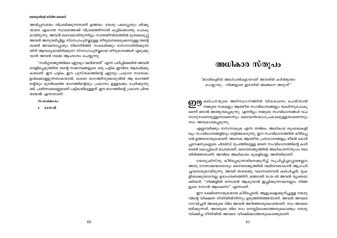അൽപ്പസമയം വിശ്രമിക്കുന്നതാണ് ഉത്തമം. യേശു പലപ്പോഴും ശിഷ്യ ന്മാരെ ഏകാന്ത സ്ഥലത്തേക്ക് വിശ്രമത്തിനായി കുട്ടിക്കൊണ്ടു പോകു മായിരുന്നു. അവൻ ദൈവമായിരുന്നിട്ടും സ്വന്തജീവിതത്തിൽ മുതലെടുപ്പ് അവൻ അനുവദിച്ചില്ല. സ്നേഹപൂർവ്വമുള്ള തീരുമാനമെടുക്കാനുള്ള തന്റെ ശക്തി അവനെപ്പോഴും നിലനിർത്തി. സകലർക്കും ദാസനായിരിക്കുന്ന തിന് ആവശ്യമായിരിക്കുന്ന സ്നേഹപൂർവ്വമായ തീരുമാനങ്ങൾ എടുക്കു വാൻ അവൻ നമ്മെ ആഹ്വാനം ചെയ്യുന്നു.

"സ്വർഗ്ഗരാജ്യത്തിലെ ഏറ്റവും വലിയവൻ" എന്ന പഠിപ്പിക്കലിൽ അവൻ വെളിപ്പെടുത്തിയ തന്റെ സ്വഭാവങ്ങളുടെ ഒരു പട്ടിക ഇവിടെ ആരംഭിക്കു കയാണ്. ഈ പട്ടിക, ഈ പുസ്തകത്തിന്റെ ഏറ്റവും പ്രധാന സന്ദേശം ഉൾക്കൊള്ളുന്നതാകയാൽ, ഓരോ ഭാഗത്തിനുമൊടുവിൽ ആ ഭാഗത്തി ന്റെയും മുമ്പിലത്തെ ഭാഗത്തിന്റെയും പ്രധാനം ഉള്ളടക്കം ചേർക്കുന്നു ണ്ട്. പതിന്നാലെണ്ണമാണ് പട്ടികയിലുള്ളത്. ഈ ഭാഗത്തിന്റെ പ്രധാന ചിന്ത ദാസൻ എന്നതാണ്.

 $\omega$ ocamalo:

1. ദാസൻ

### അധികാര സ്തൂപം

"ജാതികളിൽ അധിപതികളായവർ അവരിൽ കർത്തൃത്വം ചെയ്യുന്നു... നിങ്ങളുടെ ഇടയിൽ അങ്ങനെ അരുത്"

**ണന്ന** കല്പനയുടെ അടിസ്ഥാനത്തിൽ വിശകലനം ചെയ്താൽ നമ്മുടെ സഭകളും ആത്മീയ സംവിധാനങ്ങളും തകർന്നുപോകു മെന്ന് ഞാൻ അത്ഭുതപ്പെടുന്നു. എന്നിട്ടും നമ്മുടെ സംവിധാനങ്ങൾ വച നാനുസരണമുള്ളതാണെന്നും ദൈവനിയോഗപ്രകാരമുള്ളതാണെന്നും നാം അവകാശപ്പെടുന്നു.

എല്ലാവർക്കും ദാസനാകുക എന്ന തത്ത്വം, അധികാര ശൃംഖലകളി ലും സംവിധാനങ്ങളിലും തട്ടിത്തകരുന്നു. ഈ സംവിധാനത്തിൽ കീഴ്പ്പെ ടൽ ഉത്തരോന്മുഖമാണ്. അനേക ആത്മീയ പ്രസ്ഥാനങ്ങളും ഭീമൻ കോർ പ്പറേഷനുകളുടെ പിരമിഡ് രൂപത്തിലുള്ള ഭരണ സംവിധാനത്തിന്റെ കാർ ബൺ കോപ്പികൾ മാത്രമാണ്. ദൈവരാജ്യത്തിൽ അധികാരസ്തുപം തല തിരിഞ്ഞതാണ്; അവിടെ അധികാരം മുകളിലല്ല, അടിയിലാണ്.

യേശുക്രിസ്തു കീഴ്പ്പെടുന്നതിനെക്കുറിച്ച് സൂചിപ്പിച്ചപ്പോഴെല്ലാം അതു നേതാക്കന്മാരോടും ദൈവരാജ്യത്തിൽ വലിയവരാകാൻ ആഗ്രഹി ച്ചവരോടുമായിരുന്നു. അവർ താഴേക്കു വരാനാണവൻ കല്പിച്ചത്, മുക ളിലേക്കുയരാനല്ല. ഉദാഹരണത്തിന്, മത്തായി 20:26-ൽ അവൻ വ്യക്തമാ ക്കിയത്, "നിങ്ങളിൽ ഒന്നാമൻ ആകുവാൻ ഇച്ചിക്കുന്നവനെല്ലാം നിങ്ങ ളുടെ ദാസൻ ആകേണം" എന്നാണ്.

ഈ ദക്ഷിണോന്മുഖമായ കീഴ്പ്പെടൽ, ആളുകളെക്കുറിച്ചുള്ള യേശു വിന്റെ വീക്ഷണ രീതിയിൽനിന്നും ഉരുത്തിരിഞ്ഞതാണ്. അവൻ അവരെ സേവിച്ചത് അവരുടെ വില അവൻ അറിഞ്ഞതുകൊണ്ടാണ്. നാം അവരെ ഭരിക്കുന്നത്, അവരുടെ വില നാം മനസ്സിലാക്കാത്തതുകൊണ്ടും യേശു വീക്ഷിച്ച രീതിയിൽ അവരെ വീക്ഷിക്കാത്തതുകൊണ്ടുമാണ്.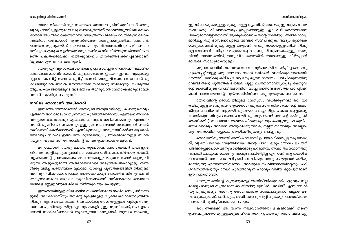ഓരോ വിശ്വാസിക്കും സഭയുടെ തലയായ ക്രിസ്തുവിനോട് അതു ല്യവും നേരിട്ടുള്ളതുമായ ഒരു ബന്ധമുണ്ടെന്ന് ദൈവരാജ്യത്തിലെ നേതാ ക്കന്മാർ അംഗീകരിക്കേണ്ടതാണ്. നിയന്ത്രണം ലക്ഷ്യം വെയ്ക്കുന്ന ലോക സംവിധാനത്തെക്കാൾ വൃതൃസ്തമായി സ്വർഗ്ഗരാജ്യത്തിലെ നേതാവ്, ജനത്തെ ശുശ്രൂഷയ്ക്ക് സജ്ജരാക്കാനും വിശ്വാസത്തിലും പരിജ്ഞാന ത്തിലും ഐക്യത വളർത്തുവാനും സ്ഥിരത നിലനിർത്തുന്നതിനായി ജന ത്തെ പക്വതയിലേക്കു നയിക്കുവാനും തിരഞ്ഞെടുക്കപ്പെട്ടവനാണ് (എഫെസ്യർ 4:11-16 കാണുക).

യേശു ഏറ്റവും ശക്തമായ ഭാഷ ഉപയോഗിച്ചത് അന്നത്തെ ആത്മീയ നേതാക്കൾക്കെതിരെയാണ്. പുരുഷാരത്തെ ഇടയനില്ലാത്ത ആടുകളെ പ്പോലെ കണ്ടിട്ട് അവരെക്കുറിച്ച് അവൻ മനസ്സലിഞ്ഞു. നേതാക്കൾക്കു കീഴടങ്ങുവാൻ അവൻ ജനത്തിന്മേൽ യാതൊരു സമ്മർദ്ദവും ചെലുത്തി യില്ല. പകരം ജനങ്ങളുടെ അടിമയായിത്തീരുവാൻ നേതാക്കന്മാരുടെമേൽ അവൻ സമ്മർദ്ദം ചെലുത്തി.

### ഇവിടെ ഞാനാണ് അധികാരി

ഇന്നത്തെ നേതാക്കന്മാർ, അവരുടെ അനുയായികളും പൊതുജനവും എങ്ങനെ അവരോടു സതൃസന്ധത പുലർത്തണമെന്നും എങ്ങനെ അവരെ അനുസരിക്കണമെന്നും എങ്ങനെ പിന്തുണ നൽകണമെന്നും എങ്ങനെ അവർക്കു കീഴടങ്ങണമെന്നും ഉള്ള പ്രഖ്യാപനങ്ങൾ നടത്തുന്നത് ഞാൻ സ്ഥിരമായി കേൾക്കാറുണ്ട്. എന്നിരുന്നാലും അനുയായികൾക്ക് ആത്മാർ ത്ഥമായും ബാഹ്യ ഇടപെടൽ കൂടാതെയും പ്രതികരിക്കാനുള്ള സ്വാത ന്ത്ര്യം നൽകേണ്ടത് നേതാവിന്റെ മാത്രം ഉത്തരവാദിത്തമാണ്.

ഒന്നാമതായി, യേശു ചെയ്തതുപോലെ, നേതാക്കന്മാർ തങ്ങളുടെ ജീവിതം വെളിപ്പെടുത്തുവാൻ ദാസവേഷം ധരിക്കണം. നിർഭാഗ്യവശാൽ, വളരെക്കുറച്ച് പ്രസംഗകരും മതനേതാക്കളും മാത്രമേ അവർ ശുശ്രൂഷി ക്കുന്ന ആളുകളുമായി ആത്മാർത്ഥമായി അടുത്തിടപഴകാറുളളൂ. തങ്ങ ൾക്കു ലഭിച്ച പരിശീലനം മൂലമോ, വായിച്ച പുസ്തകങ്ങളിൽ നിന്നുള്ള അറിവു നിമിത്തമോ, അനേക നേതാക്കന്മാരും ജനത്തിൽ നിന്നും പദവി ക്കനുസരണമായ അകലം സൂക്ഷിക്കണമെന്ന് ധരിക്കുകയും അങ്ങനെ തങ്ങളെ മറ്റുള്ളവരുടെ മീതെ നിർത്തുകയും ചെയ്യുന്നു.

ഇത്തരത്തിലുള്ള നിലപാടിന് സ്വതസിദ്ധമായ നശീകരണ പ്രശ്നങ്ങ ളുണ്ട്. അധികാരസ്തൂപത്തിന്റെ മുകളിലുള്ള വ്യക്തി യാഥാർത്ഥ്യത്തിൽ നിന്നും വളരെ അകലെയാണ്. അയാൾക്കു താഴെയുള്ളവർ പൂർണ്ണ സത്യ സന്ധത പുലർത്തുകയില്ല. ഏറ്റവും മുകളിലുള്ള വ്യക്തിയോട്, തങ്ങളുടെ ജോലി സംരക്ഷിക്കുവാൻ ആവശ്യമായ കാര്യങ്ങൾ മാത്രമേ താഴെയു

#### അധികാര സ്തൂപം

ള്ളവർ പറയുകയുള്ളൂ. മുകളിലുള്ള വൃക്തിക്ക് താഴെയുള്ളവരുടെ സതൃ സന്ധതയും വിശ്വസ്തതയും ഉറപ്പാക്കാനുള്ള ഏക വഴി തന്നെത്തന്നെ 'ബഹുമാനമില്ലാത്തവൻ' ആക്കുകയാണ് — തന്റെ ശക്തിയും അധികാരവും മാറ്റിവച്ച് ഒരു ദാസനെപ്പോലെ അവരെ സമീപിക്കുക. ആദ്യം മുൻകൈ യെടുക്കേണ്ടത് മുകളിലുള്ള ആളാണ്. അതു താഴെയുള്ളവരിൽ നിന്നു മല്ല വരേണ്ടത് — വിപ്ലവം മാത്രമേ ആ ഭാഗത്തു നിന്നുണ്ടാകയുള്ളൂ. യേശു വിന്റെ സ്വഭാവത്തിൽ, മാനുഷിക തലത്തിൽ താഴേക്കുള്ള കീഴ്പ്പെടൽ മാത്രമേ സാദ്ധ്യമാകയുളളൂ.

ഒരു നേതാവിന് തന്നെത്തന്നെ സമ്പൂർണ്ണമായി സമർപ്പിച്ച ഒരു മനു ഷ്യനെപ്പറ്റിയുള്ള ഒരു ലേഖനം ഞാൻ ഒരിക്കൽ വായിക്കുകയുണ്ടായി. നേതാവ്, തനിക്കു കീഴ്പ്പെട്ട ആ മനുഷ്യനെ ദാസത്വം പഠിപ്പിക്കുന്നതിനു വേണ്ടി തന്റെ പുൽത്തകിടിയിലെ പുല്ലു ചെത്താനാവശ്യപ്പെട്ടു. യേശുവി ന്റെ ശൈലിയുടെ വിപരീതമാണിത്. മറിച്ച് നേതാവ് ദാസത്വം പഠിപ്പിക്കേ ണ്ടത് ദാസനായവന്റെ പുൽത്തകിടിയിലെ പുല്ലറുത്തുകൊണ്ടാകണം.

യേശുവിന്റെ ശൈലിയിലുള്ള നേതൃത്വം വഹിക്കുന്നവർ ഒരു തര ത്തിലുമുള്ള കടന്നുകയറ്റം ഉപയോഗിക്കുകയോ അധികാരത്തിന്റെ ഏതെ ങ്കിലും പദവിയിൽ ആശ്രയിക്കുകയോ ചെയ്യുന്നില്ല. പകരം ആളുകളെ സേവിക്കുന്നതിലൂടെ അവരെ നയിക്കുകയും അവർ അവന്റെ കഴിവുകൾ അംഗീകരിച്ച് സ്വമേധയാ അവരെ പിന്തുടരുകയും ചെയ്യുന്നു. ഏതുവിധ ത്തിലായാലും അവനെ അനുഗമിക്കുന്നവർ, നല്ലതിനായാലും അല്ലെങ്കി ലും, നേതാവിനെപ്പോലെ ആയിത്തീരുകയും ചെയ്യുന്നു.

ദൈവത്തിനു വേണ്ടി അതിശക്തമായി ഉപയോഗിക്കപ്പെട്ട ഒരു നേതാ വ്, വൃക്തിപരമായ നേട്ടത്തിനായി തന്റെ പദവി ദുരുപയോഗം ചെയ്ത് പിടിക്കപ്പെട്ടപ്പോൾ അനുയായികളോടു പറഞ്ഞത്, അവർ ആ സ്ഥാനത്തു വന്നാൽ ചെയ്യാത്തതൊന്നും താനും ചെയ്തിട്ടില്ല എന്നാണ്. മറ്റു വാക്കിൽ പറഞ്ഞാൽ, അവസരം ലഭിച്ചാൽ അവർക്കും അതു ചെയ്യുവാൻ കഴിയു മായിരുന്നു എന്നാണതിനർത്ഥം. അവരുടെ സംവിധാനത്തിന്റെയും പരി ശീലനത്തിന്റെയും നേരെ ചുമത്താവുന്ന ഏറ്റവും വലിയ കുറ്റപത്രമാണ് ഈ പ്രസ്താവന.

നേതൃത്വത്തിന്റെ കുരുക്കുകളെ അതിജീവിക്കുവാൻ ഏറ്റവും നല്ല മാർഗ്ഗം നമ്മുടെ സുന്ദരമായ ഓഫീസിനു മുമ്പിൽ **"അടിമ"** എന്ന ബോർ ഡു തുക്കുകയും അതിനു യോജിക്കാത്ത സാഹചര്യങ്ങൾ എല്ലാം ഒഴി വാക്കുകയുമാണ്. ഓർക്കുക, അധികാരം ദുഷിപ്പിക്കുകയും പരമാധികാരം പരമമായി ദുഷിപ്പിക്കുകയും ചെയ്യും.

ഒരു അടിമക്ക് ആ താണ നിലവാരത്തിനു മുകളിലേക്ക് തന്നെ ഉയർത്തുന്നതോ മറ്റുള്ളവരുടെ മീതെ തന്നെ ഉയർത്തുന്നതോ ആയ മറ്റു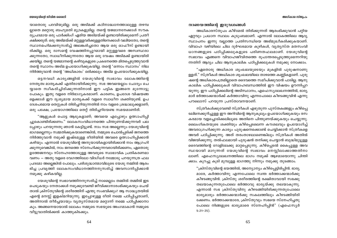### നാണയത്തിന്റെ ഇരുവശങ്ങൾ

അധികാരസ്തുപം കീഴ്മേൽ തിരിക്കുന്നത് ആരംഭിക്കുവാൻ പറ്റിയ ഏറ്റവും പ്രധാന സ്ഥലം കുടുംബമാണ്. എന്നാൽ ലോകത്തിലെ ആദ്യ സ്ഥാപനം ഇന്നു വല്ലാത്ത പ്രതിസന്ധിയെ അഭിമുഖീകരിക്കുകയാണ്. വിവാഹ വഴിയിലെ ചില ദുർഘടമായ കുഴികൾ, വൃതൃസ്ത മതസംവി ധാനങ്ങളുടെ പഠിപ്പിക്കലുകളുടെ പരിണതഫലമാണ്. യേശുവിന്റെ സ്വഭാവം എങ്ങനെ വിവാഹജീവിതത്തെ രൂപാന്തരപ്പെടുത്തുമെന്നറിയു ന്നതിന് ആദ്യം ചില ആനുകാലിക പഠിപ്പിക്കലുകൾ നമുക്കു നോക്കാം.

"ഏതൊരു അധികാര ശൃംഖലയുടെയും മുകളിൽ പുരുഷനാണു ള്ളത്." സ്ത്രീകൾ അധികാര ശൃംഖലയിലെ താഴത്തെ കണ്ണികളാണ്. പുരു ഷന്റെ അധികാരപത്രമില്ലാതെ ദൈവത്തെ സമീപിക്കുവാൻ പാടില്ല. ആനു കാലിക പഠിപ്പിക്കലുകൾ വിവാഹബന്ധത്തിൽ ഈ വിഷയം ഊന്നിപ്പറ യുന്നു. ഈ പഠിപ്പിക്കലിന്റെ അടിസ്ഥാനം, എഫെസ്യലേഖനത്തിൽ, ഭാര്യ മാർ ഭർത്താക്കന്മാർക്ക് കർത്താവിനു എന്നപോലെ കീഴടങ്ങുവിൻ എന്നു പൗലൊസ് പറയുന്ന പ്രസ്താവനയാണ്.

സ്ത്രീകൾക്കുവേണ്ടി സ്ത്രീകൾ എഴുതുന്ന പുസ്തകങ്ങളും കീഴ്പ്പെ ടലിനെക്കുറിച്ചുള്ള ഈ അറിവിന്റെ ആനുകൂല്യം ഉപയോഗിക്കുകയും രസ കരമായ വളച്ചൊടിക്കലിലുടെ അതിനെ പിന്തുണയ്ക്കുകയും ചെയ്യുന്നു. ലൈംഗികതയുടെ ശക്തിയും കീഴ്പ്പെടലെന്ന കൗശലവും ഉപയോഗിച്ച് അവരാഗ്രഹിക്കുന്ന കാര്യം പുരുഷനെക്കൊണ്ട് ചെയ്യിക്കാൻ സ്ത്രീകളെ അവർ പഠിപ്പിക്കുന്നു. അത് തരംതാഴലാണെങ്കിലും സ്ത്രീകൾ അതിൽ വിജയിക്കുന്നു. തൽഫലമായി പുരുഷൻ തനിക്കു ചെയ്യാൻ ബുദ്ധിമുട്ടുള്ള ദൈവത്തിന്റെ റോളിലേക്കു മാറ്റപ്പെടുന്നു. കീഴ്പ്പെടൽ കൈപ്പുള്ള അവ സ്ഥയായി മാറുന്നത് യേശുവിന്റെ സ്വഭാവം മനസ്സിലാക്കാത്തതിനാ ലാണ്. എഫെസ്യലേഖനത്തിലെ ഭാഗം നമുക്ക് ആഴമായൊന്നു ചിന്തി ക്കാം. കുറച്ചു കൂടി മുമ്പുള്ള ഭാഗത്തു നിന്നും നമുക്കു തുടങ്ങാം.

"ക്രിസ്തുവിന്റെ ഭയത്തിൽ, അന്യോന്യം കീഴ്പ്പെട്ടിരിപ്പിൻ. ഭാര്യ മാരേ, കർത്താവിനു എന്നപോലെ സ്വന്ത ഭർത്താക്കന്മാർക്കു കീഴടങ്ങുവിൻ. ക്രിസ്തു ശരീരത്തിന്റെ രക്ഷിതാവായി സഭക്കു തലയാകുന്നതുപോലെ ഭർത്താവു ഭാര്യയ്ക്കു തലയാകുന്നു. എന്നാൽ സഭ ക്രിസ്തുവിനു കീഴടങ്ങിയിരിക്കുന്നതുപോലെ ഭാര്യമാരും ഭർത്താക്കന്മാർക്കു സകലത്തിലും കീഴടങ്ങിയിരി ക്കേണം. ഭർത്താക്കന്മാരേ, ക്രിസ്തുവും സഭയെ സ്നേഹിച്ചതു പോലെ നിങ്ങളുടെ ഭാര്യമാരെ സ്നേഹിപ്പിൻ" (എഫെസ്യർ  $5:21-25$ ).

യാതൊരു പദവിയുമില്ല. ഒരു അടിമക്ക് കഠിനാദ്ധ്വാനത്താലുള്ള തഴമ്പ ല്ലാതെ മറ്റൊരു ബഹുമതി മുദ്രകളുമില്ല. തന്റെ യജമാനനേക്കാൾ സൗക ര്യപ്രദമായ ഒരു പാർക്കിംഗ് ഏരിയ അടിമയ്ക്ക് ഉണ്ടായിരിക്കുമെന്ന് പ്രതീ . ക്ഷിക്കരുത്. ഒരു അടിമയ്ക്ക് മറ്റുള്ളവർക്കുള്ളതിനെക്കാൾ വലിയതോ, തന്റെ സ്ഥാനമഹിമക്കനുസരിച്ച് അലങ്കരിച്ചതോ ആയ ഒരു ഓഫീസ് ഉണ്ടായി രിക്കില്ല. ഒരു ദാസന്റെ വേഷത്തിനപ്പുറമായി മറ്റുള്ളവരെ അസ്വസ്ഥരാ ക്കുന്നതോ, സ്വാധീനിക്കുന്നതോ ആയ ഒരു വേഷം അടിമക്ക് ഉണ്ടായിരി ക്കയില്ല. തന്റെ യജമാനന്റെ കഴിവുകളുടെ പ്രകടനത്തെ മിതപ്പെടുത്തുവാൻ തന്റെ സ്ഥാനം അടിമ ഉപയോഗിക്കുകയില്ല. തന്റെ 'ഒന്നാം സ്ഥാനം' നില നിർത്തുവാൻ തന്റെ 'അധികാരം' ഒരിക്കലും അടിമ ഉപയോഗിക്കുകയില്ല.

ഒട്ടനവധി കാര്യങ്ങളിൽ യേശുവിന്റെ സ്വഭാവം ലോകത്തിന്റെ നേതൃത്വ മാതൃകക്ക് എതിരായിരിക്കുന്നു. സഭ അവയെല്ലാം ചോദ്യം ചെ യ്യാതെ സ്വീകരിച്ചിരിക്കുന്നതിനാൽ ഈ പട്ടിക ഇങ്ങനെ മുന്നോട്ടു പോകും. ഇതു വളരെ നിർഭാഗ്യകരമാണ്. കാരണം, ഉപദേശ വിഷയങ്ങ ളെക്കാൾ ഈ ദൃശ്യമായ മാതൃകക്ക് വളരെ സ്വാധീന ശക്തിയുണ്ട്. ഉപ ദേശപരമായ തെറ്റുകൾ തിരിച്ചറിയുന്നതിൽ നാം വളരെ ശ്രദ്ധാലുക്കളാണ്; ഒരു പക്ഷേ, പ്രയോഗത്തിലെ തെറ്റ് തിരിച്ചറിയേണ്ട സമയമാണിത്.

"ആളുകൾ പൊട്ട ആടുകളാണ്; അവയെ എപ്പോഴും ഉത്സാഹിപ്പി ച്ചുകൊണ്ടിരിക്കണം." ലോകസംവിധാനത്തെ പിന്തുണയ്ക്കുന്നവർ പല പ്പോഴും പറയുന്നതു ഞാൻ കേട്ടിട്ടുണ്ട്. നാം സഭ അല്ലെന്നും യേശുവിന്റെ ഭാഗമല്ലെന്നും സമ്മതിക്കുകയാണെങ്കിൽ, നമ്മുടെ ചൊൽപ്പടിക്ക് ജനത്തെ നിർത്തുവാൻ നമുക്ക് ഇഷ്ടമുള്ള രീതിയിൽ അവരെ ഉത്സാഹിപ്പിക്കാൻ കഴിയും. എന്നാൽ യേശുവിന്റെ അനുയായികളായിരിക്കാൻ നാം ആഗ്രഹി ക്കുന്നുവെങ്കിൽ, നാം ജനത്തെ സ്നേഹിക്കുന്നവരായിരിക്കണം, ഏതൊരു ഉത്തേജനവും സ്നേഹത്തോടുള്ള അവരുടെ സ്വാഭാവിക പ്രതികരണമാ വണം — അതു വളരെ വേഗത്തിലോ വിദഗ്ധർ നമ്മോടു പറയുന്നത്ര ഫല പ്രദമോ അല്ലെങ്കിൽ പോലും. പരിശുദ്ധാത്മാവിലൂടെ യേശു നമ്മിൽ ആരം ഭിച്ച പ്രവൃത്തി ലോകസംവിധാനത്തിനനുസരിച്ച് അവസാനിപ്പിക്കാൻ നമുക്കു കഴികയില്ല.

യേശുവിന്റെ സ്വഭാവത്തിനനുസരിച്ച് നാമെല്ലാം തമ്മിൽ തമ്മിൽ ഇട പെടുകയും നേതാക്കൾ നമുക്കുവേണ്ടി ജീവിക്കാനാരംഭിക്കുകയും ചെയ് താൽ ക്രിസ്തുവിന്റെ ശരീരത്തിന് എന്തു സംഭവിക്കും? ആ സാദ്ധ്യതയിൽ എന്റെ മനസ്സ് ഇളകിമറിയുന്നു. ഇപ്പോഴുള്ള രീതി നമ്മെ പഠിപ്പിച്ചതാണ്, അതിനാൽ തീർച്ചയായും വ്യത്യസ്തമായ മറ്റൊന്ന് നമ്മെ പഠിപ്പിക്കാനാ കും. അങ്ങനെയായാൽ ലോകം നമ്മുടെ സഭയുടെ അംഗമാകാൻ നമ്മുടെ വീട്ടുവാതിൽക്കൽ കാത്തുകിടക്കും.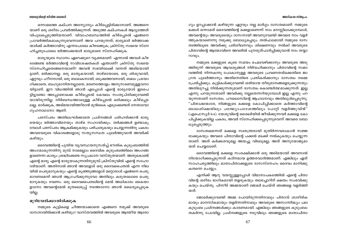#### അധികാര സ്തൂപം

### യേശുവിന്റെ ജീവിത ശൈലി

ഒന്നാമത്തെ കല്പന അന്യോന്യം കീഴ്പ്പെട്ടിരിക്കാനാണ്. അങ്ങനെ യാണ് ഒരു ശരീരം പ്രവർത്തിക്കുന്നത്. അടുത്ത കല്പനകൾ ആദ്യത്തേത് വിപുലപ്പെടുത്തിയതാണ്. വിവാഹബന്ധത്തിൽ കീഴ്പ്പെടൽ എങ്ങനെ പ്രാവർത്തികമാകുന്നുവെന്നാണ് അവ പറയുന്നത്; ഭാര്യമാർ ഭർത്താക്ക ന്മാർക്ക് കർത്താവിനു എന്നപോലെ കീഴടങ്ങുക; ക്രിസ്തു സഭയെ സ്നേ ഹിച്ചതുപോലെ ഭർത്താക്കന്മാർ ഭാര്യമാരെ സ്നേഹിക്കുക.

ഭാര്യയുടെ സ്ഥാനം ഏറെക്കുറെ വ്യക്തമാണ്. എന്നാൽ അവൾ കീഴ ടങ്ങേണ്ട ഭർത്താവിന്റെ സവിശേഷതകൾ എന്താണ്? ക്രിസ്തു സഭയെ സ്നേഹിച്ചതെങ്ങനെയാണ്? അവൻ സഭയിലേക്ക് വന്നത് അടിമയായി ട്ടാണ്, ഭരിക്കാനല്ല. ഒരു മാതൃകയായി, താഴ്മയോടെ, ഒരു ശിശുവായി, ഏറ്റവും ഹീനനായി, ഒരു ബാലകനായി, ഒടുക്കത്തവനായി, ബലം പ്രയോ ഗിക്കാതെ, ബഹുമാനിതനല്ലാതെ, മരണത്തോളം അനുസരണമുള്ളവനാ യിട്ടാണ്. ഈ വിധത്തിൽ ഞാൻ എപ്പോൾ എന്റെ ഭാര്യയോട് ഇടപെ ട്ടിട്ടുണ്ടോ അപ്പോഴൊക്കെ കീഴ്പ്പെടൽ കേവലം സംതൃപ്തിക്കുവേണ്ടി യായിരുന്നില്ല. നിർബന്ധത്താലുള്ള കീഴ്പ്പെടൽ ഒരിക്കലും കീഴ്പ്പെട ലല്ല. ഓർക്കുക, അടിമയായിത്തീരാൻ മുൻകൈ എടുക്കേണ്ടത് നേതാവോ ഗൃഹനാഥനോ ആണ്.

പരസ്പരം അതിലംഘിക്കാതെ പ്രശ്നങ്ങൾ പരിഹരിക്കാൻ ഭാര്യ യെയും ഭർത്താവിനെയും താഴ്മ സഹായിക്കും. തർക്കങ്ങൾ ഉണ്ടാകു മ്പോൾ പരസ്പരം ആക്രമിക്കുകയും പഴിചാരുകയും ചെയ്യുന്നതിനു പകരം അവരവരുടെ വികാരങ്ങളോടു സത്യസന്ധത പുലർത്തുവാൻ അവർക്ക് കഴിയും.

ദൈവത്തിന്റെ പുതിയ വ്യവസ്ഥയനുസരിച്ച് ഭൗതിക കുടുംബത്തിൽ അംഗമാകുന്നതിനു മുമ്പ് നാമെല്ലാം ദൈവിക കുടുംബത്തിലെ അംഗങ്ങ ളാണെന്ന കാര്യം ശ്രദ്ധിക്കേണ്ട സുപ്രധാന വസ്തുതയാണ്. അതുകൊണ്ട് എന്റെ ഭാര്യ എന്റെ ഭാര്യയാകുന്നതിനുമുമ്പ് ക്രിസ്തുവിൽ എന്റെ സഹോ ദരിയാണ്. അതിനാൽ ഞാൻ അവളോട് ഒരു ദൈവപൈതൽ എന്ന നില യിൽ പെരുമാറുകയും എന്റെ കുഞ്ഞുങ്ങളോട് മറ്റൊരാൾ എങ്ങനെ പെരു മാറണമെന്ന് ഞാൻ ആഗ്രഹിക്കുന്നുവോ അതിലും കരുതലോടെ പെരു മാറുകയും വേണം. ഒരു ദൈവപൈതലിന്റെ മേൽ അധികാരം കൈയാ ളാനോ അവന്റെമേൽ മുതലെടുപ്പ് നടത്താനോ ഞാൻ ധൈര്യപ്പെടുക യില്ല.

### മുറിവേൽക്കാതിരിക്കുക

നമ്മുടെ കുട്ടികളെ ചീത്തയാക്കാതെ എങ്ങനെ നമുക്ക് അവരുടെ ദാസനായിരിക്കാൻ കഴിയും? വാസ്തവത്തിൽ അവരുടെ ആത്മീയ ആരോ

ഗ്യം ഉറപ്പാക്കാൻ കഴിയുന്ന ഏറ്റവും നല്ല മാർഗ്ഗം ദാസത്വമാണ്. നമ്മുടെ മക്കൾ ഒന്നാമത് ദൈവത്തിന്റെ മക്കളാണെന്ന് നാം മനസ്സിലാക്കുമ്പോൾ, അവന്റെയും അവരുടെയും ദാസനായി അവനുവേണ്ടി അവരെ നാം വളർ ത്തുകയാണെന്നു നമുക്കു ബോധ്യപ്പെടും. തൽഫലമായി നമ്മുടെ ദാസ ത്വത്തിലൂടെ അവർക്കു പരിശീലനവും ശിക്ഷണവും നൽകി അവരുടെ പിതാവിന്റെ ആത്മാവിനെ അവരിൽ പുനരുത്പാദിപ്പിക്കുവാൻ നാം തയ്യാ റാവും.

നമ്മുടെ മക്കളുടെ കുടെ സമയം ചെലവഴിക്കാനും അവരുടെ അടു ത്തിരുന്ന് അവരുടെ ആവശ്യങ്ങൾ നിർവഹിക്കാനും പിതാവിന്റെ സ്വഭാ വത്തിൽ നിന്നകന്നു പോകാനുള്ള അവരുടെ പ്രവണതയ്ക്കെതിരെ ജാ ഗ്രത പൂലർത്താനും അതിനെതിരെ പ്രതികരിക്കാനും ദാസത്വം നമ്മെ പ്രേരിപ്പിക്കും. കുട്ടികൾക്കുവേണ്ടി ശരിയായ തീരുമാനങ്ങളെടുക്കുന്നതും അതിലുറച്ചു നിൽക്കുന്നതുമാണ് ദാസത്വം കൊണ്ടർത്ഥമാക്കുന്നത്. ഇല്ല എന്നു പറയുന്നതാണ് അവർക്കു നല്ലതെന്നറിയുമ്പോൾ ഇല്ല എന്നു പറ യുന്നതാണ് ദാസത്വം. പൗലൊസിന്റെ ആഹ്വാനവും അതിലുൾപ്പെടുന്നു. "പിതാക്കന്മാരേ, നിങ്ങളുടെ മക്കളെ കോപിപ്പിക്കാതെ കർത്താവിന്റെ ബാലശിക്ഷയിലും പത്ഥ്യോപദേശത്തിലും പോറ്റി വളർത്തുവിൻ" (എഫെസ്യർ 6:4). യേശുവിന്റെ ശൈലിയിൽ ജീവിക്കുന്നവർ മക്കളെ കോ പിപ്പിക്കുകയില്ല പകരം, അവർ സ്നേഹിക്കപ്പെടുന്നുവെന്ന് അവരെ ബോ ധ്യപ്പെടുത്തും.

ദാസത്വമെന്നത് മക്കളെ സ്വതന്ത്രരായി മുതിർന്നവരാകാൻ സജ്ജ രാക്കുകയും അവരെ പിതാവിന്റെ പക്കൽ മടക്കി നൽകുകയും ചെയ്യുന്ന താണ്. അത് കർക്കശവുമല്ല അയച്ചു വിടലുമല്ല; അത് അനുയോജ്യമാ യത് ചെയ്യലാണ്.

ദൈവത്തിന്റെ മക്കളെ സംരക്ഷിക്കാൻ ഒരു അടിമയായി അവനാൽ നിയോഗിക്കപ്പെടുന്നത് കഠിനമായ ഉത്തരവാദിത്തമാണ്. എങ്കിലും ഏത് സാഹചര്യത്തിലും മാതാപിതാക്കളുടെ ദാസസ്നേഹം ദൈവം മാനിക്കു കതന്നെ ചെയ്യും.

എനിക്ക് ആറു വയസ്സുള്ളപ്പോൾ വിമാനാപകടത്തിൽ എന്റെ പിതാ വിന്റെ ശരീരം ഭാഗികമായി തളരുകയും തലച്ചോറിന് ക്ഷതം സംഭവിക്കു കയും ചെയ്തു. പിന്നീട് അമ്മയാണ് ജോലി ചെയ്ത് ഞങ്ങളെ വളർത്തി യത്.

ജോലിക്കുവേണ്ടി അമ്മ പോയിരുന്നതിനാലും പിതാവ് ശാരീരിക മായും മാനസികമായും തളർന്നതിനാലും അവരുടെ അസാന്നിദ്ധ്യം പല കുടുംബ പ്രശ്നങ്ങൾക്കും കാരണമായി. എങ്കിലും ഞങ്ങളുടെ കുടുംബം തകർന്നു പോയില്ല. പ്രശ്നങ്ങളുടെ നടുവിലും ഞങ്ങളുടെ മാതാപിതാ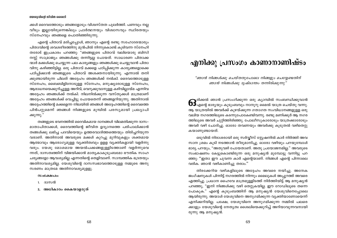ക്കൾ ദൈവത്തോടും ഞങ്ങളോടും വിശ്വസ്തത പുലർത്തി. പണവും നല്ല വീടും ഇല്ലായിരുന്നെങ്കിലും പ്രാർത്ഥനയും വിശ്വാസവും സ്ഥിരതയും സ്നേഹവും ഞങ്ങളെ പൊതിഞ്ഞിരുന്നു.

എന്റെ പിതാവ് മരിച്ചപ്പോൾ, ഞാനും എന്റെ രണ്ടു സഹോദരന്മാരും പിതാവിന്റെ ശവശരീരത്തിനു മുൻപിൽ നിന്നുകൊണ്ട് കുടിവന്ന സ്നേഹി തരോട് ഇപ്രകാരം പറഞ്ഞു: "ഞങ്ങളുടെ പിതാവ് വലിയൊരു ബിസി നസ്സ് സാമ്രാജ്യം ഞങ്ങൾക്കു തന്നിട്ടല്ല പോയത്. സാധാരണ പിതാക്ക ന്മാർ മക്കൾക്കു ചെയ്യുന്ന പല കാര്യങ്ങളും ഞങ്ങൾക്കു ചെയ്യുവാൻ പിതാ വിനു കഴിഞ്ഞിട്ടില്ല. ഒരു പിതാവ് മക്കളെ പഠിപ്പിക്കുന്ന കാര്യങ്ങളൊക്കെ പഠിപ്പിക്കാൻ ഞങ്ങളുടെ പിതാവ് അശക്തനായിരുന്നു. എന്നാൽ തനി ക്കുണ്ടായിരുന്ന ചിലത് അദ്ദേഹം ഞങ്ങൾക്ക് നൽകി. ദൈവത്തോടുള്ള സ്നേഹം, ബൈബിളിനോടുള്ള സ്നേഹം, മനുഷ്യരോടുള്ള സ്നേഹം, ആരാധനയെക്കുറിച്ചുള്ള അറിവ്, വെറുക്കുവാനുള്ള കഴിവില്ലായ്മ എന്നിവ അദ്ദേഹം ഞങ്ങൾക്ക് നൽകി. നിലനിൽക്കുന്ന വസ്തുക്കൾ മാത്രമാണ് അദ്ദേഹം ഞങ്ങൾക്ക് വെച്ചിട്ടു പോയതെന്ന് ഞങ്ങളറിയുന്നു. അതിനാൽ അദ്ദേഹത്തിന്റെ മക്കളെന്ന നിലയിൽ ഞങ്ങൾ അദ്ദേഹത്തിന്റെ ദൈവത്തെ പിൻപറ്റുമെന്ന് ഞങ്ങൾ നിങ്ങളുടെ മുമ്പിൽ പരസ്യമായി പ്രഖ്യാപി ക്കുന്നു."

തങ്ങളുടെ ഭവനത്തിൽ ദൈവികമായ ദാനങ്ങൾ വിലമതിക്കുന്ന ദാസ– മാതാപിതാക്കൾ, ദൈവത്തിന്റെ ജീവിത ഉദ്യാനത്തെ പരിപാലിക്കാൻ തങ്ങൾക്കു ലഭിച്ച പദവിയെയും ഉത്തരവാദിത്തത്തെയും തിരിച്ചറിയുന്ന വരാണ്. അതിനാൽ അവരുടെ മക്കൾ കുറച്ചു മുറിവുകളും ശക്തമായ ആത്മാവും ആരോഗ്യമുള്ള വ്യക്തിത്വവും ളളള വ്യക്തികളായി വളർന്നു വരും. യേശു മോശമായ അയൽപക്കങ്ങളുള്ളിടത്താണ് വളർന്നുവെ ന്നത്, ദാസത്വത്തിന് വിജയിക്കാൻ മാതൃകാകുടുംബമോ ഭൗതിക സാഹ ചര്യങ്ങളോ ആവശ്യമില്ല എന്നതിന്റെ തെളിവാണ്. സാമ്പത്തിക ഭദ്രതയും അതിനാവശ്യമില്ല. യേശുവിന്റെ ദാസസ്വഭാവത്തോടുള്ള നമ്മുടെ അനു സരണം മാത്രമേ അതിനാവശ്യമുളളു.

 $\omega$ ം  $\omega$ 

- 1. ദാസൻ
- 2. അധികാരം കൈയാളരുത്

### എനിക്കു പ്രസംഗം കാണാനാണിഷ്ടം

"ഞാൻ നിങ്ങൾക്കു ചെയ്തതുപോലെ നിങ്ങളും ചെയ്യേണ്ടതിന് ഞാൻ നിങ്ങൾക്കു ദൃഷ്ടാന്തം തന്നിരിക്കുന്നു"

.<br>രിക്കൽ ഞാൻ പ്രസംഗിക്കുന്ന ഒരു ക്യാമ്പിൽ സംബന്ധിക്കുവാൻ  $\mathbf{O5}$ എന്റെ ഭാര്യയും കുടുംബവും നാനൂറു മൈൽ യാത്ര ചെയ്തു വന്നു. ആ യാത്രയിൽ അവർക്ക് കുഴയ്ക്കുന്ന ഗതാഗത സംവിധാനങ്ങളുള്ള ഒരു വലിയ നഗരത്തിലൂടെ കടന്നുപോകേണ്ടിവന്നു. രണ്ടു മണിക്കുർ ആ നഗര ത്തിലൂടെ അവർ ചുറ്റിത്തിരിഞ്ഞു. പോലീസുകാരോടും യാത്രക്കാരോടും അവർ വഴി ചോദിച്ചു. ഓരോ തവണയും അവർക്കു കൂടുതൽ വഴിതെറ്റു കയാണുണ്ടായത്.

ഒടുവിൽ നിരാശരായി ഒരു സർവ്വീസ് സ്റ്റേഷനിൽ കാർ നിർത്തി അവ സാന ശ്രമം കൂടി നടത്താൻ തീരുമാനിച്ചു. ഓരോ വഴിയും പറയുമ്പോൾ ഭാര്യ പറയും, "അതുവഴി പോയതാണ്. അതു പ്രയോജനമില്ല." അവരുടെ സംഭാഷണം കേട്ടുകൊണ്ടിരുന്ന ഒരു മനുഷ്യൻ മുമ്പോട്ടു വന്നിട്ടു പറ ഞ്ഞു: ''ഇതാ ഈ ചുവന്ന കാർ എന്റെയാണ്. നിങ്ങൾ എന്റെ പിന്നാലെ വരിക. ഞാൻ വഴികാണിച്ച തരാം.''

തിരക്കേറിയ വഴികളിലൂടെ അദ്ദേഹം അവരെ നയിച്ചു. അനേക ജംഗ്ഷനുകൾ പിന്നിട്ട് നഗരത്തിൽ നിന്നും മൈലുകൾ അപ്പുറത്ത് അവരെ എത്തിച്ചു. പ്രധാന ഹൈവേ മാത്രമുള്ളിടത്ത് നിർത്തിയിട്ട് ആ മനുഷ്യൻ പറഞ്ഞു, "ഇനി നിങ്ങൾക്കു വഴി തെറ്റുകയില്ല. ഈ റോഡിലൂടെ തന്നെ പോകുക." എന്റെ കുടുംബത്തിന് ആ മനുഷ്യൻ യേശുവിനെപ്പോലെ ആയിരുന്നു. അയാൾ യേശുവിനെ അനുഗമിക്കുന്ന വ്യക്തിയാണോയെന്ന് എനിക്കറിയില്ല. പക്ഷേ, യേശുവിനെ അനുഗമിക്കുന്ന നമ്മിൽ പലരെ ക്കാളും യേശുവിന്റെ നേതൃത്വ ശൈലിയെക്കുറിച്ച് അറിയാവുന്നവനായി രുന്നു ആ മനുഷ്യൻ.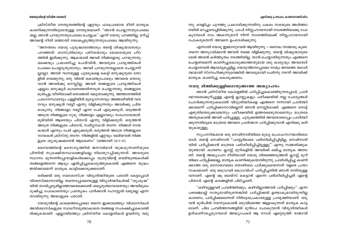### എനിക്കു പ്രസംഗം കാണാനാണിഷ്ടം

ന്നു. വെളിച്ചം പുറത്തു പ്രകാശിക്കുന്നതിനു പകരം സഭയുടെ അൾത്താ രയിൽ മറച്ചുവെച്ചിരിക്കുന്നു. പാപി നിസ്സഹായനായി നാശത്തിലേക്കു പോ കുമ്പോൾ നാം അകന്നുമാറി നിന്ന് നാശത്തിലേക്ക് നിസ്സഹായനായി പോകരുതെന്ന് അവനെ ഉപദേശിക്കുന്നു.

എന്നാൽ യേശു ഇമ്മാനുവേൽ ആയിരുന്നു — ദൈവം നമ്മോടു കുടെ. തന്നെ അനുഗമിക്കാൻ അവൻ നമ്മെ വിളിക്കുന്നു. തന്റെ ശിഷ്യന്മാരുടെ മേൽ അവൻ കർത്തൃത്വം നടത്തിയില്ല. താൻ ചെയ്യാതിരുന്നതും എങ്ങനെ ചെയ്യണമെന്ന് കാണിച്ചുകൊടുക്കാത്തതുമായ ഒരു കാര്യവും അവരോട് ചെയ്യാനവൻ ആവശ്യപ്പെട്ടില്ല. യേശുവിനെപ്പോലെ നാമും ജനത്തെ യഥാർ ത്ഥമായി സ്നേഹിക്കുന്നുവെങ്കിൽ അവരുമായി ചേർന്നു നടന്ന് അവർക്ക് മാതൃക കാണിച്ചു കൊടുക്കണം.

### നാലു ഭിത്തിക്കുള്ളിലൊതുങ്ങാത്ത അദ്ധ്യാപനം

ഞാൻ ക്രിസ്തീയ കോളേജിൽ പഠിപ്പിച്ചുകൊണ്ടിരുന്നപ്പോൾ, പ്രാർ ത്ഥനയെക്കുറിച്ചുള്ള എന്റെ ക്ലാസ്സുകളും പരീക്ഷയിൽ നല്ല ചോദ്യങ്ങൾ ചോദിക്കുന്നതുംകൊണ്ട് വിദ്യാർത്ഥികളെ എങ്ങനെ നന്നായി പ്രാർത്ഥി ക്കാമെന്ന് പഠിപ്പിക്കാനാവില്ലെന്ന് ഞാൻ മനസ്സിലാക്കി. എങ്ങനെ നോട്ട് എഴുതിയെടുക്കാമെന്നും പരീക്ഷയിൽ ഉത്തരമെഴുതാമെന്നും മാത്രമേ അതുകൊണ്ട് അവർ പഠിച്ചുള്ളു. ചുരുക്കത്തിൽ അവരോടൊപ്പം പ്രാർത്ഥി ക്കുന്നതിലൂടെ മാത്രമേ അവരെ പ്രാർത്ഥന പഠിപ്പിക്കുവാൻ എനിക്കു കഴി യുകയുള്ളു.

സുപ്രസിദ്ധമായ ഒരു സെമിനാരിയിലെ മുഖ്യ പ്രൊഫസറന്മാരിലൊ രാൾ, തന്റെ സെമിനാരി ''പാസ്റ്റർമാരെ പരിശീലിപ്പിച്ചിട്ടില്ല, സെമിനാരി യിൽ പഠിപ്പിക്കാൻ മാത്രമേ പരിശീലിപ്പിച്ചിട്ടുള്ളു'' എന്നു സമ്മതിക്കുക യുണ്ടായി. കാരണം ക്ലാസ്സ് മുറികളിൽ അവർക്ക് ലഭിച്ച മാതൃക അതാ ണ്. തന്റെ അദ്ധ്യാപന രീതിയായി യേശു തിരഞ്ഞെടുത്തത് ക്ലാസ്സ് മുറി യിലെ പഠിപ്പിക്കലല്ല, മാതൃക കാണിക്കുകയായിരുന്നു. പ്രദർശിപ്പിച്ചു കാണി ക്കാത്ത ഒരു മനോഭാവമോ തൊഴിലോ പഠിക്കുകയെന്നത് വളരെ പ്രയാ സകരമാണ്. ഒരു ഡ്രൈവർ ഡ്രൈവിംഗ് പഠിപ്പിച്ചതിൽ ഞാൻ നന്ദിയുള്ള വനാണ്. എന്റെ ഷൂ ലെയ്സ് കെട്ടാൻ എന്നെ പരിശീലിപ്പിച്ചത് എന്റെ പിതാവ് എന്റെ കരങ്ങളിൽ പിടിച്ചാണ്.

"കഴിവുള്ളവർ പ്രവർത്തിക്കും, കഴിവില്ലാത്തവർ പഠിപ്പിക്കും" എന്ന പഴഞ്ചൊല്ല് സത്യമായിരുന്നെങ്കിൽ പഠിപ്പിക്കൽ ഉണ്ടാകുമായിരുന്നില്ല കാരണം, പഠിപ്പിക്കലെന്നത് നിർദ്ദേശപ്രകാരമുള്ള പ്രവൃത്തിയാണ്. ഒരു വൻ മുൻപിൽ നടന്നുകൊണ്ട് ഒടുവിലത്തെ ആളാകുന്നത് മാതൃക കാട്ട ലാണ്. ചില പ്രവർത്തനങ്ങളിൽ മുൻപേ പോകുവാൻ വിദ്യാർത്ഥികൾ ഉത്കണ്ഠപ്പെടുമ്പോൾ അദ്ധ്യാപകർ ആ റോൾ ഏറ്റെടുത്ത് രാജാവി

ക്രിസ്തീയ നേതൃത്വത്തിന്റെ ഏറ്റവും ഫലപ്രദമായ രീതി മാതൃക കാണിക്കുന്നതിലുടെയുള്ള നേതൃത്വമാണ്. "ഞാൻ ചെയ്യുന്നതുപോലെ യല്ല, ഞാൻ പറയുന്നതുപോലെ ചെയ്യുക" എന്ന് യേശു പറഞ്ഞില്ല. മറിച്ച് അവന്റെ രീതി മത്തായി രേഖപ്പെടുത്തുന്നതുപോലെ ആയിരുന്നു:

"അനന്തരം യേശു പുരുഷാരത്തോടും തന്റെ ശിഷ്യന്മാരോടും പറഞ്ഞത്: ശാസ്ത്രിമാരും പരീശന്മാരും മോശെയുടെ പീഠ ത്തിൽ ഇരിക്കുന്നു. ആകയാൽ അവർ നിങ്ങളോടു പറയുന്നതു ഒക്കെയും പ്രമാണിച്ചു ചെയ്വിൻ; അവരുടെ പ്രവൃത്തികൾ പോലെ ചെയ്യരുതുതാനും. അവർ പറയുന്നതല്ലാതെ ചെയ്യുന്നി ല്ലല്ലോ. അവർ ഘനമുള്ള ചുമടുകളെ കെട്ടി മനുഷ്യരുടെ തോ ളിൽ വെക്കുന്നു; ഒരു വിരൽ കൊണ്ടുപോലും അവയെ തൊടു വാൻ അവർക്കു മനസ്സില്ല. അവർ തങ്ങളുടെ പ്രവൃത്തികൾ എല്ലാം മനുഷ്യർ കാണേണ്ടതിന്നത്രേ ചെയ്യുന്നതു; തങ്ങളുടെ മന്ത്രപ്പട്ട വീതിയാക്കി തൊങ്ങൽ വലുതാക്കുന്നു. അത്താഴത്തിൽ പ്രധാനസ്ഥലവും പള്ളിയിൽ മുഖ്യാസനവും അങ്ങാടിയിൽ വന്ദ നവും മനുഷ്യൻ റബ്ബീ എന്നു വിളിക്കുന്നതും അവർക്കു പ്രിയ മാകുന്നു. നിങ്ങളോ റബ്ബീ എന്ന പേർ എടുക്കരുത്, ഒരുത്തൻ അത്രേ നിങ്ങളുടെ ഗുരു. നിങ്ങളോ എല്ലാവരും സഹോദരന്മാർ. ഭൂമിയിൽ ആരെയും പിതാവ് എന്നു വിളിക്കരുത്; ഒരുത്തൻ അത്രേ നിങ്ങളുടെ പിതാവ്, സ്വർഗ്ഗസ്ഥൻ തന്നേ. നിങ്ങൾ നായ കന്മാർ എന്നും പേർ എടുക്കരുത്; ഒരുത്തൻ അത്രേ നിങ്ങളുടെ നായകൻ ക്രിസ്തു തന്നേ. നിങ്ങളിൽ ഏറ്റവും വലിയവൻ നിങ്ങ ളുടെ ശുശ്രുഷക്കാരൻ ആകേണം" (മത്തായി 23:1-11).

ദൈവത്തിന്റെ സൈന്യത്തിൽ ജനറൽമാർ യുദ്ധമുന്നണിയുടെ പിന്നിൽ സുരക്ഷിതസ്ഥലങ്ങളിലല്ല നിലയുറപ്പിക്കുന്നത്. അവരുടെ സ്ഥാനം മുന്നണിപ്പോരാളികൾക്കൊപ്പം ശത്രുവിന്റെ വെടിയുണ്ടകൾക്ക് തങ്ങളെത്തന്നേ ആദ്യം ഏൽപ്പിച്ചുകൊടുത്തുകൊണ്ട് എങ്ങനെ യുദ്ധം ജയിക്കാമെന്ന് മാതൃക കാട്ടിക്കൊടുക്കലാണ്.

ഒരിക്കൽ ഒരു വേദശാസ്ത്ര വിദ്യാർത്ഥിയുടെ പരാതി കേട്ടപ്പോൾ വിശ്വസിക്കാനായില്ല. തന്നെപ്പോലെയുള്ള വിദ്യാർത്ഥികൾക്ക് "ശുശ്രൂഷ" യിൽ താൽപ്പര്യമില്ലാത്തവരെക്കൊണ്ട് ശല്യമുണ്ടാവാതെയും അവർമൂലം ദുഷിച്ചു പോകാതെയും പ്രത്യേകം പാർക്കാൻ ഹോസ്റ്റൽ ലഭ്യമല്ല എന്ന തായിരുന്നു അയാളുടെ പരാതി.

യേശുവിന്റെ കാലത്തെപ്പോലെ തന്നെ ഇക്കാലത്തും വിശ്വാസികൾ അവിശ്വാസികളുടെ സ്വാധീനമുണ്ടാകാതെ തങ്ങളെ സംരക്ഷിച്ചുകൊണ്ടി രിക്കുകയാണ്. എല്ലായിടത്തും ക്രിസ്തീയ കോളനികൾ ഉയർന്നു വരു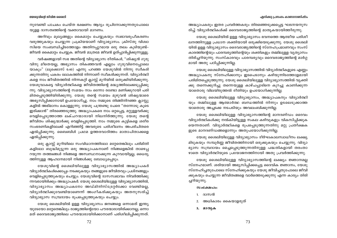#### എനിക്കു പ്രസംഗം കാണാനാണിഷ്ടം

നുവേണ്ടി പാചകം ചെയ്ത ഭക്ഷണം ആദ്യം രുചിനോക്കുന്നതുപോലെ യുളള ദാസത്വത്തിന്റെ വക്താവായി മാറണം.

അറിവും മൂല്യങ്ങളും കൈമാറ്റം ചെയ്യുകയും സ്വഭാവരൂപീകരണം വരുത്തുകയും ചെയ്യുന്ന പ്രക്രിയയാണ് വിദ്യാഭ്യാസം. ക്രിസ്തു വിശ്വാ സിയെ സംബന്ധിച്ചിടത്തോളം അതിനപ്പുറമായ ഒരു തലം കൂടിയുണ്ട്– ജീവൻ കൈമാറ്റം ചെയ്യുക. ജീവൻ മാത്രമേ ജീവൻ ഉത്പ്പാദിപ്പിക്കുന്നുള്ളൂ.

വർഷങ്ങളായി സഭ അതിന്റെ വിദ്യാഭ്യാസ രീതികൾ, "ശിഷ്യൻ ഗുരു വിനു മീതെയല്ല, അഭ്യാസം തികഞ്ഞവൻ എല്ലാം ഗുരുവിനെപ്പോലെ യാകും" (ലൂക്കൊസ് 6:40) എന്നു പറഞ്ഞ യേശുവിൽ നിന്നു സ്വീകരി ക്കുന്നതിനു പകരം ലോകത്തിൽ നിന്നാണ് സ്വീകരിക്കുന്നത്. വിദ്യാർത്ഥി കളെ നാം ജീവിതത്തിൽ നിന്നകറ്റി ക്ലാസ്സ് മുറിയിൽ ഒതുക്കിയിരിക്കുന്നു. യേശുവാകട്ടെ വിദ്യാർത്ഥികളെ ജീവിതത്തിന്റെ മദ്ധ്യത്തിലേക്കടുപ്പിക്കു ന്നു. വിദ്യാഭ്യാസത്തിന്റെ സമയം നാം ഒന്നോ രണ്ടോ മണിക്കൂറായി പരി മിതപ്പെടുത്തിയിരിക്കുന്നു. യേശു തന്റെ സമയം മുഴുവൻ ശിഷ്യന്മാരെ അഭ്യസിപ്പിക്കാനായി ഉപയോഗിച്ചു. നാം നമ്മുടെ തിങ്ങിനിറഞ്ഞ ക്ലാസ്സു കളിൽ അഭിമാനം കൊള്ളുന്നു. യേശു പന്ത്രണ്ടു പേരെ "തന്നോടു കൂടെ ഇരിക്കാൻ" തിരഞ്ഞെടുത്തു. അദ്ധ്യാപകരെ നാം ഒറ്റപ്പെട്ട, മറ്റുള്ളവർക്കു വെളിപ്പെടുത്താത്ത ലക്ചറന്മാരായി നിലനിർത്തുന്നു. യേശു തന്റെ ജീവിതം ശിഷ്യന്മാർക്കു വെളിപ്പെടുത്തി. നാം നമ്മുടെ കുട്ടികളെ ശരീര സംഭരണികളിലേക്ക് എറിഞ്ഞിട്ട് അവരുടെ പരിശീലനം അപരിചിതരെ ഏൽപ്പിക്കുന്നു. ബൈബിൾ പ്രഥമ ഉത്തരവാദിത്തം മാതാപിതാക്കളെ ഏൽപ്പിക്കുന്നു.

ഒരു ക്ലാസ്സ് മുറിയിലെ സംവിധാനത്തിലോ മറ്റേതെങ്കിലും പരിമിതി കളിലോ ബുദ്ധിമുട്ടുന്ന ഒരു അദ്ധ്യാപകനാണ് നിങ്ങളെങ്കിൽ താഴെപ്പ റയുന്ന തത്ത്വങ്ങൾ നിങ്ങളെ അസ്വസ്ഥനാക്കുന്ന കുറവായിട്ടല്ല, ധൈര്യ ത്തിനുള്ള ആഹ്വാനമായി നിങ്ങൾക്കു ബോധ്യപ്പെടും.

യേശുവിന്റെ ശൈലിയിലുള്ള വിദ്യാഭ്യാസത്തിൽ അദ്ധ്യാപകർ വിദ്യാർത്ഥികൾക്കൊപ്പം നടക്കുകയും തങ്ങളുടെ ജീവിതവും പ്രശ്നങ്ങളും വെളിപ്പെടുത്തുകയും ചെയ്യും. യേശുവിന്റെ ദാസസ്വഭാവം നിവർത്തിക്കു ന്നവരായിരിക്കും അദ്ധ്യാപകർ. യേശു ശൈലിയിലുള്ള വിദ്യാഭ്യാസത്തിൽ, വിദ്യാഭ്യാസം അദ്ധ്യാപകനോ അഡ്മിനിസ്ട്രേറ്റർക്കോ വേണ്ടിയല്ല, വിദ്യാർത്ഥിക്കുവേണ്ടിയാണെന്ന് അംഗീകരിക്കുകയും അതനുസരിച്ച് വിദ്യാഭ്യാസ സമ്പ്രദായം രൂപപ്പെടുത്തുകയും ചെയ്യും.

യേശു ശൈലിയിൽ ഉള്ള വിദ്യാഭ്യാസം ജനങ്ങളെ ഒന്നാമത് ഇന്ത്യ യുടേയോ മറ്റേതെങ്കിലും രാജ്യത്തിന്റെയോ പൗരന്മാരായിരിക്കാനല്ല, ഒന്നാ മത് ദൈവരാജ്യത്തിലെ പൗരന്മാരായിരിക്കാനാണ് പരിശീലിപ്പിക്കുന്നത്.

അദ്ധ്യാപകരും ഇതര പ്രവർത്തകരും തിരഞ്ഞെടുക്കപ്പെട്ട ഘടനയനുസ രിച്ച് വിദ്യാർത്ഥികൾക്ക് ദൈവരാജ്യത്തിന്റെ മാതൃകയായിത്തീരുന്നു.

യേശു ശൈലിയിൽ ഉള്ള വിദ്യാഭ്യാസം ഭവനത്തെ ആത്മീയ പരിശീ ലനത്തിനുള്ള പ്രധാന ശക്തിയായി ഒരുക്കിയെടുക്കുന്നു. യേശു ശൈലി യിൽ ഉള്ള വിദ്യാഭ്യാസം ദൈവരാജ്യത്തിന്റെ സ്നേഹപ്രമാണവും സംസ് കാരത്തിന്റെയും പാരമ്പര്യത്തിന്റെയും ശക്തികളും തമ്മിലുള്ള വ്യത്യാസം തിരിച്ചറിയുന്നു. സംസ്കാരവും പാരമ്പര്യവും ദൈവരാജ്യത്തിന്റെ മാർഗ്ഗ മായി അതു പഠിപ്പിക്കുന്നില്ല.

യേശു ശൈലിയിലുള്ള വിദ്യാഭ്യാസത്തിൽ വിദ്യാർത്ഥികളുടെ എണ്ണം അദ്ധ്യാപകനു സ്നേഹിക്കാനും ഇടപെടാനും കഴിയുന്നിടത്തോളമായി പരിമിതപ്പെടുത്തുന്നു. യേശു ശൈലിയിലുള്ള വിദ്യാഭ്യാസത്തിൽ വ്യക്തി ക്കു തന്നെക്കുറിച്ചു തന്നെയുള്ള കാഴ്ചപ്പാടിനെ കുറച്ചു കാണിക്കുന്ന യാതൊരു വിലയിരുത്തൽ രീതിയും ഉപയോഗിക്കുന്നില്ല.

യേശു ശൈലിയിലുള്ള വിദ്യാഭ്യാസം, അദ്ധ്യാപകനും വിദ്യാർത്ഥി യും തമ്മിലുള്ള ആത്മാർത്ഥ ബന്ധത്തിൽ നിന്നും ഉടലെടുക്കാത്ത യാതൊരു അച്ചടക്ക നടപടിയും അവലംബിക്കുന്നില്ല.

യേശു ശൈലിയിലുള്ള വിദ്യാഭ്യാസത്തിന്റെ മാനദണ്ഡം ദൈവം വിദ്യാർത്ഥികൾക്കു നൽകിയിട്ടുള്ള സകല കഴിവുകളും വികസിപ്പിക്കുക യെന്നതാണ്. വിദ്യാർത്ഥികളെ രൂപപ്പെടുത്തുന്നതിനു മറ്റു പ്രതീക്ഷക ളുടെ മാനദണ്ഡങ്ങളൊന്നും അതുപയോഗിക്കുന്നില്ല.

യേശു ശൈലിയിലുള്ള വിദ്യാഭ്യാസം ദീർഘകാലസ്വാധീനം ലക്ഷ്യ മിടുകയും സമ്പൂർണ്ണ ജീവിതത്തിനായി ഒരുക്കുകയും ചെയ്യുന്നു. വിദ്യാ ഭ്യാസ സമ്പ്രദായം മെച്ചപ്പെടുത്തുന്നതിനുള്ള പദ്ധതികളായി തരംതാ ഴാതെ വിദ്യാർത്ഥിയുടെ പ്രയോജനത്തിനായി അതു പ്രവർത്തിക്കുന്നു.

യേശു ശൈലിയിലുള്ള വിദ്യാഭ്യാസത്തിന്റെ ലക്ഷ്യം ജ്ഞാനമല്ല സ്നേഹമാണ്. ശരിയായി അഭ്യസിപ്പിക്കപ്പെട്ട ദൈവിക ജ്ഞാനം, യേശു സ്നേഹിച്ചതുപോലെ സ്നേഹിക്കുകയും യേശു ജീവിച്ചതുപോലെ ജീവി ക്കുകയും ചെയ്യുന്ന ജീവിതങ്ങളെ വാർത്തെടുക്കുന്നു എന്ന കാര്യം തിരി ച്ചറിയുന്നു.

#### $w$ o $c$  $a$  $M$  $ol$ o:

- 1. ദാസൻ
- 2. അധികാരം കൈയാളരുത്
- 3. മാതൃക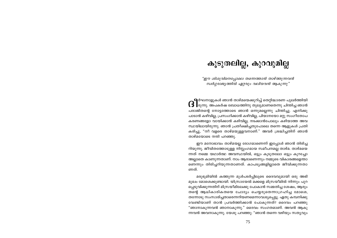# കൂടുതലില്ല, കുറവുമില്ല

"ഈ ശിശുവിനെപ്പോലെ തന്നെത്താൻ താഴ്ത്തുന്നവൻ സ്ഥർഗ്ഗരാജ്യത്തിൽ ഏറ്റവും വലിയവൻ ആകുന്നു"

**. 9** ർഘനാളുകൾ ഞാൻ താഴ്മയെക്കുറിച്ച് തെറ്റിദ്ധാരണ പുലർത്തിയി  $\bf{G}$   $\bf{I}$ രുന്നു. അപകർഷ ബോധത്തിനു തുലുമാണതെന്നു ചിന്തിച്ച ഞാൻ പരാജിതന്റെ നോട്ടത്തോടെ ഞാൻ ഒന്നുമല്ലെന്നു ചിന്തിച്ചു. എനിക്കു പാടാൻ കഴിവില്ല, പ്രസംഗിക്കാൻ കഴിവില്ല, പിയാനയോ മറ്റു സംഗീതോപ കരണങ്ങളോ വായിക്കാൻ കഴിവില്ല, നടക്കാൻപോലും കഴിയാത്ത അവ സ്ഥയിലായിരുന്നു. ഞാൻ പ്രതീക്ഷിച്ചതുപോലെ തന്നെ ആളുകൾ പ്രതി കരിച്ചു, "നീ വളരെ താഴ്മയുള്ളവനാണ്." അവർ ശ്രദ്ധിച്ചതിന് ഞാൻ താഴ്മയോടെ നന്ദി പറഞ്ഞു.

ഈ മനോഭാവം താഴ്മയല്ല രോഗമാണെന്ന് ഇപ്പോൾ ഞാൻ തിരിച്ച റിയുന്നു. ജീവിതത്തോടുള്ള നിസ്സംഗമായ സമീപനമല്ല താഴ്മ. താഴ്മയെ ന്നത് നമ്മെ യഥാർത്ഥ അവസ്ഥയിൽ, ഒട്ടും കൂടുതലോ ഒട്ടും കുറച്ചോ അല്ലാതെ കാണുന്നതാണ്. നാം ആരാണെന്നും നമ്മുടെ വികാരങ്ങളെന്താ ണെന്നും തിരിച്ചറിയുന്നതാണത്. കാപട്യങ്ങളില്ലാതെ ജീവിക്കുന്നതാ ണത്.

മരുഭൂമിയിൽ കത്തുന്ന മുൾപടർപ്പിലൂടെ ദൈവവുമായി ഒരു അഭി മുഖം മോശെക്കുണ്ടായി. യിസ്രായേൽ മക്കളെ മിസ്രയീമിൽ നിന്നും പുറ പ്പെടുവിക്കുന്നതിന് മിസ്രയീമിലേക്കു പോകാൻ സമ്മതിച്ച ശേഷം, ആരും തന്റെ ആധികാരികതയെ ചോദ്യം ചെയ്യരുതെന്നാഗ്രഹിച്ച മോശെ, തന്നോടു സംസാരിച്ചതാരെന്നറിയണമെന്നാവശ്യപ്പെട്ടു. ഏതു കമ്പനിക്കു വേണ്ടിയാണ് താൻ പ്രവർത്തിക്കാൻ പോകുന്നത്? ദൈവം പറഞ്ഞു "ഞാനാകുന്നവൻ ഞാനാകുന്നു." ദൈവം സംഗതമാണ്. അവൻ ആകു ന്നവൻ അവനാകുന്നു. യേശു പറഞ്ഞു: "ഞാൻ തന്നെ വഴിയും സത്യവും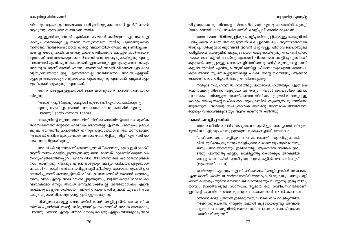#### കൂടുതലില്, കുറവുമില

#### യേശുവിന്റെ ജീവിത ശൈലി

ജീവനും ആകുന്നു. അബ്രഹാം ജനിച്ചതിനുമുമ്പെ ഞാൻ ഉണ്ട്." ഞാൻ ആകുന്നു എന്ന അവസ്ഥയാണ് താഴ്മ.

മറ്റുള്ളവർക്കുവേണ്ടി എനിക്കു ചെയ്യാൻ കഴിയുന്ന ഏറ്റവും നല്ല കാര്യം എന്നെക്കുറിച്ചു തന്നെ സതൃസന്ധത (താഴ്മ) പുലർത്തുകയെ ന്നതാണ്. അങ്ങനെയായാൽ എന്റെ വഞ്ചനയിൽ അവർ കുടുങ്ങിപ്പോകു കയില്ല. യേശു രാവിലെ ശിഷ്യന്മാരെ അഭിവാദനം ചെയ്യുമ്പോൾ അവൻ എന്താണ് അർത്ഥമാക്കുന്നതെന്ന് അവർ അത്ഭുതപ്പെടുമായിരുന്നു എന്നു പറഞ്ഞാൽ എനിക്കു സംശയമാണ്. ഇന്നലെയും ഇന്നും എന്നെന്നേക്കും അനന്യൻ ആണ് അവൻ എന്നു പറഞ്ഞാൽ അവന് വികാരങ്ങളോ ഭാവ വ്യത്യാസങ്ങളോ ഇല്ല എന്നർത്ഥമില്ല. അതിനർത്ഥം അവൻ എല്ലായ് പ്പോഴും അവരോടു സത്യസന്ധത പുലർത്തുന്നു എന്നാണ്; എല്ലായ്പ്പോ ഴും "ഞാൻ ആകുന്നു" എന്നാണ്.

തന്നെ അടുപ്പമുള്ളവനായി ജനം കാണുവാൻ ദാസൻ സന്നദ്ധനാ യിരുന്നു.

"അവർ: റബ്ബീ (എന്നു വെച്ചാൽ ഗുരോ) നീ എവിടെ പാർക്കുന്നു എന്നു ചോദിച്ചു. അവൻ അവരോടു: വന്നു കാണ്മിൻ എന്നു പറഞ്ഞു" (യോഹന്നാൻ 1:38,39).

യേശുവിന്റെ തുറന്ന മനസ്ഥിതി നിരീക്ഷണത്തിന്റെയോ സാമൂഹിക അമ്പേഷണത്തിന്റെയോ ഫലമായുണ്ടായതല്ല എന്നത് പ്രത്യേകം ശ്രദ്ധി ക്കുക. സ്വന്തതീരുമാനത്തിൽ നിന്നും ഉളവായതാണ് ആ മനോഭാവം. "അവർക്ക് അറിഞ്ഞുകുടാത്തത് അവരെ വേദനിപ്പിക്കുന്നില്ല" എന്ന സിദ്ധാ ന്തം അവനില്ലായിരുന്നു.

അവൻ ശിഷ്യന്മാരെ തിരഞ്ഞെടുത്തത് ''തന്നോടുകൂടെ ഇരിക്കാൻ'' ആണ്. സ്വയം വെളിപ്പെടുത്തുന്ന ഒരു ബന്ധമാണത്. കൂടെയിരിക്കുമ്പോൾ സാമുഹ്യതലത്തിനപ്പുറം ദൈനംദിന ജീവിതത്തിലെ യാഥാർത്ഥ്യങ്ങൾ നാം കാണുന്നു. ഞാനും എന്റെ ഭാര്യയും ആദ്യം പരിചയപ്പെടുമ്പോൾ ഞങ്ങൾ നന്നായി വസ്ത്രം ധരിച്ചും മുടി ചീകിയും വാസനദ്രവ്യങ്ങൾ ഉപ യോഗിച്ചുമാണ് കണ്ടുമുട്ടിയത്. വിവാഹ ബന്ധത്തിൽ ഞങ്ങൾ ഒന്നാകു ന്നതു വരെ എന്റെ അലോസരപ്പെടുത്തുന്ന പ്രവൃത്തികളോ ശാരീരികാ വസ്ഥകളോ ഒന്നും അവൾ മനസ്സിലാക്കിയില്ല. അതിനുശേഷം എന്റെ താല്പര്യങ്ങളുടെ ശരിയായ സ്ഥിതി അവൾ അറിയുവാൻ തുടങ്ങി. സമ യവും കൂടെയിരിക്കലും വെളിപ്പാട് ഉളവാക്കുന്നു.

ശിഷ്യന്മാരോടുള്ള ബന്ധത്തിൽ തന്റെ വെളിപ്പാടിൽ യേശു വിശ്വ സ്തത പുലർത്തി. തന്റെ 'ബിരുദദാന' പ്രസംഗത്തിൽ അവൻ അവരോടു പറഞ്ഞു, "ഞാൻ എന്റെ പിതാവിനോടു കേട്ടതു എല്ലാം നിങ്ങളോടു അറി യിച്ചതുകൊണ്ടു നിങ്ങളെ സ്നേഹിതന്മാർ എന്നു പറഞ്ഞിരിക്കുന്നു" (യോഹന്നാൻ 15:15). സഖിത്വത്തിന് വെളിപ്പാട് അനിവാര്യമാണ്.

തുറന്ന മനസ്ഥിതിയെപ്പറ്റിയും വെളിപ്പാടിനെപ്പറ്റിയുമുള്ള യേശുവിന്റെ പഠിപ്പിക്കൽ വലിയ ജനക്കൂട്ടത്തിന് ലഭിച്ചുവെങ്കിലും ആത്മാർത്ഥമായ അടുപ്പം ശിഷ്യന്മാർക്കുവേണ്ടി അവൻ മാറ്റിവച്ചു. പിതാവിനെപ്പറ്റിയുള്ള പഠിപ്പിക്കൽ യേശുവിന് ഏറ്റവും പ്രധാനപ്പെട്ടതായിരുന്നു. അതവൻ വിശാ ലമായ വേദികളിൽ ചെയ്തു. എന്നാൽ പിതാവിനെ വെളിപ്പെടുത്തിയത് കൂടുതൽ അടുപ്പമുള്ള ബന്ധങ്ങളിലായിരുന്നു. മറിച്ച് മുത്തുകളെ പന്നി കളുടെ മുമ്പിൽ എറിയുക ആയിരുന്നില്ല. ജിജ്ഞാസുക്കളായ അമ്പേഷ കരെ അവൻ തൃപ്തിപ്പെടുത്തിയില്ല. പക്ഷേ തന്റെ സാന്നിദ്ധ്യം ആത്മാർ ത്ഥമായി ആഗ്രഹിച്ചവർ അതു നേടിയെടുത്തു.

നമ്മുടെ സമുഹത്തിൽ (സഭയിലും ഇതരസമുഹത്തിലും) എത്ര ഉയ രത്തിലേക്കു നിങ്ങൾ വളരുമോ അത്രയും നിങ്ങൾ ജനങ്ങൾക്ക് അപ്രാ പൃനാകും – നിങ്ങളുടെ വൃക്തിപരമായ ജീവിതം കൂടുതൽ രഹസ്യമുള്ള താകും. യേശു തന്റെ മശീഹൈക ശുശ്രുഷയിൽ എത്രമാത്രം മുന്നേറിയോ അത്രമാത്രം അവന്റെ ശിഷ്യന്മാർക്ക് അവന്റെ ആന്തരീക ജീവിതത്തി ന്റെയും വികാരങ്ങളുടെയും ആഴം കാണാൻ കഴിഞ്ഞു.

#### പകൽ വെളിച്ചത്തിൽ

തുറന്ന ജീവിതം പരിചിതമല്ലാത്ത നമുക്ക് ഈ വാകൃങ്ങൾ തിരുവെ ഴുത്തിലെ ഏറ്റവും ഭയപ്പെടുത്തുന്ന വാകൃങ്ങളായി തോന്നാം.

"പരീശന്മാരുടെ പുളിച്ചമാവായ കപടഭക്തി സുക്ഷിച്ചുകൊൾ വിൻ. മുടിവെച്ചതു ഒന്നും വെളിച്ചത്തു വരാതെയും ഗുഢമായതു ഒന്നും അറിയാതെയും ഇരിക്കയില്ല. ആകയാൽ നിങ്ങൾ ഇരു ട്ടത്തു പറഞ്ഞതു എല്ലാം വെളിച്ചത്തു കേൾക്കും; അറകളിൽ വെച്ചു ചെവിയിൽ മന്ത്രിച്ചതു പുരമുകളിൽ ഘോഷിക്കും" (ലുക്കൊസ് 12:1-3).

താഴ്മയുടെ ഏറ്റവും നല്ല വിശദീകരണം ''വെളിച്ചത്തിൽ നടക്കുക'' എന്നതാണ്. താഴ്മ യഥാർത്ഥമായിരിക്കാനാഗ്രഹിക്കുകയും ഒന്നും ഒളി ക്കാതിരിക്കയും തുറന്ന മനഃസ്ഥിതി കാണിക്കയും ചെയ്യുന്നു. ഇതു തീർച്ച യായും ജനത്തോടുള്ള സ്നേഹപൂർവ്വമായ ഒരു സമീപനരീതിയാണ്. ഇതിന്റെ യുക്തിസഹമായ മുന്നേറ്റം 1 യോഹന്നാൻ 1:7–ൽ കാണാം:

"അവൻ വെളിച്ചത്തിൽ ഇരിക്കുന്നതുപോലെ നാം വെളിച്ചത്തിൽ നടക്കുന്നുവെങ്കിൽ നമുക്കു തമ്മിൽ കൂട്ടായ്മയുണ്ടു; അവന്റെ പുത്രനായ യേശുവിന്റെ രക്തം സകലപാപവും പോക്കി നമ്മെ ശുദ്ധീകരിക്കുന്നു."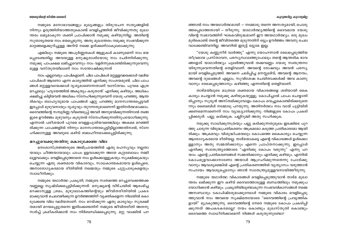#### കൂടുതലില്, കുറവുമില

#### യേശുവിന്റെ ജീവിത ശൈലി

നമ്മുടെ മനോഭാവങ്ങളും മൂല്യങ്ങളും തിരുവചന സത്യങ്ങളിൽ നിന്നും ഉരുത്തിരിയാത്തതുകൊണ്ട് വെളിച്ചത്തിൽ ജീവിക്കുന്നതു മുഖാ ന്തരം ലഭ്യമാകുന്ന ശക്തി പ്രാപിക്കാൻ നമുക്കു കഴിയുന്നില്ല. അതിന്റെ സുതാര്യതയെ നാം ഭയപ്പെടുന്നു. അതു മുഖാന്തരം നമുക്കു സംഭവിക്കുന്ന മാറ്റങ്ങളെക്കുറിച്ചുള്ള അറിവ് നമ്മെ ഉത്ക്കണ്ഠാകുലരാക്കുന്നു.

എങ്കിലും നമ്മുടെ അപൂർണ്ണതകൾ ആളുകൾ കാണുമെന്ന് നാം ഭയ പെടേണ്ടതില്ല. അവയുള്ള മനുഷ്യരാശിയോടു നാം ചേർന്നിരിക്കുന്നു. നമുക്കു പാപക്ഷമ ലഭിച്ചുവെന്നും നാം വളർന്നുകൊണ്ടിരിക്കുന്നുവെന്നു മുള്ള വസ്തുതയിലാണ് നാം സന്തോഷിക്കുന്നത്

നാം എല്ലാവരും പാപികളാണ്. ചില പാപികൾ മറ്റുള്ളവരെക്കാൾ വലിയ പാപികൾ ആണോ എന്ന കാര്യത്തിൽ എനിക്കു സംശയമുണ്ട്. ചില പാപ ങ്ങൾ മറ്റുള്ളവയേക്കാൾ ദൃശ്യമാണെന്നതാണ് വാസ്തവം. പുറമെ എത്ര മറച്ചാലും 'ഹൃദയത്തിൽ അകൃത്യം കരുതാൻ' എനിക്കു കഴിയും. അധികം ക്ഷമിച്ചു കിട്ടിയവൻ അധികം സ്നേഹിക്കുന്നുവെന്ന് യേശു പറഞ്ഞു. ആന്ത രികവും ബാഹ്യവുമായ പാപങ്ങൾ ഏറ്റു പറഞ്ഞു മാനസാന്തരപ്പെട്ടവർ ഇപ്പോൾ മുഴുവനായും ദൃശൃവും തുറന്നതുമാണെന്ന് ഇതിനർത്ഥമാക്കാം. ദൈവത്തിന്റെ സമ്പൂർണ്ണ വീണ്ടെടുപ്പ് അവർ അനുഭവിക്കുന്നതിനാൽ തങ്ങ ളുടെ ഊർജ്ജം മുഴുവനും കൂടുതൽ സ്നേഹിക്കുന്നതിനുപയോഗിക്കുന്നു. എന്നാൽ പരീശന്മാർ പുറമെ വെള്ളപൂശിയവരെങ്കിലും അകമെ മറഞ്ഞി രിക്കുന്ന പാപങ്ങളിൽ നിന്നും മാനസാന്തരപ്പെട്ടിട്ടില്ലാത്തതിനാൽ, സ്നേ ഹിക്കാനുള്ള അവരുടെ കഴിവ് ബലഹീനമാക്കപ്പെട്ടിരിക്കുന്നു.

#### മറച്ചുവെക്കുന്നതിനു കൊടുക്കേണ്ട വില

മനഃശാസ്ത്രജ്ഞരുടെ അഭിപ്രായത്തിൽ ഏതു രഹസ്യവും നല്ലതാ യാലും ചീത്തയായാലും പാപം ഉളവാക്കുന്ന അതേ കുറ്റബോധം നമ്മി ലുളവാക്കും. വെളിപ്പെടുത്താതെ നാം ഉൾക്കൊള്ളുകയും സൂക്ഷിക്കുകയും ചെയ്യുന്ന ഏതു ശക്തമായ വികാരവും, സാധകാത്മകമായവ ഉൾപ്പെടെ, അനാരോഗ്യകരമായ രീതിയിൽ നമ്മെയും നമ്മുടെ ചുറ്റുപാടുകളെയും സ്വാധീനിക്കും.

നമ്മുടെ യഥാർത്ഥ പ്രകൃതി, നമ്മുടെ സ്വത്വത്തെ മറച്ചുവെക്കത്തക്ക വണ്ണമല്ല സൃഷ്ടിക്കപ്പെട്ടിരിക്കുന്നത്. മനുഷ്യന്റെ വീഴ്ചയിൽ ആരംഭിച്ച മറക്കാനുള്ള ശ്രമം, മുഴുലോകത്തിന്റെയും ജീവിതരീതിയിൽ പ്രകട മാക്കുവാൻ ചെലവഴിക്കുന്ന ഊർജ്ജത്തിന് വ്യക്തികളെന്ന നിലയിൽ കൊ ടുക്കേണ്ട വില വലിയതാണ്. നാം മറയ്ക്കുന്ന ഏതു കാര്യവും സുരക്ഷി തമായി മറയപ്പെട്ടുതന്നെ ഇരിക്കേണ്ടതിന് നമ്മുടെ ജീവിതരീതി അതനു സരിച്ച് ക്രമീകരിക്കാൻ നാം നിർബന്ധിക്കപ്പെടുന്നു. മറ്റു വാക്കിൽ പറ

ഞ്ഞാൽ നാം അയഥാർത്ഥമായി — നമ്മോടു തന്നെ അസത്യമായി, പൊരു ത്തപ്പെടാത്തതായി – തീരുന്നു. യാഥാർത്ഥ്യത്തിന്റെ ദൈവമായ യേശു വിന്റെ സ്വഭാവത്തിന് ഘടകവിരുദ്ധമാണ് ഈ അയഥാർത്ഥ്യം. ഒരു മുഖം മൂടികൊണ്ട് തന്റെ ജീവിതത്തെ മൂടുന്നതിന് ഒട്ടും ഊർജ്ജം അവനു ചെല വാക്കേണ്ടിവന്നില്ല. അവനിൽ ഇരുട്ട് ഒട്ടുമേ ഇല്ല.

"യേശു കണ്ണുനീർ വാർത്തു" എന്നു യോഹന്നാൻ രേഖപ്പെടുത്തിയ തീവ്രമായ പ്രസ്താവന, പരസൃസ്ഥലത്തുപോലും തന്റെ ആന്തരിക ഭാവ ങ്ങളോട് യാഥാർത്ഥ്യം പുലർത്തുവാൻ തക്കവണ്ണം യേശു സ്വതന്ത്രനാ യിരുന്നുവെന്നതിന്റെ തെളിവാണ്. അവന്റെ രോഷവും അവൻ പരസ്യ മായി വെളിപ്പെടുത്തി. അവനെ ചലിപ്പിച്ച മനസ്സലിവ്, അവന്റെ ആനന്ദം, അവന്റെ ദുഃഖങ്ങൾ എല്ലാം, സുവിശേഷ രചയിതാക്കൾക്ക് അവ കാണു വാനും രേഖപ്പെടുത്താനും കഴിഞ്ഞു എന്നതിന്റെ തെളിവാണ്.

താഴ്മയിലുടെ മാത്രമേ ശക്തമായ വികാരങ്ങളെ ശരിയായി കൈ കാര്യം ചെയ്യാൻ നമുക്കു കഴിയുകയുള്ളൂ. കോപിച്ചാൽ പാപം ചെയ്യാതി രിപ്പാനും സുര്യൻ അസ്തമിക്കുവോളം കോപം വെച്ചുകൊണ്ടിരിക്കരുതെ ന്നും ബൈബിൾ നമ്മോടു പറയുന്നു. അതിനർത്ഥം നാം വായ് പുട്ടിയിരി ക്കണമെന്നാണെന്ന് നാം വ്യാഖ്യാനിക്കുന്നു: നിങ്ങളുടെ കോപം പ്രകടി പ്പിക്കരുത്. പല്ലു കടിക്കുക. പല്ലിറുമ്മി അതു സഹിക്കുക.

നമുക്കു സാധിക്കുന്നത്രയും പല്ലു കടിക്കുന്നതുമുലം ഇടക്കിടെ പുറ ത്തു ചാടുന്ന വിരുദ്ധപ്രതികരണം അക്രമമോ കടുത്ത പ്രതികാരമോ ആയി രിക്കും. അക്രമവും വിശുദ്ധിചമയലും കോപത്തെ കൈകാര്യം ചെയ്യുന്ന ആരോഗ്യകരമായ രീതിയല്ല. താഴ്മയാകട്ടെ എന്റെ വികാരങ്ങൾ ഉൾക്കൊ ള്ളാനും അതു സമ്മതിക്കാനും എന്നെ പ്രാപ്തനാക്കുന്നു. ഇപ്പോൾ എനിക്കു സ്വാതന്ത്ര്യത്തോടെ "എനിക്കു കോപം വരുന്നു" എന്നു പറ യാം. എന്റെ പ്രതികരണങ്ങൾ സമ്മതിക്കാനും എനിക്കു കഴിയും. എന്നിൽ കോപമുളവാക്കാനാണോ അയാൾ ആഗ്രഹിക്കുന്നതെന്നു ചോദിക്കു വാനും ആവശ്യമെങ്കിൽ എന്റെ പ്രതികരണത്തിൽ വ്യത്യാസം വരുത്താൻ സഹായം ആവശ്യപ്പെടാനും ഞാൻ സ്വാതന്ത്ര്യമുള്ളവനായിത്തീരുന്നു.

നമ്മുടെ യഥാർത്ഥ വികാരങ്ങൾ വെളിപ്പെടുത്തുവാൻ താഴ്മ മുഖാ ന്തരം ലഭിക്കുന്ന ഈ കഴിവ് ദൈവത്തോടുള്ള ബന്ധത്തിലും നമുക്കുപ യോഗിക്കാൻ കഴിയും. പ്രകൃതിയിലുണ്ടാകുന്ന സംഭവവികാസങ്ങൾ നമ്മെ അസ്വസ്ഥരും കോപിഷ്ടരുമാക്കുമ്പോൾ നമ്മുടെ വികാരം വെളിപ്പെടു ത്തുവാൻ നാം അവയെ സുക്ഷ്മതയോടെ "ദൈവത്തിന്റെ പ്രവൃത്തിക ളായി" മുദ്രകുത്തുന്നു. ദൈവത്തിന്റെ നേരെ നമ്മുടെ കോപം പ്രകടിപ്പി ക്കുന്നത് അപകടകരമല്ലേ? നയം കൊണ്ടും മുഖസ്തുതി കൊണ്ടും ദൈവത്തെ സ്വാധീനിക്കാമെന്ന് നിങ്ങൾ കരുതുന്നുണ്ടോ?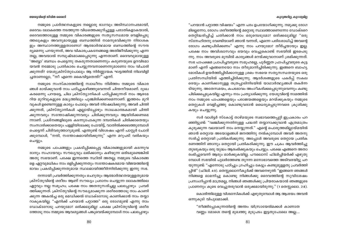#### കൂടുതലില്ല, കുറവുമില്ല

"പറയാൻ പറ്റാത്ത വിഷയം" എന്ന പദം ഉപയോഗിക്കുന്നു. നമുക്കു രോഗ മില്ലെന്നോ, രോഗം ശരീരത്തിന്റെ മറ്റൊരു സ്ഥലത്താണെന്നോ ഡോക്ടറെ തെറ്റിദ്ധരിപ്പിച്ച് ചതിക്കാൻ നാം ഒരുമ്പെടുമോ? ഒരിക്കലുമില്ല! "ഒരു സ്നേഹിതനു വേണ്ടിയാണ് ഞാൻ വന്നത്, എന്നെ പരിശോധിച്ച് അവന്റെ രോഗം കണ്ടുപിടിക്കണം" എന്നു നാം പറയുമോ? തീർച്ചയായും ഇല്ല. പക്ഷേ നാം അവിശ്വാസവും ഭയവും വെച്ചുകൊണ്ട് സഭയിൽ ഇടപെടു ന്നു. നാം അവരുടെ മുമ്പിൽ കാര്യങ്ങൾ മറയ്ക്കുവാനാണ് ശ്രമിക്കുന്നത്. സഭ പാപക്ഷമ പ്രാപിച്ചവരുടെ സമുഹമല്ല, പൂർണ്ണത പ്രാപിച്ചവരുടെ കൂട്ട മാണ് എന്ന് എങ്ങനെയോ നാം തീരുമാനിച്ചിരിക്കുന്നു. ഇങ്ങനെ ബാഹ്യ മോടികൾ ഉയർത്തിപ്പിടിക്കാനുള്ള ശ്രമം സഭയെ സത്യസന്ധതയുടെ ഒരു പ്രതിസന്ധിയിൽ എത്തിച്ചിരിക്കുന്നു. ആദർശങ്ങളുടെ പകർപ്പ് സകല രെയും കാണിക്കാനുള്ള തത്രപ്പാടിനിടയിൽ യാഥാർത്ഥ്യങ്ങൾ തകർന്ന ടിയുന്നു. അതേസമയം, കപടഭാവം അംഗീകരിക്കപ്പെടുന്നുവെന്നും കണ്ടു പിടിക്കപ്പെടുകയില്ല എന്നും നാം പ്രത്യാശിക്കുന്നു. യേശുവിന്റെ നാമത്തിൽ നാം നമ്മുടെ പാപങ്ങളെയും പരാജയങ്ങളെയും മറയ്ക്കുകയും നമ്മുടെ തെറ്റുകൾ വെളിച്ചത്തു കൊണ്ടുവരാൻ ധൈര്യപ്പെടുന്നവരെ ക്രുശിക്കു കയും ചെയ്യുന്നു.

സർ വാൾട്ടർ സ്കോട്ട് താഴ്മയുടെ സ്വഭാവത്തെപ്പറ്റി ഇപ്രകാരം പറ ഞ്ഞിട്ടുണ്ട്: "വഞ്ചിക്കുന്നതിനുള്ള പദ്ധതി തയ്യാറാക്കുവാൻ എത്രമാത്രം കുരുക്കുന്ന വലയാണ് നാം നെയ്യുന്നത്." എന്റെ പൊരുത്തമില്ലായ്മയിൽ ഞാൻ തെറ്റായ അടയാളങ്ങൾ ജനത്തിനു നൽകുമ്പോൾ അവർ അതനു സരിച്ച് തെറ്റായി പ്രതികരിക്കുന്നു. അപ്പോൾ അവരുടെ തെറ്റായ പ്രതിക രണത്തിന് ഞാനും തെറ്റായി പ്രതികരിക്കുന്നു. ഈ ചക്രം ആവർത്തിച്ചു തുടരുകയും ഒരു യുദ്ധം ആരംഭിക്കുകയും ചെയ്യും. പക്ഷേ എങ്ങനെ അതാ രംഭിച്ചുവെന്ന് ആരും ഓർക്കുകയില്ല. പൗലൊസ് ഫിലിപ്പിയർക്ക് എഴുതു മ്പോൾ സഭയിൽ പുലർത്തേണ്ട തുറന്ന മനോഭാവത്തെ അടിവരയിട്ടു പറ യുന്നുണ്ട്: "എന്നോടു പഠിച്ചും ഗ്രഹിച്ചും കേട്ടും കണ്ടുമുള്ളതു പ്രവർത്തി പ്പിൻ" (ഫിലി. 4:9). തെസ്സലൊനീകൃർക്ക് അവനെഴുതി: "ഇങ്ങനെ ഞങ്ങൾ നിങ്ങളെ ഓമനിച്ചു കൊണ്ടു നിങ്ങൾക്കു ദൈവത്തിന്റെ സുവിശേഷം പ്രസംഗിപ്പാൻ മാത്രമല്ല, നിങ്ങൾ ഞങ്ങൾക്കു പ്രിയരാകയാൽ ഞങ്ങളുടെ പ്രാണനും കുടെ വെച്ചുതരുവാൻ ഒരുക്കമായിരുന്നു." (1 തെസ്സലൊ. 2:8).

കൊരിന്തിലുള്ള വിശ്വാസികൾക്ക് എഴുതുമ്പോൾ ആ ആശയം അവൻ ഒന്നുകൂടി വിപുലമാക്കി.

"നീങ്ങിപ്പോകുന്നതിന്റെ അന്തം യിസ്രായേൽമക്കൾ കാണാത വണ്ണം മോശെ തന്റെ മുഖത്തു മൂടുപടം ഇട്ടതുപോലെ അല്ല....

നമ്മുടെ പ്രാർത്ഥനകളുടെ നല്ലൊരു ഭാഗവും അടിസ്ഥാനപരമായി, ദൈവം ലോകത്തെ നടത്തുന്ന വിധത്തെക്കുറിച്ചുള്ള പരാതികളാകയാൽ, ദൈവത്തോടുള്ള നമ്മുടെ വികാരങ്ങളുടെ സത്യസന്ധമായ വെളിപ്പെടു ത്തലുകളും അവനുമായുള്ള ബന്ധത്തിൽ നാമനുഭവിക്കുന്ന നിരാശക ളും അസ്ഥാനത്തുള്ളതാണോ? ആത്മാർത്ഥമായ ബന്ധത്തിന്റെ സൗന്ദ ര്യമെന്നു പറയുന്നത്, അവ വികാരപ്രകടനങ്ങളെ അതിജീവിക്കുന്നു എന്ന തല്ല, അവയാൽ സമ്പുഷ്ടമാക്കപ്പെടുന്നു എന്നതാണ്. ദൈവവുമായുള്ള 'അബ്ബാ' ബന്ധം പെട്ടെന്നു തകരുന്നതാണെന്നും കരുണയുടെ ഉറവിടമാ യവൻ നമ്മോടു പ്രതികാരം ചെയ്യുന്നവനാണെന്നുമാണോ നാം വിചാരി ക്കുന്നത്? യേശുക്രിസ്തുപോലും ആ നിർണ്ണായക ഘട്ടത്തിൽ നിലവിളി ച്ചതാണല്ലോ, ''നീ എന്നെ കൈവിട്ടതെന്ത്?'' എന്ന്.

നമ്മുടെ സംസ്കാരത്തിന്റെ സ്വാധീനം നിമിത്തം നമ്മുടെ വികാര ങ്ങൾ മായ്ക്കുവാൻ നാം പഠിച്ചുകഴിഞ്ഞുവെന്നത് ചിന്തനീയമാണ്. ദുഃഖ കരമെന്നു പറയട്ടെ, ചില ക്രിസ്ത്യാനികൾ പഠിപ്പിക്കുന്നത് നാം ആഴമേ റിയ മുറിവുകളുടെ മദ്ധ്യത്തിലും പുഞ്ചിരിക്കണമെന്നാണ്. ഇത്തരം മുറി വുകൾ ഉണ്ടെന്നുള്ള കാര്യം പോലും അവർ നിഷേധിക്കുന്നു; അവർ ചിന്തി ക്കുന്നത്, ക്രിസ്ത്യാനികൾ എല്ലായ്പ്പോഴും സാധകാത്മകമായി ചിന്തി ക്കുന്നവരും സന്തോഷിക്കുന്നവരും ചിരിക്കുന്നവരും ആയിരിക്കണമെ ന്നാണ്. പ്രശ്നങ്ങളിലൂടെ കടന്നുപോകുന്ന ദമ്പതികൾ ചിരിക്കാതെയും സംസാരിക്കാതെയും പള്ളിയിലേക്കു പോയിട്ട്, വാതിൽക്കലെത്തുമ്പോൾ പെട്ടെന്ന് ചിരിവരുത്താറുമുണ്ട്. എന്തുണ്ട് വിശേഷം എന്ന് പാസ്റ്റർ ചോദി ക്കുമ്പോൾ, "നന്ദി, സന്തോഷമായിരിക്കുന്നു" എന്ന മറുപടി വരികയും ചെയ്യും.

നമ്മുടെ പാപങ്ങളും പ്രകടിപ്പിക്കപ്പെട്ട വികാരങ്ങളുമായി കടന്നുവ രാനും സഹായവും സൗഖ്യവും ലഭിക്കാനും കഴിയുന്ന ഒരിടമുണ്ടെങ്കിൽ അതു സഭയാണ്. പക്ഷേ ഇന്നത്തെ സ്ഥിതി അതല്ല; നമ്മുടെ വികാരങ്ങ ളെ ഏറ്റവുമധികം നാം ഒളിപ്പിക്കുന്നതും സന്തോഷകരമായ വിജയത്തിന്റെ ഭാവം പ്രകടിപ്പിക്കുന്നതുമായ സ്ഥലമായിത്തീർന്നിരിക്കുന്നു ഇന്നു സഭ.

നന്നായി പ്രവർത്തിക്കുന്നതും ചെറുതും ആത്മാർത്ഥതയുള്ളതുമായ ക്രിസ്തുവിന്റെ ശരീരം ആണ് സൗഖ്യം പ്രദാനം ചെയ്യുന്ന ലോകത്തിലെ ഏറ്റവും നല്ല സമുഹം; പക്ഷേ നാം അതനുസരിച്ചല്ല പലപ്പോഴും പ്രവർ ത്തിക്കുന്നത്. ക്രിസ്തുവിന്റെ സൗഖ്യമാക്കുന്ന ശരീരത്തോടു നാം കാണി ക്കുന്ന അകൽച്ച ഒരു മെഡിക്കൽ ഡോക്ടറോടു കാണിക്കാൻ നാം തയ്യാ റാകുകയില്ല. "എനിക്ക് പറയാൻ പറ്റാത്ത" ഒരു രോഗമുണ്ട് എന്നു നാം ഡോക്ടറോടു പറയുമോ? ഒരിക്കലുമില്ല! പക്ഷേ ക്രിസ്തുവിന്റെ ശരീര ത്തോടു നാം നമ്മുടെ ആവശ്യങ്ങൾ പങ്കുവെയ്ക്കുമ്പോൾ നാം പലപ്പോഴും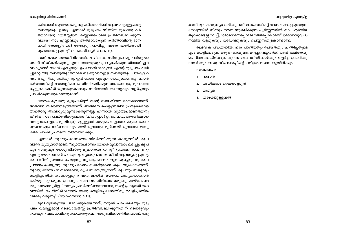#### കൂടുതലില്, കുറവുമില

#### യേശുവിന്റെ ജീവിത ശൈലി

കർത്താവ് ആത്മാവാകുന്നു; കർത്താവിന്റെ ആത്മാവുള്ളേടത്തു സ്വാതന്ത്ര്യം ഉണ്ടു. എന്നാൽ മുടുപടം നീങ്ങിയ മുഖത്തു കർ ത്താവിന്റെ തേജസ്സിനെ കണ്ണാടിപോലെ പ്രതിബിംബിക്കുന്ന വരായി നാം എല്ലാവരും ആത്മാവാകുന്ന കർത്താവിന്റെ ദാന മായി തേജസ്സിന്മേൽ തേജസ്സു പ്രാപിച്ചു അതേ പ്രതിമയായി രൂപാന്തരപ്പെടുന്നു" (2 കൊരിന്ത്യർ 3:13,17,18).

സജീവമായ സഭാജീവിതത്തിലെ ചില വൈചിത്ര്യങ്ങളെ പരിശുദ്ധാ ത്മാവ് നീതീകരിക്കുന്നു എന്ന സ്വാതന്ത്ര്യം പ്രഖ്യാപിക്കുന്നതിനായി ഈ വാകൃങ്ങൾ ഞാൻ എപ്പോഴും ഉപയോഗിക്കാറുണ്ട്. എന്റെ മൂടുപടം വലി ച്ചുമാറ്റിയിട്ട് സ്വാതന്ത്ര്യത്തോടെ നടക്കുവാനുള്ള സ്വാതന്ത്ര്യം പരിശുദ്ധാ ത്മാവ് എനിക്കു നൽകുന്നു. ഇത് ഞാൻ പൂർണ്ണനായതുകൊണ്ടല്ല, ഞാൻ കർത്താവിന്റെ തേജസ്സിനെ പ്രതിബിംബിക്കുന്നതുകൊണ്ടും, രൂപാന്തര പ്പെട്ടുകൊണ്ടിരിക്കുന്നതുകൊണ്ടും സ്ഥിരമായി മുന്നേറ്റവും വളർച്ചയും പ്രാപിക്കുന്നതുകൊണ്ടുമാണ്.

മോശെ മുഖത്തു മൂടുപടമിട്ടത് തന്റെ ബലഹീനത മറയ്ക്കാനാണ്. അതവൻ തിരഞ്ഞെടുത്തതാണ്. അങ്ങനെ ചെയ്യുന്നതിന് പ്രത്യക്ഷമായ യാതൊരു ആവശ്യവുമുണ്ടായിരുന്നില്ല; എന്നാൽ ന്യായപ്രമാണത്തിനു കീഴിൽ നാം പ്രവർത്തിക്കുമ്പോൾ (ചിലപ്പോൾ ഉന്നതമായ, ആത്മീകമായ അനുഭവങ്ങളുടെ മുമ്പിലും), മറ്റുള്ളവർ നമ്മുടെ നല്ലവശം മാത്രം കാണ ത്തക്കവണ്ണം നടിക്കുവാനും മറയ്ക്കുവാനും മൂടിവെയ്ക്കുവാനും മാനു ഷിക ചാപല്യം നമ്മെ നിർബന്ധിക്കും.

എന്നാൽ ന്യായപ്രമാണത്തെ നിവർത്തിക്കുന്ന കാര്യത്തിൽ കൃപ വളരെ വൃതൃസ്തമാണ്. "ന്യായപ്രമാണം മോശെ മുഖാന്തരം ലഭിച്ചു; കൃപ യും സതൃവും യേശുക്രിസ്തു മുഖാന്തരം വന്നു" (യോഹന്നാൻ 1:17) എന്നു യോഹന്നാൻ പറയുന്നു. ന്യായപ്രമാണം നീതി ആവശ്യപ്പെടുന്നു, കൃപ നീതി പ്രദാനം ചെയ്യുന്നു. ന്യായപ്രമാണം ആവശ്യപ്പെടുന്നു, കൃപ പ്രദാനം ചെയ്യുന്നു. ന്യായപ്രമാണം സമ്മർദ്ദമാണ്, കൃപ ആശ്വാസമാണ്. ന്യായപ്രമാണം ബന്ധനമാണ്, കൃപ സ്വാതന്ത്ര്യമാണ്. കൃപയും സത്യവും വെളിച്ചത്തിൽ, കാണപ്പെടുന്ന അവസ്ഥയിൽ, മാത്രമേ മാതൃകയാക്കാൻ കഴിയു. കൃപയുടെ പ്രത്യേക സ്വഭാവം നിമിത്തം നമുക്കു മറയ്ക്കേണ്ട ഒരു കാരണവുമില്ല: "സത്യം പ്രവർത്തിക്കുന്നവനോ, തന്റെ പ്രവൃത്തി ദൈ വത്തിൽ ചെയ്തിരിക്കയാൽ അതു വെളിപ്പെടേണ്ടതിനു വെളിച്ചത്തിങ്ക ലേക്കു വരുന്നു" (യോഹന്നാൻ 3:21).

മുഖംമൂടിയുമായി ജീവിക്കുകയെന്നത്, നമുക്ക് പാപക്ഷമയും മൂടു പടം വലിച്ചുമാറ്റി ദൈവതേജസ്സ് പ്രതിബിംബിക്കുന്നതിന് ധൈര്യവും നൽകുന്ന ആത്മാവിന്റെ സ്വാതന്ത്ര്യത്തെ അനുഭവിക്കാതിരിക്കലാണ്. നമു

ക്കതിനു സ്വാതന്ത്ര്യം ലഭിക്കുന്നത് ലോകത്തിന്റെ അസ്വസ്ഥപ്പെടുത്തുന്ന നോട്ടത്തിൽ നിന്നും നമ്മെ സൂക്ഷിക്കുന്ന പൂർണ്ണതയിൽ നാം എത്തിയ തുകൊണ്ടല്ല മറിച്ച്, "മോശെയെപ്പോലെ മങ്ങിപ്പോകാതെ" ദൈവാനുരൂപം നമ്മിൽ വളരുകയും വർദ്ധിക്കുകയും ചെയ്യുന്നതുകൊണ്ടാണ്.

ദൈവിക പദ്ധതിയിൽ, നാം പറഞ്ഞതും ചെയ്തതും ചിന്തിച്ചതുമെ ല്ലാം വെളിപ്പെടുന്ന ഒരു ദിവസമുണ്ട്. മറച്ചുവെച്ചവർക്ക് അത് കഷ്ടതയു ടെ ദിവസമായിരിക്കും. തുറന്ന മനഃസ്ഥിതിക്കാർക്കും വളർച്ച പ്രാപിക്കു ന്നവർക്കും അതു വീണ്ടെടുപ്പിന്റെ ചരിത്രം തന്നെ ആയിരിക്കും.

#### $\omega_0$ casto lo:

- 1. ദാസൻ
- അധികാരം കൈയാളരുത്  $2.$
- 3. മാതൃക
- 4. താഴ്മയുള്ളവൻ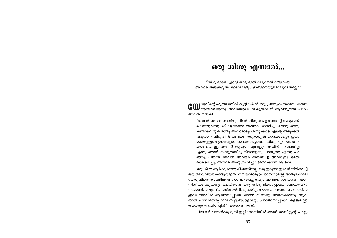### ഒരു ശിശു എന്നാൽ...

"ശിശുക്കളെ എന്റെ അടുക്കൽ വരുവാൻ വിടുവിൻ; അവരെ തടുക്കരുത്; ദൈവരാജ്യം ഇങ്ങനെയുള്ളവരുടേതല്ലോ"

**COD** ശുവിന്റെ ഹൃദയത്തിൽ കുട്ടികൾക്ക് ഒരു പ്രത്യേക സ്ഥാനം തന്നെ<br>**COD** യുണ്ടായിരുന്നു. അവരിലൂടെ ശിഷ്യന്മാർക്ക് ആവശ്യമായ പാഠം അവൻ നൽകി.

"അവൻ തൊടേണ്ടതിനു ചിലർ ശിശുക്കളെ അവന്റെ അടുക്കൽ കൊണ്ടുവന്നു; ശിഷ്യന്മാരോ അവരെ ശാസിച്ചു. യേശു അതു കണ്ടാറെ മുഷിഞ്ഞു അവരോടു: ശിശുക്കളെ എന്റെ അടുക്കൽ വരുവാൻ വിടുവിൻ; അവരെ തടുക്കരുത്; ദൈവരാജ്യം ഇങ്ങ നെയുള്ളവരുടേതല്ലോ. ദൈവരാജ്യത്തെ ശിശു എന്നപോലെ കൈക്കൊള്ളാത്തവൻ ആരും ഒരുനാളും അതിൽ കടക്കയില്ല എന്നു ഞാൻ സത്യമായിട്ടു നിങ്ങളോടു പറയുന്നു എന്നു പറ ഞ്ഞു. പിന്നെ അവൻ അവരെ അണെച്ചു അവരുടെ മേൽ കൈവെച്ചു, അവരെ അനുഗ്രഹിച്ചു" (മർക്കൊസ് 10:13-16).

ഒരു ശിശു ആർക്കുമൊരു ഭീഷണിയല്ല. ഒരു ഇരുണ്ട ഇടവഴിയിൽവെച്ച് ഒരു ശിശുവിനെ കണ്ടുമുട്ടാൻ എനിക്കൊരു പ്രയാസവുമില്ല. അതുപോലെ യേശുവിന്റെ കാലടികളെ നാം പിൻപറ്റുകയും അവനെ ശരിയായി പ്രതി നിധീകരിക്കുകയും ചെയ്താൽ ഒരു ശിശുവിനെപ്പോലെ ലോകത്തിന് നാമൊരിക്കലും ഭീഷണിയായിരിക്കുകയില്ല. യേശു പറഞ്ഞു: "ചെന്നായ്ക്ക ളുടെ നടുവിൽ ആടിനെപ്പോലെ ഞാൻ നിങ്ങളെ അയയ്ക്കുന്നു. ആക യാൽ പാമ്പിനെപ്പോലെ ബുദ്ധിയുള്ളവരും പ്രാവിനെപ്പോലെ കളങ്കമില്ലാ ത്തവരും ആയിരിപ്പിൻ" (മത്തായി 10:16).

ചില വർഷങ്ങൾക്കു മുമ്പ് ഇല്ലിനോയിയിൽ ഞാൻ അസിസ്റ്റന്റ് പാസ്റ്റ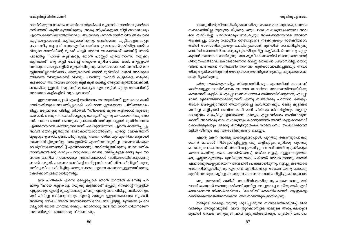#### ഒരു ശിശു എന്നാൽ...

യേശുവിന്റെ ജീവിത ശൈലി

യേശുവിന്റെ ഭീഷണിയില്ലാത്ത ശിശുസഹജഭാവം ആരെയും അസ്വ സ്ഥമാക്കിയില്ല. ശത്രുവും മിത്രവും ഒരുപോലെ സ്വാതന്ത്ര്യത്തോടെ അവ നെ സമീപിച്ചു. പരീശന്മാരും സദൂകൃരും തീക്ഷ്ണതയോടെ അവനെ ആക്രമിച്ചു. യേശു സ്വർഗ്ഗീയ തേജസ്സോടെ നടക്കുകയും രാജകീയഭാവ ത്തിൽ സംസാരിക്കുകയും ചെയ്തുകൊണ്ട് ഭുമിയിൽ സഞ്ചരിച്ചിരുന്നു വെങ്കിൽ അവരതിന് ധൈര്യപ്പെടുമായിരുന്നില്ല. കുട്ടികൾക്ക് അവനു ചുറ്റും കുടാൻ സന്തോഷമായിരുന്നു. ബാഹൃവീക്ഷണത്തിൽ തന്നെ, അതവന്റെ ശിശുസഹജഭാവം കൊണ്ടാണെന്ന് മനസ്സിലാക്കാൻ പ്രയാസമില്ല. യേശു വിനെ പിടിക്കാൻ സൻഹദ്രീം സംഘം കൂടിയാലോചിച്ചെങ്കിലും അവര തിനു തുനിയാതിരുന്നത് യേശുവിനെ ഭയന്നിട്ടായിരുന്നില്ല, പുരുഷാരത്തെ ഭയന്നിട്ടായിരുന്നു.

ശിശു വഞ്ചിക്കുകയില്ല. ശിശുവായിരിക്കുക എന്നതിന്റെ ഭാഗമാണ് താഴ്മയുള്ളവനായിരിക്കുക അഥവാ യഥാർത്ഥ അവസ്ഥയിലായിരിക്കു കയെന്നത്. കുട്ടികൾ എപ്പോഴാണ് സന്തോഷത്തിലായിരിക്കുന്നത്, എപ്പോ ഴാണ് ദുഃഖത്തിലായിരിക്കുന്നത് എന്നു നിങ്ങൾക്കു പറയാൻ കഴിയും. അവർ ഭയപ്പെടുമ്പോൾ അതനുസരിച്ച് പ്രവർത്തിക്കും. രണ്ടു കുട്ടികൾ ഒന്നിച്ചു കളിച്ചാൽ അവിടെ മാറി മാറി ചിരിയും നിലവിളിയും ഓട്ടവും ദേഷ്യവും കരച്ചിലും ഉയരുമെന്ന കാര്യം എല്ലാവർക്കും അറിയാവുന്ന താണ്. അവർക്കു നാം സ്വാതന്ത്ര്യം കൊടുത്താൽ അവർ കൂട്ടുകാരനോട് കോപിക്കുകയും അഞ്ചു മിനിട്ടിനുശേഷം യാതൊന്നും സംഭവിക്കാത്ത മട്ടിൽ വീണ്ടും കളി ആരംഭിക്കുകയും ചെയ്യും.

എന്റെ മകന് അഞ്ചു വയസ്സുള്ളപ്പോൾ, പുറത്തു കൊണ്ടുപോകരു തെന്ന് ഞങ്ങൾ നിർദ്ദേശിച്ചിട്ടുള്ള ഒരു കളിപ്പാട്ടം, മുറിക്കു പുറത്തു കൊണ്ടുപോകണമെന്ന് അവൻ ആഗ്രഹിച്ചു. അവൻ അതിനു ശ്രമിക്കുക തന്നെ ചെയ്തു. കൈ പുറകിൽ വെച്ച്, ശരീരം വളച്ച്, കള്ളനോട്ടത്തോ ടെ, എല്ലാവരുടെയും മുമ്പിലൂടെ വശം ചരിഞ്ഞ് അവൻ നടന്നു. അവൻ എന്താണുചെയ്യുന്നതെന്ന് അവനിൽ പ്രകടമായിരുന്നു. ഒളിച്ചു കടത്താൻ അവനറിയില്ലായിരുന്നു. എന്നാൽ എനിക്കൽപ്പം സമയം തന്നു നോക്കൂ. മുതിർന്നവരുടെ ഒളിച്ചു കടത്തുന്ന കല ഞാനവനു പഠിപ്പിച്ചു കൊടുക്കാം.

ഒരു സമയത്ത് മാജിക് അവനിഷ്ടമായിരുന്നു, പക്ഷേ അതു ശരി യായി ചെയ്യാൻ അവനു കഴിഞ്ഞിരുന്നില്ല. മറച്ചുവെച്ച വസ്തുക്കൾ എവി ടെയാണെന്ന് നിങ്ങൾക്കറിയാം. "മടക്കിയ" കൈയിലാണത്. ആളുകളെ വഞ്ചിക്കേണ്ടതെങ്ങനെയെന്ന് അവനറിഞ്ഞുകൂടായിരുന്നു.

നമ്മുടെ മക്കളെ മരുന്നു കുടിപ്പിക്കുന്ന സന്ദർഭത്തെക്കുറിച്ച് മിക്ക വർക്കും അനുഭവമുണ്ട്. വായ് തുറക്കാനുള്ള നമ്മുടെ അപേക്ഷയുടെ മുമ്പിൽ അവൻ ഒന്നുകൂടി വായ് മുറുക്കിയടയ്ക്കും. തുടർന്ന് മാതാപി

റായിരിക്കുന്ന സമയം സഭയിലെ സ്ത്രീകൾ വ്യാഴാഴ്ച രാവിലെ പ്രാർത്ഥ നയ്ക്കായി കൂടിവരുമായിരുന്നു. അതു സ്ത്രീകളുടെ മീറ്റിംഗാകയാലും എന്നെ ക്ഷണിക്കാത്തതിനാലും ആ സമയം ഞാൻ നേഴ്സറിയിൽ പോയി കൂട്ടികളോടൊത്ത് കളിക്കുമായിരുന്നു. അവിടത്തെ കൂട്ടികളോടൊപ്പം ചെലവഴിച്ച ആദ്യ ദിവസം എനിക്കൊരിക്കലും മറക്കാൻ കഴിയില്ല. നേഴ്സ റിയുടെ വാതിലിന്റെ മുകൾ പാളി തുറന്ന് അകത്തേക്ക് തലയിട്ട് ഞാൻ പറഞ്ഞു: ''ഹായ് കുട്ടികളേ, ഞാൻ പാസ്റ്റർ എർവിനാണ്. നമുക്കു കളിക്കാം!" ഒരു കുട്ടി പേടിച്ച് അടുത്ത മുറിയിലേക്ക് ഓടി. മറ്റുള്ളവർ അവരുടെ കാര്യങ്ങളിൽ മുഴുകിയിരുന്നു. ഞാനാരാണെന്ന് അവർക്ക് മന സ്സിലായില്ലായിരിക്കാം, അതുകൊണ്ട് ഞാൻ മുറിയിൽ കയറി അവരുടെ യിടയിൽ നിന്നുകൊണ്ട് വീണ്ടും പറഞ്ഞു: "ഹായ് കുട്ടികളെ, നമുക്കു കളിക്കാം." ആ സമയം മറ്റൊരു കുട്ടി കുടി പേടിച്ച് അടുത്ത മുറിയിലേക്കോടി. ബാക്കിയു ള്ളവർ, ഒരു ശബ്ദം കേട്ടോ? എന്ന മട്ടിൽ ചുറ്റും നോക്കിയിട്ട് അവരുടെ കളികളിൽ വ്യാപൃതരായി.

ഇത്രയുമായപ്പോൾ എന്റെ അഭിമാനം തലയുയർത്തി. ഈ രംഗം കണ്ട് നേഴ്സറിയുടെ നടത്തിപ്പുകാരി പരിഹാസച്ചുവയോടെ ചിരിക്കാനാരം ഭിച്ചു. ഒരുത്തനെ പിടിച്ചു നിർത്തി, "നീയെന്റെ കൂടെ കളിക്കാൻ തുടങ്ങു കയാണ്. അതു നിനക്കിഷ്ടപ്പെടും, കേട്ടോ?" എന്നു പറയാനെനിക്കു തോ ന്നി. പക്ഷേ ഞാൻ അവരുടെ പ്രായത്തിലായിരുന്നപ്പോൾ മുതിർന്നവരെ എങ്ങനെയാണ് കണ്ടിരുന്നതെന്ന് പരിശുദ്ധാത്മാവ് എന്നെ ഓർമ്മിപ്പിച്ചു. അവർ ഭയപ്പെടുത്തുന്ന ഭീമാകാരന്മാരായിരുന്നു. എന്റെ ലോകത്തിന് മുട്ടോളം ഉയരമേ ഉണ്ടായിരുന്നുളളു. ഞാനൊരിക്കലും മുതിർന്നവരുമായി സംസാരിച്ചിരുന്നില്ല. അല്ലെങ്കിൽ എന്തിനെക്കുറിച്ചു സംസാരിക്കും? രാഷ്ട്രീയത്തെക്കുറിച്ച് എനിക്കൊന്നും അറിയില്ലായിരുന്നു. സാമ്പത്തിക ശാസ്ത്രത്തിന്റെ കാര്യം പറയുകയും വേണ്ട. വലിപ്പമുള്ള രണ്ടു രുപ നാ ണയം ചെറിയ നാണയമായ അഞ്ചിനെക്കാൾ വലിയതായിരിക്കുമെന്നു ഞാൻ കരുതി. കാരണം അതിന്റെ വലിപ്പത്തിനാണ് വിലകല്പിച്ചത്, മൂല്യ ത്തിനു വില കല്പിച്ചില്ല. അതുപോലെ എന്നെ കാണാനുള്ളതായിരുന്നു, കേൾക്കാനുള്ളതായിരുന്നില്ല.

ഈ ചിന്തകൾ എന്നെ ഭരിച്ചപ്പോൾ ഞാൻ തറയിൽ കിടന്നിട്ട് പറ ഞ്ഞു: "ഹായ് കുട്ടികളേ, നമുക്കു കളിക്കാം!" മുപ്പതു സെക്കന്റിനുള്ളിൽ എല്ലാവരും എന്റെ മുകളിലേക്കു വീണു. എന്റെ ടൈ പിടിച്ചു വലിക്കാനും, മുടി പിടിച്ചു വലിക്കുവാനും, എന്റെ മാനൃത ഇല്ലാതാക്കാനും തുടങ്ങി. അതിനു ശേഷം ഞാൻ ആരാണെന്ന ഭാവം നടിച്ചിട്ടില്ല. മുറിയിൽ പ്രവേ ശിച്ചാൽ ഞാൻ തറയിലിരിക്കും, ഞാനൊരു അടുത്ത സ്നേഹിതനാണെ ന്നവരറിയും – ഞാനൊരു ഭീഷണിയല്ല.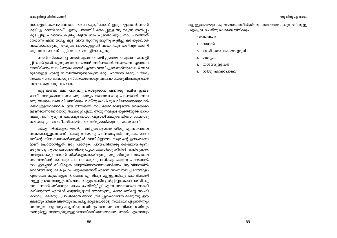#### യേശുവിന്റെ ജീവിത ശൈലി

താക്കളുടെ കാപട്യത്തോടെ നാം പറയും, "നോക്ക് ഇതു നല്ലതാണ്. ഞാൻ കുടിച്ചു കാണിക്കാം" എന്നു പറഞ്ഞിട്ട് കൈപ്പുള്ള ആ മരുന്ന് അൽപ്പം കുടിച്ചിട്ട്, പായസം കുടിച്ച മട്ടിൽ നാം പുഞ്ചിരിക്കും. നാം പറഞ്ഞത് നേരാണ് എന്ന് ധരിച്ച കുട്ടി വായ് തുറന്നു മരുന്നു കുടിച്ചു കഴിയുമ്പോൾ വഞ്ചിക്കപ്പെടുന്നു. തന്മൂലം പ്രായമുളളവർ വഞ്ചനയും ചതിവും കാണി ക്കുന്നവരാണെന്ന് കുട്ടി വേഗം മനസ്സിലാക്കുന്നു.

ഞാൻ സ്നേഹിച്ച ഒരാൾ എന്നെ വഞ്ചിച്ചുവെന്നോ എന്നെ കബളി പ്പിക്കാൻ ശ്രമിക്കുന്നുവെന്നോ ഞാൻ അറിഞ്ഞാൽ അതെന്നെ എങ്ങനെ യായിരിക്കും ബാധിക്കുക? അവർ എന്നെ വഞ്ചിച്ചുവെന്നറിയുമ്പോൾ അവ രുമായുള്ള എന്റെ ബന്ധത്തിനുണ്ടാകുന്ന മാറ്റം എന്തായിരിക്കും? ശിശു സഹജ സ്വഭാവത്തോടും സ്നേഹത്തോടും അഥവാ യേശുവിനോടും ചേർ ന്നുപോകുന്നതല്ല വഞ്ചന.

കുട്ടികൾക്ക് കഥ പറഞ്ഞു കൊടുക്കാൻ എനിക്കു വലിയ ഇഷ്ട മാണ്. സത്യമെന്നോണം ഒരു കാര്യം ഞാനവരോടു പറഞ്ഞാൽ അവ രതു അതുപോലെ വിശ്വസിക്കും. വസ്തുതകൾ മുഖവിലക്കെടുക്കുവാൻ കഴിവുള്ളവരാണവർ. ഈ രീതിയിൽ നാം ദൈവരാജ്യത്തെ കൈക്കൊ ള്ളണമെന്നാണ് യേശു ആവശ്യപ്പെട്ടത്. അതു നമ്മുടെ യുക്തിയുടെ ഭാഗം ആകുന്നതിനു മുമ്പ് പ്രഥമവും പ്രധാനവുമായി നമ്മുടെ വിശ്വാസത്തോടു ബന്ധപ്പെട്ട — അംഗീകരിക്കാൻ നാം തീരുമാനിക്കുന്ന — കാര്യമാണ്.

*ശിശു നിഷ്കളങ്കനാണ്.* സ്വർഗ്ഗരാജ്യത്തെ ശിശു എന്നപോലെ കൈക്കൊള്ളണമെന്ന് യേശു നമ്മോടു പറഞ്ഞപ്പോൾ, ന്യായപ്രമാണ ത്തിന്റെ നിബന്ധനകൾക്കുള്ളിൽ വന്നിട്ടില്ലാത്ത ഒരുവന്റെ ഉദാഹരണ മാണ് ഉപയോഗിച്ചത്. ഒരു പ്രത്യേക പ്രായപരിധിക്കു ശേഷമായിരുന്നു ഒരു ശിശു ന്യായപ്രമാണത്തിന്റെ വ്യവസ്ഥകൾക്കു കീഴിൽ വന്നിരുന്നത്. അതുവരെയും അവൻ നിഷ്കളങ്കനായിരുന്നു. ഒരു ശിശുവെന്നപോലെ ദൈവത്തിന്റെ കൃപയും പാപക്ഷമയും പ്രാപിക്കുകയെന്നു പറഞ്ഞാൽ നാം ഇപ്പോൾ നിഷ്കളങ്ക ഘട്ടത്തിലാണെന്നാണർത്ഥം. ആ വിധത്തിൽ ദൈവത്തിന്റെ ക്ഷമ പ്രാപിക്കുകയെന്നത് എന്നെ സംബന്ധിച്ചിടത്തോളം എത്രയോ ബുദ്ധിമുട്ടാണ്. ഞാൻ എന്നിലും മറ്റുള്ളവരിലും പലവിധത്തി ലുള്ള പ്രമാണങ്ങളും നിബന്ധനകളും അടിച്ചേൽപ്പിച്ചുകൊണ്ടേയിരിക്കു ന്നു. "ഞാൻ ഒരിക്കലും പാപം ചെയ്തിട്ടില്ല" എന്ന അവസ്ഥയെ അംഗീ കരിക്കുന്നത് എനിക്ക് ബുദ്ധിമുട്ടായി തോന്നുന്നു. ദൈവത്തിന്റെ അംഗീ കാരവും ക്ഷമയും പ്രാപിക്കാൻ ഞാൻ ശ്രമിച്ചുകൊണ്ടേയിരിക്കുന്നു. ഈ ക്ഷമയും നിഷ്കളങ്കതയും പ്രാപിച്ച് മറ്റുള്ളവരോടു സമഭാവപ്പെടുന്നതിനും അവരുടെ ആവശ്യങ്ങളറിയുന്നതിനും അവരെ സേവിക്കുന്നതിനും സമ്പൂർണ്ണ സ്വാതന്ത്ര്യമുള്ളവനായിത്തീരുന്നതുവരെ ഞാൻ എന്നെയും

മറ്റുള്ളവരെയും കുറ്റബോധത്തിൽനിന്നു സ്വതന്ത്രരാക്കുന്നതിനുള്ള ശുശ്രൂഷ ചെയ്തുകൊണ്ടേയിരിക്കും.

#### $\omega_0$  $\omega_2$

- 
- 1. ദാസൻ
- 2. അധികാരം കൈയാളരുത്
- 3.

 $\overline{4}$ .

- 
- മാതൃക
- 
- 
- 
- 
- 
- 
- താഴ്മയുള്ളവൻ

5. ശിശു എന്നപോലെ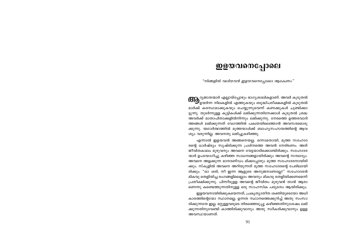### ഇളയവനെപ്പോലെ

"നിങ്ങളിൽ വലിയവൻ ഇളയവനെപ്പോലെ ആകേണം"

**(CID** <sup>ദൃജാതന്മാർ എല്ലായ്പ്പോഴും ഭാഗൃശാലികളാണ്. അവർ കൂടുതൽ<br>ഈ ഉയർന്ന നിലകളിൽ എത്തുകയും ബുദ്ധിപരീക്ഷകളിൽ കൂടുതൽ</sup> മാർക്ക് കരസ്ഥമാക്കുകയും ചെയ്യുന്നുവെന്ന് കണക്കുകൾ ചൂണ്ടിക്കാ ട്ടുന്നു. തുടർന്നുള്ള കുട്ടികൾക്ക് ലഭിക്കുന്നതിനേക്കാൾ കുടുതൽ ശ്രദ്ധ അവർക്ക് മാതാപിതാക്കളിൽനിന്നും ലഭിക്കുന്നു. നേരത്തെ ഉത്തരവാദി ത്തങ്ങൾ ലഭിക്കുന്നത് വേഗത്തിൽ പക്വതയിലെത്താൻ അവസരമൊരു ക്കുന്നു. യഥാർത്ഥത്തിൽ മൂത്തയാൾക്ക് ബാഹ്യസഹായത്തിന്റെ ആവ ശ്യം വരുന്നില്ല. അവനതു ലഭിച്ചുകഴിഞ്ഞു.

എന്നാൽ ഇളയവൻ അങ്ങനെയല്ല. ഒന്നാമതായി, മൂത്ത സഹോദ രന്റെ ധാർഷ്ട്യം സൃഷ്ടിക്കുന്ന പ്രശ്നത്തെ അവൻ നേരിടണം. അത് ജീവിതകാലം മുഴുവനും അവനെ വേട്ടയാടിക്കൊണ്ടിരിക്കും. സഹോദര ന്മാർ ഉപയോഗിച്ചു കഴിഞ്ഞ സാധനങ്ങളായിരിക്കും അവന്റെ സമ്പാദ്യം. അവനെ അളക്കുന്ന മാനദണ്ഡം മിക്കപ്പോഴും മൂത്ത സഹോദരനായിരി ക്കും. സ്കൂളിൽ അവനെ അറിയുന്നത് മൂത്ത സഹോദരന്റെ പേരിലായി രിക്കും. "ഓ ശരി, നീ ഇന്ന ആളുടെ അനുജനാണല്ലേ?" സഹോദരൻ മികവു തെളിയിച്ച രംഗങ്ങളിലെല്ലാം അവനും മികവു തെളിയിക്കണമെന്ന് പ്രതീക്ഷിക്കുന്നു. പിന്നീടുളള അവന്റെ ജീവിതം മുഴുവൻ താൻ ആരാ ണെന്നു കണ്ടെത്തുന്നതിനുള്ള ഒരു സാഹസിക പര്യടനം ആയിരിക്കും.

ഇളയവനായിരിക്കുകയെന്നത്, പ്രകൃത്യാതീത ശക്തിയുടെയോ അധി കാരത്തിന്റെയോ സ്ഥാനമല്ല. ഉന്നത സ്ഥാനത്തെക്കുറിച്ച് അതു സംസാ രിക്കുന്നതേ ഇല്ല. മറ്റുള്ളവരുടെ തിരഞ്ഞെടുപ്പു കഴിഞ്ഞതിനുശേഷം ലഭി ക്കുന്നതിനുവേണ്ടി കാത്തിരിക്കുവാനും അതു സ്വീകരിക്കുവാനും ഉള്ള അവസ്ഥയാണത്.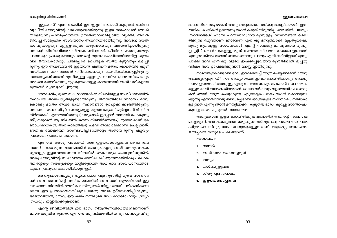'ഇളയവൻ' എന്ന വാക്കിന് ഇന്നുളളതിനേക്കാൾ കൂടുതൽ അർത്ഥ വ്യാപ്തി യേശുവിന്റെ കാലത്തുണ്ടായിരുന്നു. ഇളയ സഹോദരൻ മത്സരി യായിരുന്നു – സമൂഹത്തിൽ ഉന്നതസ്ഥാനമില്ലാത്ത വ്യക്തി. അവൻ ജീവിച്ച സാമൂഹിക സംവിധാനം അവനെതിരായിരുന്നു. അവന്റെ സ്വന്ത കഴിവുകളെയും മറ്റുള്ളവരുടെ കരുണയെയും ആശ്രയിച്ചായിരുന്നു അവന്റെ ജീവിതവിജയം നിലകൊണ്ടിരുന്നത്. ജീവിതം പൊതുവെയും പാരമ്പര്യം പ്രത്യേകമായും അവന്റെ ഗുണകാംക്ഷിയായിരുന്നില്ല. മൂത്ത വന് ജന്മാവകാശവും ചിലപ്പോൾ പൈതൃക സ്വത്ത് മുഴുവനും ലഭിച്ചി രുന്നു. ഈ അവസ്ഥയിൽ ഇളയവൻ എങ്ങനെ മത്സരിക്കാതെയിരിക്കും? അധികാരം മറ്റെ ഭാഗത്ത് നിർബന്ധമായും കേന്ദ്രീകരിക്കപ്പെട്ടിരുന്നു. സ്വന്തവൃക്തിത്വത്തിലൂന്നിയുള്ള ഏറ്റവും ചെറിയ പ്രവൃത്തിപോലും അവനെ മത്സരിയെന്നു മുദ്രകുത്താനുള്ള കാരണമായി അധികാരികളായ മുത്തവർ വ്യാഖ്യാനിച്ചിരുന്നു.

നേരെ മറിച്ച് മുത്ത സഹോദരന്മാർക്ക് നിലവിലുള്ള സംവിധാനത്തിൽ സ്ഥാപിത താല്പര്യങ്ങളുണ്ടായിരുന്നു. ജനനത്തിലെ സ്ഥാനം ഒന്നു കൊണ്ടു മാത്രം അവർ ഭാവി സ്ഥാനങ്ങൾ ഉറപ്പാക്കിക്കഴിഞ്ഞിരുന്നു. അവരെ സംബന്ധിച്ചിടത്തോളമുള്ള മുദ്രാവാക്യം: "പൂർവ്വസ്ഥിതി നില നിർത്തുക" എന്നതായിരുന്നു (കാര്യങ്ങൾ ഇപ്പോൾ നന്നായി പോകുന്നു ണ്ട്, നമുക്കത് ആ നിലയിൽ തന്നെ നിലനിർത്തണം). മുത്തവരാണ് ഭര ണാധികാരികൾ. അധികാരത്തിന്റെ പദവി അവരിലേക്കാണ് ചെല്ലുന്നത്. ഭൗതിക ലോകത്തെ സംബന്ധിച്ചിടത്തോളം അതായിരുന്നു ഏറ്റവും പ്രയോജനപ്രദമായ സ്ഥാനം.

എന്നാൽ യേശു പറഞ്ഞത് നാം ഇളയവരെപ്പോലെ ആകണമെ ന്നാണ് – നാം മുത്തവരാണെങ്കിൽ പോലും. ഏതു അധികാരവും സൗക ര്യങ്ങളും ഇളയവരാണെന്ന നിലയിൽ കൈകാര്യം ചെയ്യുന്നില്ലെങ്കിൽ അതു യേശുവിന്റെ സ്വഭാവത്തെ അതിലംഘിക്കുന്നതായിരിക്കും. ലോക ത്തിന്റെയും സഭയുടെയും മാറ്റിക്കുടാത്ത അധികാര സംവിധാനത്തോട് യുദ്ധം പ്രഖ്യാപിക്കലായിരിക്കും ഇത്.

യെഹൂദപാരമ്പര്യവും ന്യായപ്രമാണവുമനുസരിച്ച് മൂത്ത സഹോദ രൻ അവകാശത്തിന്റെ അധിക ഓഹരിക്ക് അവകാശി ആയതിനാൽ ഇള യവനെന്ന നിലയിൽ ഭൗതിക വസ്തുക്കൾ നിസ്സാരമായി പരിഗണിക്കണ മെന്ന് ഈ പ്രസ്താവനയിലൂടെ യേശു നമ്മെ ഉദ്ബോധിപ്പിക്കുന്നു. ഒരർത്ഥത്തിൽ, യേശു ഈ കല്പനയിലൂടെ അധികാരമോഹവും ദ്രവ്യാ ഗ്രഹവും ഇല്ലാതാക്കുകയാണ്.

എന്റെ ജീവിതത്തിൽ ഈ ഭാഗം നിയന്ത്രണവിധേയമാണെന്നാണ് ഞാൻ കരുതിയിരുന്നത്. എന്നാൽ ഒരു വർഷത്തിൽ രണ്ടു പ്രാവശ്യം വീടു

#### ෨෧യവനെപ്പോലെ

മാറേണ്ടിവന്നപ്പോഴാണ് അതു തെറ്റാണെന്നെനിക്കു മനസ്സിലായത്. ഇത്ര യധികം പെട്ടികൾ ഉണ്ടെന്നു ഞാൻ കരുതിയിരുന്നില്ല. അവയിൽ പലതും 'സാധനങ്ങൾ' എന്നേ പറയാനാവുമായിരുന്നുള്ളു. സാധനങ്ങൾ ശേഖ രിക്കുന്ന ഒരുവനാണ് ഞാനെന്ന് എനിക്കു മനസ്സിലായി. മുപ്പതുവർഷം മുമ്പു മുതലുള്ള സാധനങ്ങൾ എന്റെ സമ്പാദൃത്തിലുണ്ടായിരുന്നു. പ്ലാസ്റ്റിക് ഷെൽഫുകളുള്ള മൂന്ന് അലമാര നിറയെ സാധനങ്ങളുണ്ടായി രുന്നുവെങ്കിലും അവയിലെന്താണെന്നുപോലും എനിക്കറിവില്ലായിരുന്നു. പക്ഷേ അവ എനിക്കു വളരെ ഇഷ്ടപ്പെട്ടവയായിരുന്നതിനാൽ മുപ്പതു വർഷം അവ ഉപേക്ഷിക്കുവാൻ മനസ്സില്ലായിരുന്നു.

നാമെന്തുകൊണ്ടാണ് ഭാരം ഇറക്കിവെച്ച് യാത്ര ചെയ്യണമെന്ന് യേശു ആവശ്യപ്പെടുന്നത്? നാം അത്യാഗ്രഹമില്ലാത്തവരായിരിക്കാനും അവനു നമ്മെ ഉപയോഗിക്കാനുള്ള ഏതു സ്ഥലത്തേക്കും പോകാൻ തക്ക വഴക്ക മുള്ളവരായി മാറേണ്ടതിനുമാണ്. ഓരോ വർഷവും വളരെയധികം മൈലു കൾ ഞാൻ യാത്ര ചെയ്യാറുണ്ട്. എത്രമാത്രം ഭാരം ഞാൻ കൊണ്ടുനട ക്കുന്നു എന്നതിനോടു ബന്ധപ്പെട്ടാണ് യാത്രയുടെ സന്തോഷം നിലകൊ ള്ളുന്നത് എന്നു ഞാൻ മനസ്സിലാക്കി. കൂടുതൽ ഭാരം, കുറച്ചു സന്തോഷം; കുറച്ചു ഭാരം, കൂടുതൽ സന്തോഷം!

അതുകൊണ്ട് ഇളയവനായിരിക്കുക എന്നതിന് അതിന്റെ സന്തോഷ ങ്ങളുമുണ്ട്. അസൗകര്യങ്ങൾ നമുക്കുണ്ടെങ്കിലും, ഒരു പക്ഷേ നാം പരമ ദരിദ്രരാണെങ്കിലും, നാം സ്വാതന്ത്ര്യമുള്ളവരാണ്. മാത്രമല്ല, ലോകത്തെ ജയിച്ചവൻ നമ്മുടെ പക്ഷത്താണ്.

#### $\omega_0$   $\omega_2$

- 1. ദാസൻ
- അധികാരം കൈയാളരുത്  $2.$
- മാതൃക 3.
- 4. താഴ്മയുളളവൻ
- ശിശു എന്നപോലെ 5.
- 6. ഇളയവനെപ്പോലെ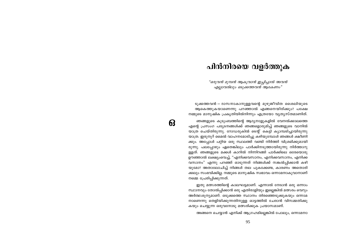### പിൻനിരയെ വളർത്തുക

"ഒരുവൻ മുമ്പൻ ആകുവാൻ ഇച്ചിച്ചാൽ അവൻ എല്ലാവരിലും ഒടുക്കത്തവൻ ആകേണം"

ടുക്കത്തവൻ – ദാസനാകാനുള്ളവന്റെ മുഴുജീവിത ശൈലിയുടെ ആകെത്തുകയാണെന്നു പറഞ്ഞാൽ എങ്ങനെയിരിക്കും? പക്ഷേ നമ്മുടെ മാനുഷിക പ്രകൃതിയിൽനിന്നും എത്രയോ വ്യത്യസ്തമാണിത്.

ഞങ്ങളുടെ കുടുംബത്തിന്റെ ആദ്യനാളുകളിൽ വേനൽക്കാലത്തെ എന്റെ പ്രസംഗ പര്യടനങ്ങൾക്ക് ഞങ്ങളൊരുമിച്ച് ഞങ്ങളുടെ വാനിൽ യാത്ര ചെയ്തിരുന്നു. റോഡരുകിൽ ടെന്റ് കെട്ടി ക്യാമ്പടിച്ചായിരുന്നു യാത്ര. ഇരുനൂറ് മൈൽ വാഹനമോടിച്ചു കഴിയുമ്പോൾ ഞങ്ങൾ ക്ഷീണി ക്കും. അപ്പോൾ പറ്റിയ ഒരു സ്ഥലത്ത് വണ്ടി നിർത്തി വിശ്രമിക്കുമായി രുന്നു. പലപ്പോഴും ഏതെങ്കിലും പാർക്കിനടുത്തായിരുന്നു നിർത്താറു ള്ളത്. ഞങ്ങളുടെ മക്കൾ കാറിൽ നിന്നിറങ്ങി പാർക്കിലെ ഒരേയൊരു ഊഞ്ഞാൽ ലക്ഷ്യംവെച്ച്, "എനിക്കവസാനം, എനിക്കവസാനം, എനിക്ക വസാനം" എന്നു പറഞ്ഞ് ഓടുന്നത് നിങ്ങൾക്ക് സങ്കൽപ്പിക്കാൻ കഴി യുമോ? അതാലോചിച്ച് നിങ്ങൾ തല പുകക്കേണ്ട, കാരണം അതൊരി ക്കലും സംഭവിക്കില്ല. നമ്മുടെ മാനുഷിക സ്വഭാവം ഒന്നാമനാകുവാനാണ് നമ്മെ പ്രേരിപ്പിക്കുന്നത്.

ഇതു മത്സരത്തിന്റെ കാലഘട്ടമാണ്. എന്നാൽ നേടാൻ ഒരു ഒന്നാം സ്ഥാനവും തോൽപ്പിക്കാൻ ഒരു എതിരാളിയും ഇല്ലെങ്കിൽ മത്സരം വെറും അർത്ഥശൂന്യമാണ്. ഒടുക്കത്തെ സ്ഥാനം തിരഞ്ഞെടുക്കുകയും ഒന്നാമ നാണെന്നു തെളിയിക്കുന്നതിനുള്ള ഓട്ടത്തിൽ ചേരാൻ വിസമ്മതിക്കു കയും ചെയ്യുന്ന ഒരുവനോടു മത്സരിക്കുക പ്രയാസമാണ്.

അങ്ങനെ ചെയ്യാൻ എനിക്ക് ആഗ്രഹമില്ലെങ്കിൽ പോലും, ഒന്നാമനാ

63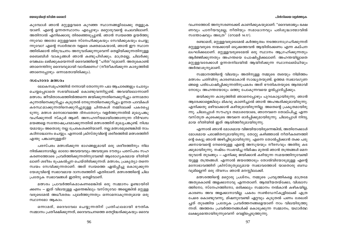#### പിൻനിരയെ വളർത്തുക

#### യേശുവിന്റെ ജീവിത ശൈലി

കുമ്പോൾ ഞാൻ മറ്റുളളവരെ കുറഞ്ഞ സ്ഥാനങ്ങളിലേക്കു തള്ളുക യാണ്. എന്റെ ഉന്നതസ്ഥാനം എപ്പോഴും മറ്റൊരുവന്റെ ചെലവിലാണ്. അതിനാൽ എനിക്കൊരു തിരഞ്ഞെടുപ്പുണ്ട്. ഞാൻ സ്വയത്തെ ഉയർത്തു ന്നുവോ അതോ മറ്റുള്ളവരെ സ്നേഹിക്കുകയും സേവിക്കുകയും ചെയ്യു ന്നുവോ? എന്റെ സ്വാർത്ഥത വളരെ ശക്തമാകയാൽ, ഞാൻ ഈ സ്ഥാന ത്തിരിക്കാൻ തിരുവചനം അനുവദിക്കുന്നുവെന്ന് തെളിയിക്കുന്നതിനുള്ള ബൈബിൾ വാകൃങ്ങൾ ഞാൻ കണ്ടുപിടിക്കും. മാത്രമല്ല, ചിലർക്കു വെങ്കലം ലഭിക്കുകയെന്നത് ദൈവത്തിന്റെ "ഹിത"വുമാണ്. അതുകൊണ്ട് ഞാനെന്തിനു ദൈവവുമായി വാദിക്കണം? (നീതീകരിക്കുന്ന കാര്യത്തിൽ ഞാനെപ്പോഴും ഒന്നാമതായിരിക്കും).

#### സഹോദര മത്സരം

ലോകസമുഹത്തിൽ നന്നായി തോന്നുന്ന പല ആചാരങ്ങളും ചോദ്യം ചെയ്യപ്പെടാതെ സഭയിലേക്ക് കൊണ്ടുവന്നിട്ടുണ്ട്. അവയിലൊന്നാണ് മത്സരം. ജീവിതാരംഭത്തിൽത്തന്നെ ജയിക്കുന്നതിനെക്കുറിച്ചും ഒന്നാമതാ കുന്നതിനെക്കുറിച്ചും കൂടുതൽ നേടുന്നതിനെക്കുറിച്ചും ഉന്നത പദവികൾ കരസ്ഥമാക്കുന്നതിനെക്കുറിച്ചുമുള്ള ചിന്തകൾ നമ്മിലേക്ക് പകരപ്പെ ടുന്നു. മത്സര മനോഭാവത്തെ ദിനംതോറും വളർത്തുന്നതിൽ മുഖ്യപങ്കു വഹിക്കുന്നത് സ്കൂൾ ആണ്. അസഹനീയമായിത്തോന്നുന്ന ദീർഘസ മയങ്ങളെ സന്തോഷപ്രദമാക്കുന്നതിൽ മത്സരത്തിന് മുഖ്യപങ്കുണ്ട്. നിശ്ച യമായും അതൊരു നല്ല പ്രേരകശക്തിയാണ്. നല്ല മത്സരമുണ്ടെങ്കിൽ നാം കഠിനാദ്ധ്വാനം ചെയ്യും. എന്നാൽ ക്രിസ്തുവിന്റെ ശരീരത്തിൽ മത്സരത്തിന് എന്തു പങ്കാണുള്ളത്?

പരസ്പരം മത്സരിക്കുന്ന ഭാഗങ്ങളുമായി ഒരു ശരീരത്തിനും നില നിൽക്കാനാവില്ല. ഓരോ അവയവവും അവയുടെ ദൗത്യം പരസ്പരം സഹ കരണത്തോടെ പ്രവർത്തിക്കുന്നതിനുവേണ്ടി ആരോഗ്യകരമായ രീതിയി ലാണ് ശരീരം രൂപകൽപ്പന ചെയ്തിരിക്കുന്നത്. മത്സരം, പ്രകൃത്യാ തന്നെ സ്വയം സേവിക്കുന്നതാണ്. അത് സ്വയത്തെ ഏൽപ്പിച്ചു കൊടുക്കുന്ന യേശുവിന്റെ സ്വഭാവമായ ദാസത്വത്തിന് എതിരാണ്. മത്സരത്തിന്റെ ചില പ്രത്യേക സ്വഭാവങ്ങൾ ഇതിനു തെളിവാണ്.

മത്സരം പ്രാവർത്തികമാകണമെങ്കിൽ ഒരു സമ്മാനം ഉണ്ടായിരി ക്കണം — ഇത് വിലയുള്ള എന്തെങ്കിലും വസ്തുവോ അല്ലെങ്കിൽ മറ്റുള്ള വരുടെമേൽ അധീശത്വം പുലർത്തുന്നതും ഒന്നാമനാകുന്നതുമായ ഒരു സ്ഥാനമോ ആകാം.

ഒന്നാമത്, ദൈവവേല ചെയ്യുന്നതിന് പ്രതിഫലമായി ഭൗതിക സമ്മാനം പ്രതീക്ഷിക്കുന്നത്, ദൈവവചനത്തെ തെറ്റിദ്ധരിക്കുകയും ദൈവ

വചനത്തോട് അനുസരണക്കേട് കാണിക്കുകയുമാണ്. "ദൈവരാജ്യം ഭക്ഷ ണവും പാനീയവുമല്ല, നീതിയും സമാധാനവും പരിശുദ്ധാത്മാവിൽ സന്തോഷവും അഹ്രേ" (റോമർ 14:17).

രണ്ടാമത്, മറ്റുള്ളവരുടെമേൽ കർത്ത്യത്വം നടത്താനാഗ്രഹിക്കുന്നത് മറ്റുള്ളവരുടെ നന്മക്കായി ഒടുക്കത്തവൻ ആയിരിക്കേണം എന്ന കല്പന ലംഘിക്കലാണ്. മറ്റുള്ളവരുടെമേൽ ഒരു സ്ഥാനം ആഗ്രഹിക്കുന്നതും ആർജ്ജിക്കുന്നതും അഹന്തയെ പോഷിപ്പിക്കലാണ്. അഹന്തയില്ലാതെ മറ്റുള്ളവരേക്കാൾ ഉന്നതനിലയിൽ ആയിരിക്കുന്ന സ്ഥാനലബ്ധിയും അർത്ഥശുന്യമാണ്.

സമ്മാനത്തിന്റെ വിലയും അതിനുള്ള നമ്മുടെ ത്വരയും നിമിത്തം മത്സരം ചതിവിനു കാരണമാകാൻ സാദ്ധ്യതയുണ്ട്. ഉത്തമ സ്വഭാവഗുണ ങ്ങളെ പരിപോഷിപ്പിക്കുന്നതിനുപകരം അത് ഭൗതികതയുടെ ആത്മാവി നോടും അഹന്തയോടും ഒത്തു പോകുന്നവയെ ഉൽപ്പാദിപ്പിക്കും.

ജയിക്കുന്ന കാര്യത്തിൽ ഞാനെപ്പോഴും പുറകോട്ടായിരുന്നു. ഞാൻ ആരേക്കാളെങ്കിലും മികവു കാണിച്ചാൽ ഞാൻ അഹങ്കരിക്കുമായിരുന്നു. എനിക്കതു ഒഴിവാക്കാൻ കഴിയുമായിരുന്നില്ല. അതെന്റെ പ്രകൃതമായിരു ന്നു. ചിലപ്പോൾ സൗഹൃദ തമാശയോടെ, ഞാനവനെ തോല്പിച്ചു എന്ന വസ്തുത കൂടെക്കൂടെ അവനെ ഓർപ്പിക്കുമായിരുന്നു. ചിലപ്പോൾ നിന്ദ്യ മായ രീതിയിൽ ഇത് ആയിത്തീരുമായിരുന്നു.

എന്നാൽ ഞാൻ മോശമായ വിജയിയായിരുന്നെങ്കിൽ, അതിനേക്കാൾ മോശമായ പരാജിതനുമായിരുന്നു. തോറ്റു കഴിഞ്ഞാൽ നീതീകരണത്തി ന്റെ കെട്ടു ഞാൻ അഴിച്ചിടുമായിരുന്നു. എന്നെ തോൽപ്പിക്കാൻ തക്ക പരു ക്കനായവന്റെ നേരെയുള്ള എന്റെ അസുയയും നീരസവും അതിരു കട ക്കുമായിരുന്നു. നഷ്ടം സംഭവിച്ച നിമിഷം മുതൽ ഞാൻ തന്ത്രങ്ങൾ മെന യുവാൻ തുടങ്ങും — എനിക്കു ജയിക്കാൻ കഴിയുന്ന സമയത്തിനുവേണ്ടി യുള്ള തന്ത്രങ്ങൾ. എന്നാൽ ജയത്തോടും തോൽവിയോടുമുള്ള എന്റെ മനോഭാവത്തിന് ക്രിസ്തുതുല്യമായ സ്വഭാവത്തോട് യാതൊരു ബന്ധ വുമില്ലെന്ന് ഒരു ദിവസം ഞാൻ മനസ്സിലാക്കി.

മത്സരത്തിന്റെ മറ്റൊരു പ്രശ്നം, നമ്മുടെ പ്രവൃത്തികളെ മാത്രമേ അതുകൊണ്ട് അളക്കാനാവൂ എന്നതാണ്. ആത്മീയതയ്ക്കോ, വിശ്വാസ ത്തിനോ, സ്നേഹത്തിനോ, ഒരിക്കലും സമ്മാനം നൽകാൻ കഴികയില്ല, കാരണം അവ അളക്കാനാവില്ല. പകരം സൺഡേസ്കുളിലേക്ക് എത്ര പേരെ കൊണ്ടുവന്നു, മിഷനുവേണ്ടി ഏറ്റവും കൂടുതൽ പണം ശേഖരി ച്ചത് തുടങ്ങിയ പ്രത്യേക പ്രവർത്തനങ്ങളെയാണ് നാം വിലയിരുത്തു ന്നത്. അത്തരം പ്രവർത്തനങ്ങൾക്ക് കൊടുക്കുന്ന സമ്മാനം, യഥാർത്ഥ ലക്ഷ്യമെന്തായിരുന്നുവെന്ന് വെളിപ്പെടുത്തുന്നു.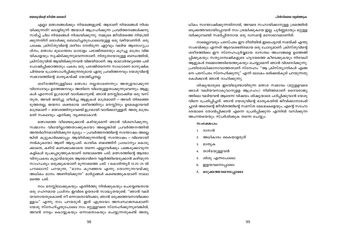#### പിൻനിരയെ വളർത്തുക

#### യേശുവിന്റെ ജീവിത ശൈലി

എല്ലാ മത്സരങ്ങൾക്കും നിയമങ്ങളുണ്ട്. ആരാണ് നിയമങ്ങൾ നിശ്ച യിക്കുന്നത്? ഒരാളിരുന്ന് അയാൾ ആഗ്രഹിക്കുന്ന പ്രവർത്തനങ്ങൾക്കനു സരിച്ച് ചില നിയമങ്ങൾ നിശ്ചയിക്കുന്നു. നമ്മുടെ ജീവിതത്തെ നിയന്ത്രി ക്കുന്നതിന് ഒരാൾക്കു ബോധിച്ചതുപോലെയുള്ള ഒരു വഴിയാണിത്. ഒരു പക്ഷേ, ക്രിസ്തുവിന്റെ ശരീരം നേരിടുന്ന ഏറ്റവും വലിയ ആരോഗൃപ്ര ശ്നം, മത്സരം മുഖാന്തരം ധാരാളം പരാജിതരെയും കുറച്ചു മാത്രം വിജ യികളേയും സൃഷ്ടിക്കുന്നുവെന്നതാണ്. നിതൃതയോടുള്ള ബന്ധത്തിൽ, ക്രിസ്തുവിൽ ആയിരിക്കുന്നവൻ വിജയിയാണ്. ആ യാഥാർത്ഥ്യത്തെ പരി പോഷിപ്പിക്കാത്തതും പകരം ഒരു പരാജിതനെന്ന സാധാരണ മാനുഷിക ചിന്തയെ പ്രോത്സാഹിപ്പിക്കുന്നതുമായ ഏതു പ്രവർത്തനവും യേശുവിന്റെ സ്വഭാവത്തിന്റെ മാതൃകയ്ക്ക് യോജിച്ചതല്ല.

ശരീരത്തിനുള്ളിലെ മത്സരം നല്ലതാണെന്നും അതുളവാക്കുന്ന വിനോദവും ഉത്തേജനവും അതിനെ വിലയുള്ളതാക്കുന്നുവെന്നും ആളു കൾ എന്നോട് ഉഗ്രമായി വാദിക്കാറുണ്ട്. ഞാൻ മനസ്സിലാക്കിയ ഒരു വസ് തുത, അവർ ജയിച്ചു ശീലിച്ച ആളുകൾ മാത്രമാണ് — അവർ തിരഞ്ഞെ ടുത്തതല്ല, ജന്മനാ ശക്തമായ ശരീരത്തിനും മനസ്സിനും ഉടമകളായവർ മാത്രമാണ് — മത്സരത്തിനുവേണ്ടി ഉഗ്രമായി വാദിക്കാറുള്ളത്. അതു മാത്രം മതി സകലവും എനിക്കു വ്യക്തമാകാൻ.

മത്സരത്തെ വീണ്ടെടുക്കാൻ കഴിയുമെന്ന് ഞാൻ വിശ്വസിക്കുന്നു. സമ്മാനം വിലയില്ലാത്തതാക്കുകയോ അല്ലെങ്കിൽ പ്രവർത്തനത്തിൽ അന്തർലീനമായിരിക്കുന്ന മൂല്യം — പ്രവർത്തനത്തിന്റെ സന്തോഷം അല്ലെ ങ്കിൽ കുട്ടുകാർക്കൊപ്പം ആയിരിക്കുന്നതിന്റെ സന്തോഷം – വിലയായി നൽകുകയോ ആണ് ആദ്യപടി. കായിക ബലത്തിന് പ്രാധാന്യം കൊടു ക്കാതെ, കഴിവ് കണക്കാക്കാതെ തന്നെ എല്ലാവർക്കും പങ്കെടുക്കാവുന്ന കളികൾ രൂപപ്പെടുത്തുകയാണ് രണ്ടാമത്തെ പടി. മത്സരത്തിന്റെ ആത്മാ വിനുപകരം കൂട്ടായ്മയുടെ ആത്മാവിനെ വളർത്തിയെടുക്കാൻ കഴിയുന്ന സാഹചര്യം ഒരുക്കുകയാണ് മൂന്നാമത്തെ പടി. 1 കൊരിന്ത്യർ 12:25–25 ൽ പൗലൊസ് പറയുന്ന, "മാനം കുറഞ്ഞവ എന്നു തോന്നുന്നവയ്ക്കു അധികം മാനം അണിയിക്കുന്ന" മാർഗ്ഗങ്ങൾ കണ്ടെത്തുകയാണ് നാലാ മത്തെ പടി.

നാം മനസ്സിലാക്കുകയും എതിർത്തു നിൽക്കുകയും ചെയ്യേണ്ടതായ ഒരു ഗഹനമായ പ്രശ്നം ഇവിടെ ഉയരാൻ സാദ്ധ്യതയുണ്ട്. "ഞാൻ വലി യവനായതുകൊണ്ട് നീ ഒന്നാമതായിക്കോ, ഞാൻ ഒടുക്കത്തവനായിക്കൊ ള്ളാം" എന്നു നാം പറയരുത്. ഇത് എത്രയോ അസ്വസ്ഥജനകമാണ്! യേശു സ്നേഹിച്ചതുപോലെ നാം മറ്റുള്ളവരെ സ്നേഹിക്കുന്നുവെങ്കിൽ, അവൻ നേട്ടം കൊയ്യുകയും ഒന്നാമതാകയും ചെയ്യുന്നതുകണ്ട് അതൃ

ധികം സന്തോഷിക്കുന്നതിനാൽ, അവരെ സഹായിക്കാനുള്ള ശ്രമത്തിൽ ഒടുക്കത്തവരായിപ്പോയത് നാം ശ്രദ്ധിക്കുകയേ ഇല്ല. പൂർണ്ണമായും മറ്റുള്ള വർക്കുവേണ്ടി സമർപ്പിതനായ ഒരു ദാസന്റെ മനോഭാവമാണിത്.

നാമെല്ലാവരും പരസ്പരം ഈ രീതിയിൽ ഇടപെട്ടാൽ സഭയ്ക്ക് എന്തു സംഭവിക്കും എന്നത് ആവേശഭരിതമായ ഒരു ചോദ്യമാണ്. ക്രിസ്തുവിന്റെ ശരീരത്തിലെ ഈ സ്നേഹപുർവ്വമായ ദാസത്വം അംഗങ്ങളെ ഉത്തേജി പ്പിക്കുകയും സത്യാമ്പേഷികളുടെ ഹൃദയത്തെ കീഴടക്കുകയും നിരവധി ആളുകൾ നമ്മെത്തേടിയെത്തുകയും ചെയ്യുമെന്ന് ഞാൻ വിശ്വസിക്കുന്നു. പ്രതിരോധിക്കാനാവാത്തതാണ് സ്നേഹം. "ആ ക്രിസ്ത്യാനികൾ എങ്ങ നെ പരസ്പരം സ്നേഹിക്കുന്നു" എന്ന് ലോകം ഒരിക്കൽകൂടി പറയുന്നതു കേൾക്കാൻ ഞാൻ ദാഹിക്കുന്നു.

ശിഷ്യന്മാരുടെ ഇടയിലുണ്ടായിരുന്ന മത്സര സ്വഭാവം (മറ്റുള്ളവരെ ക്കാൾ വലിയവനാകുവാനുളള ആഗ്രഹം) നിമിത്തമാണ് ദൈവരാജ്യ ത്തിലെ വലിയവൻ ആരെന്ന വിഷയം ശിഷ്യന്മാരെ പഠിപ്പിക്കുവാൻ യേശു വിനെ പ്രേരിപ്പിച്ചത്. ഞാൻ യേശുവിന്റെ മാതൃകയിൽ ജീവിക്കാനാരംഭി ച്ചാൽ അതെന്റെ ജീവിതത്തിന്റെ സമസ്ത മേഖലകളെയും, എന്റെ സഹോ ദരന്മാരെ തോൽപ്പിക്കാൻ എന്നെ പ്രേരിപ്പിക്കുന്ന എന്നിൽ വസിക്കുന്ന അഹന്തയെയും സ്പർശിക്കുക തന്നെ ചെയ്യും.

#### $\omega$ oca $\omega$ ndo:

- 1. ദാസൻ
- അധികാരം കൈയാളരുത് 2.
- മാതൃക 3.
- താഴ്മയുള്ളവൻ  $\overline{4}$ .
- ശിശു എന്നപോലെ 5.
- ഇളയവനെപ്പോലെ 6.
- 7. ഒടുക്കത്തവനെപ്പോലെ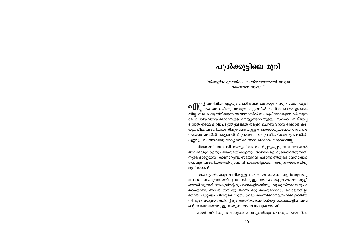### പുൽക്കൂട്ടിലെ മുറി

"നിങ്ങളിലെല്ലാവരിലും ചെറിയവനായവൻ അത്രേ വലിയവൻ ആകും"

 $\alpha$ ႐ြ) ഐ $_{\rm el.}$  അറിവിൽ എറ്റവും ചെറിയവന് ലഭിക്കുന്ന ഒരു സമ്മാനവുമി<br>തില്ല. മഹത്വം ലഭിക്കുന്നവരുടെ കൂട്ടത്തിൽ ചെറിയവരാരും ഉണ്ടാക യില്ല. നമ്മൾ ആയിരിക്കുന്ന അവസ്ഥയിൽ സംതൃപ്തരാകുമ്പോൾ മാത്ര മേ ചെറിയവരായിരിക്കാനുള്ള മനസ്സുണ്ടാകയുളളു. സ്ഥാനം നഷ്ടപ്പെ ടുന്നത് നമ്മെ മുറിപ്പെടുത്തുമെങ്കിൽ നമുക്ക് ചെറിയവരായിരിക്കാൻ കഴി യുകയില്ല. അംഗീകാരത്തിനുവേണ്ടിയുള്ള അനാരോഗ്യകരമായ ആഗ്രഹം നമുക്കുണ്ടെങ്കിൽ, നേട്ടങ്ങൾക്ക് പ്രശംസ നാം പ്രതീക്ഷിക്കുന്നുണ്ടെങ്കിൽ, ഏറ്റവും ചെറിയവന്റെ മാർഗ്ഗത്തിൽ സഞ്ചരിക്കാൻ നമുക്കാവില്ല.

വിജയത്തിനുവേണ്ടി അതൃധികം താൽപ്പര്യപ്പെടുന്ന നേതാക്കൾ അവാർഡുകളെയും ബഹുമതികളെയും അണികളെ കൂടെനിർത്തുന്നതി നുള്ള മാർഗ്ഗമായി കാണാറുണ്ട്. സഭയിലെ പ്രമാണിത്തമുള്ള നേതാക്കൾ പോലും അംഗീകാരത്തിനുവേണ്ടി ലജ്ജയില്ലാതെ അനുരഞ്ജനത്തിനു മുതിരാറുണ്ട്.

സ്വയപുകഴ്ചക്കുവേണ്ടിയുള്ള ദാഹം മത്സരത്തെ വളർത്തുന്നതു പോലെ ബഹുമാനത്തിനു വേണ്ടിയുള്ള നമ്മുടെ ആഗ്രഹത്തെ ആളി ക്കത്തിക്കുന്നത് യേശുവിന്റെ പ്രേരണകളിൽനിന്നും വൃത്യസ്തമായ പ്രേര ണകളാണ്. അവൻ തനിക്കു തന്നെ ഒരു ബഹുമാനവും കൊടുത്തില്ല. ഞാൻ ചുരുക്കം ചിലരുടെ മാത്രം ശ്രദ്ധ ക്ഷണിക്കാനാഗ്രഹിക്കുന്നതിൽ നിന്നും ബഹുമാനത്തിന്റെയും അംഗീകാരത്തിന്റെയും മേഖലകളിൽ അവ ന്റെ സ്വഭാവത്തോടുള്ള നമ്മുടെ ലംഘനം വ്യക്തമാണ്.

ഞാൻ ജീവിക്കുന്ന സമൂഹം പരസ്യത്തിനും പൊതുജനസമ്പർക്ക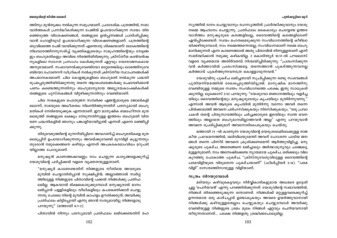#### പുൽക്കൂട്ടിലെ മുറി

സ്യത്തിൽ ദാനം ചെയ്യുവാനും രഹസ്യത്തിൽ പ്രാർത്ഥിക്കുവാനും യേശു നമ്മെ ആഹ്വാനം ചെയ്യുന്നു. പ്രതിഫലം കൈകാര്യം ചെയ്യേണ്ട ഉത്തര വാദിത്തം മനുഷ്യരുടെ കരങ്ങളിലല്ല, ദൈവത്തിന്റെ കരങ്ങളിലാണ് ഏൽപ്പിക്കേണ്ടത്. സ്വയം മഹത്വമെടുക്കുന്ന സംവിധാനത്തിന്റെ കീഴിലാ യിക്കഴിയുമ്പോൾ, നാം നമ്മെത്തന്നെയല്ല, സംവിധാനമാണ് നമ്മെ ബഹു മാനിക്കുന്നത് എന്ന കാരണത്താൽ അതു പിതാവിൽ നിന്നുള്ളതാണ് എന്ന് സമർത്ഥിക്കാൻ നമുക്കു കഴികയില്ല. 2 കൊരിന്ത്യർ 10:17-ൽ പൗലൊസ് വളരെ വ്യക്തമായ അതിർവരമ്പ് നിശ്ചയിച്ചിരിക്കുന്നു: "പ്രശംസിക്കുന്ന വൻ കർത്താവിൽ പ്രശംസിക്കട്ടെ. തന്നെത്താൻ പുകഴ്ത്തുന്നവനല്ല കർത്താവ് പുകഴ്ത്തുന്നവനത്രേ കൊള്ളാവുന്നവൻ."

യേശുവിനു പുകഴ്ച ലഭിച്ചതായി സൂചിപ്പിക്കുന്ന രണ്ടു സംഭവങ്ങൾ പുതിയനിയമത്തിൽ രേഖപ്പെടുത്തിയിട്ടുണ്ട്. മാനുഷിക മാനത്തിനു വേണ്ടിയുള്ള നമ്മുടെ സ്വന്തം സംവിധാനത്തെ പക്ഷേ, ഇതു സാധുകരി ക്കുന്നില്ല. ലൂക്കൊസ് 2:52 പറയുന്നു: "യേശുവോ ജ്ഞാനത്തിലും വളർച്ച യിലും ദൈവത്തിന്റെയും മനുഷ്യരുടേയും കൃപയിലും മുതിർന്നുവന്നു." എന്നാൽ അവൻ ആരുടെ കൃപയിൽ മുതിർന്നു വന്നോ അവർ തന്നെ പിൽക്കാലത്ത് അവനെ പരിഹസിക്കുകയും നിരസിക്കുകയും, "ഒരു പ്രവാ ചകൻ തന്റെ പിതൃനഗരത്തിലും ചർച്ചക്കാരുടെ ഇടയിലും സ്വന്ത ഭവന ത്തിലും അല്ലാതെ ബഹുമാനമില്ലാത്തവൻ അല്ല" എന്നു പറയുവാൻ അവനെ പ്രേരിപ്പിക്കുമാറ് അവനോടിടപെടുകയും ചെയ്തു.

മത്തായി 21 –ൽ കാണുന്ന യേശുവിന്റെ യെരുശലേമിലേക്കുള്ള രാജ കീയ പ്രവേശനത്തിൽ, ഒലിവിലയുമേന്തി അവന് ഹോശന്ന പാടിയ ജന ങ്ങൾ തന്നെ പിന്നീട് അവനെ ക്രൂശിക്കണമെന്ന് ആർത്തുവിളിച്ചു. മനു ഷ്യരുടെ പുകഴ്ച, അതെങ്ങനെ ലഭിച്ചാലും അർത്ഥശൂന്യവും ചാഞ്ചല്യ മുള്ളതുമാണ്. നാം അന്വേഷിക്കേണ്ട ന്യായമായ പുകഴ്ച, ഒരിക്കലും വില കുറഞ്ഞു പോകാത്ത പുകഴ്ച, "ക്രിസ്തുവേശുവിലുള്ള ദൈവത്തിന്റെ പരമവിളിയുടെ വിരുതെന്ന പുകഴ്ചയാണ്'' (ഫിലിപ്പിയർ 3:14). "പരമ വിളി" ദാസത്വത്തിനായുള്ള വിളിയാണ്.

#### സത്രം നിറയുമ്പോൾ

മടിയരും കഴിവുകെട്ടവരും നിർവ്വികാരികളുമായ അധമരെ ഉദ്ദേശി ച്ചല്ല 'ചെറിയവൻ' എന്നു പറഞ്ഞിരിക്കുന്നത്. യേശുവിന്റെ സ്വഭാവത്തിൽ, നിങ്ങൾ തിരഞ്ഞെടുക്കുന്ന ഒന്നാണത്. നിങ്ങൾക്ക് മറ്റുള്ളവരെക്കുറിച്ച് ഉന്നതമായ ഒരു കാഴ്ചപ്പാട് ഉണ്ടാകുകയും അവരെ ഉയർത്തുവാനായി നിങ്ങൾക്കു കഴിവുള്ളതെല്ലാം ചെയ്യുകയും ചെയ്യുമ്പോൾ അവർക്കു വേണ്ടിയുള്ള നിങ്ങളുടെ ശ്രമം മൂലം നിങ്ങൾ ഏറ്റവും ചെറിയവനായി തീരുന്നതാണത്... പക്ഷേ നിങ്ങളതു ശ്രദ്ധിക്കപോലുമില്ല.

#### യേശുവിന്റെ ജീവിത ശൈലി

ത്തിനും മുൻതുക്കം നൽകുന്ന സമുഹമാണ്. പ്രാദേശിക പത്രത്തിൽ, സഭാ വാർത്തകൾ പ്രസിദ്ധീകരിക്കുന്ന പേജിൽ ഉപയോഗിക്കുന്ന സ്വയം തിര ഞ്ഞെടുത്ത വിശേഷണങ്ങൾ, തങ്ങളുടെ ഉൽപ്പന്നങ്ങൾ പ്രദർശിപ്പിക്കു വാൻ ഹോളിവുഡ് ഉപയോഗിക്കുന്ന വിശേഷണങ്ങളാണ്. പത്രത്തിന്റെ ഒടുവിലത്തെ പേജ് വായിക്കുന്നത് എന്തൊരു ശിക്ഷയാണ്! ലോകത്തിന്റെ നിലവാരത്തിനനുസരിച്ച് വ്യക്തികളുടെയും സമുഹത്തിന്റെയും നേട്ടങ്ങ ളും ബഹുമതികളും അവിടെ നിരത്തിയിരിക്കുന്നു. ക്രിസ്തീയ കൺവൻഷ നുകളിലെ സ്വാഗത പ്രസംഗം കേൾക്കുന്നത് ഏറ്റവും വേദനാജനകമായ അനുഭവമാണ്. സംഭാവനയ്ക്കുവേണ്ടിയോ മറ്റേതെങ്കിലും ലാഭത്തിനുവേ ണ്ടിയോ ഹോണററി ഡിഗ്രികൾ നൽകുന്നത് ക്രിസ്തീയ സ്ഥാപനങ്ങൾക്ക് അപമാനകരമാണ്. ചില കോളജുകളിലെ ബഹുമതി നൽകുന്ന പദ്ധതി രൂപപ്പെടുത്തിയിരിക്കുന്നതു തന്നെ ആഢംബരങ്ങൾക്കു ചെലവഴിക്കാൻ പണം കണ്ടെത്തുന്നതിനും ബഹുമാന്യരായ അഭ്യുദയകാംക്ഷികൾക്ക് തങ്ങളുടെ പുസ്തകങ്ങൾ വിറ്റഴിക്കുന്നതിനും വേണ്ടിയാണ്.

ചില സഭകളുടെ പൊതുജന സമ്പർക്ക ഏജന്റുമാരുടെ ജോലികളി ലൊന്ന്, സഭയുടെ അധീശത്വം നിലനിർത്തുന്നതിന് പരസ്യമായി ബഹു മതികൾ നേടിയെടുക്കുക എന്നതാണ്. ഈ മാനുഷിക ബലഹീനത മുത ലെടുത്ത് തങ്ങളുടെ ലക്ഷ്യം നേടുന്നതിനുള്ള ഇത്തരം ബഹുമതി വിത രണ പദ്ധതികളിൽ ഞാനും പങ്കാളിയായിട്ടുണ്ട് എന്നത് എന്നെ ലജ്ജിപ്പി ക്കുന്നു.

തിരുവെഴുത്തിന്റെ മുന്നറിയിപ്പിനെ അവഗണിച്ച് ബഹുമതികളെ മുത ലെടുപ്പിന് ഉപയോഗിക്കുന്നതും അവയ്ക്കുവേണ്ടി മുറവിളി കൂട്ടുന്നതും തുടരാൻ നമുക്കെങ്ങനെ കഴിയും എന്നത് അപകടകരമാംവിധം മറുപടി യില്ലാത്ത ചോദ്യമാണ്.

മനുഷ്യൻ കാണത്തക്കവണ്ണം നാം ചെയ്യുന്ന കാര്യങ്ങളെക്കുറിച്ച് യേശുവിന്റെ പഠിപ്പിക്കൽ വളരെ വ്യക്തതയുള്ളതാണ്.

"മനുഷ്യർ കാണേണ്ടതിന് നിങ്ങളുടെ നീതിയെ അവരുടെ മുമ്പിൽ ചെയ്യാതിരിപ്പാൻ സൂക്ഷിപ്പിൻ; അല്ലാഞ്ഞാൽ സ്ഥർഗ്ഗ ത്തിലുള്ള നിങ്ങളുടെ പിതാവിന്റെ പക്കൽ നിങ്ങൾക്കു പ്രതിഫ ലമില്ല. ആകയാൽ ഭിക്ഷകൊടുക്കുമ്പോൾ മനുഷ്യരാൽ മാനം ലഭിപ്പാൻ പള്ളികളിലും വീഥികളിലും കപടഭക്തിക്കാർ ചെയ്യു ന്നതു പോലെ നിന്റെ മുമ്പിൽ കാഹളം ഊതിക്കരുത്; അവർക്കു പ്രതിഫലം കിട്ടിപ്പോയി എന്നു ഞാൻ സത്യമായിട്ടു നിങ്ങളോടു പറയുന്നു" (മത്തായി 6:1-2).

പിതാവിൽ നിന്നും പരസ്യമായി പ്രതിഫലം ലഭിക്കേണ്ടതിന് രഹ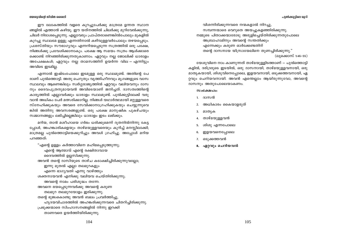#### യേശുവിന്റെ ജീവിത ശൈലി

ഈ ലോകത്തിൽ വളരെ കുറച്ചുപേർക്കു മാത്രമേ ഉന്നത സ്ഥാന ങ്ങളിൽ എത്താൻ കഴിയു. ഈ യത്നത്തിൽ ചിലർക്കു മുറിവേൽക്കുന്നു, ചിലർ നിരാശപ്പെടുന്നു. എല്ലാവരും പ്രാപ്തരാണെങ്കിൽപോലും മുകളിൽ കുറച്ചു സ്ഥലമേ ഉള്ളൂ എന്നതിനാൽ കഴിവുള്ളവർപോലും തഴയപ്പെടും. പ്രശസ്തിയും സൗഭാഗൃവും എന്നറിയപ്പെടുന്ന സത്രത്തിൽ ഒരു പക്ഷേ, നിങ്ങൾക്കു പ്രവേശിക്കാനാകും. പക്ഷേ ആ സമയം സത്രം ആൾക്കാരെ ക്കൊണ്ട് നിറഞ്ഞിരിക്കുന്നതുകാണാം. ഏറ്റവും നല്ല ജോലിക്ക് ധാരാളം അപേക്ഷകൾ; ഏറ്റവും നല്ല താമസത്തിന് ഉയർന്ന വില – എന്നിട്ടും അവിടെ ഇടമില്ല.

എന്നാൽ ഇഷ്ടംപോലെ ഇടമുള്ള ഒരു സ്ഥലമുണ്ട്. അതിന്റെ പേ രാണ് പുൽത്തൊട്ടി. അതു ചെറുതും വൃത്തിഹീനവും മൃഗങ്ങളുടെ വാസ സ്ഥലവും ആണെങ്കിലും സ്വർഗ്ഗരാജ്യത്തിൽ ഏറ്റവും വലിയവനും ദാസ നും ദൈവപുത്രനുമായവൻ അവിടെയാണ് ജനിച്ചത്. ദാസത്വത്തിന്റെ കാര്യത്തിൽ എല്ലാവർക്കും ധാരാളം സ്ഥലമുണ്ട്. പുൽക്കൂട്ടിലേക്ക് വരു വാൻ അധികം പേർ മത്സരിക്കാറില്ല. നിങ്ങൾ യഥാർത്ഥമായി മറ്റുള്ളവരെ സ്നേഹിക്കുകയും അവരെ സേവിക്കാനാഗ്രഹിക്കുകയും ചെയ്യുന്നുവെ ങ്കിൽ അതിനു അവസരങ്ങളുണ്ട്. ഒരു പക്ഷേ മാനുഷിക പുകഴ്ചയും സമ്മാനങ്ങളും ലഭിച്ചില്ലെങ്കിലും ധാരാളം ഇടം ലഭിക്കും.

മറിയ, താൻ മശീഹായെ ഗർഭം ധരിക്കുമെന്ന് ദൂതനിൽനിന്നു കേട്ട പ്പോൾ, അഹങ്കാരികളെയും താഴ്മയുള്ളവരെയും കുറിച്ച് മനസ്സിലാക്കി; മാത്രമല്ല പുൽത്തൊട്ടിയെക്കുറിച്ചും അവൾ ഗ്രഹിച്ചു. അപ്പോൾ മറിയ പറഞ്ഞത്:

"എന്റെ ഉള്ളം കർത്താവിനെ മഹിമപ്പെടുത്തുന്നു; എന്റെ ആത്മാവ് എന്റെ രക്ഷിതാവായ ദൈവത്തിൽ ഉല്ലസിക്കുന്നു. അവൻ തന്റെ ദാസിയുടെ താഴ്ച കടാക്ഷിച്ചിരിക്കുന്നുവല്ലോ; ഇന്നു മുതൽ എല്ലാ തലമുറകളും എന്നെ ഭാഗ്യവതി എന്നു വാഴ്ത്തും ശക്തനായവൻ എനിക്കു വലിയവ ചെയ്തിരിക്കുന്നു; അവന്റെ നാമം പരിശുദ്ധം തന്നേ. അവനെ ഭയപ്പെടുന്നവർക്കു അവന്റെ കരുണ തലമുറ തലമുറയോളം ഇരിക്കുന്നു. തന്റെ ഭുജംകൊണ്ടു അവൻ ബലം പ്രവർത്തിച്ചു. ഹൃദയവിചാരത്തിൽ അഹങ്കരിക്കുന്നവരെ ചിതറിച്ചിരിക്കുന്നു. പ്രഭുക്കന്മാരെ സിംഹാസനങ്ങളിൽ നിന്നു ഇറക്കി താണവരെ ഉയർത്തിയിരിക്കുന്നു.

വിശന്നിരിക്കുന്നവരെ നന്മകളാൽ നിറച്ചു, സമ്പന്നന്മാരെ വെറുതെ അയച്ചുകളഞ്ഞിരിക്കുന്നു. നമ്മുടെ പിതാക്കന്മാരോടു അരുളിച്ചെയ്തിരിക്കുന്നതുപോലെ അബ്രാഹാമിനും അവന്റെ സന്തതിക്കും എന്നേക്കും കരുണ ഓർക്കേണ്ടതിന് തന്റെ ദാസനായ യിസ്രായേലിനെ തുണച്ചിരിക്കുന്നു." (ലുക്കൊസ് 1:46–55)

യേശുവിനെ നാം കാണുന്നത് താഴ്മയുള്ളിടത്താണ് — പുൽത്തൊട്ടി കളിൽ, ദരിദ്രരുടെ ഇടയിൽ, ഒരു ദാസനായി, താഴ്മയുള്ളവനായി, ഒരു മാതൃകയായി, ശിശുവിനെപ്പോലെ, ഇളയവനായി, ഒടുക്കത്തവനായി, ഏ റ്റവും ചെറിയവനായി. അവൻ എന്തെല്ലാം ആയിരുന്നുവോ, അവന്റെ ദാസനും അതുപോലെയാകണം.

#### $**Q**$  $**M**o1o:$

- 1. ദാസൻ
- $\overline{2}$ . അധികാരം കൈയാളരുത്
- 3. മാതൃക
- താഴ്മയുള്ളവൻ  $\overline{4}$ .
- ശിശു എന്നപോലെ 5
- ഇളയവനെപ്പോലെ 6.
- 7. ഒടുക്കത്തവൻ
- 8. ഏറ്റവും ചെറിയവൻ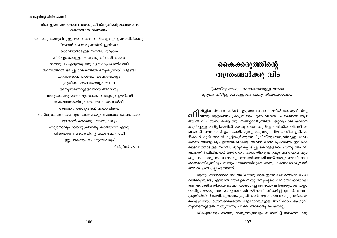#### നിങ്ങളുടെ മനോഭാവം യേശുക്രിസ്തുവിന്റെ മനോഭാവം തന്നെയായിരിക്കണം:

ക്രിസ്തുയേശുവിലുള്ള ഭാവം തന്നേ നിങ്ങളിലും ഉണ്ടായിരിക്കട്ടെ: "അവൻ ദൈവരുപത്തിൽ ഇരിക്കെ ദൈവത്തോടുള്ള സമത്വം മുറുകെ പിടിച്ചുകൊള്ളേണം എന്നു വിചാരിക്കാതെ ദാസരൂപം എടുത്തു മനുഷ്യസാദൃശൃത്തിലായി തന്നെത്താൻ ഒഴിച്ചു വേഷത്തിൽ മനുഷ്യനായി വിളങ്ങി തന്നെത്താൻ താഴ്ത്തി മരണത്തോളം ക്രുശിലെ മരണത്തോളം തന്നേ, അനുസരണമുള്ളവനായിത്തീർന്നു. അതുകൊണ്ടു ദൈവവും അവനെ ഏറ്റവും ഉയർത്തി സകലനാമത്തിനും മേലായ നാമം നൽകി; അങ്ങനെ യേശുവിന്റെ നാമത്തിങ്കൽ സ്വർല്ലോകരുടെയും ഭൂലോകരുടെയും അധോലോകരുടെയും മുഴങ്കാൽ ഒക്കെയും മടങ്ങുകയും എല്ലാനാവും "യേശുക്രിസ്തു കർത്താവ്" എന്നു പിതാവായ ദൈവത്തിന്റെ മഹത്വത്തിനായി ഏറ്റുപറകയും ചെയ്യേണ്ടിവരും" ഫിലിപ്പിയർ 2:5-11

## കൈക്കരുത്തിന്റെ തന്ത്രങ്ങൾക്കു വിട

"ക്രിസ്തു യേശു... ദൈവത്തോടുള്ള സമത്വം മുറുകെ പിടിച്ചു കൊള്ളേണം എന്നു വിചാരിക്കാതെ..."

**. 1**ലിപ്പിയയിലെ സഭയ്ക്ക് എഴുതുന്ന ലേഖനത്തിൽ യേശുക്രിസ്തു  $\Omega$  $\coprod$  വിന്റെ ആളതിവും പ്രകൃതിയും എന്ന വിഷയം പൗലൊസ് ആഴ ത്തിൽ വിചിന്തനം ചെയ്യുന്നു. സ്വർഗ്ഗരാജ്യത്തിൽ ഏറ്റവും വലിയവനെ ക്കുറിച്ചുള്ള പഠിപ്പിക്കലിൽ യേശു തന്നെക്കുറിച്ചു നൽകിയ വിശദീകര ണങ്ങൾ പൗലൊസ് ഉപയോഗിക്കുന്നു. മാത്രമല്ല ചില പുതിയ ഉൾക്കാ ഴ്ചകൾ കൂടി അവൻ കൂട്ടിച്ചേർക്കുന്നു: "ക്രിസ്തുയേശുവിലുള്ള ഭാവം തന്നെ നിങ്ങളിലും ഉണ്ടായിരിക്കട്ടെ. അവൻ ദൈവരുപത്തിൽ ഇരിക്കെ ദൈവത്തോടുള്ള സമത്വം മുറുകെപ്പിടിച്ചു കൊള്ളേണം എന്നു വിചാരി ക്കാതെ" (ഫിലിപ്പിയർ 2:5–6). ഈ ഭാഗത്തിന്റെ ഏറ്റവും ലളിതമായ വ്യാ ഖ്യാനം, യേശു ദൈവത്തോടു സമനായിരുന്നതിനാൽ രാജ്യം അവന് അവ കാശമായിരുന്നിട്ടും ബലപ്രയോഗത്തിലൂടെ അതു കരസ്ഥമാക്കുവാൻ അവൻ ശ്രമിച്ചില്ല എന്നാണ്.

ആയുധങ്ങൾക്കുവേണ്ടി വലിയൊരു തുക ഇന്നു ലോകത്തിൽ ചെല വഴിക്കുന്നുണ്ട്, എന്നാൽ യേശുക്രിസ്തു മനുഷ്യരെ വിലയേറിയവരായി കണക്കാക്കിയതിനാൽ ബലം പ്രയോഗിച്ച് ജനത്തെ കീഴടക്കുവാൻ തയ്യാ റായില്ല. യേശു അവരെ ഉന്നത നിലയിലാണ് വീക്ഷിച്ചിരുന്നത്. തന്നെ ക്രൂശിൽനിന്ന് രക്ഷിക്കുവാനും ക്രൂശിക്കാൻ തയ്യാറായവരോടു പ്രതികാരം ചെയ്യുവാനും ദൂതസഞ്ചയത്തെ വിളിക്കാനുമുള്ള അധികാരം യേശുവി നുണ്ടെന്നുള്ളത് സത്യമാണ്; പക്ഷേ അവനതു ചെയ്തില്ല.

തീർച്ചയായും അവനു രാജ്യത്തുടനീളം സഞ്ചരിച്ച് ജനത്തെ കഴു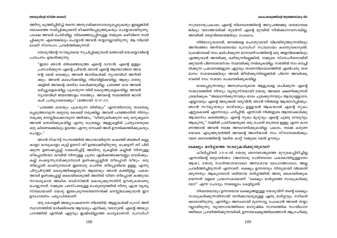#### കൈക്കരുത്തിന്റെ തന്ത്രങ്ങൾക്കു വിട

#### യേശുവിന്റെ ജീവിത ശൈലി

ത്തിനു കുത്തിപ്പിടിച്ച് തന്നെ അനുഗമിക്കാനാവശ്യപ്പെടുകയും ഇല്ലെങ്കിൽ ലോകത്തെ നശിപ്പിക്കുമെന്ന് ഭീഷണിപ്പെടുത്തുകയും ചെയ്യാമായിരുന്നു. പക്ഷേ അവൻ ചെയ്തില്ല. തിരഞ്ഞെടുപ്പിനുള്ള നമ്മുടെ കഴിവിനെ നശി പ്പിക്കുന്ന എന്തെങ്കിലും ചെയ്യാൻ അവൻ തയ്യാറല്ലായിരുന്നു. ആ നിലയി ലാണ് സ്നേഹം പ്രവർത്തിക്കുന്നത്.

യേശുവിന്റെ സൗമൃതയെ സൂചിപ്പിക്കുവാൻ മത്തായി യെശയ്യാവിന്റെ പ്രവചനം ഉദ്ധരിക്കുന്നു:

"ഇതാ ഞാൻ തിരഞ്ഞെടുത്ത എന്റെ ദാസൻ, എന്റെ ഉള്ളം പ്രസാദിക്കുന്ന എന്റെ പ്രിയൻ; ഞാൻ എന്റെ ആത്മാവിനെ അവ ന്റെ മേൽ വെക്കും; അവൻ ജാതികൾക്ക് ന്യായവിധി അറിയി ക്കും. അവൻ കലഹിക്കയില്ല, നിലവിളിക്കയില്ല; ആരും തെരു ക്കളിൽ അവന്റെ ശബ്ദം കേൾക്കയുമില്ല. ചതഞ്ഞ ഓട അവൻ ഒടിച്ചുകളകയില്ല; പുകയുന്ന തിരി കെടുത്തുകളകയില്ല; അവൻ ന്യായവിധി ജയത്തോളം നടത്തും. അവന്റെ നാമത്തിൽ ജാതി കൾ പ്രത്യാശവെക്കും" (മത്തായി 12:17-21).

"ചതഞ്ഞ ഓടയും പുകയുന്ന തിരിയും" എന്നതിനോടു താരതമ്യ പ്പെടുത്താവുന്ന മറ്റൊരു ശൈലി നമുക്കില്ല. അവൻ പറഞ്ഞതിൽ നിന്നും നമുക്കു മനസ്സിലാക്കാവുന്ന അർത്ഥം, "വീണുകിടക്കുന്ന ഒരു മനുഷ്യനെ അവൻ തൊഴിക്കുകയില്ല എന്നു മാത്രമല്ല, ആളുകളിൽ പ്രത്യാശയുടെ ഒരു കിരണമെങ്കിലും ഉണ്ടോ എന്നു നോക്കി അത് ഊതിക്കത്തിക്കുകയും ചെയ്യും."

ഞാൻ സ്കൗട്ട് സംഘത്തിൽ അംഗമായിരുന്ന കാലത്ത് ഞങ്ങൾ കല്ലു കളോ കമ്പുകളോ കൂട്ടി ഉരസി തീ ഉണ്ടാക്കിയിരുന്നു. പെട്ടെന്ന് തീ പിടി ക്കുന്ന ഉണക്കപ്പുല്ല് ശേഖരിച്ചിട്ട് അതിനു മുകളിൽ കല്ലിൽ നിന്നുള്ള തീപ്പൊരിയോ കമ്പിൽ നിന്നുള്ള ചൂടോ ഏൽക്കത്തക്കവണ്ണം വെയ്ക്കും. കല്ല് പെട്ടെന്നുരയ്ക്കുമ്പോൾ ഉണക്കപ്പുല്ലിൽ തീപ്പൊരി വീഴും. ഒരു തീപ്പൊരി കാണുമ്പോൾ ഇതൊരു ചെറിയ തീപ്പൊരിയെ ഉളളൂ എന്നു പിറുപിറുത്ത് കെടുത്തിക്കളയുന്ന ആരെയും ഞാൻ കണ്ടിട്ടില്ല. പകരം അവർ ഉണക്കപ്പുല്ല് കൈയിലെടുത്ത് അതിൽ വീണ തീപ്പൊരി കത്തുവാ നാവശ്യമായ അധിക ഓക്സിജൻ കൊടുക്കുന്നതിന് ഊതുകയാണു ചെയ്യുന്നത്. നമ്മുടെ പരസ്പരമുള്ള പെരുമാറ്റത്തിൽ നിന്നു എത്ര വ്യത്യ സ്തമായാണ് യേശു ഇടപെടുന്നതെന്നെനിക്ക് മനസ്സിലാക്കുവാൻ ഈ ഉദാഹരണം പര്യാപ്തമാണ്.

ഒരു കോളേജ് അദ്ധ്യാപകനെന്ന നിലയിൽ, ആളുകൾക്ക് ഗ്രേഡ് അടി സ്ഥാനത്തിൽ മാർക്കിടേണ്ട ആവശ്യം എനിക്കു വരാറുണ്ട്. എന്റെ അദ്ധ്യാ പനത്തിൽ എനിക്ക് ഏറ്റവും ഇഷ്ടമില്ലാത്ത കാര്യമാണത്. ഗ്രേഡിംഗ് സമ്പ്രദായപ്രകാരം എന്റെ നിലവാരത്തിന്റെ അറുപത്തഞ്ചു ശതമാനമെ ങ്കിലും വരാത്തവർക്ക് തുടർന്ന് എന്റെ മുമ്പിൽ നിൽക്കാനവസരമില്ല. അവർക്ക് മറ്റെവിടെയെങ്കിലും പോകാം.

നിർഭാഗ്യവശാൽ, ജനങ്ങളെ പൊതുവായി വിലയിരുത്തുന്നതിലും അറിഞ്ഞോ അറിയാതെയോ ഗ്രേഡിംഗ് സമ്പ്രദായം കടന്നുവരാറുണ്ട്. ശ്രേഷ്ഠതക്ക് നാം കല്പിക്കുന്ന മാനദണ്ഡത്തിന്റെ ഒരു അളവിലെങ്കിലും എത്തുവാൻ അവർക്കു കഴിയുന്നില്ലെങ്കിൽ, നമ്മുടെ സ്നേഹിതരായിരി ക്കുവാൻ പിന്നൊരവസരം നാമവർക്കു നൽകുകയില്ല. സഭയിൽ നാം വെച്ചി രിക്കുന്ന പ്രമാണങ്ങളുടെ ഏറ്റവും താണനിലവാരത്തിൽ എൺപതു ശത മാനം സമയമെങ്കിലും അവർ ജീവിക്കുന്നില്ലെങ്കിൽ പിന്നെ അവർക്കു വേണ്ടി നാം സമയം ചെലവഴിക്കുകയില്ല.

ഭാരപ്പെടുന്നവരും അസ്വസ്ഥരുമായ ആളുകളെ ശപിക്കുന്ന എന്റെ സ്വഭാവത്തിൽ നിന്നും വ്യത്യസ്തമായി യേശു അവരെ ക്ഷണിക്കുന്നത് ശ്രദ്ധിക്കുക: "അദ്ധ്വാനിക്കുന്നവരും ഭാരം ചുമക്കുന്നവരും ആയുള്ളോരേ, എല്ലാവരും എന്റെ അടുക്കൽ വരുവിൻ; ഞാൻ നിങ്ങളെ ആശ്വസിപ്പിക്കും. ഞാൻ സൗമൃതയും താഴ്മയും ഉള്ളവൻ ആകയാൽ എന്റെ നുകം ഏറ്റുകൊണ്ട് എന്നോടും പഠിപ്പിൻ; എന്നാൽ നിങ്ങളുടെ ആത്മാക്കൾക്കു ആശ്വാസം കണ്ടെത്തും. എന്റെ നുകം മൃദുവും എന്റെ ചുമടു ലഘുവും ആകുന്നു." നമ്മിൽ പ്രതീക്ഷയുടെ ഒരു പൊരി മാത്രമേ ഉളളൂ എന്ന കാര ണത്താൽ അവൻ നമ്മെ അവഗണിക്കുകയില്ല. പകരം, നമ്മെ കരുണ യോടെ എടുത്തുയർത്തി അവന്റെ അഗ്നിയാൽ നാം സ്നാനമേൽക്കും വരെ ദൈവത്തിന്റെ വലിയ കാറ്റ് നമ്മുടെ മേൽ ഊതും.

#### ലക്ഷ്യം മാർഗ്ഗത്തെ സാധുകരിക്കുന്നുവോ?

ഫിലിപ്പിയർ 2:5–6–ൽ യേശു ദൈവരാജ്യത്തെ മുറുകെപ്പിടിച്ചില്ല എന്നതിന്റെ മറ്റൊരർത്ഥം (അതോടു ചേർന്നതോ പകരമായിട്ടുള്ളതോ ആയ), യേശു സ്വാർത്ഥതയാലോ അന്ധമായ മോഹത്താലോ, അല്ല പ്രവർത്തിച്ചിരുന്നത് എന്നാണ്. ലക്ഷ്യം ഉന്നതവും നിത്യമായി വിലമതി ക്കുന്നതും ആകുമ്പോൾ ശരിയായ മാർഗ്ഗത്തിൽ അതു കൈവരിക്കുക യെന്നത് വളരെ പ്രയാസകരമാണ്. "ലക്ഷ്യം മാർഗ്ഗത്തെ സാധൂകരിക്കു മോ?" എന്ന ചോദ്യം നാമെല്ലാം കേട്ടിട്ടുണ്ട്.

നിശ്ചയമായും ഉന്നതമായ ലക്ഷ്യങ്ങളുള്ള യേശുവിന് തന്റെ ലക്ഷ്യം സാധൂകരിക്കുന്നതിനായി തനിക്കാവശ്യമുള്ള ഏതു മാർഗ്ഗവും സ്വീകരി ക്കാമായിരുന്നു, എന്നിട്ടും അന്ധമായി മുന്നോട്ടു പോകാൻ അവൻ തയ്യാ റല്ലായിരുന്നു. വ്യവസായത്തിലോ മാനുഷിക സാമ്പത്തിക സംവിധാന ത്തിലോ പ്രവർത്തിക്കുന്നവർക്ക്, ഉന്നതലക്ഷ്യത്തിലെത്താൻ ആഗ്രഹിക്കു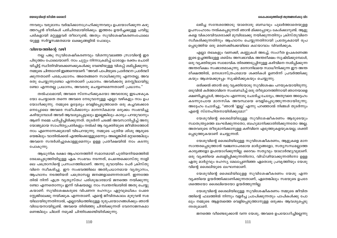#### കൈക്കരുത്തിന്റെ തന്ത്രങ്ങൾക്കു വിട

#### യേശുവിന്റെ ജീവിത ശൈലി

ന്നവരും വരുമാനം വർദ്ധിക്കാനാഗ്രഹിക്കുന്നവരും ഉപയോഗിക്കുന്ന കഴു ത്തറപ്പൻ രീതികൾ പരിചിതമായിരിക്കും. ഇത്തരം ഉയർച്ചക്കുള്ള ചവിട്ടു പടികളായി മറ്റുള്ളവർ തീരാറുണ്ട്; അതും സുവിശേഷീകരണംപോലെ യുള്ള സർവ്വസമ്മതമായ ലക്ഷ്യങ്ങളിൽ പോലും.

#### വിജയത്തിന്റെ വഴി

നല്ല പങ്കു സുവിശേഷീകരണവും വിശന്നുവലഞ്ഞ സ്രാവിന്റെ ഇര പിടുത്തം പോലെയാണ്. നാം ചുറ്റും നിന്നാക്രമിച്ച് ധാരാളം രക്തം ചൊരി യിച്ചിട്ട് സ്ഥിതിവിവരക്കണക്കുകൾക്കു വേണ്ടിയുള്ള വിശപ്പ് ശമിപ്പിക്കുന്നു. നമ്മുടെ ചിന്താഗതി ഇങ്ങനെയാണ്: "അവർ പാപിയുടെ പ്രാർത്ഥന പ്രാർത്ഥി ക്കുന്നതാണ് പരമപ്രധാനം. അതെങ്ങനെ സാധിക്കുന്നു എന്നതല്ല, അവ രതു ചെയ്യുന്നുണ്ടോ എന്നതാണ് പ്രധാനം. അവർക്കതു മനസ്സിലായിട്ടു ണ്ടോ എന്നതല്ല പ്രധാനം, അവരതു ചെയ്യണമെന്നതാണ് പ്രധാനം."

തൽഫലമായി, അവരെ സ്നേഹിക്കുകയോ അവരോടു ഇടപഴകുക യോ ചെയ്യാതെ തന്നെ അവരെ നേടുവാനുള്ള എല്ലാ വഴികളും നാം ഉപ യോഗിക്കുന്നു. നമ്മുടെ ഉദ്ദേശ്യം വെളിപ്പെടുത്താതെ ഒരു കച്ചവടക്കാര നെപ്പോലെ അവരെ സമീപിക്കാനും മാനസികമായ ഒരുക്കം സംഭവിച്ചു കഴിയുമ്പോൾ അവർ ആവശ്യപ്പെട്ടാലും ഇല്ലെങ്കിലും കാര്യം പറയുവാനും ആണ് നമ്മെ പഠിപ്പിച്ചിരിക്കുന്നത്. തുടർന്ന് ചടങ്ങ് അവസാനിപ്പിച്ച് അനു യോജ്യമായ സാഹിത്യപ്രതികളും നൽകി ആ വ്യക്തിയുടെ ജീവിതത്തോട് നാം എന്നെന്നേക്കുമായി വിടപറയുന്നു. നമ്മുടെ പുതിയ ശിശു ആരുടെ യെങ്കിലും വാതിൽക്കൽ എത്തിക്കൊള്ളുമെന്നും അല്ലെങ്കിൽ മറ്റാരെങ്കിലും അവനെ സന്ദർശിച്ചുകൊള്ളുമെന്നും ഉള്ള പ്രതീക്ഷയിൽ നാം കടന്നു പോകുന്നു.

ആധുനിക രക്ഷാ ആഹ്വാനത്തിന് സമാനമായി പുതിയനിയമത്തിൽ രേഖപ്പെടുത്തിയിട്ടുള്ള ഏക സംഭവം നടന്നത്, പെന്തെക്കൊസ്തു നാളി ലെ പത്രൊസിന്റെ പ്രസംഗത്തിലാണ്. അന്നു മൂവായിരം പേർ ക്രിസ്തു വിനെ സ്വീകരിച്ചു. ഈ സംഭവത്തിലെ അതിപ്രധാനമായ വ്യത്യാസം, ആഹ്വാനം നടത്തിയത് പത്രൊസല്ല ജനങ്ങളാണെന്നതാണ്. ഇന്നത്തേ തിൽ നിന്ന് എത്ര വ്യത്യസ്തം! പരിശുദ്ധാത്മാവ് ജനത്തെ നയിക്കുന്നു ണ്ടോ എന്നതൊന്നും ഇന്ന് വിഷയമല്ല. നാം സ്വന്തനിലയിൽ അതു ചെയ്യു കയാണ്. സുവിശേഷകരുടെ വിപണന രഹസ്യം ഏറ്റവുമധികം പേരെ സ്റ്റേജിലേക്കു നയിക്കുക എന്നതാണ്. എന്റെ ജീവിതകാലം മുഴുവൻ സഭ യിലായിരുന്നതിനാൽ, എല്ലാവിധത്തിലുള്ള ദുരുപയോഗങ്ങൾക്കും ഞാൻ വിധേയനായിട്ടുണ്ട്. അവയെ തിരിഞ്ഞു ചിന്തിക്കുന്നത് വേദനാജനകമാ ണെങ്കിലും ചിലത് നമുക്ക് ചിന്തിക്കേണ്ടിയിരിക്കുന്നു.

ലഭിച്ച സന്ദേശത്തോടു യാതൊരു ബന്ധവും പുലർത്താതെയുളള ഉപസംഹാരം നൽകപ്പെടുന്നത് ഞാൻ മിക്കപ്പോഴും കേൾക്കാറുണ്ട്. ആളു കളെ വികാരവിവശരാക്കി മുമ്പിലേക്കു നയിക്കുന്നതിനും ക്രിസ്തുവിനെ സ്ഥീകരിക്കുന്നതിനും ആഹ്വാനം ചെയ്യുന്നതിനായി പ്രത്യേകമായി രൂപ പ്പെടുത്തിയ ഒരു മരണക്കിടക്കയിലെ കഥയാവാം വിവരിക്കുക.

എല്ലാ തലകളും വണക്കി, കണ്ണുകൾ അടച്ച്, സംഗീത ഉപകരണങ്ങ ളുടെ ഉച്ചത്തിലുള്ള ശബ്ദം അസ്വഭാവിക അന്തരീക്ഷം സൃഷ്ടിക്കുമ്പോൾ, ഒരു വ്യക്തിയുടെ സ്വാഭാവിക തിരഞ്ഞടുപ്പിനുള്ള കഴിവിനെ നശിപ്പിക്കുന്ന അന്തരീക്ഷം സംജാതമാകുന്നു. മനോനിലയെ സ്വാധീനിക്കുന്ന ഈ അന്ത രീക്ഷത്തിൽ, മനഃശാസ്ത്രപരമായ ശക്തികൾ ഉണർന്ന് പ്രവർത്തിക്കു കയും ആശയക്കുഴപ്പം സൃഷ്ടിക്കുകയും ചെയ്യുന്നു.

ഒരിക്കൽ ഞാൻ ഒരു വ്യക്തിയോടു സുവിശേഷം പറയുകയായിരുന്നു. ഒടുവിൽ കർത്താവിനെ സംബന്ധിച്ച് ഒരു തീരുമാനത്തിനായി ഞാനയാളെ ക്ഷണിച്ചപ്പോൾ, അദ്ദേഹം എന്നോടു ചോദിച്ച ചോദ്യം, അതുവരെ അദ്ദേഹം കടന്നുപോയ മാനസിക അവസ്ഥയെ വെളിപ്പെടുത്തുന്നതായിരുന്നു. അദ്ദേഹം ചോദിച്ചു, "ഞാൻ 'ഇല്ല' എന്നു പറഞ്ഞാൽ നിങ്ങൾ തുടർന്നും എന്റെ സ്നേഹിതനായിരിക്കുമോ?"

യേശുവിന്റെ ശൈലിയിലുള്ള സുവിശേഷീകരണം ആരുടെയും സ്വാതന്ത്ര്യത്തെ ലംഘിക്കുന്നതോ, ബഹുമാനിക്കാതിരിക്കുന്നതോ അല്ല. അതവരുടെ തീരുമാനിക്കാനുള്ള കഴിവിനെ എടുത്തുകളയുകയല്ല, ശക്തി പ്പെടുത്തുകയാണ് ചെയ്യുന്നത്.

യേശുവിന്റെ ശൈലിയിലുള്ള സുവിശേഷീകരണം, ആളുകളെ മാന സാന്തരപ്പെടുത്താൻ വഞ്ചനാപരമായ മാർഗ്ഗങ്ങളോ, സത്യസന്ധമല്ലാത്ത കാര്യങ്ങളോ ഉപയോഗിക്കുന്നില്ല. ദൈവം സത്യവും യാഥാർത്ഥ്യവുമാണ്. ഒരു വ്യക്തിയെ കബളിപ്പിക്കുന്നതിനോ, വിഡ്ഢിയാക്കുന്നതിനോ ഉള്ള ഏതു മാർഗ്ഗവും രഹസ്യ മേലാപ്പണിഞ്ഞ ഏതൊരു പ്രവൃത്തിയും യേശു വിന്റെ ശൈലിയുടെ ലംഘനമാണ്.

യേശുവിന്റെ ശൈലിയിലുളള സുവിശേഷീകരണം യേശു എന്ന വ്യക്തിയെ ഉയർത്തിക്കാണിക്കുന്നതാണ്, ഏതെങ്കിലും സഭയുടെ ഉപദേ ശത്തെയോ ശൈലിയെയോ ഉയർത്തുന്നില്ല

യേശുവിന്റെ ശൈലിയിലുള്ള സുവിശേഷീകരണം നമ്മുടെ ജീവിത ത്തിന്റെ ഫലത്തിൽ നിന്നും വളർച്ച പ്രാപിക്കുന്നതും പാപികൾക്കു പോ ലും നമ്മുടെ ആളത്വത്തെ വെളിപ്പെടുത്താനുള്ള ഒരുക്കം ആവശ്യപ്പെടു ന്നതുമാണ്.

ജനത്തെ വീണ്ടെടുക്കാൻ വന്ന യേശു, അവരെ ഉപയോഗിച്ചില്ലെന്നു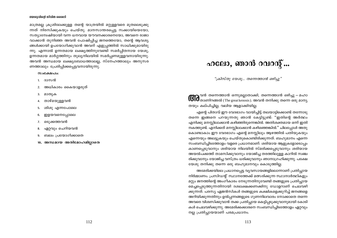#### യേശുവിന്റെ ജീവിത ശൈലി

മാത്രമല്ല ക്രൂശിലേക്കുള്ള തന്റെ യാത്രയിൽ മറ്റുള്ളവരെ മുതലെടുക്കു ന്നത് നിരസിക്കുകയും ചെയ്തു. മാനസാന്തരപ്പെട്ട സക്കായിയെയോ, സത്യാമ്പേഷിയായി വന്ന ധനവായ യൗവനക്കാരനെയോ, അവനെ രാജാ വാക്കാൻ തുനിഞ്ഞ അവൻ പോഷിപ്പിച്ച ജനത്തെയോ, തന്റെ ആവശ്യ ങ്ങൾക്കായി ഉപയോഗിക്കുവാൻ അവന് എളുപ്പത്തിൽ സാധിക്കുമായിരു ന്നു. എന്നാൽ ഉന്നതമായ ലക്ഷ്യത്തിനുവേണ്ടി സമർപ്പിതനായ യേശു, ഉന്നതമായ മാർഗ്ഗത്തിനും തുല്യനിലയിൽ സമർപ്പണമുള്ളവനായിരുന്നു. അവൻ അന്ധമായ ലക്ഷ്യബോധത്താലല്ല, സ്നേഹത്താലും അനുസര ണത്താലും പ്രേരിപ്പിക്കപ്പെട്ടവനായിരുന്നു.

#### $**0**$  $**0**$  $**0**$  $**0**$  $**0**$  $**0**$

- 1. ദാസൻ
- 2. അധികാരം കൈയാളരുത്
- മാതൃക 3.
- താഴ്മയുള്ളവൻ 4.
- ശിശു എന്നപോലെ 5.
- ഇളയവനെപ്പോലെ 6.
- ഒടുക്കത്തവൻ 7.
- ഏറ്റവും ചെറിയവൻ 8.
- ബലം പ്രയോഗിക്കാതെ 9.
- 10. അന്ധമായ അതിമോഹമില്ലാതെ

# ഹലോ, ഞാൻ റവറന്റ്...

"ക്രിസ്തു യേശു... തന്നെത്താൻ ഒഴിച്ചു"

ന്മൂവൻ തന്നെത്താൻ ഒന്നുമല്ലാതാക്കി, തന്നെത്താൻ ഒഴിച്ചു — മഹാ  $\alpha$ ിന്നതാണിറങ്ങൽ (The great kenosis). അവൻ തനിക്കു തന്നെ ഒരു മാന്യ തയും കല്പിച്ചില്ല, വലിയ ആളാക്കിയില്ല.

എന്റെ പിതാവ് ഈ വേദഭാഗം വായിച്ചിട്ട് തലയാട്ടിക്കൊണ്ട് തന്നോടു തന്നെ ഇങ്ങനെ പറയുന്നതു ഞാൻ കേട്ടിട്ടുണ്ട്: "ഇതിന്റെ അർത്ഥം എനിക്കു മനസ്സിലാക്കാൻ കഴിഞ്ഞിരുന്നെങ്കിൽ. അതിശക്തമായ ഒന്ന് ഇതി നകത്തുണ്ട്. എനിക്കത് മനസ്സിലാക്കാൻ കഴിഞ്ഞെങ്കിൽ.'' ചിലപ്പോൾ അതു കൊണ്ടാകാം ഈ വേദഭാഗം എന്റെ മനസ്സിലും ആഴത്തിൽ പതിയുകയും എന്നെയും അലട്ടുകയും ചെയ്തുകൊണ്ടിരിക്കുന്നത്. ബഹുമാനം എന്നെ സംബന്ധിച്ചിടത്തോളം വളരെ പ്രധാനമാണ്. ശരിയായ ആളുകളോടൊപ്പം കാണപ്പെടുവാനും ശരിയായ നിലയിൽ സ്മരിക്കപ്പെടുവാനും ശരിയായ അയൽപക്കത്ത് താമസിക്കുവാനും യോജിച്ച തരത്തിലുള്ള കാറിൽ സഞ്ച രിക്കുവാനും യോജിച്ച വസ്ത്രം ധരിക്കുവാനും ഞാനാഗ്രഹിക്കുന്നു. പക്ഷേ യേശു തനിക്കു തന്നെ ഒരു ബഹുമാനവും കൊടുത്തില്ല.

അമേരിക്കയിലെ പ്രധാനപ്പെട്ട വ്യവസായങ്ങളിലൊന്നാണ് പ്രതിച്ചായ നിർമ്മാണം. പ്രസിഡന്റ് സ്ഥാനത്തേക്ക് മത്സരിക്കുന്ന സ്ഥാനാർത്ഥികളും മറ്റും ജനത്തിന്റെ അംഗീകാരം നേടുന്നതിനുവേണ്ടി തങ്ങളുടെ പ്രതിച്ചായ മെച്ചപ്പെടുത്തുന്നതിനായി ദശലക്ഷക്കണക്കിനു ഡോളറാണ് ചെലവഴി ക്കുന്നത്. പരസ്യ ഏജൻസികൾ തങ്ങളുടെ കക്ഷികളെക്കുറിച്ച് ജനങ്ങളെ അറിയിക്കുന്നതിനും ഉൽപ്പന്നങ്ങളുടെ ഗുണനിലവാരം നോക്കാതെ തന്നെ അവരെ വിശ്വസിക്കുവാൻ തക്ക പ്രതിച്ചായ കെട്ടിപ്പടുക്കുവാനുമായി കോടി കൾ ചെലവഴിക്കുന്നു. അമേരിക്കക്കാരനെ സംബന്ധിച്ചിടത്തോളം ഏറ്റവും നല്ല പ്രതിച്ഛായയാണ് പരമപ്രധാനം.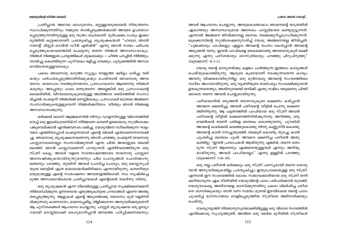#### ഹലോ. ഞാൻ റവറൻ്...

യേശുവിന്റെ ജീവിത ശൈലി

പ്രതിച്ചായ അഥവാ ബഹുമാനം, മറ്റുള്ളവരുടെമേൽ നിയന്ത്രണം സ്ഥാപിക്കുന്നതിനും നമ്മുടെ താൽപ്പര്യങ്ങൾക്കായി അവരെ ഉപയോഗ പ്പെടുത്തുന്നതിനുമുള്ള ഒരു തന്ത്രം മാത്രമാണ്. ഭൂരിപക്ഷം പേരും ഇക്കാ ര്യത്തിൽ കുറ്റക്കാരാണ്, പ്രത്യേകിച്ചു ശുശ്രൂഷകന്മാർ. "ഹലോ, ഞാൻ റവറന്റ് മിസ്റ്റർ ഗെയ്ൽ ഡീൻ എർവിൻ" എന്നു ഞാൻ സ്വയം പരിചയ പ്പെടുത്തുകയാണെങ്കിൽ പെട്ടെന്നു തന്നെ നിങ്ങൾ അസ്വസ്ഥരാകും. നിങ്ങൾ നിങ്ങളുടെ പ്രവൃത്തികൾ ശുദ്ധമാക്കും — ചീത്ത പറച്ചിൽ നിർത്തും, വായിച്ചു കൊണ്ടിരുന്ന പുസ്തകം ഒളിച്ചു വെക്കും, ചുരുക്കത്തിൽ അസ്വാ ഭാവികതയുള്ളവരാകും.

പകരം ഞാനൊരു കറുത്ത സ്യൂട്ടും വെളുത്ത ഷർട്ടും ധരിച്ചു വരി കയും പരിചയപ്പെടുത്താതിരിക്കുകയും ചെയ്താൽ ഞാനൊരു അമ്പ യറോ, ശവദാഹം നടത്തുന്നവനോ, പ്രസംഗകനോ ആണെന്നു നിങ്ങൾ കരുതും. അപ്പോഴും ഫലം ഒന്നുതന്നെ. അല്ലെങ്കിൽ ഒരു പ്രസംഗകന്റെ ശൈലിയിൽ, വിറയലോടുകുടെയുള്ള അൾത്താര ശബ്ദത്തിൽ സംസാ രിച്ചാൽ, പെട്ടെന്ന് നിങ്ങൾക്ക് മനസ്സിലാകും. പ്രസംഗകർ മാത്രമേ അങ്ങനെ സംസാരിക്കുകയുളളുവെന്ന് നിങ്ങൾക്കറിയാം. വീണ്ടും ഞാൻ നിങ്ങളെ അസ്വസ്ഥരാക്കുന്നു.

ഒരിക്കൽ ലോസ് ആഞ്ചലസിൽ നിന്നും ഡാളസിനുള്ള വിമാനത്തിൽ വെച്ച് ഒരു ഇലക്ട്രോണിക്സ് നിർമ്മാണ കമ്പനി ഉടമയോടു സുവിശേഷം പങ്കുവെയ്ക്കാൻ എനിക്കവസരം ലഭിച്ചു. യേശുവിനെ സ്വീകരിക്കുന്ന ഘട്ടം വരെ എത്തിയപ്പോൾ പെട്ടെന്നയാൾ എന്റെ ജോലി എന്താണെന്നന്വേഷി ച്ചു. ഞാനൊരു ശുശ്രുഷകനാണെന്നു ഞാൻ പറഞ്ഞു. പെട്ടെന്ന് താനൊരു പാസ്റ്ററോടാണല്ലോ സംസാരിക്കുന്നത് എന്ന ചിന്ത അയാളുടെ തലയി ലെത്തി. ഞാൻ പാസ്റ്ററാണെന്ന് പറയുന്നത് എതിർവശത്തിരുന്ന ഒരു സ്ത്രീ കേട്ടു. അവൾ വളരെ സന്തോഷത്തോടെ താനൊരു പാസ്റ്ററെ അന്വേഷിക്കുകയായിരുന്നുവെന്നും ചില ചോദ്യങ്ങൾ ചോദിക്കാനു ണ്ടെന്നും പറഞ്ഞു. തുടർന്ന് അവൾ ചോദിച്ച ചോദ്യം, ഒരു മൊട്ടുസൂചി യുടെ മൊട്ടിൽ എത്ര മാലാഖമാർക്കിരിക്കാം എന്നായിരുന്നു. കമ്പനിയുട മയുമായുള്ള എന്റെ സംഭാഷണം അവതാളത്തിലായി. നാം സൃഷ്ടിച്ചെ ടുത്ത അസ്വാഭാവികമായ പ്രതിച്ഛായകൾ എന്റെമേൽ തകർന്നു വീണു.

ഒരു ശുശ്രൂഷകൻ എന്ന നിലയിലുള്ള പ്രതിച്ചായ സൂക്ഷിക്കണമെന്ന് നിർബന്ധിക്കുന്ന, ഉന്നതരായ എഴുത്തുകാരുടെ ഗ്രന്ഥങ്ങൾ എന്നെ അത്ഭു തപ്പെടുത്തുന്നു. ആളുകൾ എന്റെ അടുത്തേക്കു വരാനോ, മുടി വളർന്നി രിക്കുന്നതു കാണാനോ, ഓമനപ്പേരിട്ടു വിളിക്കാനോ അനുവദിക്കരുതെന്ന് ആ പുസ്തകങ്ങൾ ആഹ്വാനം ചെയ്യുന്നു. പാസ്റ്റർ ശുശ്രൂഷയെ ഒരു ഉദ്യോ ഗമായി മനസ്സിലാക്കി ബഹുമാനിപ്പാൻ ജനത്തെ പഠിപ്പിക്കണമെന്നും

അവർ ആഹ്വാനം ചെയ്യുന്നു. അതുകൊണ്ടാകാം ഞാനെന്റെ യാത്രയിൽ ഏകാന്തരും അസ്വസ്ഥരുമായ അനേകം പാസ്റ്റർമാരെ കണ്ടുമുട്ടുന്നത്. എന്നാൽ അങ്ങനെ ജീവിക്കാനല്ല ദൈവം നമ്മെക്കുറിച്ചാഗ്രഹിക്കുന്നത്. ലൂക്കൊസിന്റെ സുവിശേഷമനുസരിച്ച് യേശു അങ്ങനെയല്ല ജീവിച്ചത്: "ചുങ്കക്കാരും പാപികളും എല്ലാം അവന്റെ വചനം കേൾപ്പാൻ അവന്റെ അടുക്കൽ വന്നു. ഇവൻ പാപികളെ കൈക്കൊണ്ടു അവരോടുകൂടി ഭക്ഷി ക്കുന്നു എന്നു പരീശന്മാരും ശാസ്ത്രിമാരും പറഞ്ഞു പിറുപിറുത്തു" (ലൂക്കൊസ് 15:1-2).

യേശു തന്റെ മാന്യതയ്ക്കു കളങ്കം ചാർത്തുന്ന ഇത്തരം കാര്യങ്ങൾ ചെയ്തുകൊണ്ടിരുന്നു. ആരുടെ കൂടെയാണ് നടക്കുന്നതെന്ന കാര്യം അവനു വിഷയമായിരുന്നില്ല. ഒരു മുൻവേശ്യ അവന്റെ സംഘത്തിലെ സ്ഥിരം അംഗമായിരുന്നു. ഒരു വ്യക്തിയുടെ താല്പര്യം സംരക്ഷിക്കുവാൻ ഉതകുന്നതെന്തും, അതിനുവേണ്ടി തനിക്ക് എന്തു നഷ്ടം വരുമെന്നു ചിന്തി ക്കാതെ തന്നെ അവൻ ചെയ്യുമായിരുന്നു.

പരീശന്മാരിൽ ഒരുത്തൻ തന്നോടുകൂടെ ഭക്ഷണം കഴിപ്പാൻ അവനെ ക്ഷണിച്ചു; അവൻ പരീശന്റെ വീട്ടിൽ ചെന്നു ഭക്ഷണ ത്തിനിരുന്നു. ആ പട്ടണത്തിൽ പാപിയായ ഒരു സ്ത്രീ അവൻ പരീശന്റെ വീട്ടിൽ ഭക്ഷണത്തിനിരിക്കുന്നതു അറിഞ്ഞു ഒരു വെൺകൽ ഭരണി പരിമള തൈലം കൊണ്ടുവന്നു, പുറകിൽ അവന്റെ കാല്ക്കൽ കരഞ്ഞുകൊണ്ടു നിന്നു കണ്ണുനീർ കൊണ്ടു അവന്റെ കാൽ നനച്ചുതുടങ്ങി; തലമുടി കൊണ്ടു തുടച്ചു കാൽ ചുംബിച്ചു തൈലം പുശി. അവനെ ക്ഷണിച്ച പരീശൻ അതു കണ്ടിട്ടു: "ഇവൻ പ്രവാചകൻ ആയിരുന്നു എങ്കിൽ, തന്നെ തൊ ടുന്ന സ്ത്രീ ആരെന്നും എങ്ങനെയുള്ളവൾ എന്നും അറിയു മായിരുന്നു; അവൾ പാപിയല്ലോ" എന്നു ഉള്ളിൽ പറഞ്ഞു (ലൂക്കൊസ് 7:36–39).

ഒരു നല്ല പരീശൻ ഒരിക്കലും ഒരു സ്ത്രീ പരസ്യമായി തന്നെ തൊടു വാൻ അനുവദിക്കുകയില്ല; പ്രത്യേകിച്ചും ഇതുപോലെയുള്ള ഒരു സ്ത്രീ. എന്നാൽ ഈ സംഭവത്തിൽ മോശം സ്വഭാവക്കാരിയായ ഒരു സ്ത്രീ തനി ക്കറിയാവുന്ന ഏക രീതിയിൽ യേശുവിന്റെ പാദം പരിചരിക്കാൻ തുടങ്ങി. യേശുവാകട്ടെ, അതിനവളെ ശാസിക്കുന്നതിനു പകരം വിമർശിച്ച പരീശ നെ ശാസിക്കുകയും താൻ വന്ന സമയം മുതൽ ഇടവിടാതെ തന്റെ പാദം ചുംബിച്ച് മാനസാന്തരം വെളിപ്പെടുത്തിയ സ്ത്രീയെ അഭിനന്ദിക്കയും ചെയ്തു.

വേശ്യാവൃത്തി നിയമാനുസൃതമാക്കിയിട്ടുള്ള ഒരു വിദേശ നഗരത്തിൽ എനിക്കൊരു സുഹൃത്തുണ്ട്. അവിടെ ഒരു വലിയ മുറിയിൽ സ്ത്രീകൾ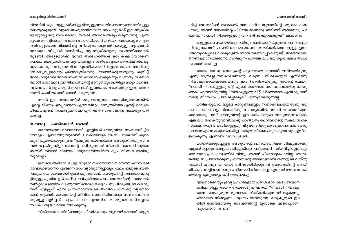നിരന്നിരിക്കും, ആളുകൾക്ക് ഇഷ്ടമുള്ളവരെ തിരഞ്ഞെടുക്കുന്നതിനുള്ള സ്വാതന്ത്ര്യമുണ്ട്. വളരെ ബഹുമാനിതനായ ആ പാസ്ലർക്ക് ഈ സ്ത്രീക ളെക്കുറിച്ച് ഒരു ഭാരം ദൈവം നൽകി. അവരെ ആരും കരുതുന്നില്ല എന്ന ദ്ദേഹം മനസ്സിലാക്കി. അവരെ സഹായിക്കാൻ കഴിയുന്നവരാകട്ടെ മാനൃത നഷ്ടപ്പെടുമെന്നതിനാൽ ആ വഴിക്കു പോകുവാൻ ഭയപ്പെട്ടു. ആ പാസ്റ്റർ അവരുടെ വീടുകൾ സന്ദർശിച്ചു ആ സ്ത്രീകളോടു സംസാരിക്കുവാൻ തുടങ്ങി. ആദ്യമൊക്കെ അവർ അദ്ദേഹത്തോട് ഒരു കക്ഷിയോടെന്ന പോലെ പെരുമാറിയെങ്കിലും തങ്ങളുടെ ശരീരങ്ങളാൽ ആകർഷിക്കപ്പെട്ട തുകൊണ്ടല്ല അദ്ദേഹമവിടെ എത്തിയതെന്ന് വളരെ വേഗം അവർക്കു ബോദ്ധ്യപ്പെടുകയും ക്രിസ്തുവിനെയും യാഥാർത്ഥ്യങ്ങളെയും കുറിച്ച് അദ്ദേഹവുമായി അവർ സംസാരിക്കാനാരംഭിക്കുകയും ചെയ്തു. സ്നേഹ ത്താൽ ഭാരമേറ്റെടുത്തതിനാൽ തന്റെ മാന്യതയും പ്രതിച്ചായയും വേണ്ടെ ന്നുവെക്കാൻ ആ പാസ്റ്റർ തയ്യാറായി. ഇതുപോലെ യേശുവും ഇതു തന്നെ യാണ് ചെയ്തതെന്ന് ഞാൻ കരുതുന്നു.

ഞാൻ ഈ ലോകത്തിൽ ഒരു അന്യനും പരദേശിയുമാണെങ്കിൽ എന്റെ വിജയം ഉറപ്പാക്കുന്ന ഏതെങ്കിലും കാര്യത്തിലോ എന്റെ മാന്യത യിലോ, എന്റെ സമ്പാദ്യത്തിലോ എനിക്ക് ആശ്രയിക്കേണ്ട ആവശ്യം വരി കയില്ല.

#### സമ്പാദ്യം പത്തിലൊൻപതാണ്...

തന്നെത്തന്നെ വെറുമയായി എണ്ണിയത് യേശുവിനെ സംബന്ധിച്ചിട ത്തോളം എന്തായിരുന്നുവെന്ന് 2 കൊരിന്ത്യർ 8:9-ൽ പൗലൊസ് കുറെ ക്കൂടി വ്യക്തമാക്കുന്നുണ്ട്: "നമ്മുടെ കർത്താവായ യേശുക്രിസ്തു സമ്പ ന്നൻ ആയിരുന്നിട്ടും അവന്റെ ദാരിദ്ര്യത്താൽ നിങ്ങൾ സമ്പന്നർ ആകേ ണ്ടതിന് നിങ്ങൾ നിമിത്തം ദരിദ്രനായിത്തീർന്ന കൃപ നിങ്ങൾ അറിയു ന്നുവല്ലോ."

ഇതിനെ ആത്മാവിലുള്ള ദരിദ്രാവസ്ഥയെന്നോ സാമ്പത്തികമായ ദരി ദ്രാവസ്ഥയെന്നോ എങ്ങനെ നാം വ്യാഖ്യാനിച്ചാലും, ഫലം നമ്മുടെ സ്വന്ത പ്രകൃതിയെ ശക്തമായി ഉലയ്ക്കുന്നതാണ്. യേശുവിന്റെ സ്വഭാവത്തെപ്പ റ്റിയുള്ള പുതിയ ഉൾക്കാഴ്ച ലഭിച്ചതിനുശേഷം, യേശുവിന്റെ "ധനവാൻ സ്വർഗ്ഗരാജ്യത്തിൽ കടക്കുന്നതിനെക്കാൾ ഒട്ടകം സുചിക്കുഴയുടെ കടക്കു ന്നത് എളുപ്പം" എന്ന പ്രസ്താവനയുടെ അർത്ഥം എനിക്കു വൃക്തമാ കാൻ തുടങ്ങി. യേശുവിന്റെ ജീവിത ശൈലിയിലേക്കും സ്വഭാവത്തിലേ ക്കുമുള്ള വളർച്ചക്ക് ഒരു പ്രധാന തടസ്സമാണ് ധനം. ഒരു ധനവാൻ വളരെ യധികം തൃജിക്കേണ്ടിയിരിക്കുന്നു.

നീതിയോടെ ജീവിക്കാനും ചിന്തിക്കാനും ആത്മാർത്ഥമായി ആഗ്ര

ഹിച്ച് യേശുവിന്റെ അടുക്കൽ വന്ന ധനിക യുവാവിന്റെ ഹൃദയം കണ്ട യേശു, അവൻ ധനത്തിന്റെ പിടിയിലാണെന്നു അറിഞ്ഞ് അവനോടു പറ ഞ്ഞത്, "പോയി നിനക്കുള്ളതു വിറ്റ് ദരിദ്രർക്കുകൊടുക്ക" എന്നാണ്.

മറ്റുള്ളവരെ സഹായിക്കുന്നതിനുവേണ്ടിയാണ് കുടുതൽ പണം ആഗ്ര ഹിക്കുന്നതെന്ന് പറഞ്ഞ് ധനമോഹത്തെ ന്യായീകരിക്കുന്ന ആളുകളുടെ (ഞാനുൾപ്പെടെ) വാക്കുകളിൽ ഞാൻ മയങ്ങിപ്പോകാറുണ്ട്. അതേസമയം ജനങ്ങളെ സേവിക്കാനാഗ്രഹിക്കുന്ന ഏതെങ്കിലും ഒരു ശുശ്രുഷയെ അവർ സഹായിക്കാറില്ല.

അതേ, യേശു മനുഷ്യന്റെ ഹൃദയത്തെ നന്നായി അറിഞ്ഞിരുന്നു എന്നു മാത്രമല്ല തനിക്കെതിരെയും വരുന്ന പരീക്ഷകളോട് എതിർത്തു നിൽക്കേണ്ടതെങ്ങനെയെന്നും അവൻ അറിഞ്ഞിരുന്നു. അവന്റെ കല്പന "പോയി നിനക്കുള്ളതു വിറ്റ് എന്റെ സംഘടന വഴി ദൈവത്തിനു കൊടു ക്കുക" എന്നായിരുന്നില്ല. "നിനക്കുള്ളതു വിറ്റ് കർത്താവായ എനിക്കു തന്ന് നിന്റെ സ്നേഹം പ്രദർശിപ്പിക്കുക" എന്നുമായിരുന്നില്ല.

ധനിക യുവാവ് മറ്റുള്ള കാര്യങ്ങളെല്ലാം നന്നായി ചെയ്തിരുന്നു. ഒരു പക്ഷേ, ജനങ്ങളെ സ്നേഹിക്കുന്ന കാര്യത്തിൽ അവൻ വെക്കാതിരുന്ന ഒരേയൊരു ചുവട് യേശുവിന്റെ ഈ കല്പനയുടെ അനുസരണമാകാം. എങ്കിലും ധനികയുവാവിനോടു പറഞ്ഞതു പോലെ തന്റെ സകല ധനിക സ്നേഹിതരും തങ്ങൾക്കുള്ളതു വിറ്റ് ദരിദ്രർക്കു കൊടുക്കണമെന്ന് യേശു പറഞ്ഞു എന്നു കരുതേണ്ടതില്ല. നമ്മുടെ നിക്ഷേപവും ഹൃദയവും എവിടെ ഇരിക്കുന്നു എന്നവന് ബോധ്യമുണ്ട്.

ധനത്തെക്കുറിച്ചുള്ള യേശുവിന്റെ പ്രസ്താവനകൾ ശിഷ്യന്മാർക്കു എല്ലായ്പ്പോഴും മനസ്സിലായില്ലെങ്കിലും പരീശന്മാർ സ്വീകരിച്ചില്ലെങ്കിലും അവയുടെ പ്രാധാന്യത്തിൽ നിന്നും അവൻ പിന്നോട്ടുപോയില്ല. ദൈവം തങ്ങളിൽ പ്രസാദിക്കുന്നു എന്നതിന്റെ അടയാളമാണ് തങ്ങളുടെ വസ്തു വകകൾ എന്നും ജനങ്ങൾ ദരിദ്രരായിരിക്കുന്നത് ദൈവത്തിന്റെ അപ്രീ തിയുടെ തെളിവാണെന്നും പരീശന്മാർ വിശ്വസിച്ചു. എന്നാൽ യേശു ലോക ത്തിന്റെ മുല്യങ്ങളെ കീഴ്മേൽ മറിച്ചു:

"ഇതൊക്കെയും ദ്രവ്യാഗ്രഹികളായ പരീശന്മാർ കേട്ടു അവനെ പരിഹസിച്ചു. അവൻ അവരോടു പറഞ്ഞത്: ''നിങ്ങൾ നിങ്ങളെ തന്നേ മനുഷ്യരുടെ മുമ്പാകെ നീതീകരിക്കുന്നവർ ആകുന്നു; ദൈവമോ നിങ്ങളുടെ ഹൃദയം അറിയുന്നു, മനുഷ്യരുടെ ഇട യിൽ ഉന്നതമായതു ദൈവത്തിന്റെ മുമ്പാകെ അറെപ്പത്രേ" (ലുക്കൊസ് 16:14,15).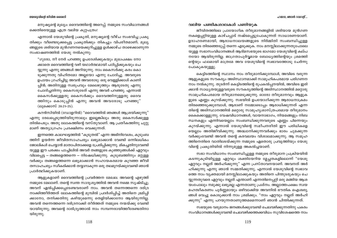#### യേശുവിന്റെ ജീവിത ശൈലി

മനുഷ്യന്റെ മൂല്യം: ദൈവത്തിന്റെ അറെപ്പ്. നമ്മുടെ സംവിധാനങ്ങൾ ക്കെതിരെയുള്ള എത്ര വലിയ കുറ്റപത്രം!

എന്നാൽ യേശുവിന്റെ പ്രകൃതി, മനുഷ്യന്റെ വീഴ്ച സംഭവിച്ച പ്രകൃ തിക്കും വീണ്ടെടുക്കപ്പെട്ട പ്രകൃതിക്കും തികച്ചും വിപരീതമാണ്; മൂല്യ ങ്ങളുടെ ശരിയായ മുൻഗണനയെക്കുറിച്ചുള്ള ഉൾക്കാഴ്ച താഴെക്കാണുന്ന സംഭാഷണത്തിൽ യേശു നൽകുന്നു:

"ഗുരോ, നീ നേർ പറഞ്ഞു ഉപദേശിക്കുകയും മുഖപക്ഷം നോ ക്കാതെ ദൈവത്തിന്റെ വഴി യഥാർത്ഥമായി പഠിപ്പിക്കുകയും ചെ യ്യുന്നു എന്നു ഞങ്ങൾ അറിയുന്നു. നാം കൈസർക്കു കരം കൊ ടുക്കുന്നതു വിഹിതമോ അല്ലയോ എന്നു ചോദിച്ചു. അവരുടെ ഉപായം ഗ്രഹിച്ചിട്ടു അവൻ അവരോടു: ഒരു വെള്ളിക്കാശ് കാണി പ്പിൻ; അതിനുള്ള സ്വരുപവും മേലെഴുത്തും ആരുടേതു എന്നു ചോദിച്ചതിന്നു: കൈസരുടേത് എന്നു അവർ പറഞ്ഞു. എന്നാൽ കൈസർക്കുള്ളതു കൈസർക്കും ദൈവത്തിനുള്ളതു ദൈവ ത്തിനും കൊടുപ്പിൻ എന്നു അവൻ അവരോടു പറഞ്ഞു" (ലൂക്കൊസ് 20:21-25).

കറൻസിയിൽ (ഡോളറിൽ) "ദൈവത്തിൽ ഞങ്ങൾ ആശ്രയിക്കുന്നു" എന്നു രേഖപ്പെടുത്തിയിരുന്നാലും ഇല്ലെങ്കിലും അതു കൈസർക്കുള്ള തിൽപെടും. അതു ലോകത്തിന്റെ വസ്തുവാണ്. ആ പ്രതീകത്തിനു ചുറ്റു മാണ് അത്യാഗ്രഹം പ്രദക്ഷിണം വെക്കുന്നത്.

ഇന്നത്തെ കാലഘട്ടത്തിൽ "കുടുതൽ" എന്ന അഭിനിവേശം, കുടുംബ ത്തിന് ഉയർന്ന ജീവിതസാഹചര്യം ലഭ്യമാക്കാൻ വേണ്ടി ഒന്നിലധികം ജോലികൾ ചെയ്യാൻ മാതാപിതാക്കളെ പ്രേരിപ്പിക്കുന്നു. മികച്ചതിനുവേണ്ടി യുള്ള ഈ പരക്കം പാച്ചിലിൽ അവർ തങ്ങളുടെ കുഞ്ഞുങ്ങൾക്ക് ഏറ്റവും വിലപ്പെട്ട — തങ്ങളെത്തന്നെ — നിഷേധിക്കുന്നു. കുടുബത്തിനും മറ്റുള്ള വർക്കും തങ്ങളെത്തന്നെ ലഭ്യമാക്കാൻ സഹായകരമായ കുറഞ്ഞ ജീവി തസാഹചര്യം സ്വീകരിക്കാൻ തയ്യാറാകുന്ന ഒരു തലമുറയ്ക്കുവേണ്ടി ഞാൻ പ്രാർത്ഥിക്കുകയാണ്.

ആളുകളാണ് ദൈവത്തിന്റെ പ്രവർത്തന മേഖല. അവന്റെ എഴുത്ത് നമ്മുടെ മേലാണ്. തന്റെ സ്വന്ത സാദൃശ്യത്തിൽ അവൻ നമ്മെ സൃഷ്ടിച്ചു; അവന് ഏൽപ്പിക്കപ്പെടേണ്ടവരാണ് നാം. അവൻ തന്നെത്തന്നെ ദരിദ്ര നാക്കിത്തീർത്തത് ലോകത്തിന്റെ മുമ്പിൽ പ്രദർശിപ്പിച്ച് അതിനെ ഭ്രമിപ്പി ക്കാനോ, തനിക്കതിനു കഴിയുമെന്നു തെളിയിക്കാനോ ആയിരുന്നില്ല. അവൻ തന്നെത്തന്നെ ദരിദ്രനാക്കി തീർത്തത് നമ്മുടെ നന്മയ്ക്കു വേണ്ടി യായിരുന്നു; അവന്റെ ദാരിദ്ര്യത്താൽ നാം സമ്പന്നരായിത്തീരേണ്ടതിനാ യിരുന്നു.

#### വലിയ പണ്ടികശാലകൾ പണിയുക

ജീവിതത്തിലെ പ്രായോഗിക തീരുമാനങ്ങളിൽ ശരിയായ മുൻഗണ നകളെപ്പറ്റിയുള്ള കാഴ്ചപ്പാട് നഷ്ടപ്പെട്ടുപോകുന്നത് സാധാരണയാണ്. ഉദാഹരണമായി, ആരാധനാലയങ്ങളുടെ നിർമ്മിതി സംബന്ധിച്ചുള്ള നമ്മുടെ തിരഞ്ഞെടുപ്പ് തന്നെ എടുക്കുക. നാം മനസ്സിലാക്കുന്നതുപോലെ യുള്ള സഭാസംവിധാനങ്ങൾ ആദിമസഭയുടെ ഭാഗമോ യേശുവിന്റെ കല്പ നയോ ആയിരുന്നില്ല. ജാഗ്രതാപൂർവ്വമായ ബോധ്യത്തിന്റെയും ശ്രമത്തി ന്റെയും ഫലമായി മാത്രമേ അവ യേശുവിന്റെ സ്വഭാവത്തോടു ചേർന്നു പോകുകയുള്ളു.

കെട്ടിടത്തിന്റെ സ്ഥാനം നാം തീരുമാനിക്കുമ്പോൾ, അവിടെ വരുന്ന ആളുകളുടെ സൗകര്യം അടിസ്ഥാനമാക്കി സാമൂഹികപരമായ പരിഗണന നാം നൽകുന്നു. തുടർന്ന് കെട്ടിടത്തിന്റെ രുപകൽപ്പനയിൽ, അവിടെ ഇരി ക്കാൻ സാധൃതയുള്ളവരുടെ സൗകര്യത്തിന്റെ അടിസ്ഥാനത്തിൽ മറ്റൊരു സാമൂഹികപരമായ തീരുമാനമെടുക്കുന്നു. ഓരോ തീരുമാനവും ആളുക ളുടെ എണ്ണം കുറയ്ക്കുന്നു. സഭയിൽ ഉപയോഗിക്കുന്ന ആരാധനാക്രമം തിരഞ്ഞെടുക്കുമ്പോൾ, ആരാണ് നമ്മോടൊപ്പം ആരാധിക്കുന്നത് എന്ന തിന്റെ അടിസ്ഥാനത്തിൽ മറ്റൊരു സാമൂഹ്യശാസ്ത്രപരമായ തീരുമാനം കൈക്കൊള്ളുന്നു. വേഷവിധാനങ്ങൾ, വായനാഭാഗം, നിയമങ്ങളും നിബ ന്ധനകളും എന്നിവയെല്ലാം സംബന്ധിക്കുന്നവരുടെ എണ്ണം പിന്നെയും കുറയ്ക്കുന്നു. എന്നാൽ യേശുവിന്റെ സമീപനരീതി ഈ പരിധികളെ യെല്ലാം അതിജീവിക്കുന്നു. അദ്ധ്വാനിക്കുന്നവർക്കും ഭാരം ചുമക്കുന്ന വർക്കുംവേണ്ടി അവൻ തന്റെ കരവലയം വിശാലമാക്കുന്നു. ആ സമൂഹ ത്തിനെതിരെ വാതിലടയ്ക്കുന്ന നമ്മുടെ ഏതൊരു പ്രവൃത്തിയും യേശു വിന്റെ പ്രകൃതിയിൽ നിന്നുമുള്ള അകൽച്ചയാണ്.

സഭാ സംവിധാനം സംബന്ധിച്ചുള്ള നമ്മുടെ തീരുമാന പ്രക്രിയയിൽ കടന്നുകൂടിയിട്ടുള്ള ഏറ്റവും ശക്തിയേറിയ മ്ലേച്ചതകളിലൊന്ന് "യേശു ഏറ്റവും നല്ലത് അർഹിക്കുന്നു" എന്ന പ്രസ്താവനയാണ്. അവനത് അർ ഹിക്കുന്നു എന്നു ഞാൻ സമ്മതിക്കുന്നു, എന്നാൽ യേശുവിന്റെ സ്വഭാവ ത്തെ നാം വ്യക്തമായി മനസ്സിലാക്കുകയും അതിനെ പിന്തുടരുകയും ചെ യ്യുന്നതുവരെ ഏറ്റവും നല്ലത് എന്താണ് എന്നതിനെപ്പറ്റി ഒരു മങ്ങിയ ആശ യംപോലും നമുക്കു ലഭ്യമല്ല എന്നതാണു പ്രശ്നം. അല്ലാത്തപക്ഷം സ്വയ മഹത്വീകരണം പൂർണ്ണമായും ഒഴിവാക്കിയ അവനിൽ ഭൗതിക ഐശ്വര്യ ങ്ങൾ വെച്ചു കൊടുക്കാൻ നാം ശ്രമിക്കും. "നാം ഏറ്റവും നല്ലത് അർഹി ക്കുന്നു" എന്നു പറയുന്നതാണുത്തമമെന്നാണ് ഞാൻ ചിന്തിക്കുന്നത്.

സഭയുടെ വരുമാനം ജനങ്ങൾക്കുവേണ്ടി ചെലവഴിക്കുന്നതിനു പകരം സംവിധാനങ്ങൾക്കുവേണ്ടി ചെലവഴിക്കത്തക്കവിധം സുവിശേഷത്തെ നാം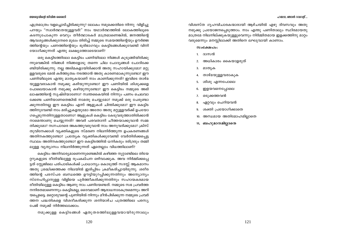എത്രമാത്രം വളച്ചൊടിച്ചിരിക്കുന്നു? ലോകം നമുക്കെതിരെ നിന്നു വിളിച്ചു പറയും "സ്വാർത്ഥതയുള്ളവർ!" നാം യഥാർത്ഥത്തിൽ ലോകത്തിലൂടെ കടന്നുപോകുന്ന വെറും തീർത്ഥാടകർ മാത്രമാണെങ്കിൽ, ജനത്തിന്റെ ആവശ്യങ്ങൾക്കുനേരെ മുഖം തിരിച്ച് നമ്മുടെ സമയത്തിന്റെയും ഊർജ്ജ ത്തിന്റെയും പണത്തിന്റെയും ഭൂരിഭാഗവും കെട്ടിടങ്ങൾക്കുവേണ്ടി വിനി യോഗിക്കുന്നത് എന്തു ലക്ഷ്യത്തോടെയാണ്?

ഒരു കെട്ടിടത്തിലോ കെട്ടിടം പണിയിലോ നിങ്ങൾ കുടുങ്ങിയിരിക്കു ന്നുവെങ്കിൽ നിങ്ങൾ നിങ്ങളോടു തന്നെ ചില ചോദ്യങ്ങൾ ചോദിക്കേ ണ്ടിയിരിക്കുന്നു. നല്ല അടിമകളായിരിക്കാൻ അതു സഹായിക്കുമോ? മറ്റു ള്ളവരുടെ മേൽ കർത്തൃത്വം നടത്താൻ അതു കാരണമാകുന്നുണ്ടോ? ഈ പണിയിലൂടെ എന്തു മാതൃകയാണ് നാം കാണിക്കുന്നത്? ഇവിടെ താഴ്മ യുള്ളവരാകാൻ നമുക്കു കഴിയുന്നുണ്ടോ? ഈ പണിയിൽ ശിശുക്കളെ പോലെയാകാൻ നമുക്കു കഴിയുന്നുണ്ടോ? ഈ കെട്ടിടം നമ്മുടെ അഭി ലാഷത്തിന്റെ സൃഷ്ടിയാണോ? സ്വന്തകൈയിൽ നിന്നും പണം ചെലവാ ക്കേണ്ട പണിയാണതെങ്കിൽ നാമതു ചെയ്യുമോ? നമുക്ക് ഒരു പേരുണ്ടാ ക്കുന്നതിനല്ല ഈ കെട്ടിടം എന്ന് ആളുകൾ ചിന്തിക്കുമോ? ഈ കെട്ടിട ത്തിനുവേണ്ടി നാം മരിച്ചുകളയുമോ അതോ അതു മറ്റുള്ളവർക്ക് ഉപയോ ശപ്പെടുന്നതിനുള്ളതാണോ? ആളുകൾ കെട്ടിടം കേടുവരുത്താതിരിക്കാൻ നാമെന്താണു ചെയ്യുന്നത്? അവർ പരവതാനി ചീത്തയാക്കുവാൻ സമ്മ തിക്കുമോ? നഗ്നപാദരെ അകത്തുവരുവാൻ നാം അനുവദിക്കുമോ? ക്രിസ് തുവിനേക്കാൾ വ്യക്തികളുടെ സ്മരണ നിലനിർത്തുന്ന ഉപകരണങ്ങൾ അതിനകത്തുണ്ടോ? പ്രത്യേക വ്യക്തികൾക്കുവേണ്ടി വേർതിരിക്കപ്പെട്ട സ്ഥലം അതിനകത്തുണ്ടോ? ഈ കെട്ടിടത്തിൽ ധനികരും ദരിദ്രരും തമ്മി ലുള്ള വ്യത്യാസം നിലനിർത്തുന്നത് ഏതെല്ലാം വിധത്തിലാണ്?

കെട്ടിടം അനിവാര്യമാണെന്നുണ്ടെങ്കിൽ കഴിഞ്ഞ നൂറ്റാണ്ടിലെ തിയേ റ്ററുകളുടെ രീതിയിലുള്ള രൂപകല്പന ഒഴിവാക്കുക. അവ നിർമ്മിക്കപ്പെ ട്ടത് സ്റ്റേജിലെ പരിപാടികൾക്ക് പ്രാധാന്യം കൊടുത്ത് സദസ്സ് ആകമാനം അതു ശ്രദ്ധിക്കത്തക്ക നിലയിൽ ഇരിപ്പിടം ക്രമീകരിച്ചായിരുന്നു. ശരീര ത്തിന്റെ പരസ്പര ബന്ധത്തെ ഊട്ടിയുറപ്പിക്കുന്നതിനും അന്യോന്യം സ്നേഹിപ്പാനുള്ള വിളിയെ പൂർത്തീകരിക്കുന്നതിനും സഹായകരമായ രീതിയിലുള്ള കെട്ടിടം ആണു നാം പണിയേണ്ടത്. നമ്മുടെ സഭ പ്രവർത്ത നനിരതമാണെന്നും കെട്ടിടമല്ല, ദൈവമാണ് ആരാധനാകേന്ദ്രമെന്നും അറി യപ്പെടട്ടെ. മറ്റൊരുവന്റെ പുണിയിൽ നിന്നും മീൻപിടിക്കുന്ന നമ്മുടെ പ്രവർ ത്തന പദ്ധതികളെ വിശദീകരിക്കുന്ന ശനിയാഴ്ച പത്രത്തിലെ പരസ്യ പേജ് നമുക്ക് നിർത്തലാക്കാം.

നമുക്കുള്ള കെട്ടിടങ്ങൾ ഏതുതരത്തിലുള്ളവയായിരുന്നാലും

വിശ്വസ്ത ഗൃഹവിചാരകന്മാരായി ആഴ്ചയിൽ എഴു ദിവസവും അതു നമുക്കു പ്രയോജനപ്പെടുത്താം. നാം എന്തു പണിതാലും സ്ഥിരമായതു മാത്രമേ നിലനില്ക്കുകയുള്ളുവെന്നും നിർമ്മിതമായ ഇളക്കത്തിനു മാറ്റം വരുമെന്നും മനസ്സിലാക്കി അതിനെ ലഘുവായി കാണാം.

#### $\omega_0$  $\omega_2$

- 1. ദാസൻ
- അധികാരം കൈയാളരുത് 2.
- 3. മാതൃക
- താഴ്മയുള്ളവരാകുക  $\overline{4}$ .
- 5. ശിശു എന്നപോലെ
- ഇളയവനെപ്പോലെ 6.
- ഒടുക്കത്തവൻ 7.
- 8. ഏറ്റവും ചെറിയവൻ
- 9. ശക്തി പ്രയോഗിക്കാതെ
- 10. അന്ധമായ അതിമോഹമില്ലാതെ
- 11. ബഹുമാനമില്ലാതെ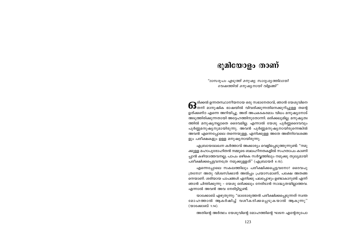### ഭൂമിയോളം താണ്

"ദാസരൂപം എടുത്ത് മനുഷ്യ സാദൃശ്യത്തിലായി വേഷത്തിൽ മനുഷ്യനായി വിളങ്ങി"

<mark>ക</mark>്ക്കൽ ഉന്നതസ്ഥാനീയനായ ഒരു സഭാനേതാവ്, ഞാൻ യേശുവിനെ<br>കൃതനി മാനുഷിക ഭാഷയിൽ വിവരിക്കുന്നതിനെക്കുറിച്ചുള്ള തന്റെ ഉത്ക്കണ്ഠ എന്നെ അറിയിച്ചു. അത് അപകടകരമാം വിധം മനുഷ്യനോട് അടുത്തിരിക്കുന്നതായി അദ്ദേഹത്തിനുതോന്നി. ഒരിക്കലുമില്ല. മനുഷ്യത്വ ത്തിൽ മനുഷ്യനല്ലാതെ ദൈവമില്ല. എന്നാൽ യേശു പൂർണ്ണദൈവവും പൂർണ്ണമനുഷ്യനുമായിരുന്നു. അവൻ പൂർണ്ണമനുഷ്യനായിരുന്നെങ്കിൽ അവൻ എന്നെപ്പോലെ തന്നെയുള്ള, എനിക്കുള്ള അതേ അഭിനിവേശങ്ങ ളും പരീക്ഷകളും ഉള്ള മനുഷ്യനായിരുന്നു.

എബ്രായലേഖന കർത്താവ് അക്കാര്യം വെളിപ്പെടുത്തുന്നുണ്ട്: "നമു ക്കുള്ള മഹാപുരോഹിതൻ നമ്മുടെ ബലഹീനതകളിൽ സഹതാപം കാണി പ്പാൻ കഴിയാത്തവനല്ല; പാപം ഒഴികെ സർവ്വത്തിലും നമുക്കു തുല്യമായി പരീക്ഷിക്കപ്പെട്ടവനത്രേ നമുക്കുള്ളത്" (എബ്രായർ 4:15).

എന്നെപ്പോലെ സകലത്തിലും പരീക്ഷിക്കപ്പെട്ടവനോ? ദൈവപു ത്രനോ? അതു വിശ്വസിക്കാൻ അൽപ്പം പ്രയാസമാണ്, പക്ഷേ അതങ്ങ നെയാണ്. ശരിയായ പാപങ്ങൾ എനിക്കു പലപ്പോഴും ഉണ്ടാകാറുണ്ട് എന്ന് ഞാൻ ചിന്തിക്കുന്നു – യേശു ഒരിക്കലും നേരിടാൻ സാദ്ധ്യതയില്ലാത്തവ. എന്നാൽ അവൻ അവ നേരിട്ടിട്ടുണ്ട്.

യാക്കോബ് എഴുതുന്നു: "ഓരോരുത്തൻ പരീക്ഷിക്കപ്പെടുന്നത് സ്വന്ത മോഹത്താൽ ആകർഷിച്ച് വശീകരിക്കപ്പെടുകയാൽ ആകുന്നു" (യാക്കോബ് 1:14).

അതിന്റെ അർത്ഥം യേശുവിന്റെ മോഹത്തിന്റെ ഘടന എന്റേതുപോ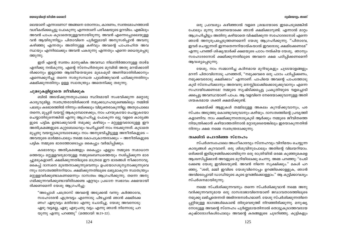#### യേശുവിന്റെ ജീവിത ശൈലി

ലെയാണ് എന്നാണോ? അങ്ങനെ തോന്നാം, കാരണം, സ്വന്തമോഹത്താൽ വശീകരിക്കപ്പെട്ടു പോകുന്നു എന്നതാണ് പരീക്ഷയുടെ ഉറവിടം. എങ്കിലും അവൻ പാപം കുടാതെയുള്ളവനായിരുന്നു. അവൻ എന്നെപ്പോലെയുള്ള വൻ ആയിരുന്നിട്ടും പിതാവിനെ പൂർണ്ണമായി അനുസരിപ്പാൻ അവനു കഴിഞ്ഞു എന്നതും അതിനുള്ള കഴിവും അവന്റെ പാപരഹിത അവ സ്ഥയും എന്നിലേക്കും അവൻ പകരുന്നു എന്നതും എന്നെ ധൈര്യപ്പെടു **ത്തുന്നു.** 

ഇത് എന്റെ സ്വന്തം മാനുഷിക അവസ്ഥ നിലനിർത്താനുള്ള താഴ്മ എനിക്കു നൽകുന്നു. എന്റെ സ്നേഹിതരുടെ മുമ്പിൽ അതു മറയ്ക്കാതി രിക്കാനും ഇല്ലാത്ത ആത്മീയതയുടെ മുഖംമുടി അണിയാതിരിക്കാനും എന്നെക്കുറിച്ചു തന്നെ സത്യസന്ധത പുലർത്തുവാൻ പഠിക്കുന്നതിനും ക്ഷമിക്കുന്നതിനും ഉള്ള സ്വാതന്ത്ര്യം അതെനിക്കു തരുന്നു.

#### ചുമടുകളില്ലാതെ ജീവിക്കുക

ബിൽ അടയ്ക്കുന്നതുപോലെ സ്ഥിരമായി സംഭവിക്കുന്ന മറ്റൊരു കാര്യവുമില്ല. സ്വതന്ത്രരായിരിക്കാൻ നമുക്കാഗ്രഹമുണ്ടെങ്കിലും നമ്മിൽ പലരും കടഭാരത്തിൽ നിന്നും ഒരിക്കലും വിമുക്തരാകുന്നില്ല. അതുപോലെ തന്നെ, മുപ്പത് വയസ്സ് ആകുമ്പോഴേക്കും, നാം പറയുകയോ ചെയ്യുകയോ ചെയ്യാതിരുന്നെങ്കിൽ എന്നു ആഗ്രഹിച്ചു പോകുന്ന ഒട്ടു വളരെ കാര്യങ്ങ ളുടെ പട്ടിക ഉണ്ടാക്കുവാൻ നമുക്കു കഴിയും – മറ്റുള്ളവരോടുള്ള ഈ അതിക്രമങ്ങളുടെ കുറ്റബോധവും വഹിച്ചാണ് നാം നടക്കുന്നത്. കുടാതെ മുപ്പതു വയസ്സാകുമ്പോഴേക്കും നാം അനുഭവിച്ചിട്ടുള്ള അനീതികളുടെ — അവയുടെ ഓർമ്മപോലും നമ്മെ കോപാക്രാന്തരാക്കും — അനീതികളുടെ പട്ടിക നമ്മുടെ ഭാരത്തോടൊപ്പം കൈപ്പും വർദ്ധിപ്പിക്കും.

കടഭാരവും അതിക്രമങ്ങളും കൈപ്പും എല്ലാം നമ്മുടെ സമാധാന ത്തെയും മറ്റുള്ളവരുമായുള്ള നമ്മുടെബന്ധത്തെയും നശിപ്പിക്കുന്ന ഭാര ച്ചുമടുകളാണ്. ക്ഷമിക്കുന്നതിലൂടെ മാത്രമേ ഈ ഭാരങ്ങൾ നീക്കാനാവൂ. കൈപ്പ് ദാസനെ മുടന്തനാക്കുന്നുവെന്നും ഉപയോഗശൂന്യനാക്കുന്നുവെ ന്നും ദാസത്വത്തിനറിയാം. ക്ഷമിക്കുന്നതിലൂടെ ലഭ്യമാകുന്ന സ്വാതന്ത്ര്യം മറ്റുള്ളവർക്കുണ്ടാകണമെന്നും ദാസത്വം ആഗ്രഹിക്കുന്നു. തന്നെ അനു ഗമിക്കുന്നവർക്കുണ്ടായിരിക്കേണ്ട ഏറ്റവും പ്രധാന സ്വഭാവം ക്ഷമയായി രിക്കണമെന്ന് യേശു ആഗ്രഹിച്ചു:

"അപ്പോൾ പത്രൊസ് അവന്റെ അടുക്കൽ വന്നു: കർത്താവേ, സഹോദരൻ എത്രവട്ടം എന്നോടു പിഴച്ചാൽ ഞാൻ ക്ഷമിക്കേ ണം? ഏഴുവട്ടം മതിയോ എന്നു ചോദിച്ചു. യേശു അവനോടു: ഏഴു വട്ടമല്ല, ഏഴു എഴുപതു വട്ടം എന്നു ഞാൻ നിന്നോടു പറ യുന്നു എന്നു പറഞ്ഞു" (മത്തായി 18:21-22).

#### ഭൂമിയോളം താണ്

ഒരു പ്രാവശ്യം കഴിഞ്ഞാൽ വളരെ ശ്രദ്ധയോടെ ഇടപെടുമെങ്കിൽ പോലും മൂന്നു തവണയൊക്കെ ഞാൻ ക്ഷമിക്കാറുണ്ട്. എന്നാൽ മാറ്റം ആഗ്രഹിച്ചിട്ടും അതിനു കഴിയാതെ വിഷമിക്കുന്ന സഹോദരനോട് എന്നെ ഞാൻ അനുരൂപപ്പെടുത്തണമെന്ന് യേശു ആഗ്രഹിക്കുന്നു. ''പിതാവേ, ഇവർ ചെയ്യുന്നത് ഇന്നതെന്നറിയായ്കയാൽ ഇവരോടു ക്ഷമിക്കേണമേ'' എന്നു പറഞ്ഞ് ശിഷ്യന്മാർക്ക് ക്ഷമയുടെ പാഠം നൽകിയ യേശു, ഞാനും സഹോദരനോട് ക്ഷമിക്കുന്നതിലൂടെ അവനെ ക്ഷമ പഠിപ്പിക്കണമെന്ന് ആവശ്യപ്പെടുന്നു.

യേശു, നാം സമ്മാനിച്ച കഠിനമായ മുറിവുകളും ചൂടടയാളങ്ങളും മറന്ന് പിതാവിനോടു പറഞ്ഞത്, "നമുക്കവരെ ഒരു പാഠം പഠിപ്പിക്കണം, നമുക്കവരോടു ക്ഷമിക്കാം" എന്നാണ്. പാപിയെ അവന്റെ പാപത്തോടു കൂടി സ്നേഹിക്കാനും അതവനു മനസ്സിലാക്കിക്കൊടുക്കുവാനും എന്നെ സഹായിക്കേണമേ! നമ്മുടെ സൃഷ്ടിക്കപ്പെട്ട പ്രകൃതിയുടെ വളച്ചൊടി ക്കപ്പെട്ട അവസ്ഥയാണ് പാപം. ആ വളവിനെ നേരെയാക്കുവാനുള്ള അതി ശയകരമായ ശക്തി ക്ഷമയ്ക്കുണ്ട്.

ക്ഷമയ്ക്ക് ആളുകൾ തമ്മിലുള്ള അകലം കുറയ്ക്കുവാനും, പര സ്പരം അടുത്തു കൊണ്ടുവരുവാനും കഴിയും. ദാസത്വത്തിന്റെ പ്രവൃത്തി കളാണിവ. നാം ക്ഷമിക്കുന്നതോടുകൂടി ആർക്കും നമ്മുടെ ജീവിതത്തെ നിയന്ത്രിക്കാൻ കഴിയാത്തതിനാൽ മറ്റാരുടെയെങ്കിലും ഇരയാകുന്നതിൽ നിന്നും ക്ഷമ നമ്മെ സ്വതന്ത്രരാക്കുന്നു.

#### ത്വക്കിൽ പൊതിഞ്ഞ സ്നേഹം

സ്പർശനംപോലെ അംഗീകാരവും സ്നേഹവും വിനിമയം ചെയ്യുന്ന കാര്യങ്ങൾ കുറവാണ്. ഒരു ശിശുവിനുപോലും അതിന്റെ വിലയറിയാം. ഒരിക്കൽ ഇടിമുഴങ്ങിക്കൊണ്ടിരുന്ന ഒരു രാത്രിയിൽ ഒരമ്മ കുഞ്ഞുമകളെ ആശ്വസിപ്പിക്കാൻ അവളുടെ മുറിയിലേക്കു ചെന്നു. അമ്മ പറഞ്ഞു: "പേടി ക്കേണ്ട യേശു ഇവിടെയുണ്ട്. അവൻ നിന്നെ സൂക്ഷിക്കും." മകൾ പറ ഞ്ഞു, "ശരി, മമ്മി ഇവിടെ യേശുവിനൊപ്പം ഉറങ്ങിക്കൊള്ളുക, ഞാൻ അവിടെപ്പോയി ഡാഡിയുടെ കൂടെ ഉറങ്ങിക്കൊള്ളാം." ആ കുട്ടിക്കാവശ്യം സ്പർശനമായിരുന്നു.

നമ്മെ സ്പർശിക്കുന്നവനും തന്നെ സ്പർശിക്കുവാൻ നമ്മെ അനു വദിക്കുന്നവനുമായ ഒരു ദാസരാജാവിനെയാണ് ജഡാവതാരത്തിലൂടെ നമുക്കു ലഭിചതെന്നത് അഭിനന്ദനാർഹമാണ്. യേശു സ്പർശിക്കുന്നതിനെ പ്പറ്റിയുള്ള ഭാഗങ്ങൾകൊണ്ട് തിരുവെഴുത്ത് നിറഞ്ഞിരിക്കുന്നു. മനുഷ്യ നോടുള്ള അവന്റെ സ്നേഹം പൂർണ്ണമായതിനാൽ തൊട്ടുകൂടാത്തവരായ കുഷ്ഠരോഗികൾപോലും അവന്റെ കരങ്ങളുടെ ചൂടറിഞ്ഞു. കുട്ടികളും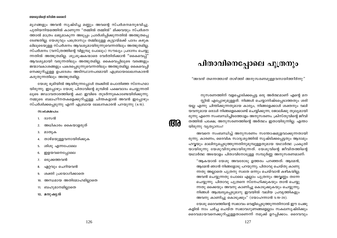#### യേശുവിന്റെ ജീവിത ശൈലി

മൃഗങ്ങളും അവൻ സൃഷ്ടിച്ച മണ്ണും അവന്റെ സ്പർശനമനുഭവിച്ചു. പുതിയനിയമത്തിൽ കാണുന്ന "തമ്മിൽ തമ്മിൽ" മിക്കവയും സ്പർശന ത്താൽ മാത്രം ലഭ്യമാകുന്ന അടുപ്പം പ്രദർശിപ്പിക്കുന്നതിൽ അത്ഭുതപ്പെ ടേണ്ടതില്ല. യേശുവും പത്രൊസും തമ്മിലുള്ള കൂട്ടായ്മക്ക് പാദം കഴുക ലിലുടെയുള്ള സ്പർശനം ആവശ്യമായിരുന്നുവെന്നതിലും അത്ഭുതമില്ല. സ്പർശനം (വസ്ത്രത്തിന്റെ വിളുമ്പു പോലും) സൗഖ്യം പ്രദാനം ചെയ്യു ന്നതിൽ അത്ഭുതമില്ല. ശുശ്രൂഷകന്മാരെ വേർതിരിക്കാൻ ''കൈവെപ്പ്' ആവശ്യമായി വരുന്നതിലും അത്ഭുതമില്ല. കൈവെപ്പിലൂടെ വരങ്ങളും ജന്മാവകാശങ്ങളും പകരപ്പെടുന്നുവെന്നതിലും അത്ഭുതമില്ല. കൈവെപ്പി നെക്കുറിച്ചുള്ള ഉപദേശം അടിസ്ഥാനപരമായി എബ്രായലേഖനകാരൻ കരുതുന്നതിലും അത്ഭുതമില്ല.

യേശു ഭൂമിയിൽ ആയിരുന്നപ്പോൾ ത്വക്കിൽ പൊതിഞ്ഞ സ്നേഹമാ യിരുന്നു. ഇപ്പോഴും യേശു പിതാവിന്റെ മുമ്പിൽ പക്ഷവാദം ചെയ്യുന്നതി ലൂടെ ജഡാവതാരത്തിന്റെ കഥ ഇവിടെ തുടർന്നുകൊണ്ടേയിരിക്കുന്നു. നമ്മുടെ ബലഹീനതകളെക്കുറിച്ചുള്ള ചിന്തകളാൽ അവൻ ഇപ്പോഴും സ്പർശിക്കപ്പെടുന്നു എന്ന് എബ്രായ ലേഖനകാരൻ പറയുന്നു (4:15).

#### $\omega$ ocamalo:

- ി. ദാസൻ
- 2. അധികാരം കൈയാളരുത്
- മാതൃക 3.
- താഴ്മയുള്ളവനായിരിക്കുക 4.
- 5. ശിശു എന്നപോലെ
- ഇളയവനെപ്പോലെ 6.
- ഒടുക്കത്തവൻ  $7.$
- 8. ഏറ്റവും ചെറിയവൻ
- ശക്തി പ്രയോഗിക്കാതെ 9.
- 10. അന്ധമായ അതിമോഹമില്ലാതെ
- 11. ബഹുമാനമില്ലാതെ
- 12. മനുഷൃൻ

# പിതാവിനെപ്പോലെ പുത്രനും

"അവൻ തന്നെത്താൻ താഴ്ത്തി അനുസരണമുള്ളവനായിത്തീർന്നു"

നുസരണത്തിന് വളച്ചൊടിക്കപ്പെട്ട ഒരു അർത്ഥമാണ് എന്റെ മന സ്സിൽ എപ്പോഴുമുള്ളത്. നിങ്ങൾ ചെയ്യാനിഷ്ടപ്പെടാത്തതും ശരി യല്ല എന്നു ചിന്തിക്കുന്നതുമായ കാര്യം, നിങ്ങളേക്കാൾ ശക്തനും വലി യവനുമായ ഒരാൾ നിങ്ങളെക്കൊണ്ട് ചെയ്യിക്കുന്ന, ജോലിക്കു തുല്യമായി രുന്നു എന്നെ സംബന്ധിച്ചിടത്തോളം അനുസരണം. ക്രിസ്തുവിന്റെ ജീവി തത്തിൽ പക്ഷേ, അനുസരണത്തിന്റെ അർത്ഥം ഇതായിരുന്നില്ല. എന്താ യിരുന്നു വ്യത്യാസം?

**RTA** 

അവനെ സംബന്ധിച്ച് അനുസരണം സന്തോഷമുളവാക്കുന്നതായി രുന്നു. കാരണം, ദൈവിക സാദൃശൃത്തിൽ സൃഷ്ടിക്കപ്പെട്ടതും ആദാമും ഹവ്വയും മാലിന്യപ്പെടുത്തുന്നതിനുമുമ്പുള്ളതുമായ യഥാർത്ഥ പ്രകൃതി യായിരുന്നു യേശുവിനുണ്ടായിരുന്നത്. യേശുവിന്റെ ജീവിതത്തിന്റെ യഥാർത്ഥ അടയാളം പിതാവിനോടുള്ള സമ്പൂർണ്ണ അനുസരണമാണ്:

"ആകയാൽ യേശു അവരോടു ഉത്തരം പറഞ്ഞത്: ആമേൻ, ആമേൻ ഞാൻ നിങ്ങളോടു പറയുന്നു; പിതാവു ചെയ്തു കാണു ന്നതു അല്ലാതെ പുത്രനു സ്വതേ ഒന്നും ചെയ്വാൻ കഴികയില്ല; അവൻ ചെയ്യുന്നതു പോലെ എല്ലാം പുത്രനും അവ്വണ്ണം തന്നേ ചെയ്യുന്നു. പിതാവു പുത്രനെ സ്നേഹിക്കുകയും താൻ ചെയ്യു ന്നതു ഒക്കെയും അവനു കാണിച്ചു കൊടുക്കുകയും ചെയ്യുന്നു; നിങ്ങൾ ആശ്ചര്യപ്പെടുമാറു ഇവയിൽ വലിയ പ്രവൃത്തികളും അവനു കാണിച്ചു കൊടുക്കും" (യോഹന്നാൻ 5:19–20).

യേശു ദൈവത്തിന്റെ സ്വഭാവം വെളിപ്പെടുത്തുന്നതിനാൽ ഈ പേജു കളിൽ നാം ചർച്ച ചെയ്ത സ്വഭാവഗുണങ്ങളെല്ലാം സകലസൃഷ്ടിക്കും ദൈവമായവനെക്കുറിച്ചുള്ളതാണെന്ന് നമുക്ക് ഉറപ്പിക്കാം. ദൈവവും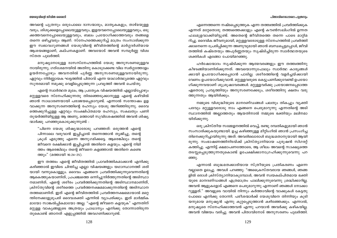#### പിതാവിനെപ്പോലെ പുശനാം

#### യേശുവിന്റെ ജീവിത ശൈലി

അവന്റെ പുത്രനും ഒരുപോലെ ദാസന്മാരും, മാതൃകകളും, താഴ്മയുള്ള വരും, ശിശുക്കളെപ്പോലെയുള്ളവരും, ഇളയവനെപ്പോലെയുള്ളവരും, ഒടു ക്കത്തവനെപ്പോലെയുള്ളവരും, ബലം പ്രയോഗിക്കാത്തവരും തങ്ങളെ തന്നെ ഒഴിച്ചവരും ആണ്. സ്നേഹത്തെക്കുറിച്ച് മാത്രം സംസാരിക്കുന്ന ഈ സ്വഭാവഗുണങ്ങൾ യേശുവിന്റെ ജീവിതത്തിന്റെ മാർഗ്ഗദർശിയായ ആശയങ്ങളാണ്, കല്പനകളാണ്. അവയോട് അവൻ സമ്പൂർണ്ണ വിശ്വ സ്തത പൂലർത്തി.

മനുഷ്യനോടുള്ള ദാസസ്നേഹത്തിൽ യേശു അനുസരണമുള്ളവ നായിരുന്നു; ഗത്ശേമനയിൽ അതിനു കൊടുക്കേണ്ട വില സ്ഥർഗ്ഗത്തോളം ഉയർന്നപ്പോഴും അവനതിൽ പൂർണ്ണ അനുസരണമുള്ളവനായിരുന്നു. ഏറ്റവും നിർണ്ണായക ഘട്ടത്തിൽ പിതാവ് എന്ന യാഥാർത്ഥ്യത്തെ ഏറ്റവും സുന്ദരമായി നമുക്കു വെളിപ്പെടുത്തുന്ന പ്രവൃത്തി അവൻ ചെയ്തു.

എന്റെ സ്വാർത്ഥത മുലം, ആ പ്രത്യേക വിഷയത്തിൽ എല്ലായ്പ്പോഴും മറ്റുള്ളവരെ സ്നേഹിക്കുന്നതു തിരഞ്ഞെടുക്കാനുള്ള എന്റെ കഴിവിൽ ഞാൻ സാധാരണയായി പരാജയപ്പെടാറുണ്ട്. എന്നാൽ സന്തോഷം ഉള വാക്കുന്ന അനുസരണത്തിന്റെ രഹസ്യം യേശു അറിഞ്ഞിരുന്നു. ദൈവ ത്തെക്കുറിച്ചുള്ള ഏറ്റവും സംക്ഷിപ്തമായ രഹസ്യം, സകലതും പണി തുയർത്തിയിട്ടുള്ള ആ അണു, മത്തായി സുവിശേഷത്തിൽ അവൻ ശിഷ്യ ന്മാർക്കു പറഞ്ഞുകൊടുക്കുന്നുണ്ട് :

"പിന്നെ യേശു ശിഷ്യന്മാരോടു പറഞ്ഞത്: ഒരുത്തൻ എന്റെ പിന്നാലെ വരുവാൻ ഇച്ചിച്ചാൽ തന്നെത്താൻ തൃജിച്ചു, തന്റെ ക്രുശ് എടുത്തു എന്നെ അനുഗമിക്കട്ടെ. ആരെങ്കിലും തന്റെ ജീവനെ രക്ഷിക്കാൻ ഇച്ഛിച്ചാൽ അതിനെ കളയും; എന്റെ നിമി ത്തം ആരെങ്കിലും തന്റെ ജീവനെ കളഞ്ഞാൽ അതിനെ കണ്ടെ ത്തും" (മത്തായി 16:24-25).

ഈ തത്ത്വം എന്റെ ജീവിതത്തിൽ പ്രാവർത്തികമാക്കാൻ എനിക്കു കഴിഞ്ഞാൽ ഇവിടെ ചിന്തിച്ച എല്ലാ വിഷയങ്ങളും യഥാസ്ഥാനത്ത് ശരി യായി വന്നുകൊള്ളും. ദൈവം എങ്ങനെ പ്രവർത്തിക്കുന്നുവെന്നതിന്റെ ആകെത്തുകയാണിത്, പ്രപഞ്ചത്തെ ഒന്നിച്ചുനിർത്തുന്നതിന്റെ അടിസ്ഥാ നമാണിത്, എന്റെ ശരീരം പ്രവർത്തിക്കുന്നതിന്റെ അടിസ്ഥാനമാണിത്, ക്രിസ്തുവിന്റെ ശരീരത്തെ പ്രവർത്തനക്ഷമമാക്കുന്നതിന്റെ അടിസ്ഥാന തത്ത്വമാണിത്. ഇത് എന്റെ ജീവിതത്തിൽ പ്രവർത്തനക്ഷമമായാൽ മറ്റെ ന്തിനേക്കാളുമുപരി ദൈവശക്തി എന്നിൽ വ്യാപരിക്കും. ഇത് മാർമ്മിക മായോ സാങ്കൽപ്പികമായോ അല്ല. "എന്റെ ജീവനെ കളയുക" എന്നതിന് മറ്റുള്ള വാകൃങ്ങളുടെ അത്രയും പ്രാധാന്യം എനിക്കു തോന്നാതിരുന്ന തുകൊണ്ട് ഞാനത് എളുപ്പത്തിൽ അവഗണിക്കാറുണ്ട്.

എന്നെത്തന്നെ നഷ്ടപ്പെടുത്തുക എന്ന തത്ത്വത്തിൽ പ്രവർത്തിക്കുക എന്നത് മറ്റേതൊരു തത്ത്വത്തെക്കാളും എന്റെ കൗൺസലിംഗിൽ ഉന്നത ഫലമുളവാക്കിയിട്ടുണ്ട്. അതെന്റെ ജീവിതത്തെ തന്നെ പാടെ മാറ്റിമ റിച്ചു. ദൈവിക ജീവനുമായി, മറ്റുള്ളവരോടുള്ള സ്നേഹത്തിൽ പ്രവർത്തി ക്കാനെന്നെ പ്രേരിപ്പിക്കുന്ന അണുവുമായി ഞാൻ ബന്ധപ്പെട്ടപ്പോൾ, ജീവി തത്തിൽ കഷ്ടതയും അപൂർണ്ണതയും സൃഷ്ടിച്ചിരുന്ന സ്വാർത്ഥതയുടെ ശക്തികൾ എങ്ങോ പോയിമറഞ്ഞു.

ഹർഷോന്മാദം സൃഷ്ടിക്കുന്ന ആത്മവരങ്ങളും ഈ തത്ത്വത്തിനു കീഴടങ്ങിയാണിരിക്കുന്നത്. അവയൊന്നുപോലും സ്വാർത്ഥ കാര്യങ്ങൾ ക്കായി ഉപയോഗിക്കപ്പെടാൻ പാടില്ല. ശരീരത്തിന്റെ വളർച്ചയ്ക്കായി വേണം ഉപയോഗിക്കുവാൻ. മറ്റുള്ളവരുടെ കെട്ടുപണിക്കുവേണ്ടി ഉപയോ ഗിക്കുന്നവയാണ് ശുശ്രൂഷാവരങ്ങൾ. മറ്റുള്ളവർക്കു പ്രയോജനപ്പെടാത്ത ഏതൊരു പ്രവൃത്തിയും അനുസരണക്കേടും, ശരീരത്തിനു ക്ഷതം വരു ത്തുന്നതും ആയിരിക്കും.

നമ്മുടെ വിശുദ്ധിയുടെ മാനദണ്ഡങ്ങൾ പലതും തികച്ചും വൃക്തി പരവും മറ്റുള്ളവരോടു നാം എങ്ങനെ പെരുമാറുന്നു എന്നതിന്റെ അടി സ്ഥാനത്തിൽ അല്ലാത്തതും ആയതിനാൽ നമ്മുടെ ഭക്തിയും മലിനമാ യിരിക്കുന്നു.

ഒരു ക്രിസ്തീയ സമ്മേളനത്തിൽ വെച്ച്, രണ്ടു ദമ്പതികളുമായി ഞാൻ സംസാരിക്കുകയുണ്ടായി. ഉച്ച കഴിഞ്ഞുള്ള മീറ്റിംഗിൽ ഞാൻ പ്രസംഗിച്ച തിനെക്കുറിച്ചായിരുന്നു അത്. അവരിലൊരാൾ ബുദ്ധമതാനുയായി ആയി രുന്നു. സംഭാഷണത്തിനിടയ്ക്ക് ക്രിസ്ത്യാനിയായ പുരുഷൻ സിഗരറ്റ് കത്തിച്ചു. എന്നിട്ട് ക്ഷമാപണത്തോടെ, ആ ശീലം അവന്റെ സാക്ഷ്യത്തെ തടസ്സപ്പെടുത്തുന്നതുകൊണ്ട് ഉപേക്ഷിക്കാനാഗ്രഹിക്കുന്നുവെന്നു പറ ഞ്ഞു.

എന്നാൽ ബുദ്ധമതക്കാരിയായ സ്ത്രീയുടെ പ്രതികരണം എന്നെ വല്ലാതെ ഉലച്ചു. അവൾ പറഞ്ഞു: "അപ്രൈസ്തവരായ ഞങ്ങൾ, ഞങ്ങ ളിൽ ഒരാൾ ക്രിസ്ത്യാനിയാകുമ്പോൾ, അവൻ സ്വയകല്പിതമായ ഭക്തി യുടെ മാനദണ്ഡങ്ങൾ എത്രമാത്രം പാലിക്കുന്നുവെന്നു ശ്രദ്ധിക്കാറില്ല. അവൻ ആളുകളോട് എങ്ങനെ പെരുമാറുന്നു എന്നാണ് ഞങ്ങൾ നോക്കാ റുള്ളത്." അവളുടെ വായിൽ നിന്നും കർത്താവിന്റെ വാക്കുകൾ കേട്ടതു പോലെ എനിക്കു തോന്നി. പരീശന്മാർക്ക് യേശുവിനെ തിന്നിയും കുടി യനുമായ മനുഷ്യൻ എന്നു കുറ്റപ്പെടുത്താൻ കഴിഞ്ഞേക്കും. എന്നാൽ, മനുഷ്യരെ സ്നേഹിക്കാത്തവൻ എന്നു പറയാൻ അവർക്കു കഴികയില്ല. അവൻ വിജയം വരിച്ചു. അവൻ പിതാവിനോട് അനുസരണം പുലർത്തി.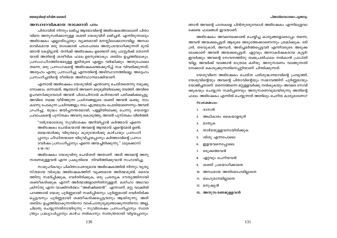#### അസ്വാഭാവികമായ താക്കോൽ പദം

പിതാവിൽ നിന്നും ലഭിച്ച ആത്മാവിന്റെ അഭിഷേകത്താലാണ് പിതാ വിനെ അനുസരിക്കാനുള്ള ശക്തി യേശുവിന് ലഭിച്ചത്. എന്നിരുന്നാലും അഭിഷേകം എല്ലായ്പ്പോഴും വ്യക്തമായി മനസ്സിലാക്കാനാവില്ല. അസ്വാ ഭാവികമായ ഒരു താക്കോൽ പദംപോലെ അതുപയോഗിക്കുന്നത് മുമ്പ് ഞാൻ കേട്ടിട്ടുണ്ട്. തനിക്ക് അഭിഷേകം ഉണ്ടെന്ന് ഒരു പാസ്ലർക്ക് തോന്നി യാൽ അതിന്റെ ശാരീരിക ഫലം ഉടനുണ്ടാകും. ശബ്ദം ഉച്ചത്തിലാകും. പ്രസംഗപീഠത്തിന്മേലുള്ള ഇടിയുടെ എണ്ണം വർദ്ധിക്കും. അതുപോലെ തന്നെ, ഒരു പ്രസംഗകന്റെ അഭിഷേകത്തെക്കുറിച്ച് സഭ വിവരിക്കുന്നത്, അദ്ദേഹം എന്തു പ്രസംഗിച്ചു എന്നതിന്റെ അടിസ്ഥാനത്തിലല്ല, അദ്ദേഹം പ്രസംഗിച്ചതിന്റെ രീതിയെ അടിസ്ഥാനമാക്കിയാണ്.

എന്നാൽ അഭിഷേകം യേശുവിൽ എന്താണു ചെയ്തതെന്നു നമുക്കു നോക്കാം. ഒന്നാമത്, ആത്മാവ് അവനെ മരുഭുമിയിലേക്കു നടത്തി. അവിടെ ഉപവസിക്കുമ്പോൾ അവൻ പിശാചിനാൽ കഠിനമായി പരീക്ഷിക്കപ്പെട്ടു. അവിടെ നമ്മെ വീഴ്ത്തുന്ന പ്രശ്നങ്ങളുടെ ശക്തി അവൻ കണ്ടു. നാം കടന്നു പോകുന്ന പ്രശ്നങ്ങളും നാം എത്രമാത്രം പൊടിയാണെന്നും അവൻ ഗ്രഹിച്ചു. യുദ്ധം ജയിച്ചനന്തരമായി, പള്ളിയിലേക്കു ചെന്നു. യെശയ്യാ പ്രവാചകന്റെ പുസ്തകം അവനു കൊടുത്തു; അവൻ പുസ്തകം വിടർത്തി:

"ദരിദ്രന്മാരോടു സുവിശേഷം അറിയിപ്പാൻ കർത്താവ് എന്നെ അഭിഷേകം ചെയ്കയാൽ അവന്റെ ആത്മാവ് എന്റെമേൽ ഉണ്ട്; ബദ്ധന്മാർക്കു വിടുതലും കുരുടന്മാർക്കു കാഴ്ചയും പ്രസംഗി പ്പാനും പീഡിതന്മാരെ വിടുവിച്ചയപ്പാനും കർത്താവിന്റെ പ്രസാ ദവർഷം പ്രസംഗിപ്പാനും എന്നെ അയച്ചിരിക്കുന്നു." (ലൂക്കൊസ്  $4:18-19)$ 

അഭിഷേകം യേശുവിനു ചെയ്തത് അതാണ്. അത് അവന്റെ അനു സരണമുള്ളവൻ എന്ന പ്രകൃതിയെ നിവർത്തിക്കുവാൻ സഹായിച്ചു.

സാമുഹികവും ചികിത്സാപരവുമായ അഭിഷേകത്തിൽ നിന്നും വൃത്യ സ്തമായ വിശുദ്ധ അഭിഷേകത്തിന് വ്യക്തമായ അർത്ഥമുണ്ട്. ദൈവ ത്തിനു സമർപ്പിക്കുക, വേർതിരിക്കുക, ഒരു പ്രത്യേക ദൗത്യത്തിനായി ശക്തീകരിക്കുക എന്നീ അർത്ഥങ്ങളാണിതിനുള്ളത്. മശീഹാ അഥവാ ക്രിസ്തു എന്ന വാക്കിനർത്ഥം "അഭിഷിക്തൻ" എന്നാണ്. മറ്റു വാക്കിൽ പറഞ്ഞാൽ യേശു പൂർണ്ണമായി സമർപ്പിതനും പൂർണ്ണമായി വേർതിരിക്ക പ്പെട്ടവനും പൂർണ്ണമായി ശക്തീകരിക്കപ്പെട്ടവനും ആയിരുന്നു. അത് ശബ്ദം ഉച്ചത്തിലാകുന്നതിനോ വാക്ചാതുര്യമുണ്ടാക്കുന്നതിനോ അല്ല, ചിലതു ചെയ്യുന്നതിനായിരുന്നു – സുവിശേഷം പ്രസംഗിപ്പാനും സ്വാത ന്ത്ര്യം പ്രഖ്യാപിപ്പാനും കാഴ്ച നൽകാനും സ്വതന്ത്രരായി വിട്ടയപ്പാനും.

ഞാൻ അവന്റെ പാതകളെ പിൻതുടരുമ്പോൾ അഭിഷേകം എന്നിലുളവാ ക്കേണ്ട ഫലങ്ങൾ ഇവയാണ്.

അഭിഷേകം അവനെക്കൊണ്ട് ചെയ്യിച്ച കാര്യങ്ങളോടൊപ്പം തന്നെ, അവൻ അയക്കപ്പെട്ടത് ആരുടെ അടുത്തേക്കാണെന്നും ശ്രദ്ധിക്കുക: ദരി ദ്രർ, തടവുകാർ, അന്ധർ, അടിച്ചമർത്തപ്പെട്ടവർ എന്നിവരുടെ അടുക്ക ലേക്കാണ് അവൻ അയക്കപ്പെട്ടത്. ഏറ്റവും അനാകർഷകരായ കുട്ടർ! ഇവർക്കും അവന്റെ സേവനത്തിനു തക്കപ്രതിഫലം നൽകാൻ പ്രാപ്തി യില്ല. അവർക്ക് വാങ്ങാൻ മാത്രമേ കഴിയൂ. അനുസരണം വാങ്ങുന്നതി നേക്കാൾ കൊടുക്കുന്നതിനെപ്പറ്റിയാണ് ചിന്തിക്കുന്നത്.

യേശുവിനെ അഭിഷേകം ചെയ്ത പരിശുദ്ധാത്മാവിന്റെ പ്രവൃത്തി, യേശുവിന്റെയും അവന്റെ പിതാവിന്റെയും സ്വഭാവത്തിന് പൂർണ്ണമായും യോജിച്ചതാണ്. തന്നെത്തന്നെ മറ്റുള്ളവർക്കു നൽകുകയും അവരെ സേവി ക്കുകയും ചെയ്യുന്ന സമർപ്പണവും അനുസരണവുമായിരുന്നു അതിന്റെ ഫലം. അഭിഷേകം എന്നിൽ ചെയ്യുന്നത് അതിലും ചെറിയ കാര്യമാണോ?

#### $\omega$ ംക്ഷേപം:

- 1. ദാസൻ
- അധികാരം കൈയാളരുത്  $2.$
- മാതൃക 3.
- താഴ്മയുള്ളവനായിരിക്കുക 4.
- ശിശു എന്നപോലെ 5.
- ഇളയവനെപ്പോലെ 6.
- 7. ഒടുക്കത്തവൻ
- ഏറ്റവും ചെറിയവൻ 8.
- 9. ശക്തി പ്രയോഗിക്കാതെ
- 10. അന്ധമായ അതിമോഹമില്ലാതെ
- 11. ബഹുമാനമില്ലാതെ
- 12. മനുഷ്യൻ
- 13. അനുസരണമുള്ളവൻ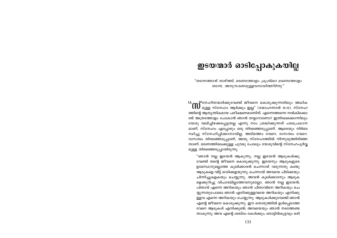### ഇടയന്മാർ ഓടിപ്പോകുകയില്ല

"തന്നെത്താൻ താഴ്ത്തി, മരണത്തോളം ക്രൂശിലെ മരണത്തോളം തന്നേ, അനുസരണമുള്ളവനായിത്തീർന്നു"

ത്തിന്റെ ആത്യന്തികമായ പരീക്ഷണമാണിത്. എന്നെത്തന്നെ നൽകിക്കൊ ണ്ട് അത്രത്തോളം പോകാൻ ഞാൻ തയ്യാറാണോ? ഇതിലേക്കൊന്നിലും യേശു വലിച്ചിഴക്കപ്പെട്ടതല്ല എന്നു നാം ശ്രദ്ധിക്കുന്നത് പരമപ്രധാന മാണ്. സ്നേഹം എപ്പോഴും ഒരു തിരഞ്ഞെടുപ്പാണ്. ആരെയും നിർബ ന്ധിച്ചു സ്നേഹിപ്പിക്കാനാവില്ല. അടിമത്തം വേറെ, ദാസത്വം വേറെ. ദാസത്വം തിരഞ്ഞെടുപ്പാണ്, അതു സ്നേഹത്തിൽ നിന്നുരുത്തിരിഞ്ഞ താണ്. മരണത്തിലേക്കുള്ള ചുവടു പോലും യേശുവിന്റെ സ്നേഹപൂർവ്വ മുള്ള തിരഞ്ഞെടുപ്പായിരുന്നു.

"ഞാൻ നല്ല ഇടയൻ ആകുന്നു; നല്ല ഇടയൻ ആടുകൾക്കു വേണ്ടി തന്റെ ജീവനെ കൊടുക്കുന്നു. ഇടയനും ആടുകളുടെ ഉടമസ്ഥനുമല്ലാത്ത കുലിക്കാരൻ ചെന്നായ് വരുന്നതു കണ്ടു ആടുകളെ വിട്ട് ഓടിക്കളയുന്നു; ചെന്നായ് അവയെ പിടിക്കയും ചിന്നിച്ചുകളകയും ചെയ്യുന്നു. അവൻ കൂലിക്കാരനും ആടുക ളെക്കുറിച്ചു വിചാരമില്ലാത്തവനുമല്ലോ. ഞാൻ നല്ല ഇടയൻ; പിതാവ് എന്നെ അറികയും ഞാൻ പിതാവിനെ അറികയും ചെ യ്യുന്നതുപോലെ ഞാൻ എനിക്കുള്ളവയെ അറികയും എനിക്കു ള്ളവ എന്നെ അറികയും ചെയ്യുന്നു. ആടുകൾക്കുവേണ്ടി ഞാൻ എന്റെ ജീവനെ കൊടുക്കുന്നു. ഈ തൊഴുത്തിൽ ഉൾപ്പെടാത്ത വേറെ ആടുകൾ എനിക്കുണ്ട്; അവയെയും ഞാൻ നടത്തേണ്ട താകുന്നു; അവ എന്റെ ശബ്ദം കേൾക്കും; ഒരാട്ടിൻകുട്ടവും ഒരി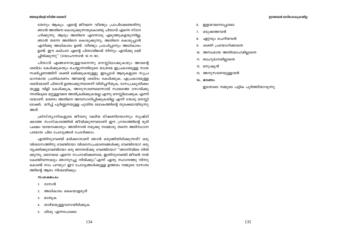#### യേശുവിന്റെ ജീവിത ശൈലി

ടയനും ആകും. എന്റെ ജീവനെ വീണ്ടും പ്രാപിക്കേണ്ടതിനു ഞാൻ അതിനെ കൊടുക്കുന്നതുകൊണ്ടു പിതാവ് എന്നെ സ്നേ ഹിക്കുന്നു. ആരും അതിനെ എന്നോടു എടുത്തുകളയുന്നില്ല; ഞാൻ തന്നേ അതിനെ കൊടുക്കുന്നു; അതിനെ കൊടുപ്പാൻ എനിക്കു അധികാരം ഉണ്ട്. വീണ്ടും പ്രാപിപ്പാനും അധികാരം ഉണ്ട്. ഈ കല്പന എന്റെ പിതാവിങ്കൽ നിന്നും എനിക്കു ലഭി ച്ചിരിക്കുന്നു" (യോഹന്നാൻ 10:11-18).

പിതാവ് എങ്ങനെയുള്ളവനെന്നു മനസ്സിലാക്കുകയും അവന്റെ ശബ്ദം കേൾക്കുകയും ചെയ്യുന്നതിലൂടെ മാത്രമേ ഇപ്രകാരമുള്ള സ്വയ സമർപ്പണത്തിന് ശക്തി ലഭിക്കുകയുള്ളു. ഇപ്പോൾ ആടുകളുടെ സുപ്ര ധാനമായ പ്രതികരണം അവന്റെ ശബ്ദം കേൾക്കുക, എപ്രകാരമുള്ള ശബ്ദമാണ് പിതാവ് ഉണ്ടാക്കുന്നതെന്ന് തിരിച്ചറിയുക, ദാസപ്രകൃതിക്കാ യുള്ള വിളി കേൾക്കുക, അനുസരണമെന്നാൽ സ്വയത്തെ സേവിക്കു ന്നതിലുടെ മറ്റുള്ളവരെ അതിക്രമിക്കുകയല്ല എന്നു മനസ്സിലാക്കുക എന്നി വയാണ്. മരണം അതിനെ അവസാനിപ്പിക്കുകയില്ല എന്ന് യേശു മനസ്സി ലാക്കി; മറിച്ച് പൂർണ്ണതയുള്ള പുതിയ ലോകത്തിന്റെ തുടക്കമായിരുന്നു അത്

ക്രിസ്ത്യാനികളുടെ ജീവനു വലിയ ഭീഷണിയൊന്നും സൃഷ്ടി ക്കാത്ത സംസ്കാരത്തിൽ ജീവിക്കുന്നവരാണ് ഈ ഗ്രന്ഥത്തിന്റെ ഭൂരി പക്ഷം വായനക്കാരും. അതിനാൽ നമുക്കു നമ്മോടു തന്നെ അടിസ്ഥാന പരമായ ചില ചോദ്യങ്ങൾ ചോദിക്കാം:

എന്തിനുവേണ്ടി മരിക്കാനാണ് ഞാൻ ഒരുങ്ങിയിരിക്കുന്നത്? ഒരു വിശ്വാസത്തിനു വേണ്ടിയോ വിശ്വാസപ്രമാണങ്ങൾക്കു വേണ്ടിയോ? ഒരു വ്യക്തിക്കുവേണ്ടിയോ ഒരു ജനതയ്ക്കു വേണ്ടിയോ? "ഞാനിവിടെ നിൽ ക്കുന്നു, ദൈവമേ എന്നെ സഹായിക്കണമേ, ഇതിനുവേണ്ടി ജീവൻ നൽ കേണ്ടിവന്നാലും ഞാനുറച്ചു നിൽക്കും"എന്ന് ഏതു സ്ഥാനത്തു നിന്നു കൊണ്ട് നാം പറയും? ഈ ചോദ്യങ്ങൾക്കുള്ള ഉത്തരം നമ്മുടെ ദാസത്വ ത്തിന്റെ ആഴം നിശ്ചയിക്കും.

#### $\omega$ oca $\omega$

- 1. ദാസൻ
- 2. അധികാരം കൈയാളരുത്
- 3. മാതൃക
- 4. താഴ്മയുള്ളവനായിരിക്കുക
- 5. ശിശു എന്നപോലെ
- 6. ഇളയവനെപ്പോലെ
- 7. ഒടുക്കത്തവൻ
- ഏറ്റവും ചെറിയവൻ 8.
- ശക്തി പ്രയോഗിക്കാതെ 9.
- 10. അന്ധമായ അതിമോഹമില്ലാതെ
- 11. ബഹുമാനമില്ലാതെ
- 12. മനുഷ്യൻ
- 
- 13. അനുസരണമുള്ളവൻ
- 14. മരണം

ഇതോടെ നമ്മുടെ പട്ടിക പൂർത്തിയാവുന്നു.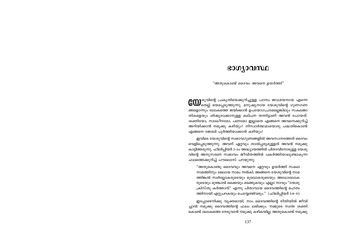### ഭാഗ്യാവസ്ഥ

"അതുകൊണ്ട് ദൈവം അവനെ ഉയർത്തി"

**COD** ശുവിന്റെ പ്രകൃതിയെക്കുറിച്ചുള്ള പഠനം ജഡമയനായ എന്നെ<br>COD തെല്ല് ഭയപ്പെടുത്തുന്നു. മനുഷ്യനായ യേശുവിന്റെ ഗുണഗണ ങ്ങളൊന്നും ലോകത്തെ ജയിക്കാൻ ഉപയോഗപ്രദമല്ലെങ്കിലും സകലജാ തികളെയും ശിഷ്യരാക്കാനുള്ള കല്പന തന്നിട്ടാണ് അവൻ പോയത്. ശക്തിയോ, സ്വാധീനമോ, പണമോ ഇല്ലാതെ എങ്ങനെ അവനെക്കുറിച്ച് അറിയിക്കാൻ നമുക്കു കഴിയും? നിസ്വാർത്ഥമായൊരു പദ്ധതികൊണ്ട് എങ്ങനെ ജോലി പൂർത്തിയാക്കാൻ കഴിയും?

ഇവിടെ യേശുവിന്റെ സ്വഭാവഗുണങ്ങളിൽ അവസാനത്തേത് ദൈവം വെളിപ്പെടുത്തുന്നു. അവന് ഏറ്റവും താൽപ്പര്യമുള്ളത് അവൻ നമുക്കു കാട്ടിത്തരുന്നു. ഫിലിപ്പിയർ 2–ാം അദ്ധ്യായത്തിൽ പിതാവിനോടുള്ള യേശു വിന്റെ അനുസരണ സ്വഭാവം ജീവിതത്തിൽ പകർത്തിയാലുണ്ടാകുന്ന ഫലത്തെക്കുറിച്ച് പൗലൊസ് പറയുന്നു:

"അതുകൊണ്ടു ദൈവവും അവനെ ഏറ്റവും ഉയർത്തി സകല നാമത്തിനും മേലായ നാമം നൽകി; അങ്ങനെ യേശുവിന്റെ നാമ ത്തിങ്കൽ സ്വർല്ലോകരുടെയും ഭൂലോകരുടെയും അധോലോക രുടെയും മുഴങ്കാൽ ഒക്കെയും മടങ്ങുകയും എല്ലാ നാവും "യേശു ക്രിസ്തു കർത്താവ്" എന്നു പിതാവായ ദൈവത്തിന്റെ മഹത്വ ത്തിനായി എറ്റുപറകയും ചെയ്യേണ്ടിവരും." (ഫിലിപ്പിയർ 2:9-11)

ഇപ്പോഴെനിക്കു വ്യക്തമായി, നാം ദൈവത്തിന്റെ രീതിയിൽ ജീവി ച്ചാൽ നമുക്കു ദൈവത്തിന്റെ ഫലം ലഭിക്കും. നമ്മുടെ സ്വന്ത ശക്തി കൊണ്ട് ലോകത്തെ നേടുവാൻ നമുക്കു കഴികയില്ല. അതുകൊണ്ട് നമുക്കു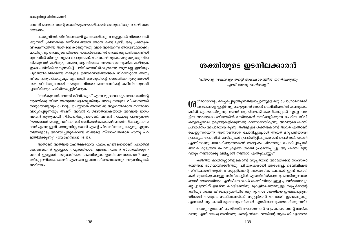വേണ്ടി ദൈവം തന്റെ ശക്തിയുപയോഗിക്കാൻ അനുവദിക്കുന്ന വഴി നാം തേടണം.

യേശുവിന്റെ ജീവിതശൈലി ഉപയോഗിക്കുന്ന ആളുകൾ വിജയം വരി ക്കുന്നത് ക്രിസ്തീയ മണ്ഡലത്തിൽ ഞാൻ കണ്ടിട്ടുണ്ട്. ഒരു പ്രത്യേക വീക്ഷണത്തിൽ അതിനെ കാണുന്നതു വരെ അതെന്നെ അസ്വസ്ഥനാക്കു മായിരുന്നു. അവരുടെ വിജയം, യഥാർത്ഥത്തിൽ അവർക്കു ലഭിക്കേണ്ടിയി രുന്നതിൽ നിന്നും വളരെ ചെറുതാണ്. സ്വന്തകഴിവുകൊണ്ടു നമുക്കു വിജ യിക്കുവാൻ കഴിയും, പക്ഷേ, ആ വിജയം നമ്മുടെ മാനുഷിക കഴിവുക ളുടെ പരിമിതിക്കനുസരിച്ച് പരിമിതമായിരിക്കുമെന്നു മാത്രമല്ല ഇനിയും പൂർത്തീകരിക്കേണ്ട നമ്മുടെ ഉത്തരവാദിത്തങ്ങൾ നിറവേറ്റാൻ അതു തീരെ പര്യാപ്തവുമല്ല. എന്നാൽ യേശുവിന്റെ ശൈലിക്കനുസൃതമായി നാം ജീവിക്കുമ്പോൾ നമ്മുടെ വിജയം ദൈവത്തിന്റെ കഴിവിനനുസരി ച്ചായിരിക്കും പരിമിതപ്പെട്ടിരിക്കുക.

"നൽകുവാൻ വേണ്ടി ജീവിക്കുക" എന്ന മുദ്രാവാക്യം ലോകത്തിന്റെ യുക്തിക്കു തീരെ അനുയോജ്യമല്ലെങ്കിലും അതു നമ്മുടെ വിശ്വാസത്തി നനുയോജ്യവും ചോദ്യം ചെയ്യാതെ അവനിൽ ആശ്രയിക്കാൻ നമ്മോടാ വശ്യപ്പെടുന്നതും ആണ്. അവൻ വിശ്വസ്തനാകയാൽ അവന്റെ ഭാഗം അവൻ കൃത്യമായി നിർവഹിക്കുന്നതാണ്. അവൻ നമ്മോടു പറയുന്നത്: "യജമാനൻ ചെയ്യുന്നത് ദാസൻ അറിയായ്കകൊണ്ട് ഞാൻ നിങ്ങളെ ദാസ ന്മാർ എന്നു ഇനി പറയുന്നില്ല; ഞാൻ എന്റെ പിതാവിനോടു കേട്ടതു എല്ലാം നിങ്ങളോടു അറിയിച്ചതുകൊണ്ട് നിങ്ങളെ സ്നേഹിതന്മാർ എന്നു പറ ഞ്ഞിരിക്കുന്നു" (യോഹന്നാൻ 15:15).

അതാണ് അതിന്റെ മഹത്വകരമായ ഫലം. എങ്ങനെയാണ് പ്രാർത്ഥി ക്കേണ്ടതെന്ന് ഇപ്പോൾ നമുക്കറിയാം. എങ്ങനെയാണ് സ്നേഹിക്കുന്ന തെന്ന് ഇപ്പോൾ നമുക്കറിയാം. ശക്തിയുടെ ഉറവിടമെന്താണെന്ന് നമു ക്കിപ്പോഴറിയാം. ശക്തി എങ്ങനെ ഉപയോഗിക്കണമെന്നും നമുക്കിപ്പോൾ അറിയാം.

### ശക്തിയുടെ ഇടനിലക്കാരൻ

"പിതാവു സകലവും തന്റെ അധികാരത്തിൽ തന്നിരിക്കുന്നു എന്ന് യേശു അറിഞ്ഞു."

**( )** രീരാരോഗ്യം മെച്ചപ്പെടുത്തുന്നതിനെപ്പറ്റിയുള്ള ഒരു പ്രോഗ്രാമിലേക്ക്<br>@ അംഗങ്ങളെ ഇന്റർവ്യൂ ചെയ്യുന്നത് ഞാൻ ടെലിവിഷനിൽ കണ്ടുകൊ ണ്ടിരിക്കുകയായിരുന്നു. അവർ സ്റ്റേജിലേക്ക് കയറിയപ്പോൾ എണ്ണ പുര ട്ടിയ അവരുടെ ശരീരത്തിൽ മസിലുകൾ ഓടിക്കളിക്കുന്ന ചെറിയ ജീവി കളെപ്പോലെ, ഉരുണ്ടുകളിക്കുന്നതു കാണാമായിരുന്നു. അവരുടെ ശക്തി പ്രദർശനം അപാരമായിരുന്നു. തങ്ങളുടെ ശക്തികൊണ്ട് അവർ എന്താണ് ചെയ്യുന്നതെന്ന് അനൗൺസർ ചോദിച്ചപ്പോൾ അവർ മറുപടിയായി പ്രത്യേക പോസിൽ മസിലുകൾ പ്രദർശിപ്പിക്കുകയാണ് ചെയ്തത്. ശക്തി എന്തിനാണുപയോഗിക്കുന്നതെന്ന് അദ്ദേഹം പിന്നെയും ചോദിച്ചപ്പോൾ അവർ കുടുതൽ പോസുകളിൽ ശക്തി പ്രദർശിപ്പിച്ചു. ആ ശക്തി മുഴു വനും നിങ്ങൾക്കു ലഭിച്ചാൽ നിങ്ങൾ എന്തുചെയ്യും?

കഴിഞ്ഞ കാൽനൂറ്റാണ്ടുകൊണ്ട് സൂപ്പർമാൻ അമേരിക്കൻ സംസ്കാ രത്തിന്റെ ഭാഗമായിക്കഴിഞ്ഞു. ചിത്രകഥയായി ആരംഭിച്ച്, ടെലിവിഷൻ സീരിയലായി തുടർന്ന സുപ്പർമാന്റെ സാഹസിക കഥകൾ ഇന്ന് കോടി കൾ മുതൽമുടക്കുള്ള സിനിമകളിൽ എത്തിനിൽക്കുന്നു. വെടിയുണ്ടയേ ക്കാൾ വേഗത്തിലും എൻജിനേക്കാൾ ശക്തിയിലും ഉള്ള പ്രവർത്തനവും ഒറ്റച്ചാട്ടത്തിന് ഉയർന്ന കെട്ടിടത്തിനു മുകളിലെത്താനുള്ള സുപ്പർമാന്റെ കഴിവും നമ്മെ കീഴ്പ്പെടുത്തിയിരിക്കുന്നു. നാം ശക്തിയെ ഇഷ്ടപ്പെടുന്ന തിനാൽ നമ്മുടെ സ്വപ്നങ്ങൾക്ക് സുപ്പർമാൻ നന്നായി ഇണങ്ങുന്നു. എന്നാൽ ആ ശക്തി മുഴുവനും നിങ്ങൾ എന്തിനാണുപയോഗിക്കുന്നത്?

യേശു എന്താണ് ചെയ്തത്? യോഹന്നാൻ 13 പ്രകാരം, തന്റെ നാഴിക വന്നു എന്ന് യേശു അറിഞ്ഞു. തന്റെ സ്നേഹത്തിന്റെ ആഴം ശിഷ്യന്മാരെ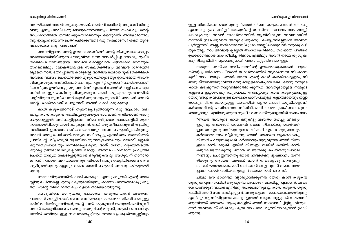#### ശക്തിയുടെ ഇടനിലക്കാരൻ

ഉള്ള വിശദീകരണമായിരുന്നു: "ഞാൻ നിന്നെ കഴുകാഞ്ഞാൽ നിനക്കു എന്നോടുകൂടെ പങ്കില്ല." യേശുവിന്റെ യഥാർത്ഥ സ്വഭാവം നാം മനസ്സി ലാക്കുകയും അവൻ യഥാർത്ഥത്തിൽ ആയിരിക്കുന്ന അവസ്ഥയിൽ നമ്മോട് ഇടപെടുവാൻ അനുവദിക്കുകയും ചെയ്യുന്നില്ലെങ്കിൽ അവനെ പൂർണ്ണമായി, അല്ല, ഭാഗികമായെങ്കിലുമോ മനസ്സിലാക്കുവാൻ നമുക്കു കഴി യുകയില്ല. നാം അവന്റെ ക്ലബ്ബിൽ അംഗമായിരിക്കാം. ശരിയായ പദങ്ങൾ ഉപയോഗിക്കാൻ നാം ശീലിച്ചിരിക്കാം. എങ്കിലും അവൻ നമ്മെ ശുശ്രൂഷി ക്കുന്നില്ലെങ്കിൽ നമുക്കവനുമായി പങ്കോ കൂട്ടായ്മയോ ഇല്ല.

നമ്മുടെ പരസ്പര സമീപനത്തിന്റെ ഉത്തമമാതൃകയാണ് പത്രൊ സിന്റെ പ്രതികരണം. "ഞാൻ യഥാർത്ഥത്തിൽ ആരാണെന്ന് നീ കാണ രുത്" നാം പറയും. "ഞാൻ തന്നെ എന്റെ കാൽ കഴുകികൊള്ളാം, നീ അനുഷ്ഠാനത്തിനുവേണ്ടി ഒന്നു വെള്ളമൊഴിച്ചാൽ മതി." യേശു നമ്മുടെ കാൽ കഴുകുന്നതിനനുവദിക്കാതിരിക്കുന്നത് അവനുമായുള്ള നമ്മുടെ കൂട്ടായ്മ ഇല്ലാതാക്കുന്നതുപോലെ അന്യോന്യം കാൽ കഴുകുവാനുള്ള യേശുവിന്റെ കല്പനയുടെ ലംഘനം പരസ്പരമുള്ള കൂട്ടായ്മയേയും ഇല്ലാ താക്കും. ദിനം തോറുമുള്ള യാത്രയിൽ പറ്റിയ പൊടി കഴുകിക്കളഞ്ഞ് കർത്താവിന്റെ പന്തിഭോജനത്തിനിരിക്കാൻ നമ്മെ പ്രാപ്തരാക്കുന്ന, അന്യോന്യം ശുദ്ധിവരുത്തുന്ന ശുദ്ധീകരണ വസ്തുക്കളായിരിക്കണം നാം.

"അവൻ അവരുടെ കാൽ കഴുകീട്ടു വസ്ത്രം ധരിച്ചു വീണ്ടും ഇരുന്നു. അവരോട് പറഞ്ഞത്: ഞാൻ നിങ്ങൾക്കു ചെയ്തത് ഇന്നതു എന്നു അറിയുന്നുവോ? നിങ്ങൾ എന്നെ ഗുരുവെന്നും കർത്താവെന്നും വിളിക്കുന്നു; ഞാൻ അങ്ങനെ ആകകൊണ്ടു നിങ്ങൾ പറയുന്നതു ശരി. കർത്താവും ഗുരുവുമായ ഞാൻ നിങ്ങ ളുടെ കാൽ കഴുകി എങ്കിൽ നിങ്ങളും തമ്മിൽ തമ്മിൽ കാൽ കഴുകേണ്ടതാകുന്നു. ഞാൻ നിങ്ങൾക്കു ചെയ്തതുപോലെ നിങ്ങളും ചെയ്യേണ്ടതിനു ഞാൻ നിങ്ങൾക്കു ദൃഷ്ടാന്തം തന്നി രിക്കുന്നു. ആമേൻ, ആമേൻ ഞാൻ നിങ്ങളോടു പറയുന്നു: ദാസൻ യജമാനനെക്കാൾ വലിയവൻ അല്ല; ദൂതൻ തന്നെ അയ ച്ചവനെക്കാൾ വലിയവനുമല്ല" (യോഹന്നാൻ 13:12–16).

ചിലർ ഈ ഭാഗത്തെ വ്യാഖ്യാനിക്കുന്നത് യേശു കാൽ കഴുകൽ ശുശ്രൂഷ എന്ന പേരിൽ ഒരു പുതിയ ആചാരം സ്ഥാപിച്ചു എന്നാണ്. അങ്ങ നെ വാദിക്കുന്നവരോട് എനിക്കു തർക്കമൊന്നുമില്ല. കാൽ കഴുകൽ ശുശ്രൂ ഷയിൽ ഞാൻ സംബന്ധിച്ചിട്ടുണ്ട്. അതു വളരെ സന്തോഷകരമായിരുന്നു. എങ്കിലും വൃത്തിയില്ലാത്ത കാലുകളുമായി വരുന്ന ആളുകൾ സംബന്ധി ക്കുന്നിടത്ത് അത്തരം ശുശ്രൂഷകളിൽ ഞാൻ സംബന്ധിച്ചിട്ടില്ല. വിശുദ്ധ ന്മാർ അവയെ സ്പർശിക്കും മുമ്പ് നാം അവ വൃത്തിയാക്കുവാൻ ശ്രദ്ധി ക്കുന്നു.

#### യേശുവിന്റെ ജീവിത ശൈലി

അറിയിക്കാൻ അവൻ ഒരുങ്ങുകയാണ്. താൻ പിതാവിന്റെ അടുക്കൽ നിന്നു വന്നു എന്നും അവിടേക്കു മടങ്ങുകയാണെന്നും പിതാവ് സകലവും തന്റെ അധികാരത്തിൽ തന്നിരിക്കുകയാണെന്നും യേശുവിന് അറിയാമായിരു ന്നു. ഇപ്പോഴെന്താണ് പ്രതീക്ഷിക്കേണ്ടത്? ഒരു സ്ഫോടനം? ശക്തിയുടെ അപാരമായ ഒരു പ്രദർശനം?

തുന്നലില്ലാത്ത തന്റെ ഉടയാടയുമണിഞ്ഞ് തന്റെ ശിഷ്യന്മാരോടൊപ്പം അത്താഴത്തിനിരിക്കുന്ന യേശുവിനെ ഒന്നു സങ്കൽപ്പിച്ചു നോക്കു. ദുഷ്ട ശക്തികൾ മാസങ്ങളായി അവനെ കൊല്ലുവാൻ പദ്ധതികൾ മെനയുക യാണെങ്കിലും ലോകത്തിലുള്ള സകലശക്തിയും അവന്റെ ശരീരത്തി ലുള്ളതിനാൽ ഭയപ്പെടേണ്ട കാര്യമില്ല. അതിഭയങ്കരമായ ദുഷ്ടശക്തികൾ അവനെ വലയം ചെയ്തിരിക്കെ മുഴുശക്തിയുടെയും ഉറവിടമായ അവൻ ശിഷ്യന്മാരുടെ അരികിലേക്ക് ചെന്നു.... എന്നിട്ട് എന്താണ് ചെയ്തെന്നോ? "...വസ്ത്രം ഊരിവെച്ചു ഒരു തുവർത്ത് എടുത്ത് അരയിൽ ചുറ്റി ഒരു പാത്ര ത്തിൽ വെള്ളം പകർന്നു ശിഷ്യന്മാരുടെ കാൽ കഴുകുവാനും അരയിൽ ചുറ്റിയിരുന്ന തുണികൊണ്ട് തുവർത്തുവാനും തുടങ്ങി." അതാണ് അവൻ തന്റെ ശക്തികൊണ്ട് ചെയ്യുന്നത്. അവൻ കാൽ കഴുകുന്നു!

കാൽ കഴുകലിനോട് തുലനപ്പെടുത്താവുന്ന ഒരു ആചാരം നമു ക്കില്ല. കാൽ കഴുകൽ ആതിഥ്യമര്യാദയുടെ ഭാഗമാണ്. അടിമയാണ് അതു ചെയ്യാറുള്ളത്; അടിമകളില്ലാത്ത, തീരെ ദരിദ്രമായ ഭവനങ്ങളിൽ ഗൃഹ നാഥനായിരിക്കും കാൽ കഴുകുന്നത്. അത് ഒരു ഹീനപ്രവൃത്തി ആയിരു ന്നതിനാൽ ഉന്നതസ്ഥാനീയരായവരാരും അതു ചെയ്യാറില്ലായിരുന്നു. അവൻ അതു ചെയ്താൽ മാന്യത നഷ്ടപ്പെട്ടു എന്നർത്ഥം. അമേരിക്കൻ പ്രസിഡന്റ് വിശ്രമമുറി വൃത്തിയാക്കുന്നതുപോലെയും രാജാവ് മുറ്റമടി ക്കുന്നതുപോലെയും ഗണിക്കപ്പെട്ടിരുന്നു അത്. സ്വന്തം വ്യക്തിത്വത്തെ ക്കുറിച്ച് ഉത്തമബോധ്യമില്ലാത്ത ഒരാളും അത്തരം ഹീനമായ പ്രവൃത്തി ചെയ്ത് മാനൃത നഷ്ടപ്പെടുത്താൻ ഒരുങ്ങുകയില്ല. യേശുവിന് താനാരാ ണെന്ന് നന്നായി അറിയാമായിരുന്നതിനാൽ ഒന്നും തെളിയിക്കേണ്ട ആവ ശ്യമില്ലായിരുന്നു. ഏറ്റവും താണ ജോലി ചെയ്യാൻ അവനു കഴിയുമായി രുന്നു.

ഞാനായിരുന്നെങ്കിൽ കാൽ കഴുകുക എന്ന പ്രവൃത്തി എന്റെ അന്ത സ്സിനു ചേർന്നതല്ല എന്നു കരുതുമായിരുന്നു. കാരണം അത്തരമൊരു പ്രവൃ ത്തി എന്റെ നിലവാരത്തിലും വളരെ താഴെയായിരുന്നു.

യേശുവിന്റെ മാനൃതക്കു ചേരാത്ത പ്രവൃത്തിയാണ് അതെന്ന് പത്രൊസ് മനസ്സിലാക്കി. അത്തരത്തിലൊരു സൗജന്യം സ്വീകരിക്കാനുള്ള കഴിവ് തനിക്കില്ലെന്നറിഞ്ഞ്, തന്റെ കാൽ കഴുകുവാൻ അനുവദിക്കയില്ലെന്ന് അവൻ യേശുവിനോടു പറഞ്ഞു. യേശുവിന്റെ മറുപടി, നമുക്ക് അവനോടും തമ്മിൽ തമ്മിലും ഉള്ള ബന്ധത്തെപ്പറ്റിയും നമ്മുടെ പ്രകൃതിയെപ്പറ്റിയും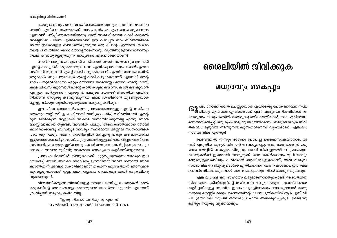യേശു ഒരു ആചാരം സ്ഥാപിക്കുകയായിരുന്നുവെന്നതിൽ വ്യക്തിപ രമായി, എനിക്കു സംശയമുണ്ട്. നാം പരസ്പരം എങ്ങനെ പെരുമാറണം എന്നവൻ പഠിപ്പിക്കുകയായിരുന്നു. അത് അക്ഷരികമായ കാൽ കഴുകൽ അല്ലെങ്കിൽ പിന്നെ എങ്ങനെയാണ് ഈ കൽപ്പന നാം നിവർത്തിക്കേ ണ്ടത്? ഇതോടുള്ള ബന്ധത്തിലുയരുന്ന ഒരു ചോദ്യം ഇതാണ്: യജമാ നന്റെ പന്തിയിലിരിക്കാൻ യോഗ്യനാണെന്നും വൃത്തിയുള്ളവനാണെന്നും നമ്മെ ബോധ്യപ്പെടുത്തുന്ന കാര്യങ്ങൾ എന്തൊക്കെയാണ്?

ഞാൻ പറയുന്ന കാര്യങ്ങൾ കേൾക്കാൻ ഒരാൾ സമയമെടുക്കുമ്പോൾ എന്റെ കാലുകൾ കഴുകുന്നതുപോലെ എനിക്കു തോന്നും. ഒരാൾ എന്നെ അഭിനന്ദിക്കുമ്പോൾ എന്റെ കാൽ കഴുകുകയാണ്. എന്റെ സന്തോഷത്തിൽ മറ്റൊരാൾ പങ്കുചേരുമ്പോൾ എന്റെ കാൽ കഴുകുകയാണ്. എന്നോട് തന്റെ ഭാരം പങ്കുവെക്കാനോ ഏറ്റുപറയാനോ തക്കവണ്ണം ഒരാൾ എന്റെ കാതു കളെ വിശ്വസിക്കുമ്പോൾ എന്റെ കാൽ കഴുകുകയാണ്. കാൽ കഴുകുവാൻ എണ്ണമറ്റ മാർഗ്ഗങ്ങൾ നമുക്കുണ്ട്. നമ്മുടെ സ്വന്തജീവിതത്തിൽ എവിടെ നിന്നാണ് അഴുക്കു കടന്നുവരുന്നത് എന്ന് ശ്രദ്ധിക്കാൻ തുടങ്ങുമ്പോൾ മറ്റുള്ളവർക്കും ശുദ്ധിവരുത്തുവാൻ നമുക്കു കഴിയും.

ഈ ചിന്ത ഞായറാഴ്ചത്തെ പ്രസംഗത്തോടുള്ള എന്റെ സമീപന ത്തെയും മാറ്റി മറിച്ചു. ഭംഗിയായി വസ്ത്രം ധരിച്ച് വരിവരിയായി എന്റെ മുമ്പിലിരിക്കുന്ന ആളുകൾ അകമെ നന്നായിരിക്കുന്നില്ല എന്നു ഞാൻ മനസ്സിലാക്കാൻ തുടങ്ങി. അവരിൽ പലരും അപ്രൈസ്തവരായ ജോലി ക്കാരെക്കൊണ്ടു ബുദ്ധിമുട്ടുന്നവരും സ്ഥിരമായി അശ്ലീല സംസാരങ്ങൾ ശ്രവിക്കുന്നവരും ആണ്. സ്ത്രീകളിൽ നല്ലൊരു പങ്കും കഴിഞ്ഞയാഴ്ച ഇച്ചാഭംഗം സംഭവിച്ചവരാണ്. കുടുംബത്തിലുള്ളവർ കോപിച്ചും പരസ്പരം സംസാരിക്കാതെയും ഇരിക്കുന്നു. യഥാർത്ഥവും സാങ്കൽപ്പികവുമായ കുറ്റ ബോധം അവരെ മുടിയിട്ട് അകത്തെ മനുഷ്യനെ തളർത്തിക്കളയുന്നു.

പ്രസംഗപീഠത്തിൽ നിന്നുകൊണ്ട് കുറ്റപ്പെടുത്തുന്ന വാക്കുകളുപ യോഗിച്ച് ഞാൻ അവരെ നിരാശപ്പെടുത്തണോ? അവർ നന്നായി ജീവി ക്കാത്തതിന് അവരെ ശകാരിക്കണോ? തകർന്ന ഹൃദയത്തിന് ഞാനവരെ കുറ്റപ്പെടുത്തണോ? ഇല്ല, എന്നെപ്പോലെ അവർക്കും കാൽ കഴുകലിന്റെ ആവശ്യമുണ്ട്.

വിശ്വാസികളെന്ന നിലയിലുള്ള നമ്മുടെ ഒന്നിച്ചു ചേരലുകൾ കാൽ കഴുകലിന്റെ അവസരങ്ങളാകുന്നതുവരെ യഥാർത്ഥ കൂട്ടായ്മ എന്തെന്ന് ഗ്രഹിപ്പാൻ നമുക്കു കഴികയില്ല.

> "ഇതു നിങ്ങൾ അറിയുന്നു എങ്കിൽ ചെയ്താൽ ഭാഗൃവാന്മാർ" (യോഹന്നാൻ 13:17).

# ശൈലിയിൽ ജീവിക്കുക

### മധുരവും കൈപ്പും

**G2** പടം നോക്കി യാത്ര ചെയ്യുമ്പോൾ എവിടേക്കു പോകണമെന്ന് നിശ്ച<br>�� യിക്കും മുമ്പ് നാം എവിടെയാണ് എന്ന് ആദ്യം അറിഞ്ഞിരിക്കണം. യേശുവും നാമും തമ്മിൽ വൈരുദ്ധ്യത്തിലായതിനാൽ, നാം എവിടെയാ ണെന്നതിനെപ്പറ്റി ഒരു രുപം നമുക്കുണ്ടായിരിക്കണം. നമ്മുടെ യാത്ര ജീവി തകാലം മുഴുവൻ നീണ്ടുനിൽക്കുന്നതാണെന്ന് വ്യക്തമാണ്, എങ്കിലും നാം അവിടെ എത്തും!

ദൈവത്തിൽ നിന്നും ദർശനം പ്രാപിച്ച യെഹെസ്കേലിനോട്, അ വൻ എഴുതിയ ചുരുൾ തിന്നാൻ ആവശ്യപ്പെട്ടു. അതവന്റെ വായിൽ മധു രവും വയറ്റിൽ കൈപ്പുമായിരുന്നു. ഞാൻ നിങ്ങളുമായി പങ്കുവെക്കുന്ന വാക്കുകൾക്ക് ഇതുമായി സാമ്യമുണ്ട്. അവ കേൾക്കാനും രുചിക്കാനും മധുരമുള്ളതെങ്കിലും ദഹിക്കാൻ ബുദ്ധിമുട്ടുള്ളതാണ്, അവ നമ്മുടെ സ്വാഭാവിക ആഭിമുഖ്യങ്ങൾക്ക് എതിരാണെന്നതാണ് കാരണം. ഈ രക്ഷ പ്രാവർത്തികമാക്കുമ്പോൾ നാം ഭയപ്പെടാനും വിറയ്ക്കാനും തുടങ്ങും.

എങ്കിലും നമുക്കു സഹായം ലഭ്യമാണെന്നതുകൊണ്ട് ദൈവത്തിനു സ്തോത്രം. ക്രിസ്തുവിന്റെ ശരീരത്തിലേക്കും നമ്മുടെ വ്യക്തിപരമായ വളർച്ചയിലുള്ള ദൈവിക ഇടപെടലുകളിലേക്കും നോക്കുമ്പോൾ അതു നമുക്കു മനസ്സിലാക്കും. ദൈവത്തിന്റെ ക്ഷണപത്രികയിൽ ആർ.എസ്.വി. പി. (ദയവായി മറുപടി തന്നാലും) എന്ന അടിക്കുറിപ്പുകൂടി ഉണ്ടെന്നു ള്ളതും നമുക്കു വൃക്തമാകും.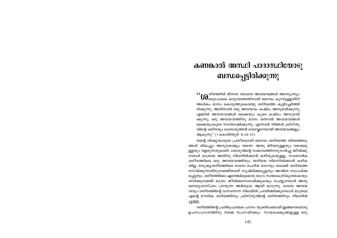# കണങ്കാൽ അസ്ഥി പാദാസ്ഥിയോടു ബന്ധപ്പെട്ടിരിക്കുന്നു

 $\mathbf{W}_{\text{LO}}$ രീരത്തിൽ ഭിന്നത വരാതെ അവയവങ്ങൾ അന്യോന്യം  $\mathsf{U}\mathsf{d}_{\mathsf{sa}_{\mathsf{Q}}\mathsf{sa}_{\mathsf{a}}\mathsf{sa}_{\mathsf{a}}\mathsf{a}}$  കുറ്റുള്ളതിന് അധികം മാനം കൊടുത്തുകൊണ്ടു ശരീരത്തെ കുട്ടിച്ചേർത്തി രിക്കുന്നു. അതിനാൽ ഒരു അവയവം കഷ്ടം അനുഭവിക്കുന്നു എങ്കിൽ അവയവങ്ങൾ ഒക്കെയും കൂടെ കഷ്ടം അനുഭവി ക്കുന്നു; ഒരു അവയവത്തിനു മാനം വന്നാൽ അവയവങ്ങൾ ഒക്കെയുംകൂടെ സന്തോഷിക്കുന്നു. എന്നാൽ നിങ്ങൾ ക്രിസ്തു വിന്റെ ശരീരവും ഓരോരുത്തൻ വെവ്വേറെയായി അവയവങ്ങളും ആകുന്നു" (1 കൊരിന്ത്യർ 12:24-27).

തന്റെ ശിഷ്യന്മാരുടെ പ്രതീകമായി ദൈവം ശരീരത്തെ തിരഞ്ഞെടു ത്തത് തികച്ചും അനുയോജ്യം തന്നെ. അതു ജീവനുള്ളതും വഴക്കമു ള്ളതും വളരുന്നതുമാണ്. യേശുവിന്റെ സ്വഭാവത്തിനനുസരിച്ചു ജീവിക്കു മ്പോൾ മാത്രമേ അതിനു നിലനിൽക്കാൻ കഴിയുകയുള്ളൂ. സ്വാഭാവിക ശരീരത്തിലെ ഒരു അവയവത്തിനും തനിയെ നിലനിൽക്കാൻ കഴിക യില്ല. മനുഷ്യശരീരത്തിലെ ഓരോ ചെറിയ ഭാഗവും ബാക്കി ശരീരത്തെ സേവിക്കുന്നതിനുവേണ്ടിയാണ് സൃഷ്ടിക്കപ്പെട്ടതും അവിടെ സ്ഥാപിക്ക പ്പെട്ടതും. ശരീരത്തിലെ ഏതെങ്കിലുമൊരു ഭാഗം സ്വയകേന്ദ്രീകൃതമാകയും തനിക്കുവേണ്ടി മാത്രം ജീവിക്കാനാരംഭിക്കുകയും ചെയ്യുമ്പോൾ അതു വൈദൃശാസ്ത്രം പറയുന്ന അർബുദം ആയി മാറുന്നു. ഓരോ അവയ വവും ശരീരത്തിന്റെ ദാസനെന്ന നിലയിൽ പ്രവർത്തിക്കുമ്പോൾ മാത്രമേ എന്റെ ഭൗതിക ശരീരത്തിനും ക്രിസ്തുവിന്റെ ശരീരത്തിനും നിലനിൽ പ്പുളളു.

ശരീരത്തിന്റെ പ്രതിരൂപാത്മക പഠനം യുക്തിപരമായി ഇങ്ങനെയൊരു ഉപസംഹാരത്തിനു നമ്മെ സഹായിക്കും. സ്വയലക്ഷ്യങ്ങളുള്ള ഒരു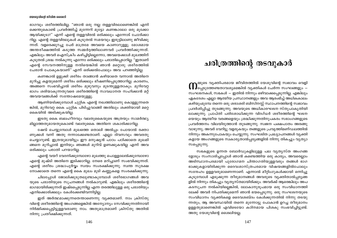# ഭാഗവും ശരീരത്തിലില്ല. "ഞാൻ ഒരു നല്ല തള്ളവിരലാണെങ്കിൽ എനി ക്കെന്തുകൊണ്ട് പ്രവർത്തിച്ച് മുന്നേറി മുട്ടോ കണങ്കാലോ ഒരു മുക്കോ ആയിക്കുടാ?" എന്ന് എന്റെ തള്ളവിരൽ ഒരിക്കലും എന്നോട് ചോദിക്കാ റില്ല. എന്റെ തള്ളവിരലുകൾ കൂടുതൽ സമയവും ഇരുട്ടിലാണു ജീവിക്കു ന്നത്. വളരെക്കുറച്ചു പേർ മാത്രമേ അവയെ കാണാറുള്ളു. മോശമായ അന്തരീക്ഷത്തിൽ കടുത്ത സമ്മർദ്ദത്തിലാണവർ പ്രവർത്തിക്കുന്നത്. എങ്കിലും അവർ ഐസ്ക്രീം കഴിച്ചിട്ടില്ലെന്നോ, അവയെക്കാൾ മുഖത്തിന് കൂടുതൽ ശ്രദ്ധ നൽകുന്നു എന്നോ ഒരിക്കലും പരാതിപ്പെടാറില്ല. "ഇതാണ് എന്റെ സേവനത്തിനുള്ള നന്ദിയെങ്കിൽ ഞാൻ മറ്റൊരു ശരീരത്തിൽ ചേരാൻ പോകുകയാണ്" എന്ന് ഒരിക്കൽപോലും അവ പറഞ്ഞിട്ടില്ല.

കണങ്കാൽ ഉളുക്കി ശരീരം താങ്ങാൻ കഴിയാതെ വന്നാൽ അതിനെ മുറിച്ചു കളയുമെന്ന് ശരീരം ഒരിക്കലും ഭീഷണിപ്പെടുത്താറില്ല. കാരണം, അങ്ങനെ സംഭവിച്ചാൽ ശരീരം മുഴുവനും മുടന്തുള്ളതാകും. മുറിവേറ്റ ഭാഗം ശരിയാകുന്നതുവരെ ശരീരത്തിന്റെ സാവധാനത സഹിക്കാൻ മറ്റ് അവയവങ്ങൾക്ക് സന്തോഷമേയുള്ളു

ആണിയടിക്കുമ്പോൾ ചുറ്റിക എന്റെ നഖത്തിലാണു കൊള്ളുന്നതെ ങ്കിൽ, മുറിവേറ്റ കൈ ചുറ്റിക പിടിച്ചുവാങ്ങി അതിലും ശക്തിയായി മറ്റെ കൈയിൽ അടിക്കുകയില്ല.

ഇടതു കൈ ബലഹീനവും വലതുകൈയുടെ അത്രയും സാമർത്ഥ്യ മില്ലാത്തതുമായതുകൊണ്ട് വലതുകൈ അതിനെ ശകാരിക്കാറില്ല.

ഷേവ് ചെയ്യുമ്പോൾ മുഖത്തെ തൊലി അൽപ്പം പോയാൽ രക്താ ണുക്കൾ വന്ന് അതു നന്നാക്കേണ്ടതാണ്. എല്ലാ ദിവസവും അവരതു ചെയ്യാറുണ്ട്. ഇത്രയുമായിട്ടും ഈ മനുഷ്യൻ പാഠം പഠിക്കാതെ മുഖമി ങ്ങനെ മുറിച്ചാൽ ഇനിയും ഞങ്ങൾ മുറിവ് ഉണക്കുകയില്ല എന്ന് അവ ഒരിക്കലും പരാതി പറയാറില്ല.

എന്റെ വയറ് വേദനിക്കുമ്പോഴോ മുഖത്തു പൊള്ളലേൽക്കുമ്പോഴോ .എന്റെ മുഷ്ടി അതിനെ ഇടിക്കാറില്ല. നേരെ മറിച്ചാണ് സംഭവിക്കുന്നത്. എന്റെ ശരീരം ശ്രദ്ധാപൂർവ്വം സ്വയം സംരക്ഷിക്കുന്നു. സ്വന്ത സുരക്ഷ നോക്കാതെ തന്നെ എന്റെ കൈ മുഖം മൂടി കണ്ണുകളെ സംരക്ഷിക്കുന്നു.

ചിലപ്പോൾ ജോലിക്കൂടുതലുണ്ടാകുമ്പോൾ ശരീരഭാഗങ്ങൾ അവ യുടെ പരാതിയുടെ സൂചനങ്ങൾ നൽകാറുണ്ട്. എങ്കിലും ശരീരത്തിന്റെ ഭാഗമായിരിക്കുന്നത് ഇഷ്ടപ്പെടുന്നില്ല എന്ന തരത്തിലുള്ള ഒരു പരാതിയും എനിക്കൊരിക്കലും കേൾക്കേണ്ടിവന്നിട്ടില്ല.

. ഇത് അർത്ഥമാക്കുന്നതെന്താണെന്നു വ്യക്തമാണ്. നാം ക്രിസ്തു വിന്റെ ശരീരത്തിന്റെ അംഗങ്ങളെങ്കിൽ അന്യോന്യം സേവിക്കുന്നതിനായി നിർമ്മിക്കപ്പെട്ടിട്ടുള്ളവരാണു നാം. അതുമാത്രമാണ് ക്രിസ്തു അതിൽ നിന്നു പ്രതീക്ഷിക്കുന്നത്.

# ചരിത്രത്തിന്റെ തടവുകാർ

 $\boldsymbol{\cap}$ മ്മുടെ വ്യക്തിപരമായ ജീവിതത്തിൽ യേശുവിന്റെ സ്വഭാവം വെളി<br> $\boldsymbol{\cap}$ പ്പെടുത്തേണ്ടതാവശ്യമെങ്കിൽ വ്യക്തികൾ ചേർന്ന സംഘങ്ങളും – സംഘടനകൾ, സഭകൾ — ഇതിൽ നിന്നും ഒഴിവാക്കപ്പെടുന്നില്ല. എങ്കിലും ഏകദേശം എല്ലാ ആത്മീയ പ്രസ്ഥാനങ്ങളും അവ ആരംഭിച്ച് അധികകാലം കഴിയുംമുമ്പേ തന്നെ ഒരു ശരാശരി ബിസിനസ്സ് സ്ഥാപനത്തിന്റെ സ്വഭാവം പ്രദർശിപ്പിച്ചു തുടങ്ങുന്നു. അവയുടെ അധികാരഘടന സ്തുപാകൃതിയി ലാക്കുന്നു. പ്രാപ്തി പരിശോധിക്കുന്ന വിദഗ്ധർ ശരീരത്തിന്റെ ഘടന യെയും ആത്മീയ വരങ്ങളെയും ശ്രദ്ധിക്കുന്നതിനുപകരം സഭാംഗങ്ങളുടെ പ്രവർത്തനം വിലയിരുത്താൻ തുടങ്ങുന്നു. സ്വജന പക്ഷപാതം അരങ്ങു വാഴുന്നു; അവർ വേറിട്ടു വളരുകയും തങ്ങളുടെ പ്രവൃത്തിമണ്ഡലത്തിൽ നിന്നും അകന്നുപോകയും ചെയ്യുന്നു. സംഘടിത പ്രഖ്യാപനങ്ങൾ വ്യക്തി കളായ അംഗങ്ങളുടെ സ്വകാര്യതാൽപ്പര്യങ്ങളിൽ നിന്നു തികച്ചും വ്യത്യാ സപ്പെടുന്നു.

സഭകളുടെ ഉന്നത ബോർഡുകളിലുള്ള പല വൃത്യസ്ത അംഗങ്ങ ളോടും സംസാരിച്ചപ്പോൾ ഞാൻ കണ്ടെത്തിയ ഒരു കാര്യം, അവരെല്ലാം അടിസ്ഥാനപരമായി പുരോഗമന ചിന്താഗതിയുള്ളവരും തങ്ങൾ ഭാഗ ഭാക്കുകളായിരിക്കുന്ന ദൈവശാസ്ത്രപരമായ വിഷയങ്ങളിൽപോലും സന്ദേഹം ഉള്ളവരുമാണെന്നാണ്. എന്നാൽ മീറ്റിംഗുകൾക്കായി ഒന്നിച്ചു കൂടുമ്പോൾ എടുക്കുന്ന തീരുമാനങ്ങൾ അവരുടെ വ്യക്തിതാൽപ്പര്യങ്ങ ളിൽ നിന്നും തികച്ചും വ്യത്യസ്തമായിരിക്കും. അവർക്ക് ആരെങ്കിലും അപ കടസൂചന നൽകിയില്ലെങ്കിൽ, ലോകാനുരൂപമായ ഒരു സംവിധാനത്തി ലേക്ക് അവർ നിപതിക്കുമെന്ന് ഞാൻ ഭയപ്പെടുന്നു. ഒരു സംഘടനയുടെ സംവിധാനം വ്യക്തികളെ ദൈവശബ്ദം കേൾക്കുന്നതിൽ നിന്നു തടയു ന്നതും, ആ അവസ്ഥയിൽ തന്നെ മുന്നോട്ടു പോകാൻ ഉറച്ച തീരുമാനം ഉള്ളതുമാണെങ്കിൽ എവിടെയോ കഠിനമായ പിശകു സംഭവിച്ചിട്ടുണ്ട്. അതു യേശുവിന്റെ ശൈലിയല്ല.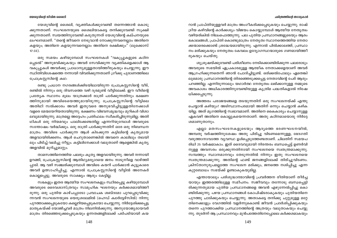#### ചരിത്രത്തിന്റെ തടവുകാർ

#### യേശുവിന്റെ ജീവിത ശൈലി

യേശുവിന്റെ ശൈലി, വ്യക്തികൾക്കുവേണ്ടി തന്നെത്താൻ കൊടു ക്കുന്നതാണ്. സംഘടനയുടെ ശൈലിയാകട്ടെ തനിക്കുവേണ്ടി സുക്ഷി ക്കുന്നതാണ്. സ്വയത്തിനുവേണ്ടി കരുതുന്നത് യേശുവിന്റെ കല്പനയുടെ ലംഘനമാണ്. "തന്റെ ജീവനെ നേടുവാൻ നോക്കുന്നവനെല്ലാം അതിനെ കളയും; അതിനെ കളയുന്നവനെല്ലാം അതിനെ രക്ഷിക്കും" (ലുക്കൊസ്  $17:33$ ).

ഒരു സമയം കഴിയുമ്പോൾ സംഘടനകൾ "വകുപ്പുകളുടെ കഠിന പ്പെടൽ" അനുഭവിക്കുകയും അവർ സേവിക്കുന്ന വ്യക്തികളെക്കാൾ ആ വകുപ്പുകൾ അവർക്കു പ്രാധാന്യമുള്ളതായിത്തീരുകയും ചെയ്യുന്നു. ഈ സ്ഥിതിവിശേഷത്തെ നന്നായി വിവരിക്കുന്നതാണ് ഗ്രീക്കു പുരാണത്തിലെ പ്രോക്രസ്റ്റസിന്റെ കഥ:

രണ്ടു പ്രധാന നഗരങ്ങൾക്കിടയിലായിരുന്ന പ്രോക്രസ്റ്റസിന്റെ വീട്, രണ്ടിൽ നിന്നും ഒരു ദിവസത്തെ വഴി ദുരമുണ്ട് വീട്ടിലേക്ക്. ഈ വീടിന്റെ പ്രത്യേക സ്ഥാനം മൂലം യാത്രക്കാർ രാത്രി പാർക്കുന്നതിനും ഭക്ഷണ ത്തിനുമായി അവിടെയെത്തുമായിരുന്നു. പ്രോക്രസ്റ്റസിന്റെ വീട്ടിലെ അതിഥി സൽക്കാരം അവർ ഇതുവരെ അനുഭവിച്ചിട്ടുള്ളതിനേക്കാൾ വളരെ മേന്മയേറിയതായിരുന്നു. ഭക്ഷണം വിഭവസമൃദ്ധവും മുറികൾ വിശാ ലവുമായിരുന്നു. മാത്രമല്ല അദ്ദേഹം പ്രതിഫലം സ്വീകരിച്ചിരുന്നുമില്ല. അതി ഥികൾ ഒരു നിയമവും പാലിക്കേണ്ടതില്ല എന്നറിയുമ്പോൾ അവരുടെ സന്തോഷം വർദ്ധിക്കും. ഒരു രാത്രി പാർക്കുന്നതിന് ഒരേ ഒരു നിബന്ധന മാത്രം. അവിടെ പാർക്കുന്ന ആൾ കിടക്കുന്ന കട്ടിലിന്റെ കൃത്യമായ അളവായിരിക്കണം. ആൾ ചെറുതാണെങ്കിൽ അവനെ കാലിലും തലയി ലും പിടിച്ച് വലിച്ചു നീട്ടും. കട്ടിലിനേക്കാൾ വലുതാണ് ആളെങ്കിൽ കൃതൃ അളവിൽ മുറിച്ചുമാറ്റും.

താമസത്തിനെത്തിയ പലരും കൃത്യ അളവായിരുന്നു. അവർ നന്നായി ഉറങ്ങി, പ്രോക്രസ്റ്റസിന്റെ ആതിഥ്യമര്യാദയെ ജനം നാടുനീളെ വാഴ്ത്തി പ്പാടി. ആ വഴി സഞ്ചരിക്കുമ്പോൾ അവിടെ കയറി പാർക്കാൻ കൂട്ടുകാരെ അവർ ഉത്സാഹിപ്പിച്ചു. എന്നാൽ പ്രോക്രസ്റ്റസിന്റെ വീട്ടിൽ അനേകർ കൊല്ലപ്പെട്ടു. അവരുടെ സാക്ഷ്യം ആരും കേട്ടില്ല.

സഭകളും ഇതര ആത്മീയ സംഘടനകളും സ്ഥിരപ്പെട്ടു കഴിയുമ്പോൾ അവരുടെ ദൈവശാസ്ത്രവും സാമൂഹിക ഘടനയും കർക്കശമായിത്തീ രുന്നു. ഒരു പുതിയ കാഴ്ചപ്പാടോ പ്രവാചക ശബ്ദമോ പുറപ്പെടുവിക്കു ന്നവൻ സംഘടനയുടെ യെരൂശലേമിൽ (ഹെഡ് ക്വാർട്ടേഴ്സിൽ) നിന്നു പുറത്താക്കപ്പെടുകയോ കല്ലെറിയപ്പെടുകയോ ചെയ്യുന്നു. നിർദ്ദേശിക്കപ്പെട്ട മാതൃകയ്ക്ക് യോജിച്ചവർ മാത്രം നിലനിൽക്കുന്നു. അനുയോജ്യരായവർ മാത്രം തിരഞ്ഞെടുക്കപ്പെടുകയും ഉന്നതങ്ങളിലേക്ക് പടിപടിയായി കയ റാൻ പ്രാപ്തിയുള്ളവർ മാത്രം അംഗീകരിക്കപ്പെടുകയും ചെയ്യുന്നു. രാഷ് ട്രീയ കഴിവിന്റെ കാർക്കശ്യം വിജയം കൊയ്യുമ്പോൾ ആത്മീയ നേതൃത്വം വഴിയരികിൽ നിലംപൊത്തുന്നു. പല പുതിയ പ്രസ്ഥാനങ്ങളുടെയും ആരം ഭകാലങ്ങൾ, പ്രാപ്തി കൊണ്ടുമാത്രം നേതൃത്വ സ്ഥാനത്തെത്തിയ നേതാ ക്കന്മാരെക്കൊണ്ട് ശ്രദ്ധേയമായിരുന്നു. എന്നാൽ പിൽക്കാലത്ത്, പ്രസ്ഥാ നം മരിക്കുകയും നേതൃത്വം കേവലം ഉദ്യോഗസ്ഥന്മാരുടെ ഗണമായിത്തീ രുകയും ചെയ്തു.

ശുശ്രുഷയ്ക്കുവേണ്ടി പരിശീലനം നേടിക്കൊണ്ടിരിക്കുന്ന പലരോടും അവരുടെ സഭയിൽ ഏപ്രകാരമുള്ള ആത്മീക നേതാക്കളെയാണ് അവർ ആഗ്രഹിക്കുന്നതെന്ന് ഞാൻ ചോദിച്ചിട്ടുണ്ട്. ഒരിക്കൽപോലും ഏതെങ്കി ലുമൊരു പ്രസ്ഥാനത്തിന്റെ തിരഞ്ഞെടുക്കപ്പെട്ട നേതാവിന്റെ പേര് ആരും പറഞ്ഞില്ല. എന്നിരുന്നാലും യഥാർത്ഥ നേതൃത്വം ലഭിക്കാനുള്ള നമ്മുടെ അവകാശം അധികാരത്തിനുവേണ്ടിയുള്ള കൃത്രിമ പദ്ധതികളാൽ നിഷേ ധിക്കപ്പെടുന്നു.

അത്തരം പരാജയങ്ങളെ തടയുന്നതിന് ഒരു സംഘടനയ്ക്ക് എന്തു ചെയ്യാൻ കഴിയും? അടിസ്ഥാനപരമായി അതിന് ഒന്നും ചെയ്യാൻ കഴിക യില്ല. അത് മൃഗത്തിന്റെ സ്വഭാവമാണ്. അതിനെ കൈകാര്യം ചെയ്യാനുള്ള ഏകവഴി അതിനെ കൊല്ലുകയെന്നതാണ്. അതു കഠിനമായൊരു നിർദ്ദേ ശമാണുതാനും.

എല്ലാ മതസംഘടനകളുടെയും ആദ്യത്തെ ഭരണഘടനയിൽ, അമ്പതു വർഷത്തിനുശേഷം അതു പിരിച്ചു വിടണമെന്നുള്ള, ഭേദഗതി വരുത്താനാവാത്ത വ്യവസ്ഥ ഉൾപ്പെടുത്തേണ്ടതാണ്. ചിലതിന് സമയപ രിധി 25 വർഷമാകാം. ഇത് ദൈവവുമായി നിരന്തരം ബന്ധപ്പെട്ട് ഉണർവി നുള്ള അവസരം ഒരുക്കുന്നതിനായി സംഘടനയെ സ്വതന്ത്രമാക്കുന്നു. സമ്പത്തും സ്ഥാനമാനവും തേടുന്നതിൽ നിന്നും ഇതു സംഘടനയെ സ്വതന്ത്രമാക്കുന്നു. അതിന്റെ ഫണ്ട് ജനങ്ങളിലേക്ക് തിരിച്ചുവിടണം. ക്രിസ്താനുരൂപമല്ലാത്ത സംഘടന മരിക്കും, ജനത്തെ നശിപ്പിച്ചു എന്ന കുറ്റബോധം സഭയ്ക്ക് ഉണ്ടാകുകയുമില്ല.

എന്തായാലും പരിശുദ്ധാത്മാവിന്റെ പ്രവർത്തന രീതിയാണ് തീർച്ച യായും ഇത്തരത്തിലുള്ള സമീപനം. സജീവവും തന്നോടു ബന്ധപ്പെട്ടി രിക്കുന്നതുമായ പുതിയ പ്രസ്ഥാനങ്ങളെ അവൻ എഴുന്നേൽപ്പിച്ചു കൊ ണ്ടിരിക്കുന്നു. പഴയ പ്രസ്ഥാനങ്ങൾ കോപിഷ്ടരാകുകയും പുതിയതിനെ പുറത്തു ചാടിക്കുകയും ചെയ്യുന്നു. അതാകട്ടെ തനിക്കു ചുറ്റുമുള്ള മറ്റേ തിനെക്കാളും വേഗത്തിൽ വളർന്നുകൊണ്ട് ജീവൻ പ്രദർശിപ്പിക്കുകയും തന്നെ പുറത്താക്കിയ പ്രസ്ഥാനത്തിന്റെ അത്രയും വലുതാകയും ചെയ്യു ന്നു. തുടർന്ന് ആ പ്രസ്ഥാനവും മുൻപത്തേതിനേപ്പോലെ കർക്കശമാകയും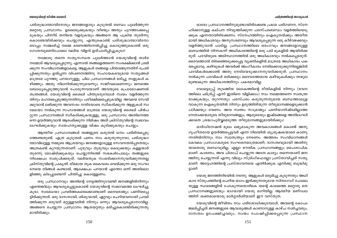#### ചരിത്രത്തിന്റെ തടവുകാർ

ഓരോ പ്രസ്ഥാനത്തിനുമുണ്ടായിരിക്കേണ്ട പ്രഥമ പരിഗണന, സ്നേ ഹിക്കാനുള്ള കല്പന നിവൃത്തിക്കുന്ന പരസ്പരബന്ധം വളർത്തിയെടു ക്കുക എന്നതായിരിക്കേണം. സ്നേഹത്തിനും ഐകൃതയ്ക്കും അതീത മായി അധികാരവും അനുസരണവും ആവശ്യപ്പെടുന്ന ഒരു കീഴ്വഴക്കവും വളർത്തുവാൻ പാടില്ല. പ്രസ്ഥാനത്തിലെ ഒരംഗവും ജനങ്ങളോടുള്ള ബന്ധത്തിൽ നിന്നകന്ന് അധികാരത്തിന്റെ ഒരു പടി മുകളിൽ ആയിരിക്ക രുത്. പദവിയുടെ അടിസ്ഥാനത്തിൽ ഒരു അധികാരവും നൽകപ്പെടരുത്. ദൈവത്താൽ തിരഞ്ഞെടുക്കപ്പെട്ട വ്യക്തികളിൽ മാത്രമേ അധികാരം പക രപ്പെടാവൂ. കഴിവുകൾ അവർക്ക് അംഗീകാരം നേടിക്കൊടുക്കുന്നില്ലെങ്കിൽ പദവികൾക്കൊണ്ട് അതു നേടിയെടുക്കാനനുവദിക്കരുത്. പ്രസ്ഥാനം നൽകുന്ന പദവികൾ ഒരിക്കലും ദൈവദത്തമായ കഴിവുകൾക്കും തന്മുല മുണ്ടാകുന്ന അധികാരത്തിനും പകരമാവില്ല.

വോട്ടെടുപ്പ് തുടങ്ങിയ ലോകത്തിന്റെ രീതികളിൽ നിന്നും (ഭവന ത്തിലെ ഛിദ്രിപ്പ് എന്ന് ഇതിനെ വിളിക്കാം) നാം നമ്മെത്തന്നെ സ്വതന്ത്ര രാക്കുകയും, തുറന്നതും പരസ്പരം കരുതുന്നതുമായ ബന്ധത്താലുള വാകുന്ന ഐക്യതയിൽ നിന്നും ഉരുത്തിരിയുന്ന തീരുമാനങ്ങളെടുക്കാൻ പഠിക്കയും വേണം. അവ സ്വന്തം സാമ്രാജ്യം പണിയാനിഷ്ടമില്ലാത്ത നേതാക്കന്മാരുടെ തീരുമാനങ്ങളും, ആരുടെയും ഇഷ്ടങ്ങളെ അതിലംഘി ക്കാതെ ശ്രദ്ധാപൂർവ്വമെടുത്ത തീരുമാനങ്ങളുമായിരിക്കും!

ഓർഡിനേഷൻ മൂലം ലഭ്യമാകുന്ന അവകാശങ്ങൾ കൊണ്ട് അനു ഗൃഹീതരായ ഉയർത്തപ്പെട്ടവർ എന്ന നിലയിൽ ശുശ്രുഷകന്മാരെ കാണു ന്നതിൽനിന്നും നാം സ്വാതന്ത്ര്യം നേടണം. അത്തരം സംവിധാനങ്ങൾ കേവലം പ്രസംഗകരുടെ സംഘടനമാത്രമാണ്; ദാസത്വവുമായി അതിനു യാതൊരു ബന്ധവുമില്ല. എല്ലാ ഭൗതിക പ്രസ്ഥാനങ്ങളും പൈശാചിക മാണ്. കാരണം, അവ പിശാച് ചെയ്യുന്ന അതേ കാര്യം തന്നെയാണ് ജന ത്തിനു ചെയ്യുന്നത് എന്നു വില്യം സ്ട്രിംഗ്ഫെല്ലോ പ്രസ്താവിച്ചത് സത്യ മാണ്. അദ്ദേഹത്തിന്റെ പ്രസ്താവനയെ എതിർക്കുക എനിക്കു ബുദ്ധിമു ട്ടാണ്.

യേശു ജനത്തിനിടയിൽ നടന്നു. ആളുകൾ ഒരുമിച്ചു കൂടുന്നതും അധി കാര സ്തൂപത്തിന്റെ ചെറിയ ഭാഗം ഇരിക്കുന്നതുമായ സിനഗോഗ് പോലെ യുള്ള സ്ഥലങ്ങളിൽ പോകുന്നതൊഴികെ തന്റെ കാലത്തെ മറ്റൊരു മത പ്രസ്ഥാനങ്ങളുടെയും ഭാഗമായി യേശു മാറിയില്ല. ആത്മീയ മണ്ഡല ത്തിന് ശക്തമായൊരു മാർഗ്ഗദർശിയാണ് ഈ വസ്തുത.

യേശുവിന്റെ ജീവിതം നാം പരിശോധിക്കുമ്പോൾ, അവന്റെ കോപം ജ്വലിപ്പിച്ചത് ജനങ്ങളുടെ ആവശ്യങ്ങൾ കാണാനുള്ള കാഴ്ച നശിച്ചവരും, ദാസത്വം ഉപേക്ഷിച്ചവരും, സ്വയം പോഷിപ്പിക്കപ്പെടുന്ന പ്രസ്ഥാന

പരിശുദ്ധാത്മാവിനോടും ജനങ്ങളോടും കൂടുതൽ ബന്ധം പുലർത്തുന്ന മറ്റൊരു പ്രസ്ഥാനം ഉടലെടുക്കുകയും വീണ്ടും അതും പുറത്താക്കപ്പെ ടുകയും പിന്നീട് തനിയെ വളരുകയും അങ്ങനെ ആ പക്രിയ തുടർന്നു കൊണ്ടേയിരിക്കയും ചെയ്യുന്നു. എന്തുകൊണ്ട് പരിശുദ്ധാത്മാവിനോ ടൊപ്പം സഞ്ചരിച്ച് നമ്മെ മരണത്തിനേൽപ്പിച്ചു കൊടുത്തുകൊണ്ട് ഒരു ഗോതമ്പുമണിപോലെ വലിയ വിളവ് ഉത്പാദിപ്പിച്ചുകൂടാ?

നമ്മോടു തന്നെ സത്യസന്ധത പുലർത്താൻ യേശുവിന്റെ താഴ്മ നമ്മോട് ആവശ്യപ്പെടുന്നു; എന്നാൽ തങ്ങളെത്തന്നെ സംരക്ഷിക്കാൻ ശ്രമി ക്കുന്ന സംവിധാനങ്ങളാകട്ടെ, ആളുകൾ തങ്ങളെ പിന്താങ്ങുന്നതിന് പ്രേരി പ്പിക്കുന്നതും ഉൽപ്പന്ന വിപണനത്തിനു സഹായകരവുമായ സത്യങ്ങൾ മാത്രമേ പുറത്തു പറയാറുള്ളൂ. ചില പ്രസ്ഥാനങ്ങൾ മരിച്ചു നാളുകൾ ക ഴിഞ്ഞും അതു നിലനിൽക്കുന്നുവെന്നും സജീവമാണെന്നും ജനത്തെ ബോധ്യപ്പെടുത്തുവാൻ പോരുന്നവയാണ് അവയുടെ പ്രൊമോഷണൽ തന്ത്രങ്ങൾ. യേശുവിന്റെ ശൈലി പിന്തുടരുമ്പോൾ സ്വയം വളർത്തുന്ന തിനും മഹത്വപ്പെടുത്തുന്നതിനും പരീക്ഷിക്കപ്പെടുകയില്ല. അവയെ സേവി ക്കുവാൻ ലഭിക്കുന്ന അവസരം നന്ദിയോടെ സ്വീകരിക്കുന്ന ആളുകൾ സ്വ മേധയാ നൽകുന്ന സഹായങ്ങൾ മാത്രമേ യേശുവിന്റെ ശൈലി പിൻപ റ്റുന്ന പ്രസ്ഥാനങ്ങൾ സ്വീകരിക്കുകയുള്ളു. ഒരു പ്രസ്ഥാനം അതിനെത്ത ന്നെ ഉയർത്തുവാൻ ആരംഭിക്കുന്ന നിമിഷം അത് ക്രിസ്തുവിന്റെ സ്വഭാവം ലംഘിക്കുകയും സ്വയഹത്യക്കുള്ള വിഷം കുടിക്കുകയും ചെയ്യും.

ആത്മീയ പ്രസ്ഥാനങ്ങൾ തങ്ങളുടെ കരുതൽ ധനം പരിമിതപ്പെടു ത്തേണ്ടതുണ്ട്. എത്ര കൂടുതൽ പണം നാം കരുതുന്നുവോ, പരിശുദ്ധാ ത്മാവിലുള്ള നമ്മുടെ ആശ്രയവും ജനങ്ങളോടുള്ള സേവനതൽപ്പരതയും അത്രകണ്ട് കുറയുന്നതാണ്. പുഴുവും തുരുമ്പും കെടുക്കയും കള്ളന്മാർ തുരന്നു മോഷ്ടിക്കുകയും ചെയ്യുന്നിടത്ത് സഭകൾപോലും തങ്ങളുടെ നിക്ഷേപം സ്വരുപിക്കരുത്. വലിയതുക സംഭരിക്കാനനുവദിക്കുന്നതല്ല ക്രിസ്തുവിന്റെ പ്രകൃതി. ഭീമമായ തുക കൈവശം വെയ്ക്കുന്ന ഒരു സംഘ ടനയെ നിങ്ങൾ കണ്ടാൽ, ആക്ഷേപം പറയാൻ എന്തോ ഒന്ന് അതിലൊ ളിഞ്ഞു കിടപ്പുണ്ടെന്ന് ചിന്തിച്ചു കൊള്ളേണം.

ഒരു പ്രസ്ഥാനവും അതിന്റെ നേട്ടത്തിനുവേണ്ടി ജനങ്ങളിൽനിന്നും എന്തെങ്കിലും ആവശ്യപ്പെട്ടുകൊണ്ട് യേശുവിന്റെ സ്വഭാവത്തെ ലംഘിച്ചു കൂടാ. സ്വമേധയാ പ്രവർത്തകരെക്കൊണ്ടാണ് ദൈവരാജ്യം പണിയപ്പെ ട്ടിരിക്കുന്നത്. ഒരു ദാസനായി, ശിശുവായി, ഏറ്റവും ചെറിയവനായി പ്രവർ ത്തിക്കുന്ന ഒരുവന് മറ്റുള്ളവരിൽ നിന്നും ഒന്നും ആവശ്യപ്പെടാനാവില്ല. അങ്ങനെ ചെയ്യുന്ന പ്രസ്ഥാനം ആശയറ്റതും മരിച്ചുകൊണ്ടിരിക്കുന്നതു മായിരിക്കും.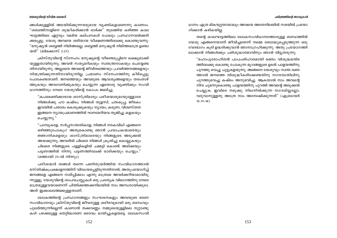ങ്ങൾക്കുള്ളിൽ അടയിരിക്കുന്നവരുമായ വ്യക്തികളാണെന്നു കാണാം. "ശബത്ത്നാളിനെ ശുദ്ധീകരിക്കാൻ ഓർക്ക" തുടങ്ങിയ കഴിഞ്ഞ കാല ഘട്ടത്തിലെ ഏറ്റവും വലിയ കല്പനകൾ പോലും പ്രസ്ഥാനവൽക്കരി ക്കപ്പെട്ടു. യേശു അവയെ ശരിയായ വീക്ഷണത്തിലേക്കു കൊണ്ടുവന്നു: "മനുഷ്യൻ ശബ്ബത്ത് നിമിത്തമല്ല; ശബ്ബത്ത് മനുഷ്യൻ നിമിത്തമത്രേ ഉണ്ടാ യത്" (മർക്കൊസ് 2:27).

ക്രിസ്തുവിന്റെ സ്നേഹം മനുഷ്യന്റെ വീണ്ടെടുപ്പിനെ ലക്ഷ്യമാക്കി യുള്ളതായിരുന്നു; അവൻ സത്യമറികയും സ്വതന്ത്രനാകയും ചെയ്യേണ്ട തിനായിരുന്നു. അല്ലാതെ അവന്റെ ജീവിതത്തെയും പ്രവർത്തനങ്ങളെയും നിയന്ത്രിക്കുന്നതിനായിരുന്നില്ല. പ്രമാണം സ്നേഹത്തിനു കീഴ്പ്പെട്ടു പോകേണ്ടതാണ്. ജനത്തെയും അവരുടെ ആവശ്യങ്ങളെയും തരംതാഴ് ത്തുകയും അവഗണിക്കുകയും ചെയ്യുന്ന ഏതൊരു വ്യക്തിക്കും സംവി ധാനത്തിനും നേരെ യേശുവിന്റെ കോപം ജ്വലിച്ചു.

"കപടഭക്തിക്കാരായ ശാസ്ത്രിമാരും പരീശന്മാരുമായുള്ളോരേ നിങ്ങൾക്കു ഹാ കഷ്ടം; നിങ്ങൾ തുളസി, ചതകുപ്പ, ജീരകം ഇവയിൽ പതാരം കൊടുക്കുകയും ന്യായം, കരുണ, വിശ്വസ്തത ഇങ്ങനെ ന്യായപ്രമാണത്തിൽ ഘനമേറിയവ തൃജിച്ചു കളകയും ചെയ്യുന്നു."

"പാമ്പുകളേ, സർപ്പസന്തതികളേ, നിങ്ങൾ നരകവിധി എങ്ങനെ ഒഴിഞ്ഞുപോകും? അതുകൊണ്ടു ഞാൻ പ്രവാചകന്മാരെയും ജ്ഞാനികളെയും ശാസ്ത്രിമാരെയും നിങ്ങളുടെ അടുക്കൽ അയക്കുന്നു; അവരിൽ ചിലരെ നിങ്ങൾ ക്രൂശിച്ചു കൊല്ലുകയും ചിലരെ നിങ്ങളുടെ പള്ളികളിൽ ചമ്മട്ടി കൊണ്ട് അടിക്കയും പട്ടണത്തിൽ നിന്നു പട്ടണത്തിലേക്ക് ഓടിക്കയും ചെയ്യും." (മത്തായി 23-ൽ നിന്നും)

പരീശന്മാർ തങ്ങൾ തന്നെ പണിതുയർത്തിയ സംവിധാനത്താൽ മസ്തിഷ്കപ്രക്ഷാളനത്തിന് വിധേയപ്പെട്ടിരുന്നതിനാൽ, അതുപയോഗിച്ച് ജനങ്ങളെ എങ്ങനെ നശിപ്പിക്കാം എന്നു മാത്രമേ അവർക്കറിയാമായിരു ന്നുള്ളു. യേശുവിന്റെ ശാപവചസ്സുകൾ ഒരു പ്രത്യേക വിഭാഗത്തിനു നേരെ മാത്രമുള്ളവയാണെന്ന് ചിന്തിക്കത്തക്കനിലയിൽ നാം അന്ധരായിക്കുടാ. അത് ഇക്കാലത്തേക്കുള്ളതാണ്.

ലോകത്തിന്റെ പ്രസ്ഥാനങ്ങളും സംഘടനകളും അവയുടെ ഭരണ സംവിധാനവും ക്രിസ്തുവിന്റെ ജീവനുള്ള ശരീരവുമായി ഒരു ബന്ധവും പുലർത്തുന്നില്ലെന്ന് കാണാൻ തക്കവണ്ണം നമ്മുടെയുള്ളിലെ നുറ്റാണ്ടു കൾ പഴക്കമുള്ള തെറ്റിദ്ധാരണ ദൈവം മായിച്ചുകളയട്ടെ. ലോകസംവി ധാനം എത്ര മികവുറ്റതായാലും അവയെ അതേനിലയിൽ സഭയിൽ പ്രയോ ഗിക്കാൻ കഴികയില.

തന്റെ കാലഘട്ടത്തിലെ ലോകസംവിധാനത്തോടുള്ള ബന്ധത്തിൽ യേശു എങ്ങനെയാണ് ജീവിച്ചതെന്ന് നമ്മെ ബോദ്ധ്യപ്പെടുത്തുന്ന ഒരു വേദഭാഗം കുടി ഉദ്ധരിക്കുവാൻ ഞാനാഗ്രഹിക്കുന്നു. അതു പ്രയോഗത്തി ലാക്കാൻ നിങ്ങൾക്കും പരിശുദ്ധാത്മാവിനും ഞാൻ വിട്ടുതരുന്നു:

"മഹാപുരോഹിതൻ പാപപരിഹാരമായി രക്തം വിശുദ്ധമന്ദിര ത്തിലേക്കു കൊണ്ടു പോകുന്ന മൃഗങ്ങളുടെ ഉടൽ പാളയത്തിനു പുറത്തു വെച്ചു ചുട്ടുകളയുന്നു. അങ്ങനെ യേശുവും സ്വന്ത രക്ത ത്താൽ ജനത്തെ വിശുദ്ധീകരിക്കേണ്ടതിനു നഗരവാതിലിനു പുറത്തുവെച്ചു കഷ്ടം അനുഭവിച്ചു. ആകയാൽ നാം അവന്റെ നിന്ദ ചുമന്നുകൊണ്ടു പാളയത്തിനു പുറത്ത് അവന്റെ അടുക്കൽ ചെല്ലുക. ഇവിടെ നമുക്കു നിലനിൽക്കുന്ന നഗരമില്ലല്ലോ, വരുവാനുള്ളതു അത്രേ നാം അന്വേഷിക്കുന്നത്" (എബ്രായർ  $13:11-14$ ).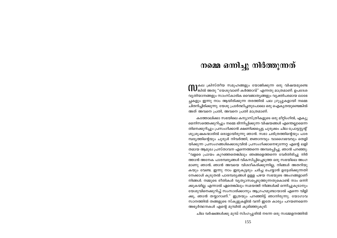# നമ്മെ ഒന്നിച്ചു നിർത്തുന്നത്

**M**കല ക്രിസ്തീയ സമൂഹങ്ങളും യോജിക്കുന്ന ഒരു വിഷയമുണ്ടെ<br>M കിൽ അതു "യേശുവാണ് കർത്താവ്" എന്നതു മാത്രമാണ്. ഉപദേശ വ്യതിയാനങ്ങളും സാംസ്കാരിക വൈജാത്യങ്ങളും വ്യക്തിപരമായ ലാഭേ ച്ചകളും ഇന്നു നാം ആയിരിക്കുന്ന തരത്തിൽ പല ഗ്രൂപ്പുകളായി നമ്മെ ചിതറിച്ചിരിക്കുന്നു. യേശു പ്രാർത്ഥിച്ചതുപോലെ ഒരു ഐക്യതയുണ്ടെങ്കിൽ അത് അവനെ പ്രതി, അവനെ പ്രതി മാത്രമാണ്.

കത്തോലിക്കാ സഭയിലെ കന്യാസ്ത്രീകളുടെ ഒരു മീറ്റിംഗിൽ, എക്യു മെനിസത്തെക്കുറിച്ചും നമ്മെ ഭിന്നിപ്പിക്കുന്ന വിഷയങ്ങൾ എന്തെല്ലാമെന്ന തിനെക്കുറിച്ചും പ്രസംഗിക്കാൻ ക്ഷണിക്കപ്പെട്ട ചുരുക്കം ചില പ്രോട്ടസ്റ്റന്റ് ശുശ്രുഷകന്മാരിൽ ഒരാളായിരുന്നു ഞാൻ. സഭാ ചരിത്രത്തിന്റെയും പാര മ്പര്യത്തിന്റെയും ചുരുൾ നിവർത്തി, ജ്ഞാനവും വാഗൈഭവവും തെളി യിക്കുന്ന പ്രസംഗങ്ങൾക്കൊടുവിൽ പ്രസംഗിക്കാനെഴുന്നേറ്റ എന്റെ ലളി തമായ ആമുഖ പ്രസ്താവന എന്നെത്തന്നെ അമ്പരപ്പിച്ചു. ഞാൻ പറഞ്ഞു: "വളരെ പ്രായം കുറഞ്ഞതെങ്കിലും ഞങ്ങളെത്തന്നെ വേർതിരിച്ചു നിർ ത്താൻ അനേക പാരമ്പര്യങ്ങൾ വികസിപ്പിച്ചെടുത്ത ഒരു സഭയിലെ അംഗ മാണു ഞാൻ. ഞാൻ അവയെ വിശദീകരിക്കുന്നില്ല, നിങ്ങൾ അതറിയു കയും വേണ്ട. ഇന്നു നാം ഇരുകൂട്ടരും ചർച്ച ചെയ്യാൻ ഉദ്ദേശിക്കുന്നതി നേക്കാൾ കുടുതൽ പാരമ്പര്യങ്ങൾ ഉള്ള പഴയ സഭയുടെ അംഗങ്ങളാണ് നിങ്ങൾ. നമ്മുടെ രീതികൾ വ്യത്യാസപ്പെടുത്തുന്നതുകൊണ്ട് നാം ഒന്നി ക്കുകയില്ല. എന്നാൽ ഏതെങ്കിലും സമയത്ത് നിങ്ങൾക്ക് ഒന്നിച്ചുകൂടാനും യേശുവിനെക്കുറിച്ച് സംസാരിക്കാനും ആഗ്രഹമുണ്ടായാൽ എന്നെ വിളി ക്കൂ, ഞാൻ തയ്യാറാണ്." ഇത്രയും പറഞ്ഞിട്ട് ഞാനിരുന്നു. യോഗാവ സാനത്തിൽ തങ്ങളുടെ സ്കൂളുകളിൽ വന്ന് ഇതേ കാര്യം പറയണമെന്ന അഭ്യർത്ഥനകൾ എന്റെ മുമ്പിൽ കുമിഞ്ഞുകുടി.

ചില വർഷങ്ങൾക്കു മുമ്പ് സിംഗപ്പൂരിൽ നടന്ന ഒരു സമ്മേളനത്തിൽ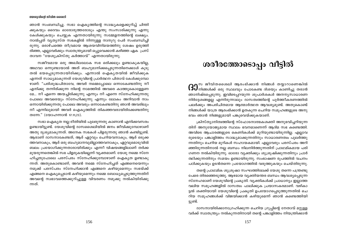ഞാൻ സംബന്ധിച്ചു. സഭാ ഐകൃത്തിന്റെ സാദ്ധ്യകളെക്കുറിച്ച് ചിന്തി ക്കുകയും ദൈവം ഓരോരുത്തരോടും എന്തു സംസാരിക്കുന്നു എന്നു കേൾക്കുകയും ചെയ്യുക എന്നതായിരുന്നു സമ്മേളനത്തിന്റെ ലക്ഷ്യം. ്നാൽപ്പത് വ്യത്യസ്ത സഭകളിൽ നിന്നുള്ള നാനൂറു പേർ സംബന്ധിച്ചി രുന്നു. ഒരാഴ്ചത്തെ തീവ്രമായ ആശയവിനിമയത്തിനു ശേഷം ഉരുത്തി രിഞ്ഞ, എല്ലാവർക്കും സ്വാതന്ത്ര്യമായി ഒപ്പുവെക്കാൻ കഴിഞ്ഞ ഏക പ്രസ് താവന "യേശുക്രിസ്തു കർത്താവ്" എന്നതായിരുന്നു.

സജീവമായ ഒരു അഖിലലോക സഭ ഒരിക്കലും ഉണ്ടാകുകയില്ല, അഥവാ ഒന്നുണ്ടായാൽ അത് ബഹുമാനിക്കപ്പെടുന്നതിനെക്കാൾ കൂടു തൽ ഭയപ്പെടുന്നതായിരിക്കും. എന്നാൽ ഐകൃതയിൽ ജീവിക്കുക എന്നത് സാധ്യമാകുന്നത് യേശുവിന്റെ പ്രാർത്ഥന പിതാവ് കേൾക്കുമ്പോ ഴാണ്: "പരിശുദ്ധപിതാവേ, അവർ നമ്മെപ്പോലെ ഒന്നാകേണ്ടതിനു നീ എനിക്കു തന്നിരിക്കുന്ന നിന്റെ നാമത്തിൽ അവരെ കാത്തുകൊള്ളേണ മേ... നീ എന്നെ അയച്ചിരിക്കുന്നു എന്നും നീ എന്നെ സ്നേഹിക്കുന്നതു പോലെ അവരെയും സ്നേഹിക്കുന്നു എന്നും ലോകം അറിവാൻ നാം ഒന്നായിരിക്കുന്നതു പോലെ അവരും ഒന്നാകേണ്ടതിനു ഞാൻ അവരിലും നീ എന്നിലുമായി അവർ ഐക്യത്തിൽ തികഞ്ഞവരായിരിക്കേണ്ടതിനു തന്നേ." (യോഹന്നാൻ 17:11,23).

സഭാ ഐക്യത നല്ല രീതിയിൽ പുലരുന്നതു കാണാൻ എനിക്കവസരം ഉണ്ടായിട്ടുണ്ട്. യേശുവിന്റെ ദാസശൈലിയിൽ ജനം ജീവിക്കുമ്പോഴാണ് അതു ദൃശ്യമാകുന്നത്. അനേക സഭകൾ പിളരുന്നതു ഞാൻ കണ്ടിട്ടുണ്ട്. ആരാണ് ദാസനാകേണ്ടത്, ആര് ഏറ്റവും ചെറിയവനാകും, ആര് ഒടുക്ക ത്തവനാകും, ആര് ഒരു ബഹുമാനവുമില്ലാത്തവനാകും, ഏറ്റവുമൊടുവിൽ ബലം പ്രയോഗിക്കുന്നതാരായിരിക്കും എന്നീ വിഷയങ്ങളിലാണ് തർക്ക മുയരുന്നതെങ്കിൽ സഭ പിളരുകയില്ലെന്ന് വ്യക്തമാണ്. യേശു നമ്മെ സ്നേ ഹിച്ചതുപോലെ പരസ്പരം സ്നേഹിക്കുമ്പോഴാണ് ഐകൃത ഉണ്ടാകു ന്നത്. അതുകൊണ്ടാണ്, അവൻ നമ്മെ സ്നേഹിച്ചത് എങ്ങനെയെന്നും നമുക്ക് പരസ്പരം സ്നേഹിക്കാൻ എങ്ങനെ കഴിയുമെന്നും സഭയ്ക്ക് എങ്ങനെ ഐക്യപ്പെടാൻ കഴിയുമെന്നും നമ്മെ ബോധ്യപ്പെടുത്തുന്നതിന് അവന്റെ സ്വഭാവത്തെക്കുറിച്ചുള്ള വിവരണം നമുക്കു നൽകിയിരിക്കു ന്നത്.

# ശരീരത്തോടൊപ്പം വീട്ടിൽ

 ${\bf G}0^{\rm m}$  ജീവിതശൈലി ആരംഭിക്കാൻ നിങ്ങൾ തയ്യാറാണെങ്കിൽ<br> ${\bf G}0$ നിങ്ങൾക്ക് ഒരു സ്ഥലവും പോകേണ്ട ദിശയും കാണിച്ചു തരാൻ ഞാനിഷ്ടപ്പെടുന്നു. ഇവിടെപ്പറയുന്ന ശുപാർശകൾ അനനൃസാധാരണ നിർദ്ദേശങ്ങളല്ല എന്നിരുന്നാലും ദാസത്വത്തിന്റെ പൂർത്തീകരണത്തിൽ പലർക്കും അപരിചിതമായ ആത്മാർത്ഥത ആവശ്യമുണ്ട്. അതുകൊണ്ട് നിങ്ങൾക്ക് യാത്ര ആരംഭിക്കാൻ ഉതകുന്ന ചെറിയ സമൂഹങ്ങളുടെ അനു ഭവം ഞാൻ നിങ്ങളുമായി പങ്കുവെയ്ക്കുകയാണ്.

ക്രിസ്ത്യാനിത്വത്തിന്റെ സ്ഫോടനാത്മകശക്തി അനുഭവിച്ചറിയുന്ന തിന് അനുയോജ്യമായ സ്ഥലം ഭവനമാണെന്ന് ആദിമ സഭ കണ്ടെത്തി. അവിടെ ആചാരങ്ങളുടെ കെണികൾക്ക് മുറിയുണ്ടായിരുന്നില്ല. എല്ലാവ രുടെയും പങ്കാളിത്തം സാദ്ധ്യമാക്കുന്നതിനും സാധാരണത്വം പുലർത്തു ന്നതിനും ചെറിയ മുറികൾ സഹായകമായി. എല്ലാവരും പരസ്പരം അറി ഞ്ഞിരുന്നതിനാൽ നല്ല ബന്ധം നിലനിർത്തുന്നതിന് പ്രാഥമികമായ പരി ഗണന നൽകിയിരുന്നു. ഓരോ വ്യക്തിക്കും ശുശ്രൂഷിക്കുന്നതിനും പ്രാർ ത്ഥിക്കുന്നതിനും സമയം ഉണ്ടായിരുന്നു. സംഭാഷണ രൂപത്തിൽ വചനം പഠിക്കുകയും ഉടൻതന്നെ പ്രയോഗത്തിൽ വരുത്തുകയും ചെയ്തിരുന്നു.

തന്റെ പ്രാഥമിക ശുശ്രുഷാ സംഘത്തിലേക്ക് യേശു തന്നെ പന്ത്രണ്ടു പേരെ തിരഞ്ഞെടുത്തു. ആഴമായ വ്യക്തിയന്തര ബന്ധം ആവശ്യപ്പെടുന്ന സ്നേഹമാണ് യേശുവിന്റെ പ്രകൃതി. വ്യക്തികൾക്ക് പ്രാധാന്യം ഇല്ലാത്ത വലിയ സമുഹങ്ങളിൽ ദാസത്വം പാലിക്കുക പ്രയാസകരമാണ്. വഴികാ ട്ടൽ ശക്തിയായി യേശുവിന്റെ പ്രകൃതി ഉപയോഗപ്പെടുത്തുന്നതിൽ ചെ റിയ സമൂഹങ്ങൾക്ക് വിജയിക്കാൻ കഴിയുമെന്ന് ഞാൻ കണ്ടെത്തിയി ട്ടുണ്ട്.

ദാസനായിരിക്കാനാഗ്രഹിക്കുന്ന ചെറിയ ഗ്രൂപ്പിന്റെ നേതാവ് മറ്റുള്ള വർക്ക് സ്വാതന്ത്ര്യം നൽകുന്നതിനായി തന്റെ പങ്കാളിത്തം നിയന്ത്രിക്കാൻ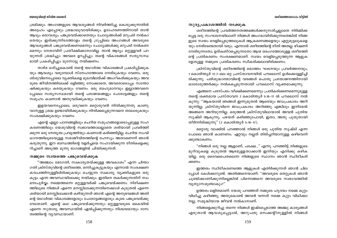ശ്രമിക്കും. അംഗങ്ങളുടെ ആവശ്യങ്ങൾ നിവർത്തിച്ചു കൊടുക്കുന്നതിൽ അദ്ദേഹം എപ്പോഴും ശ്രദ്ധാലുവായിരിക്കും. ഉദാഹരണത്തിനായി താൻ ആദ്യം ഒരാവശ്യം പങ്കുവെയ്ക്കാതെയും ചോദ്യങ്ങൾക്ക് മറുപടി നൽകാ തെയും ഇരിക്കുന്നിടത്തോളം തന്റെ ഗ്രൂപ്പിലെ അംഗങ്ങൾ അവരുടെ ആവശ്യങ്ങൾ പങ്കുവെയ്ക്കണമെന്നും ചോദ്യങ്ങൾക്കു മറുപടി നൽകണ മെന്നും നേതാവിന് പ്രതീക്ഷിക്കാനാവില്ല. താൻ ആദ്യം മറ്റുള്ളവർ പറ യുന്നത് ശ്രദ്ധിച്ചും അവരെ ഉറപ്പിച്ചും തന്റെ വികാരങ്ങൾ സതൃസന്ധ മായി പ്രകടിപ്പിച്ചും മുന്നോട്ടു നയിക്കണം.

താഴ്മ ധരിച്ചുകൊണ്ട് തന്റെ യഥാർത്ഥ വികാരങ്ങൾ പ്രകടിപ്പിക്കുക യും ആവശ്യം വരുമ്പോൾ സ്നേഹത്തോടെ നേരിടുകയും വേണം. ഒരു ശിശുവിനെപ്പോലെ വ്യക്തികളെ മുഖവിലയ്ക്ക് അംഗീകരിക്കുകയും അവ രുടെ ജീവിതത്തിലേക്ക് ഒളിഞ്ഞു നോക്കാതെ, അവരോടൊപ്പം സന്തോ ഷിക്കുകയും കരയുകയും വേണം. ഒരു ബഹുമാനവും ഇല്ലാത്തവനെ പ്പോലെ സത്യസന്ധമായി തന്റെ പരാജയങ്ങളും പോരാട്ടങ്ങളും തന്റെ സമുഹം കാണാൻ അനുവദിക്കുകയും വേണം.

ഇളയവനെപ്പോലെ, ഒരുവനെ മറ്റൊരുവൻ നിന്ദിക്കുന്നതു കാണു വാനുള്ള ശ്രദ്ധ ഉണ്ടായിരിക്കുകയും നിന്ദിക്കപ്പെടുന്നവനെ തലോടുകയും സംരക്ഷിക്കുകയും വേണം

എന്റെ എല്ലാ പഠനങ്ങളിലും ചെറിയ സമൂഹങ്ങളോടൊപ്പമുള്ള സഹ കരണത്തിലും യേശുവിന്റെ സ്വഭാവത്താലല്ലാതെ ശരിയായി പ്രവർത്തി ക്കുന്ന ഒരു നേതൃത്വ പ്രവൃത്തിയും കാണാൻ കഴിഞ്ഞിട്ടില്ല. ചെറിയ സംവി ധാനത്തിലൂടെയുള്ള സഭാജീവിതത്തിന്റെ രഹസ്യം അതാണെന്ന് ഞാൻ കരുതുന്നു. ഈ ബന്ധത്തിന്റെ വളർച്ചയെ സഹായിക്കുന്ന രീതികളെക്കു റിച്ചാണ് അടുത്ത മുന്നു ഭാഗങ്ങളിൽ ചിന്തിക്കുന്നത്.

#### നമ്മുടെ സ്വയത്തെ പങ്കുവെയ്ക്കുക

''അഞ്ചാം ഭേദഗതി, സ്വകാര്യതയ്ക്കുള്ള അവകാശം'' എന്ന ചിന്താ ഗതി ക്രിസ്തുവിന്റെ ശരീരത്തെ, ഒന്നിച്ചുകൂട്ടുകയും എന്നാൽ സംരക്ഷണ കവചത്തിനുള്ളിലിരിക്കുകയും ചെയ്യുന്ന സ്വകാര്യ വ്യക്തികളുടെ ഒരു കൂട്ടം എന്ന അവസ്ഥയിലേക്കു നയിക്കും. ഇതിനെ തകർക്കുന്നതിന് നാം മനഃപൂർവ്വം നമ്മെത്തന്നെ മറ്റുള്ളവർക്ക് പങ്കുവെയ്ക്കണം. നിരീക്ഷണ ത്തിലൂടെ നിങ്ങൾ എന്നെ മനസ്സിലാക്കുന്നതിനെക്കാൾ കൂടുതൽ എന്നെ ശരിയായി മനസ്സിലാക്കാൻ കഴിയുന്നത് ഞാൻ എന്റെ അനുഭവങ്ങൾ അതി ന്റെ യഥാർത്ഥ വികാരങ്ങളോടും പോരാട്ടങ്ങളോടും കൂടെ പങ്കുവെയ്ക്കു മ്പോഴാണ്. എന്റെ കഥ പങ്കുവെയ്ക്കുന്നതും മറ്റുള്ളവരുടെ കൈയിൽ എന്നെ സുതാര്യ അവസ്ഥയിൽ ഏൽപ്പിക്കുന്നതും നിശ്ചയമായും ദാസ ത്വത്തിന്റെ വ്യവസ്ഥയാണ്.

#### സൂര്യപ്രകാശത്തിൽ നടക്കുക

ശരീരത്തിന്റെ പ്രവർത്തനതത്ത്വങ്ങൾക്കനുസരിച്ചല്ലാതെ നിർമ്മിക്ക പ്പെട്ട ഒരു സംഘടനയിലാണ് നിങ്ങൾ അംഗമായിരിക്കുന്നതെങ്കിൽ നിങ്ങ ളുടെ സ്വയം വെളിപ്പെടുത്തലുകൾ ആക്രമണങ്ങളെയും എറ്റുമുട്ടലുകളെ യും നേരിടേണ്ടതായി വരും. എന്നാൽ ശരീരത്തിന്റെ രീതി അതല്ല. ഭീഷണി നേരിടുന്നതോ, ഉത്കണ്ഠപ്പെടുന്നതോ ആയ ഒരംഗത്തോടുള്ള ശരീരത്തി ന്റെ പ്രതികരണം സംരക്ഷണമാണ്. സ്വയം വെളിപ്പെടുത്തുന്ന ആളുക ളോടുള്ള നമ്മുടെ പ്രതികരണം സ്വീകരിക്കലായിരിക്കണം.

ക്രിസ്തുവിന്റെ ശരീരത്തിന്റെ മൊത്തം ഘടനയും പ്രവർത്തനവും, 1 കൊരിന്ത്യർ 12:7-ലെ ഒറ്റ പ്രസ്താവനയിൽ പൗലൊസ് ഉൾക്കൊള്ളിച്ചി രിക്കുന്നു. പരിശുദ്ധാത്മാവിന്റെ വരങ്ങൾ പൊതു പ്രയോജനത്തിനായി ഓരോരുത്തർക്കും നൽകപ്പെടുന്നതായി പൗലൊസ് വ്യക്തമാക്കുന്നു.

എങ്ങനെ പരസ്പരം വീക്ഷിക്കണമെന്നും പ്രതികരിക്കണമെന്നുമുള്ള തന്റെ ശക്തമായ പ്രസ്താവന 2 കൊരിന്ത്യർ 5:16–17 ൽ പൗലൊസ് നൽ കുന്നു: "ആകയാൽ ഞങ്ങൾ ഇന്നുമുതൽ ആരെയും ജഡപ്രകാരം അറി യുന്നില്ല; ക്രിസ്തുവിനെ ജഡപ്രകാരം അറിഞ്ഞു എങ്കിലും ഇനിമേൽ അങ്ങനെ അറിയുന്നില്ല. ഒരുത്തൻ ക്രിസ്തുവിലായാൽ അവൻ പുതിയ സൃഷ്ടി ആകുന്നു; പഴയത് കഴിഞ്ഞുപോയി, ഇതാ, അതു പുതുതായി തീർന്നിരിക്കുന്നു" (2 കൊരിന്ത്യർ 5:16-17).

മറ്റൊരു വാക്കിൽ പറഞ്ഞാൽ നിങ്ങൾ ഒരു പുതിയ സൃഷ്ടി എന്ന പോലെ ഞാൻ കാണണം. ഏറ്റവും നല്ലത് തിരിച്ചറിയാനുള്ള കഴിവെനി ക്കുണ്ടാകണം.

"നിങ്ങൾ ഒരു നല്ല ആളാണ്, പക്ഷേ..." എന്നു പറഞ്ഞിട്ട് നിങ്ങളുടെ മുറിവുകളെ കൂടുതൽ ആഴമുള്ളതാക്കാൻ ഇനിയും എനിക്കു കഴിക യില്ല. ഒരു ദൈവപൈതലെന്ന നിങ്ങളുടെ സ്ഥാനം ഞാൻ സ്ഥിരീകരി ക്കണം.

ഇത്തരം സ്ഥിരീകരണത്തെ ആളുകൾ എതിർക്കുന്നത് ഞാൻ ചില പ്പോൾ കേൾക്കാറുണ്ട്. അതിങ്ങനെയാണ്: "അവരുടെ തെറ്റുകൾ ഞാൻ ചുണ്ടിക്കാണിക്കുന്നില്ലെങ്കിൽ പിന്നെങ്ങനെ അവരുടെ സ്വഭാവത്തിൽ വ്യത്യാസമുണ്ടാകും?"

ഉത്തരം ലളിതമാണ്: യേശു പറഞ്ഞത് നമ്മുടെ ഹൃദയം നമ്മെ കുറ്റം വിധിച്ചു കഴിഞ്ഞു; അതുകൊണ്ട് അവൻ വന്നത് നമ്മെ കുറ്റം വിധിക്കാ നല്ല, സമൃദ്ധിയായ ജീവൻ നൽകാനാണ്.

നിങ്ങളെക്കുറിച്ചു തന്നെ നിങ്ങൾ ഇഷ്ടപ്പെടാത്ത അഞ്ചു കാര്യങ്ങൾ എഴുതാൻ ആവശ്യപ്പെട്ടാൽ, അറുപതു സെക്കന്റിനുള്ളിൽ നിങ്ങൾ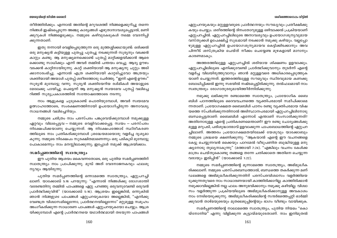#### ശരീരത്തോടൊപ്പം വിടിൽ

#### യേശുവിന്റെ ജീവിത ശൈലി

തീർത്തിരിക്കും. എന്നാൽ അതിന്റെ മറുവശത്ത് നിങ്ങളെക്കുറിച്ചു തന്നെ നിങ്ങൾ ഇഷ്ടപ്പെടുന്ന അഞ്ചു കാര്യങ്ങൾ എഴുതാനാവശ്യപ്പെട്ടാൽ, മണി ക്കുറുകൾ നിങ്ങളെടുക്കും. നമ്മുടെ കഴിവുകേടുകൾ നമ്മെ വേദനിപ്പി ക്കുന്നതാണ്.

ഇതു നന്നായി വെളിപ്പെടുത്തുന്ന ഒരു മുത്തശ്ശിക്കഥയുണ്ട്: ഒരിക്കൽ ഒരു മനുഷ്യൻ കട്ടിയുള്ള പുതപ്പു പുതച്ചു നടക്കുന്നത് സുര്യനും വടക്കൻ കാറ്റും കണ്ടു. ആ മനുഷ്യനെക്കൊണ്ട് പുതപ്പ് മാറ്റിക്കളയിക്കാൻ ആരെ ക്കൊണ്ടു സാധിക്കും എന്ന് അവർ തമ്മിൽ പന്തയം വെച്ചു. ആദ്യ ഊഴം വടക്കൻ കാറ്റിനായിരുന്നു. കാറ്റ് ശക്തിയായി ആ മനുഷ്യനു ചുറ്റും അടി ക്കാനാരംഭിച്ചു. എന്നാൽ എത്ര ശക്തിയായി കാറ്റടിച്ചുവോ അത്രയും ശക്തിയായി അയാൾ പുതപ്പ് ശരീരത്തോടു ചേർത്തു. ''ഇനി എന്റെ ഊഴം'' സുര്യൻ മുമ്പോട്ടു വന്നു. സുര്യൻ ശക്തിയേറിയ രശ്മികൾ അയാളുടെ മേലേക്കു പായിച്ചു. പെട്ടെന്ന് ആ മനുഷ്യൻ സ്വയമേവ പുതപ്പ് വലിച്ചെ റിഞ്ഞ് സുര്യപ്രകാശത്തിൽ സന്തോഷത്തോടെ നടന്നു.

നാം ആളുകളെ ചൂടുകൊണ്ട് പൊതിയുമ്പോൾ, അവർ സ്വയമേവ ഉത്സാഹത്തോടെ, സംരക്ഷണത്തിനായി ഉപയോഗിച്ചിരുന്ന അനാവശ്യ സാധനങ്ങൾ വലിച്ചെറിയും.

നമ്മുടെ ചരിത്രം നാം പരസ്പരം പങ്കുവെയ്ക്കുമ്പോൾ നമുക്കുള്ള ഏറ്റവും വിലപ്പെട്ടവ – നമ്മുടെ വെളിവാക്കപ്പെട്ട സ്വയം – പരസ്പരം നിക്ഷേപിക്കയാണു ചെയ്യുന്നത്. ആ നിക്ഷേപത്തോട് സ്ഥിരീകരണ ത്തിലൂടെ നാം പ്രതികരിക്കുമ്പോൾ ശ്രദ്ധേയമായൊരു വളർച്ച ദൃശ്യമാ കുന്നു. നമ്മുടെ നിക്ഷേപം സുരക്ഷിതമാണെന്നും ഒരു പടികൂടി മുമ്പോട്ടു പോകാമെന്നും നാം മനസ്സിലാക്കുന്നു; ഇപ്പോൾ നമുക്ക് ആശ്രയിക്കാം.

# സമർപ്പണത്തിന്റെ സ്വാതന്ത്ര്യം

ഈ പുതിയ ആശയം കൈവന്നതോടെ, ഒരു പുതിയ സമർപ്പണത്തിന് സ്വാതന്ത്ര്യം നാം പ്രാപിക്കുന്നു. മുമ്പ് അത് വേദനാജനകവും ഫലശൂ ന്യവും ആയിരുന്നു.

പുതിയ സമർപ്പണത്തിന്റെ ഒന്നാമത്തെ സ്വാതന്ത്ര്യം, ഏറ്റുപറച്ചി ലാണ്. യാക്കോബ് 5:16 പറയുന്നു: "എന്നാൽ നിങ്ങൾക്കു രോഗശാന്തി വരേണ്ടതിനു തമ്മിൽ പാപങ്ങളെ ഏറ്റു പറഞ്ഞു ഒരുവനുവേണ്ടി ഒരുവൻ പ്രാർത്ഥിക്കുവിൻ" (യാക്കോബ് 5:16). ആശ്രയം ഇല്ലെങ്കിൽ, ഒന്നുകിൽ ഞാൻ *നിങ്ങളുടെ* പാപങ്ങൾ ഏറ്റുപറയുകയോ അല്ലെങ്കിൽ, "എനിക്കു വേണ്ടത്ര വിശ്വാസമില്ലെന്നോ, പ്രാർത്ഥനയില്ലെന്നോ" മറ്റുമുള്ള സമൂഹം അംഗീകരിക്കുന്ന സാധാരണ പാപങ്ങൾ ഏറ്റുപറയുകയോ ചെയ്യും. ആശ്ര യിക്കുമ്പോൾ എന്റെ പ്രാർത്ഥനയെ യഥാർത്ഥമായി തടയുന്ന പാപങ്ങൾ

ഏറ്റുപറയുകയും മറ്റുള്ളവരുടെ പ്രാർത്ഥനയും സൗഖ്യവും പ്രതീക്ഷിക്കു കയും ചെയ്യും. ശരീരത്തിന്റെ ദിനംതോറുമുള്ള ഒഴിവാക്കൽ പ്രക്രിയയാണ് എറ്റുപറച്ചിൽ. ഏറ്റുപറച്ചിലിലൂടെ അനാവശ്യവും ഉപയോഗശൂന്യവുമായ വസ്തുക്കൾ ഉപേക്ഷിച്ച് സുഖമായി നടക്കാൻ നമുക്കു കഴിയും. വല്ലപ്പോ ഴുമുള്ള ഏറ്റുപറച്ചിൽ ഉപയോഗശുന്യമായവ കെട്ടിക്കിടക്കാനും അവ പിന്നീട് ശസ്ത്രക്രിയ ചെയ്ത് നീക്കം ചെയ്യേണ്ട മുഴകളായി മാറാനും കാരണമാകും.

അത്തരത്തിലുള്ള ഏറ്റുപറച്ചിൽ ശരിയായ ശിക്ഷണം ഉളവാക്കും. ഏറ്റുപറച്ചിലിലൂടെ എനിക്കുവേണ്ടി പ്രാർത്ഥിക്കുവാനും തുടർന്ന് എന്റെ വളർച്ച വിലയിരുത്തുവാനും ഞാൻ മറ്റുള്ളവരെ അധികാരപ്പെടുത്തുക യാണ് ചെയ്യുന്നത്. ഇത്തരത്തിലുള്ള സൗമൃവും സ്ഥിരവുമായ കണക്കു ബോധിപ്പിക്കൽ ഇന്നു സഭയിൽ നഷ്ടപ്പെട്ടിരിക്കുന്നു. തൽഫലമായി നാം സ്വതന്ത്രരും രോഗാതുരരുമായിത്തീർന്നിരിക്കുന്നു.

നമുക്കു ലഭിക്കുന്ന രണ്ടാമത്തെ സ്വാതന്ത്ര്യം, പ്രായോഗിക ബൈ ബിൾ പഠനത്തിലൂടെ ദൈവവചനത്തെ വ്യക്തിപരമായി സമീപിക്കാമെ ന്നതാണ്. പ്രയോഗക്ഷമത ബൈബിൾ പഠനം രണ്ടു വ്യക്തിപരമായ വിഷ യത്തെ സ്പർശിക്കുന്നതിനാൽ അടിസ്ഥാനപരമായി ഏറ്റുപറച്ചിലിനോടു ബന്ധപ്പെട്ടതാണ്: ബൈബിൾ എന്നോട് എന്താണ് സംസാരിക്കുന്നത്? അതിനോടുള്ള എന്റെ പ്രതികരണമെന്താണ്? ഈ രണ്ടു ചോദ്യങ്ങൾക്കു മുള്ള മറുപടി, പരിശുദ്ധാത്മാവ് ഉളവാക്കുന്ന പാപബോധത്തിന്റെ ഏറ്റുപറ ച്ചിലാണ്. അത്തരം പ്രയോഗക്ഷമതയിലേക്ക് യേശുവും യാക്കോബും നമ്മുടെ ശ്രദ്ധയെ ക്ഷണിക്കുന്നു: "ആകയാൽ എന്റെ ഈ വചനങ്ങളെ കേട്ടു ചെയ്യുന്നവൻ ഒക്കെയും പാറമേൽ വീടുപണിത ബുദ്ധിയുള്ള മനു ഷ്യനോടു തുല്യനാകുന്നു" (മത്തായി 7:24). "എങ്കിലും വചനം കേൾക്ക മാത്രം ചെയ്തുകൊണ്ടു തങ്ങളെ തന്നേ ചതിക്കാതെ അതിനെ ചെയ്യുന്ന വരായും ഇരിപ്പിൻ" (യാക്കോബ് 1:22).

നമ്മുടെ സമർപ്പണത്തിന്റെ മൂന്നാമത്തെ സ്വാതന്ത്ര്യം, അഭിമുഖീക രിക്കലാണ്. നമ്മുടെ പരസ്പരബന്ധത്താൽ, ബന്ധത്തെ തകർക്കുന്ന മണ് ഡലങ്ങളെ അഭിമുഖീകരിക്കുന്നതിന് പരസ്പരവിശ്വാസം വളർത്തിയെ ടുക്കുന്നതുവരെ നാം സാധാരണയായി കാത്തിരിക്കാറില്ല. കാത്തിരിക്കാൻ നമുക്കാവില്ലെങ്കിൽ നല്ല ഫലം അനുഭവിക്കാനും നമുക്കു കഴിയില്ല. വിശ്വാ സം വളർത്തുന്ന പ്രക്രിയയിലൂടെ അഭിമുഖീകരിക്കാനുള്ള അവകാശം നാം നേടിയെടുക്കുന്നു. അഭിമുഖീകരിക്കലിന്റെ സന്ദർഭത്തെപ്പറ്റി ഓർമ്മി ക്കുവാൻ താഴ്മയുടെയും മുതലെടുപ്പിന്റെയും ഭാഗം വീണ്ടും വായിക്കുക.

സമർപ്പണത്തിന്റെ നാലാമത്തെ സ്വാതന്ത്ര്യം, പുതിയ നിയമം "കൊ യ്നോനിയ'' എന്നു വിളിക്കുന്ന കൂട്ടായ്മയുടേതാണ്. നാം ഇനിമുതൽ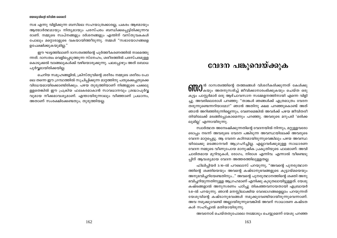സഭ എന്നു വിളിക്കുന്ന ബസിലെ സഹയാത്രക്കാരല്ല, പകരം ആഴമായും ആത്മാർത്ഥമായും നിതൃമായും പരസ്പരം ബന്ധിക്കപ്പെട്ടിരിക്കുന്നവ രാണ്. നമ്മുടെ സ്വപ്നങ്ങളും ദർശനങ്ങളും എന്തിന് വസ്തുവകകൾ പോലും മറ്റൊരാളുടെ വകയായിത്തീരുന്നു. നമ്മൾ "സഭായോഗങ്ങളെ ഉപേക്ഷിക്കുകയുമില്ല."

ഈ ഘട്ടത്തിലാണ് ദാസത്വത്തിന്റെ പൂർത്തീകരണത്തിൽ നാമെത്തു ന്നത്. ദാസത്വം വെളിപ്പെടുത്തുന്ന സ്നേഹം, ശരീരത്തിൽ പരസ്പരമുള്ള കൊടുക്കൽ വാങ്ങലുകൾക്ക് വഴിയൊരുക്കുന്നു. പലപ്പോഴും അത് ബോധ പൂർവ്വമായിരിക്കയില്ല.

ചെറിയ സമുഹങ്ങളിൽ, ക്രിസ്തുവിന്റെ ശരീരം നമ്മുടെ ശരീരം പോ ലെ തന്നെ ഈ ഗ്രന്ഥത്തിൽ സൂചിപ്പിക്കുന്ന മാറ്റത്തിനു പതുക്കെപ്പതുക്കെ വിധേയമായിക്കൊണ്ടിരിക്കും. പഴയ തുരുത്തിയാണ് നിങ്ങളുടെ പക്കലു ള്ളതെങ്കിൽ ഈ പ്രക്രിയ ഫലകരമാകാൻ സാവധാനവും ശ്രദ്ധാപൂർവ്വ വുമായ നീക്കമാവശ്യമാണ്. എന്തായിരുന്നാലും വീഞ്ഞാണ് പ്രധാനം, അതാണ് സംരക്ഷിക്കേണ്ടതും; തുരുത്തിയല്ല.

# വേദന പങ്കുവെയ്ക്കുക

**61000** <sup>ൻ ദാസത്വത്തിന്റെ തത്ത്വങ്ങൾ വിശദീകരിക്കുന്നത് കേൾക്കു<br>തന്നി കയും അതനുസരിച്ച് ജീവിക്കാനാരംഭിക്കുകയും ചെയ്ത ഒരു</sup> കുട്ടം പാസ്റ്റർമാർ ഒരു ആഴ്ചാവസാന സമ്മേളനത്തിനായി എന്നെ വിളി ച്ചു. അവരിലൊരാൾ പറഞ്ഞു: "താങ്കൾ ഞങ്ങൾക്ക് എത്രമാത്രം വേദന തരുന്നുണ്ടെന്നറിയാമോ?" ഞാൻ അതിനു ക്ഷമ പറഞ്ഞുകൊണ്ട് അത് ഞാൻ അറിഞ്ഞിരുന്നില്ലെന്നും, വേണമെങ്കിൽ അവർക്ക് പഴയ ജീവിതരീ തിയിലേക്ക് മടങ്ങിപ്പോകാമെന്നും പറഞ്ഞു. അവരുടെ മറുപടി 'ഒരിക്ക ലുമില്ല' എന്നായിരുന്നു.

സ്വാർത്ഥത അന്വേഷിക്കുന്നതിന്റെ വേദനയിൽ നിന്നും, മറ്റുള്ളവരോ ടൊപ്പം നടന്ന് അവരുടെ വേദന പങ്കിടുന്ന അവസ്ഥയിലേക്ക് അവരുടെ വേദന മാറ്റപ്പെട്ടു. ആ വേദന കഠിനമായിരുന്നുവെങ്കിലും പഴയ അവസ്ഥ യിലേക്കു മടങ്ങാനവർ ആഗ്രഹിച്ചില്ല. എല്ലാവർക്കുമുള്ള സാധാരണ വേദന നമ്മുടെ വീണുപോയ മാനുഷിക പ്രകൃതിയുടെ ഫലമാണ്: അവി ചാരിതമായ മുറിവുകൾ, രോഗം, നിരാശ എന്നിവ. എന്നാൽ വീണ്ടെടു പ്പിന് ആവശ്യമായ വേദന അത്തരത്തിലുള്ളതല്ല.

ഫിലിപ്പിയർ 3:10-ൽ പൗലൊസ് പറയുന്നു, "അവന്റെ പുനരുത്ഥാന ത്തിന്റെ ശക്തിയെയും അവന്റെ കഷ്ടാനുഭവങ്ങളുടെ കൂട്ടായ്മയെയും അനുഭവിച്ചറിയേണ്ടതിനും..." അവന്റെ പുനരുത്ഥാനത്തിന്റെ ശക്തി അനു ഭവിച്ചറിയുന്നതിനുള്ള ആഗ്രഹമാണ് എനിക്കു കൂടുതലായിട്ടുള്ളത്. യേശു കഷ്ടങ്ങളാൽ അനുസരണം പഠിച്ചു തികഞ്ഞവനായതായി എബ്രായർ 5:8–ൽ പറയുന്നു. ഞാൻ മനസ്സിലാക്കിയ വേദഭാഗങ്ങളെല്ലാം പറയുന്നത് യേശുവിന്റെ കഷ്ടാനുഭവങ്ങൾ നമുക്കുവേണ്ടിയായിരുന്നുവെന്നാണ്. അവ നമുക്കുവേണ്ടി അല്ലായിരുന്നുവെങ്കിൽ അവന് സാധാരണ കഷ്ടത കൾ സഹിച്ചാൽ മതിയായിരുന്നു.

അവനോട് ചെയ്തതുപോലെ നമ്മോടും ചെയ്യുമെന്ന് യേശു പറഞ്ഞ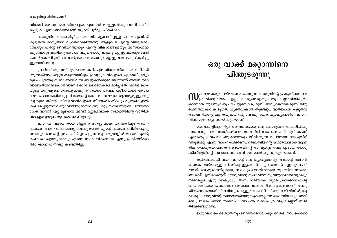തിനാൽ യേശുവിനെ പിൻപറ്റുക എന്നാൽ മറ്റുള്ളവർക്കുവേണ്ടി കഷ്ട പ്പെടുക എന്നാണർത്ഥമെന്ന് യുക്തിപൂർവ്വം ചിന്തിക്കാം.

യേശുവിനെ കോപിപ്പിച്ച സംഗതികളെക്കുറിച്ചുള്ള പഠനം എനിക്ക് കൂടുതൽ കാര്യങ്ങൾ വ്യക്തമാക്കിത്തന്നു. ആളുകൾ എന്റെ വഴിമുടക്കു മ്പോഴും എന്റെ ജീവിതത്തെയും എന്റെ വികാരങ്ങളെയും അസ്വസ്ഥമാ ക്കുമ്പോഴും എനിക്കു കോപം വരും. യേശുവാകട്ടെ മറ്റുള്ളവർക്കുവേണ്ടി യാണ് കോപിച്ചത്. അവന്റെ കോപം പോലും മറ്റുള്ളവരെ കേന്ദ്രീകരിച്ചു ള്ളതായിരുന്നു.

പ്രാർത്ഥിക്കുന്നതിനും യാഗം കഴിക്കുന്നതിനും വിശ്വാസം സ്വീകരി ക്കുന്നതിനും ആഗ്രഹമുണ്ടായിട്ടും ദ്രവ്യാഗ്രഹികളുടെ ഏകാധിപത്യം മൂലം പുറത്തു നിൽക്കേണ്ടിവന്ന ആളുകൾക്കുവേണ്ടിയാണ് അവൻ ദൈ വാലയത്തിലെ പൊൻവാണിഭക്കാരുടെ മേശകളെ മറിച്ചിട്ടത്. വരണ്ട കൈ യുള്ള മനുഷ്യനെ സൗഖ്യമാക്കുന്ന സമയം അവൻ പരീശന്മാരെ കോപ ത്തോടെ നോക്കിയപ്പോൾ അവന്റെ കോപം, സൗഖ്യം ആവശ്യമുള്ള മനു ഷ്യനുവേണ്ടിയും നിയമവാദികളുടെ സ്നേഹരഹിത പ്രവൃത്തികളാൽ കഷ്ടപ്പെടുന്നവർക്കുവേണ്ടിയുമായിരുന്നു. മറ്റു സമയങ്ങളിൽ പരീശന്മാ രോട് അവൻ ഏറ്റുമുട്ടിയത് അവർ മറ്റുള്ളവർക്ക് സ്വർഗ്ഗത്തിന്റെ വാതിൽ അടച്ചുകളയുന്നതുകൊണ്ടായിരുന്നു.

ഞാനത് വളരെ താമസിച്ചാണ് മനസ്സിലാക്കിയതെങ്കിലും അവന് കോപം വരുന്ന വിഷയങ്ങളിലേക്കു മാത്രം എന്റെ കോപം പരിമിതപ്പെടു ത്താനും അവന്റെ ശ്രദ്ധ പിടിച്ചു പറ്റുന്ന ആവശ്യങ്ങളിൽ മാത്രം എന്റെ കഷ്ടതകളൊതുക്കാനും എന്നെ സഹായിക്കണമേ എന്നു പ്രാർത്ഥിക്കാ തിരിക്കാൻ എനിക്കു കഴിഞ്ഞില്ല.

# ഒരു വാക്ക് മറ്റൊന്നിനെ പിന്തുടരുന്നു

 $\mathbf{m}$ കലത്തെയും പരിരംഭണം ചെയ്യുന്ന യേശുവിന്റെ പ്രകൃതിയെ നാം<br> $\mathbf{m}$ ഗ്രഹിക്കുകയും എല്ലാ കാര്യങ്ങളെയും ആ കണ്ണാടിയിലൂടെ കാണാൻ തുടങ്ങുകയും ചെയ്യുമ്പോൾ, മുമ്പ് അവൃക്തമായിരുന്ന തിരു വെഴുത്തുകൾ കൂടുതൽ വ്യക്തമാകാൻ തുടങ്ങും. അതിനാൽ കൂടുതൽ ആഴമേറിയതും ലളിതവുമായ ഒരു വേദപുസ്തക വ്യാഖ്യാനരീതി ഞാനി വിടെ മുന്നോട്ടു വെയ്ക്കുകയാണ്.

ബൈബിളിലുടനീളം ആന്തരികമായ ഒരു പൊരുത്തം നിലനിൽക്കു ന്നുവെന്നു നാം അംഗീകരിക്കുന്നുവെങ്കിൽ നാം ഒരു പടി കുടി കടന്ന് എഴുതപ്പെട്ട വചനം ഒരുകാലത്തും ജീവിക്കുന്ന വചനമായ യേശുവിന് വിരുദ്ധമല്ല എന്നു അംഗീകരിക്കണം. ബൈബിളിന്റെ യഥാർത്ഥമായ ആന്ത രിക പൊരുത്തമെന്നത് ദൈവത്തിന്റെ സമ്പൂർണ്ണ വെളിപ്പാടായ യേശു ക്രിസ്തുവിന്റെ സ്വഭാവത്തെ അത് ശരിവെയ്ക്കുന്നു എന്നതാണ്.

തൽഫലമായി വചനത്തിന്റെ ഒരു വ്യാഖ്യാനവും അവന്റെ ദാസൻ, മാതൃക, താഴ്മയുള്ളവൻ, ശിശു, ഇളയവൻ, ഒടുക്കത്തവൻ, ഏറ്റവും ചെറി യവൻ, ബഹുമാനമില്ലാത്ത, ബലം പ്രയോഗിക്കാത്ത തുടങ്ങിയ സ്വഭാവ ങ്ങൾക്ക് എതിരാകരുത്. യേശുവിന്റെ സ്വഭാവത്തിനു വിരുദ്ധമായി വ്യാഖ്യാ നിക്കപ്പെട്ട ഏതു വാകൃവും, അതു ശരിയായി വ്യാഖ്യാനിക്കാനാവശ്യ മായ ശരിയായ പ്രകാശനം ലഭിക്കും വരെ മാറ്റിവെക്കേണ്ടതാണ്. അതു തിരുവെഴുത്തായി നിലനിന്നുകൊള്ളും. നാം വീക്ഷിക്കുന്ന രീതിയിൽ, ആ വാക്യം യേശുവിന്റെ സ്വഭാവത്തിനനുസൃതമല്ലെന്നു തോന്നിയാലും അതി നെ പ്രഖ്യാപിക്കാൻ തക്കവിധം നാം ആ വാക്യം ഗ്രഹിച്ചിട്ടില്ലെന്ന് സമ്മ തിക്കേണ്ടതാണ്.

ഇതുവരെ ഉപദേശത്തിനും ജീവിതശൈലിക്കും വേണ്ടി നാം ഉപയോ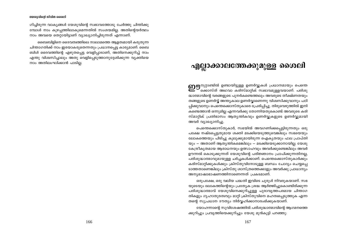ഗിച്ചിരുന്ന വാക്യങ്ങൾ യേശുവിന്റെ സ്വഭാവത്തോടു ചേർത്തു ചിന്തിക്കു മ്പോൾ നാം കുഴപ്പത്തിലാകുമെന്നതിൽ സംശയമില്ല. അതിന്റെയർത്ഥം നാം അവയെ തെറ്റായിട്ടാണ് വ്യാഖ്യാനിച്ചിരുന്നത് എന്നാണ്.

ബൈബിളിനെ ദൈവത്വത്തിലെ നാലാമത്തെ ആളത്വമായി കരുതുന്ന ചിന്താഗതിക്ക് നാം ഇരയാകരുതെന്നതും പ്രധാനപ്പെട്ട കാര്യമാണ്. ബൈ ബിൾ ദൈവത്തിന്റെ എഴുതപ്പെട്ട വെളിപ്പാടാണ്, അതിനെക്കുറിച്ച് നാം എന്തു വിശ്വസിച്ചാലും അതു വെളിപ്പെടുത്താനുദ്ദേശിക്കുന്ന വൃക്തിയെ നാം അതിലംഘിക്കാൻ പാടില്ല.

# എല്ലാക്കാലത്തേക്കുമുള്ള ശൈലി

**റ്റിന്ന**നൂറ്റാണ്ടിൽ ഉണ്ടായിട്ടുള്ള ഉണർവ്വുകൾ പ്രധാനമായും പെന്തെ ക്കാസ്ത് അഥവാ കരിസ്മാറ്റിക് സ്വഭാവമുള്ളവയാണ്. പരിശു ദ്ധാത്മാവിന്റെ വരങ്ങളുടെ പുനർകണ്ടെത്തലും അവരുടെ തീക്ഷ്ണതയും തങ്ങളുടെ ഉണർവ്വ് അന്ത്യകാല ഉണർവ്വാണെന്നു വിശ്വസിക്കുവാനും പഠി പ്പിക്കുവാനും പെന്തെക്കൊസ്തുകാരെ പ്രേരിപ്പിച്ചു. തിരുവെഴുത്തിൽ ഇനി കണ്ടെത്താൻ ഒന്നുമില്ല എന്നവർക്കു തോന്നിയതുകൊണ്ട് അവരുടെ കരി സ്മാറ്റിക് പ്രതിഭാസം ആതൃന്തികവും ഉണർവ്വുകളുടെ ഉണർവ്വുമായി അവർ വ്യാഖ്യാനിച്ചു

പെന്തെക്കൊസ്തുകാർ, സഭയിൽ അവഗണിക്കപ്പെട്ടിരുന്നതും ഒരു പക്ഷേ നഷ്ടപ്പെട്ടതുമായ ശക്തി മടക്കിയെടുത്തുവെങ്കിലും സഭയെയും ലോകത്തെയും പിടിച്ചു കുലുക്കുമായിരുന്ന ഐകൃതയും ഫല പ്രാപ്തി യും — അതാണ് ആതൃന്തികമെങ്കിലും — മടക്കിയെടുക്കാനായില്ല. യേശു കേന്ദ്രീകൃതമായ ആരാധനയും ഉത്സാഹവും അവർക്കുണ്ടെങ്കിലും അവർ ഊന്നൽ കൊടുക്കുന്നത് യേശുവിന്റെ പരിജ്ഞാനം പ്രാപിക്കുന്നതിനല്ല, പരിശുദ്ധാത്മാവുമായുള്ള ചർച്ചകൾക്കാണ്. പെന്തെക്കൊസ്തുകാർക്കും കരിസ്മാറ്റിക്കുകൾക്കും ക്രിസ്തുവിനോടുള്ള ബന്ധം ചോദ്യം ചെയ്യപ്പെ ടാത്തതാണെങ്കിലും ക്രിസ്തു ശാസ്ത്രത്തെക്കാളും അവർക്കു പ്രാധാന്യം അന്യഭാഷാഭാഷണത്തിനാണെന്നത് പ്രകടമാണ്.

ഒരുപക്ഷേ, ഒരു വലിയ പദ്ധതി ഇവിടെ ചുരുൾ നിവരുകയാണ്. സഭ യുടെയും ലോകത്തിന്റെയും പ്രത്യേക ശ്രദ്ധ ആർജ്ജിച്ചുകൊണ്ടിരിക്കുന്ന പരിശുദ്ധാത്മാവ് യേശുവിനെക്കുറിച്ചുള്ള പുരാവൃത്തപരമായ ചിന്താഗ തികളും ഗൃഹാതുരത്വവും മാറ്റി ക്രിസ്തുവിനെ മഹത്വപ്പെടുത്തുക എന്ന തന്റെ സുപ്രധാന ദൗത്യം നിർവ്വഹിക്കാനാരംഭിക്കുകയാണ്.

യോഹന്നാന്റെ സുവിശേഷത്തിൽ പരിശുദ്ധാത്മാവിന്റെ ആഗമനത്തെ ക്കുറിച്ചും പ്രവൃത്തിയെക്കുറിച്ചും യേശു മുൻകൂട്ടി പറഞ്ഞു: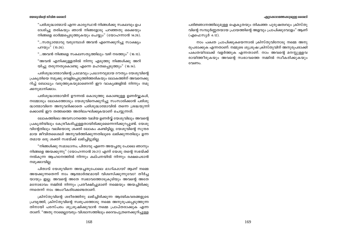#### എലാക്കാലത്തേക്കുമുള്ള ശൈലി

#### യേശുവിന്റെ ജീവിത ശൈലി

"പരിശുദ്ധാത്മാവ് എന്ന കാര്യസ്ഥൻ നിങ്ങൾക്കു സകലവും ഉപ ദേശിച്ചു തരികയും ഞാൻ നിങ്ങളോടു പറഞ്ഞതു ഒക്കെയും നിങ്ങളെ ഓർമ്മപ്പെടുത്തുകയും ചെയ്യും" (യോഹന്നാൻ 14:26).

"...സത്യാത്മാവു വരുമ്പോൾ അവൻ എന്നെക്കുറിച്ചു സാക്ഷ്യം പറയും" (15:26).

"...അവൻ നിങ്ങളെ സകലസത്യത്തിലും വഴി നടത്തും" (16:13).

"അവൻ എനിക്കുള്ളതിൽ നിന്നു എടുത്തു നിങ്ങൾക്കു അറി യിച്ചു തരുന്നതുകൊണ്ടു എന്നെ മഹത്വപ്പെടുത്തും" (16:14).

പരിശുദ്ധാത്മാവിന്റെ പ്രഥമവും പ്രധാനവുമായ ദൗത്യം യേശുവിന്റെ പ്രകൃതിയെ നമുക്കു വെളിപ്പെടുത്തിത്തരികയും ലോകത്തിന് അവനെക്കു റിച്ച് ബോധ്യം വരുത്തുകയുമാണെന്ന് ഈ വാക്യങ്ങളിൽ നിന്നും നമു ക്കനുമാനിക്കാം.

പരിശുദ്ധാത്മാവിന് ഊന്നൽ കൊടുത്തു കൊണ്ടുള്ള ഉണർവ്വുകൾ, നമ്മോടും ലോകത്തോടും യേശുവിനെക്കുറിച്ചു സംസാരിക്കാൻ പരിശു ദ്ധാത്മാവിനെ അനുവദിക്കാതെ പരിശുദ്ധാത്മാവിൽ തന്നെ ശ്രദ്ധയുന്നി ക്കൊണ്ട് ഈ തത്ത്വത്തെ അതിലംഘിക്കുകയാണ് ചെയ്യുന്നത്.

ലോകത്തിലെ അവസാനത്തെ വലിയ ഉണർവ്വ് യേശുവിലും അവന്റെ പ്രകൃതിയിലും കേന്ദ്രീകരിച്ചുള്ളതായിരിക്കുമെന്നെനിക്കുറപ്പുണ്ട്. യേശു വിന്റേതിലും വലിയൊരു ശക്തി ലോകം കണ്ടിട്ടില്ല, യേശുവിന്റെ സുന്ദര മായ ജീവിതശൈലി അനുവർത്തിക്കുന്നതിലൂടെ ലഭിക്കുന്നതിലും ഉന്ന തമായ ഒരു ശക്തി സഭയ്ക്ക് ലഭിച്ചിട്ടുമില്ല.

"നിങ്ങൾക്കു സമാധാനം; പിതാവു എന്നെ അയച്ചതു പോലെ ഞാനും നിങ്ങളെ അയക്കുന്നു" (യോഹന്നാൻ 20:21) എന്ന് യേശു തന്റെ സഭയ്ക്ക് നൽകുന്ന ആഹ്വാനത്തിൽ നിന്നും കല്പനയിൽ നിന്നും രക്ഷപെടാൻ നമുക്കാവില്ല.

പിതാവ് യേശുവിനെ അയച്ചതുപോലെ *ഭാഗികമായി ആണ്* നമ്മെ അയക്കുന്നതെന്ന് നാം ആത്മാർത്ഥമായി വിശ്വസിക്കുന്നുവോ? തീർച്ച യായും ഇല്ല. അവന്റെ അതേ സ്വഭാവത്തോടുകൂടിയും അവന്റെ അതേ മനോഭാവം നമ്മിൽ നിന്നും പ്രതീക്ഷിച്ചുമാണ് നമ്മെയും അയച്ചിരിക്കു ന്നതെന്ന് നാം അംഗീകരിക്കേണ്ടതാണ്.

ക്രിസ്തുവിന്റെ ശരീരത്തിനു ലഭിച്ചിരിക്കുന്ന ആത്മികവരങ്ങളുടെ പ്രവൃത്തി, ക്രിസ്തുവിന്റെ സ്വരൂപത്തോടു നമ്മെ അനുരൂപപ്പെടുത്തുന്ന തിനായി പരസ്പരം ശുശ്രൂഷിക്കുവാൻ നമ്മെ പ്രാപ്തരാക്കുക എന്ന താണ്. "അതു നാമെല്ലാവരും വിശ്വാസത്തിലും ദൈവപുത്രനെക്കുറിച്ചുള്ള

പരിജ്ഞാനത്തിലുമുള്ള ഐകൃതയും തികഞ്ഞ പുരുഷത്വവും ക്രിസ്തു വിന്റെ സമ്പൂർണ്ണതയായ പ്രായത്തിന്റെ അളവും പ്രാപിക്കുവോളം" ആണ് (എഫെസ്യർ 4:12).

നാം പക്വത പ്രാപിക്കുകയെന്നാൽ ക്രിസ്തുവിനോടു നമ്മെ അനു രുപരാക്കുക എന്നതാണ്. നമ്മുടെ ശുശ്രുഷ ക്രിസ്തുവിന് അനുരുപരാക്കി പക്വതയിലേക്ക് വളർത്തുക എന്നതാണ്. നാം അവന്റെ മനസ്സള്ളവ രായിത്തീരുകയും അവന്റെ സ്വഭാവത്തെ നമ്മിൽ സ്വീകരിക്കുകയും വേണം.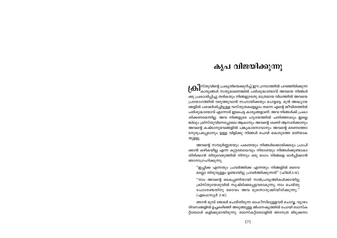# കൃപ വിജയിക്കുന്നു

 $\lfloor \Theta \rfloor^{\text{no}}$ തുവിന്റെ പ്രകൃതിയെക്കുറിച്ച് ഈ ഗ്രന്ഥത്തിൽ പറഞ്ഞിരിക്കുന്ന<br>കാര്യങ്ങൾ സത്യമാണെങ്കിൽ പരിശുദ്ധാത്മാവ് അവയെ നിങ്ങൾ ക്കു പ്രകാശിപ്പിച്ചു തരികയും നിങ്ങളുടേതു മാത്രമായ വിധത്തിൽ അവയെ പ്രയോഗത്തിൽ വരുത്തുവാൻ സഹായിക്കയും ചെയ്യട്ടെ. മുൻ അദ്ധ്യായ ങ്ങളിൽ പരാമർശിച്ചിട്ടുള്ള വസ്തുതകളെല്ലാം തന്നെ എന്റെ ജീവിതത്തിൽ പരിശുദ്ധാത്മാവ് എന്നോട് ഇടപെട്ട കാര്യങ്ങളാണ്. അവ നിങ്ങൾക്ക് പ്രകാ ശിക്കണമെന്നില്ല. അവ നിങ്ങളുടെ ഹൃദയത്തിൽ പതിഞ്ഞാലും ഇല്ലെ ങ്കിലും ക്രിസ്തുവിനെപ്പോലെ ആകാനും അവന്റെ ശക്തി ആസ്വദിക്കാനും അവന്റെ കഷ്ടാനുഭവങ്ങളിൽ പങ്കുകാരനാവാനും അവന്റെ മരണത്തോ ടനുരൂപപ്പെടാനും ഉള്ള വിളിക്കു നിങ്ങൾ ചെവി കൊടുത്തേ മതിയാക യുള്ളു.

അവന്റെ സമ്പൂർണ്ണതയും പക്വതയും നിങ്ങൾക്കൊരിക്കലും പ്രാപി ക്കാൻ കഴികയില്ല എന്ന കുറ്റബോധവും നിരാശയും നിങ്ങൾക്കുണ്ടാകാ തിരിക്കാൻ തിരുവെഴുത്തിൽ നിന്നും ഒരു ഭാഗം നിങ്ങളെ ഓർപ്പിക്കാൻ ഞാനാഗ്രഹിക്കുന്നു.

"ഇച്ചിക്ക എന്നതും പ്രവർത്തിക്ക എന്നതും നിങ്ങളിൽ ദൈവ മല്ലോ തിരുവുള്ളം ഉണ്ടായിട്ടു പ്രവർത്തിക്കുന്നത്" (ഫിലി.2:13).

"നാം അവന്റെ കൈപ്പണിയായി സൽപ്രവൃത്തികൾക്കായിട്ടു ക്രിസ്തുയേശുവിൽ സൃഷ്ടിക്കപ്പെട്ടവരാകുന്നു; നാം ചെയ്തു പോരേണ്ടതിനു ദൈവം അവ മുന്നൊരുക്കിയിരിക്കുന്നു.' (എഫെസ്യർ 2:10).

ഞാൻ മുമ്പ് ജോലി ചെയ്തിരുന്ന ഓഫീസിലുള്ളവർ ചൊവ്വ, വ്യാഴം ദിവസങ്ങളിൽ ഉച്ചകഴിഞ്ഞ് അടുത്തുള്ള ജിംനേഷ്യത്തിൽ പോയി ബാസ്ക റ്റ്ബോൾ കളിക്കുമായിരുന്നു. ബാസ്കറ്റ്ബോളിൽ ഞാനത്ര മിടുക്കനാ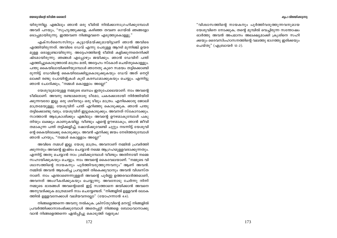#### കപ്ര വിജയിക്കുന്നു

#### യേശുവിന്റെ ജീവിത ശൈലി

യിരുന്നില്ല. എങ്കിലും ഞാൻ ഒരു ടീമിൽ നിൽക്കാനാഗ്രഹിക്കുമ്പോൾ അവർ പറയും, "സുഹൃത്തുക്കളേ, കഴിഞ്ഞ തവണ ഗെയ്ൽ ഞങ്ങളോ ടൊപ്പമായിരുന്നു. ഇത്തവണ നിങ്ങളവനെ എടുത്തുകൊള്ളു."

എക്സർസൈസിനും കൂട്ടായ്മയ്ക്കുമായിട്ടാണ് ഞാൻ അവിടെ എത്തിയിരുന്നത്. അവിടെ ഡേവ് എന്നു പേരുള്ള ആറടി മുന്നിഞ്ച് ഉയര മുള്ള ഒരാളുണ്ടായിരുന്നു. അദ്ദേഹത്തിന്റെ ടീമിൽ കളിക്കുന്നതെനിക്കി ഷ്ടമായിരുന്നു. ഞങ്ങൾ എപ്പോഴും ജയിക്കും. ഞാൻ ഡേവിന് പന്ത് എത്തിച്ചുകൊടുത്താൽ മാത്രം മതി, അദ്ദേഹം സ്കോർ ചെയ്തുകൊള്ളും. പന്തു കൈയിലായിക്കഴിയുമ്പോൾ ഞാനതു കുറെ സമയം തട്ടിക്കൊണ്ടി രുന്നിട്ട് ഡേവിന്റെ കൈയിലേക്കിട്ടുകൊടുക്കുകയും ഡേവ് അത് നെറ്റി ലാക്കി രണ്ടു പോയിന്റുകൾ കുടി കരസ്ഥമാക്കുകയും ചെയ്യും. എന്നിട്ടു ഞാൻ ചോദിക്കും, "നമ്മൾ കൊള്ളാം അല്ലേ?"

യേശുവുമായുള്ള നമ്മുടെ ബന്ധം ഇതുപോലെയാണ്. നാം അവന്റെ ടീമിലാണ്. അവനു രണ്ടാമതൊരു ടീമോ, പകരക്കാരായി നിർത്തിയിരി ക്കുന്നവരോ ഇല്ല. ഒരു ശരീരവും ഒരു ടീമും മാത്രം. എനിക്കൊരു ജോലി മാത്രമേയുള്ളു. യേശുവിന് പന്ത് എറിഞ്ഞു കൊടുക്കുക. ഞാൻ പന്തു തട്ടിക്കൊണ്ടു വരും. യേശുവിന് ഇട്ടുകൊടുക്കും. അവനത് സ്കോറാക്കും. സാത്താൻ ആക്രോശിക്കും എങ്കിലും അവന്റെ ഊഴമാകുമ്പോൾ പകു തിയും ലക്ഷ്യം കാണുകയില്ല. വീണ്ടും എന്റെ ഊഴമാകും, ഞാൻ ജീവി തമാകുന്ന പന്ത് തട്ടിക്കളിച്ച്, ഷോയ്ക്കുവേണ്ടി ചുറ്റും നടന്നിട്ട് യേശുവി ന്റെ കൈയിലേക്കു കൊടുക്കും. അവൻ എനിക്കു ജയം നേടിത്തരുമ്പോൾ ഞാൻ പറയും, "നമ്മൾ കൊള്ളാം അല്ലേ?"

അവിടെ *നമ്മൾ* ഇല്ല. യേശു മാത്രം, അവനാണ് നമ്മിൽ പ്രവർത്തി ക്കുന്നതും അവന്റെ ഇഷ്ടം ചെയ്യാൻ നമ്മെ ആഗ്രഹമുള്ളവരാക്കുന്നതും. എന്നിട്ട് അതു ചെയ്യാൻ നാം ശ്രമിക്കുമ്പോൾ വീണ്ടും അതിനായി നമ്മെ സഹായിക്കുകയും ചെയ്യും. നാം അവന്റെ കൈവേലയാണ്. "നമ്മുടെ വി ശ്വാസത്തിന്റെ നായകനും പൂർത്തിവരുത്തുന്നവനും" ആണ് അവൻ. നമ്മിൽ അവൻ ആരംഭിച്ച പ്രവൃത്തി തികെക്കുവാനും അവൻ വിശ്വസ്ത നാണ്. നാം എന്താണെന്നുള്ളത് അവന്റെ പൂർണ്ണ ഉത്തരവാദിത്തമാണ്, അവനത് അംഗീകരിക്കുകയും ചെയ്യുന്നു. അവനോടു ചേർന്നു നിന്ന് നമ്മുടെ ഭാരങ്ങൾ അവന്റെമേൽ ഇട്ട് സാത്താനെ ജയിക്കാൻ അവനെ അനുവദിക്കുക മാത്രമാണ് നാം ചെയ്യേണ്ടത്. "നിങ്ങളിൽ ഉള്ളവൻ ലോക ത്തിൽ ഉള്ളവനേക്കാൾ വലിയവനല്ലോ" (യോഹന്നാൻ 4:4).

നിങ്ങളെത്തന്നെ അവനു നൽകുക. ക്രിസ്തുവിന്റെ മനസ്സ് നിങ്ങളിൽ പ്രവർത്തിക്കാനാരംഭിക്കുമ്പോൾ അതെപ്പറ്റി നിങ്ങളെ ബോധവാനാക്കു വാൻ നിങ്ങളെത്തന്നെ ഏൽപ്പിച്ചു കൊടുത്ത് വളരുക!

"വിശ്വാസത്തിന്റെ നായകനും പൂർത്തിവരുത്തുന്നവനുമായ യേശുവിനെ നോക്കുക; തന്റെ മുമ്പിൽ വെച്ചിരുന്ന സന്തോഷം ഓർത്തു അവൻ അപമാനം അലക്ഷ്യമാക്കി ക്രൂശിനെ സഹി ക്കയും ദൈവസിംഹാസനത്തിന്റെ വലത്തു ഭാഗത്തു ഇരിക്കയും ചെയ്തു" (എബ്രായർ 12:2).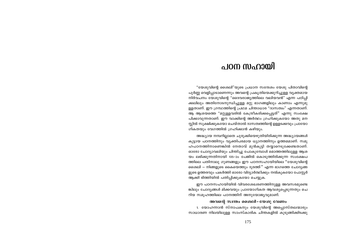# പറന സഹായി

"യേശുവിന്റെ ശൈലി"യുടെ പ്രധാന സന്ദേശം യേശു പിതാവിന്റെ പൂർണ്ണ വെളിപ്പാടാണെന്നും അവന്റെ പ്രകൃതിയെക്കുറിച്ചുള്ള വ്യക്തമായ നിർവചനം യേശുവിന്റെ "ദൈവരാജ്യത്തിലെ വലിയവൻ" എന്ന പഠിപ്പി ക്കലിലും അതിനോടനുന്ധിച്ചുള്ള മറ്റു ഭാഗങ്ങളിലും കാണാം എന്നുമു ള്ളതാണ്. ഈ ഗ്രന്ഥത്തിന്റെ പ്രഥമ ചിന്താധാര "ദാസത്വം" എന്നതാണ്. ആ ആശയത്തെ "മറ്റുള്ളവരിൽ കേന്ദ്രീകരിക്കപ്പെട്ടത്" എന്നു സംക്ഷേ പിക്കാവുന്നതാണ്. ഈ വാക്കിന്റെ അർത്ഥം ഗ്രഹിക്കുകയോ അതു മന സ്റ്റിൽ സുക്ഷിക്കുകയോ ചെയ്താൽ ദാസത്വത്തിന്റെ ഉള്ളടക്കവും പ്രായോ ഗികതയും വേഗത്തിൽ ഗ്രഹിക്കാൻ കഴിയും.

അദ്ധ്യായ നമ്പറില്ലാതെ ചുരുക്കിയെഴുതിയിരിക്കുന്ന അദ്ധ്യായങ്ങൾ കൂട്ടായ പഠനത്തിനും വ്യക്തിപരമായ ധ്യാനത്തിനും ഉത്തമമാണ്. സമൂ ഹപഠനത്തിനാണെങ്കിൽ നേതാവ് മുൻകുട്ടി തയ്യാറെടുക്കേണ്ടതാണ്. ഓരോ ചോദ്യാവലിയും ചിന്തിച്ചു പോകുമ്പോൾ മൊത്തത്തിലുള്ള ആശ യം ലഭിക്കുന്നതിനായി 135-ാം പേജിൽ കൊടുത്തിരിക്കുന്ന സംക്ഷേപ ത്തിലെ പതിനാലു ഗുണങ്ങളും ഈ പഠനസഹായിയിലെ ''യേശുവിന്റെ ശൈലി — നിങ്ങളുടെ കൈയെത്തും ദൂരത്ത്'' എന്ന ഭാഗത്തെ ചോദൃങ്ങ ളുടെ ഉത്തരവും പകർത്തി ഓരോ വിദ്യാർത്ഥിക്കും നൽകുകയോ പോസ്റ്റർ ആക്കി ഭിത്തിയിൽ പതിപ്പിക്കുകയോ ചെയ്യുക.

ഈ പഠനസഹായിയിൽ വിവരശേഖരണത്തിനുള്ള അവസരമുണ്ടെ ങ്കിലും ചോദ്യങ്ങൾ മിക്കവയും പ്രായോഗികത ആവശ്യപ്പെടുന്നതും ചെ റിയ സമൂഹത്തിലെ പഠനത്തിന് അനുയോജ്യവുമാണ്.

# അവന്റെ സ്ഥതം ശൈലി - യേശു വേണം

1. യോഹന്നാൻ സ്നാപകനും യേശുവിന്റെ അപ്പൊസ്തലന്മാരും സാധാരണ നിലയിലുള്ള സാംസ്കാരിക ചിന്തകളിൽ കുടുങ്ങിക്കിടക്കു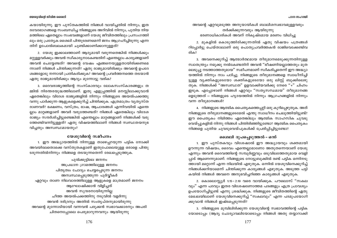അവന്റെ ഏറ്റവുമടുത്ത അനുയായികൾ ബാലിശസ്വഭാവമുള്ളവരും തർക്കിക്കുന്നവരും ആയിരുന്നു ഭരണാധികാരികൾ അവന് നികൃഷ്ടമായ മരണം വിധിച്ചു

2. മുകളിൽ കൊടുത്തിരിക്കുന്നതിൽ ഏതു വിഷയം പത്രങ്ങൾ റിപ്പോർട്ടു ചെയ്താലാണ് ഒരു പൊതുപ്രവർത്തകൻ രാജിവെക്കേണ്ടിവ രിക്

3. അവനെക്കുറിച്ച് ആത്മാർത്ഥമായ തീരുമാനമെടുക്കുന്നതിനുള്ള സ്വാതന്ത്ര്യം നമുക്കു നൽകേണ്ടതിന് അവൻ ''ഭീഷണിയല്ലാത്തതും മുത ലെടുപ്പു നടത്താത്തതുമായ'' സമീപനമാണ് സ്വീകരിച്ചതെന്ന് ഈ അദ്ധ്യാ യത്തിൽ നിന്നും നാം പഠിച്ചു. നിങ്ങളുടെ തീരുമാനങ്ങളെ സ്വാധീനിച്ചി ട്ടുള്ള വൃക്തികളുടെയോ ശക്തികളുടെയോ ഒരു ലിസ്റ്റ് ബുക്കിലെഴു തുക. നിങ്ങൾക്ക് ''അസ്വസ്ഥത'' ഉളവാക്കിയവർക്കു നേരെ ''+'' ചിഹ്നം ഇടുക. എപ്പോഴാണ് നിങ്ങൾ ഏറ്റവും ''സത്യസന്ധമായ'' തീരുമാനങ്ങ ളെടുത്തത് — നിങ്ങളുടെ ഹൃദയത്തിൽ നിന്നും ആഗ്രഹങ്ങളിൽ നിന്നും വന്ന തീരുമാനങ്ങൾ?

4. നിങ്ങളുടെ ആത്മിക പൈതൃകത്തെപ്പറ്റി ഒരു കുറിപ്പെഴുതുക. അത് നിങ്ങളുടെ തീരുമാനങ്ങളുടെമേൽ എന്തു സ്വാധീനം ചെലുത്തിയിട്ടുണ്ട്? ഈ പൈത്യകം നിമിത്തം ഏതെങ്കിലും ആത്മിക സാഹസിക ചുവടു വെയ്പ്പുകളിൽ നിന്നു നിങ്ങൾ പിന്തിരിഞ്ഞിട്ടുണ്ടോ? ആത്മിക പൈതൃകം നിങ്ങളെ പുതിയ ചുവടുവെയ്പുകൾക്ക് പ്രേരിപ്പിച്ചിട്ടുണ്ടോ?

# ശൈലി രൂപപ്പെടുത്തൽ - ഒന്ന്

1. ഈ പുസ്തകവും വിശേഷാൽ ഈ അദ്ധ്യായവും ശക്തമായി ഊന്നുന്ന വിഷയം, ദൈവം എന്തെല്ലാമാണോ അതുതന്നെയാണ് യേശു എന്നും അവൻ ദൈവത്തിന്റെ സമ്പൂർണ്ണവും ഒടുവിലത്തേതുമായ വെളി പ്പാട് ആണെന്നുമാണ്. നിങ്ങളുടെ നോട്ടുബുക്കിൽ രണ്ട് പട്ടിക ഒന്നിനടു ത്തായി മറ്റൊന്ന് എന്ന നിലയിൽ എഴുതുക. ഒന്നിൽ യേശുവിനെക്കുറിച്ച് നിങ്ങൾക്കറിയാമെന്ന് ചിന്തിക്കുന്ന കാര്യങ്ങൾ എഴുതുക. അടുത്ത പട്ടി കയിൽ നിങ്ങൾ അവനെ അനുഭവിച്ചറിഞ്ഞ കാര്യങ്ങൾ എഴുതുക.

2. കൊലൊസ്സ്യർ 1:15 - 2:10 വരെ വായിക്കുക. പൗലൊസ് "സകല വും'' എന്ന പദവും ഇതര വിശേഷണോത്തമ പദങ്ങളും എത്ര പ്രാവശ്യം ഉപയോഗിച്ചിട്ടുണ്ട് എന്നു ശ്രദ്ധിക്കുക. നിങ്ങളുടെ ജീവിതത്തിന്റെ ഏതു മേഖലയിലാണ് യേശുവിനെക്കുറിച്ച് ''സകലവും'' എന്ന പദമുപയോഗി ക്കുവാൻ നിങ്ങൾ ഇഷ്ടപ്പെടുന്നത്?

3. നിങ്ങളുടെ മുമ്പിലിരിക്കുന്ന യേശുവിന്റെ സ്വഭാവത്തിന്റെ പട്ടിക യോടൊപ്പം (ആദ്യ ചോദ്യാവലിയോടൊപ്പം നിങ്ങൾ അതു തയ്യാറാക്കി

കയായിരുന്നു. ഈ പുസ്തകത്തിൽ നിങ്ങൾ വായിച്ചതിൽ നിന്നും, ഇത രവേദഭാഗങ്ങളെ സംബന്ധിച്ച നിങ്ങളുടെ അറിവിൽ നിന്നും, പുതിയ നിയ മത്തിലെ ഏതെല്ലാം സംഭവങ്ങളാണ് യേശു ജീവിതത്തിലും പ്രസംഗത്തി ലും ഒരു പ്രത്യേക ശൈലി പിന്തുടരണമെന്ന് ജനം ആഗ്രഹിച്ചിരുന്നു എന്ന തിന് ഉപോൽബലകമായി ചൂണ്ടിക്കാണിക്കാനുള്ളത്?

2. യേശു ഇക്കാലത്താണ് ആദ്യമായി വരുന്നതെങ്കിൽ നിങ്ങൾക്കും മറ്റുള്ളവർക്കും അവൻ സ്വീകാര്യനാകേണ്ടതിന് എന്തെല്ലാം കാര്യങ്ങളാണ് അവൻ ചെയ്യേണ്ടത്? അവന്റെ വേഷം എങ്ങനെയുള്ളതായിരിക്കണമെ ന്നാണ് നിങ്ങൾ ചിന്തിക്കുന്നത്? ഏതു രാജ്യമായിരിക്കും അവന്റെ ഉപദേ ശങ്ങളോടു നന്നായി പ്രതികരിക്കുക? അവന്റെ പ്രവർത്തനത്തെ തടയാൻ ഏതു രാജ്യമായിരിക്കും ആദ്യം മുന്നോട്ടു വരിക?

3. ദൈവരാജ്യത്തിന്റെ സംസ്കാരവും ലോകസംസ്കാരങ്ങളും ത മ്മിൽ നിരന്തരയുദ്ധത്തിലാണ്. ഇതു എളുപ്പത്തിൽ മനസ്സിലാക്കുവാൻ ഏതെങ്കിലും വിദേശ രാജ്യങ്ങളിൽ നിന്നും നിങ്ങളുടെ അയൽപക്കത്തു വന്നു പാർക്കുന്ന ആളുകളെക്കുറിച്ച് ചിന്തിക്കുക. എത്രമാത്രം വ്യത്യസ്ത രാണവർ? ഭക്ഷണം, വസ്ത്രം, ഭാഷ, ആചാരങ്ങൾ എന്നിവയിൽ എന്തെ ല്ലാം മാറ്റങ്ങളാണ് അവർ വരുത്തേണ്ടത്? നിങ്ങൾ ഏതെങ്കിലും വിദേശ രാജ്യം സന്ദർശിച്ചിട്ടുണ്ടെങ്കിൽ എന്തെല്ലാം മാറ്റങ്ങളാണ് നിങ്ങൾക്ക് വരു ത്തേണ്ടിവന്നിട്ടുള്ളത്? ഏതു വിഷയത്തിലാണ് നിങ്ങൾ സ്വസ്ഥതയനുഭ വിച്ചതും അസ്വസ്ഥമായതും?

#### യേശുവിന്റെ സമീപനം

1. ഈ അദ്ധ്യായത്തിൽ നിന്നുള്ള താഴെപ്പറയുന്ന പട്ടിക നോക്കി അവയിലേതൊക്കെ വസ്തുതകളാണ് ഇതുപോലെയുള്ള ഒരാളെ പിന്തു ടരുന്നതിൽനിന്നും നിങ്ങളെ തടയുന്നതെന്ന് രേഖപ്പെടുത്തുക.

പുൽക്കൂട്ടിലെ ജനനം അപ്രധാന ഗ്രാമത്തിലുള്ള ജനനം പിതൃത്വം ചോദ്യം ചെയ്യപ്പെടുന്ന ജനനം അസ്വസ്ഥപ്പെടുത്തുന്ന പൂർവ്വീകർ ഏറ്റവും താണ നിലവാരത്തിലുള്ള ആളുകളെ മാത്രമാണ് ജനനം ആഘോഷിക്കാൻ വിളിചത് അവൻ സുന്ദരനായിരുന്നില്ല ചീത്ത അയൽപക്കത്തിനു നടുവിൽ വളർന്നു അവൻ ദരിദ്രനും അതിൽ സംതൃപ്തനുമായിരുന്നു അവന്റെ മുന്നോടിയായി വന്നവൻ പരുക്കൻ സ്വഭാവക്കാരനും അപരി ചിതനെപ്പോലെ പെരുമാറുന്നവനും ആയിരുന്നു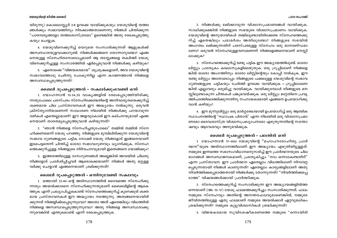#### പഠന സഹായി

#### യേശുവിന്റെ ജീവിത ശൈലി

യിരുന്നു) കൊലൊസ്സ്യർ 2:8 ഉറക്കെ വായിക്കുകയും യേശുവിന്റെ തത്ത്വ ങ്ങൾക്കും സ്വഭാവത്തിനും നിരക്കാത്തതാണെന്നു നിങ്ങൾ ചിന്തിക്കുന്ന "പാരമ്പര്യങ്ങളോ തത്ത്വശാസ്ത്രമോ" ഉണ്ടെങ്കിൽ അതു രേഖപ്പെടുത്തു കയും ചെയ്യുക.

4. യേശുവിനെക്കുറിച്ച് വെറുതെ സംസാരിക്കുന്നത് ആളുകൾക്ക് അസ്വസ്ഥതയുളവാക്കാറുണ്ട്. നിങ്ങൾക്കങ്ങനെ തോന്നാറുണ്ടോ? എങ്ങ നെയുള്ള സ്നേഹിതനോടൊപ്പമാണ് ആ തടസ്സങ്ങളെ തകർത്ത് യേശു വിനെക്കുറിച്ചുള്ള സംസാരത്തിൽ ഏർപ്പെടുവാൻ നിങ്ങൾക്കു കഴിയുക?

5. ഏതൊക്കെ ''വിജയകരമായ'' ശുശ്രുഷകളാണ്, അവ യേശുവിന്റെ സ്വഭാവത്തോടു ചേർന്നു പോകുന്നില്ല എന്ന കാരണത്താൽ നിങ്ങളെ അസ്വസ്ഥപ്പെടുത്തുന്നത്?

#### ശൈലി രൂപപ്പെടുത്തൽ – സകലർക്കുംവേണ്ടി ഒന്ന്

1. യോഹന്നാൻ 13:34,35 വാകൃങ്ങളിൽ രേഖപ്പെടുത്തിയിരിക്കു ്നനതുപോലെ പരസ്പരം സ്നേഹിക്കേണ്ടതിന്റെ അനിവാര്യതയെക്കുറിച്ച് ശക്തമായ ചില പ്രസ്താവനകൾ ഈ അദ്ധ്യായം നൽകുന്നു. ഒരുവൻ ക്രിസ്ത്യാനിയാണെന്ന് സാധാരണ നിലയിൽ നിങ്ങൾക്കു പറയാവുന്ന വഴികൾ എന്തെല്ലാമാണ്? ഈ അളവുകോൽ ഈ കല്പനയുമായി എങ്ങ നെയാണ് താരതമൃപ്പെടുത്തുവാൻ കഴിയുന്നത്?

2. "ഞാൻ നിങ്ങളെ സ്നേഹിച്ചതുപോലെ" തമ്മിൽ തമ്മിൽ സ്നേ ഹിക്കണമെന്ന് യേശു പറഞ്ഞു. നിങ്ങളുടെ മുമ്പിലിരിക്കുന്ന യേശുവിന്റെ സ്വഭാവ ഗുണങ്ങളുടെ പട്ടിക നോക്കി യേശു നിങ്ങളോട് ഇങ്ങനെയാണ് ഇടപെട്ടതെന്ന് ചിന്തിച്ച് ഓരോ സ്വഭാവഗുണവും ധ്യാനിക്കുക. സ്നേഹ ത്തെക്കുറിച്ചുള്ള നിങ്ങളുടെ നിർവചനവുമായി ഇതെങ്ങനെ യോജിക്കും?

3. ഇത്തരത്തിലുള്ള ദാസഗുണങ്ങൾ അല്ലെങ്കിൽ അവയിൽ ചിലതു നിങ്ങളോട് പ്രദർശിപ്പിച്ചവർ ആരൊക്കെയാണ്? നിങ്ങൾ അതു മറ്റുള്ള വർക്കു ചെയ്യാൻ എങ്ങനെയാണ് ശ്രമിക്കുന്നത്?

# ശൈലി രൂപപ്പെടുത്തൽ - ഒന്നിനുവേണ്ടി സകലവും

1. മത്തായി 22:40–ന്റെ അടിസ്ഥാനത്തിൽ ദൈവത്തെ സ്നേഹിക്കു ന്നതും അയൽക്കാരനെ സ്നേഹിക്കുന്നതുമാണ് ബൈബിളിന്റെ ആകെ ത്തുക എന്ന് പ്രഖ്യാപിച്ചുകൊണ്ട് സ്നേഹത്തെക്കുറിച്ച് കുറെക്കൂടി ശക്ത മായ പ്രസ്താവനകൾ ഈ അദ്ധ്യായം നടത്തുന്നു. അതങ്ങനെയായിരി ക്കുന്നത് നിങ്ങളിഷ്ടപ്പെടുന്നുവോ? അതോ അത് ഏതെങ്കിലും വിധത്തിൽ നിങ്ങളെ അസ്ഥസ്ഥപ്പെടുത്തുന്നുവോ? അതു നിങ്ങളെ അസ്വസ്ഥരാക്കു ന്നുവെങ്കിൽ എന്തുകൊണ്ട് എന്ന് രേഖപ്പെടുത്തുക.

178

2. നിങ്ങൾക്കു ലഭിക്കാവുന്ന വിശ്വാസപ്രമാണങ്ങൾ വായിക്കുക. സാധിക്കുമെങ്കിൽ നിങ്ങളുടെ സഭയുടെ വിശ്വാസപ്രമാണം വായിക്കുക. യേശുവിന്റെ അനുയായികൾ തമ്മിലുണ്ടായിരിക്കേണ്ട സ്നേഹത്തെക്കു റിച്ച് ഏതെങ്കിലും പരാമർശം അതിലുണ്ടോ? നിങ്ങളുടെ സഭയിൽ അംഗത്വം ലഭിക്കുന്നതിന് പരസ്പരമുള്ള സ്നേഹം ഒരു മാനദണ്ഡമാ ണോ? ഒരുവൻ സ്നേഹമുള്ളവനാണെന്ന് നിങ്ങളെങ്ങനെയാണ് മനസ്സി ലാക്കുക?

3. സ്നേഹത്തെക്കുറിച്ച് രണ്ടു പട്ടിക ഈ അദ്ധ്യായത്തിലുണ്ട്. ഓരോ ലിസ്റ്റും പ്രത്യേകം കടലാസുകളിലെഴുതുക. ഒരു ഗ്രൂപ്പിലാണ് നിങ്ങളെ ങ്കിൽ ഓരോ അംഗത്തിനും ഓരോ ലിസ്റ്റിന്റെയും കോപ്പി നൽകുക. ഈ രണ്ടു ലിസ്റ്റും അതോടൊപ്പം നിങ്ങളുടെ പക്കലുള്ള യേശുവിന്റെ സ്വഭാവ ഗുണങ്ങളുടെ പട്ടികയും ചേർത്ത് ഉറക്കെ വായിക്കുക – ഗ്രുപ്പിലാണെ ങ്കിൽ എല്ലാവരും ഒരുമിച്ചു വായിക്കുക. വായിക്കുമ്പോൾ നിങ്ങളുടെ മന സ്റ്റിലുണ്ടാകുന്ന ചിന്തകൾ പങ്കുവെയ്ക്കുക. ഒരു ലിസ്റ്റും മറ്റേതിനെ പ്രവൃ ത്തിപദത്തിലെത്തിക്കുന്നതിനു സഹായകരമായി എങ്ങനെ ഉപയോഗിക്കു വാൻ കഴിയും?

4. ഈ മൂന്നുലിസ്റ്റും ഒരു മാർഗ്ഗരേഖയായി ഉപയോഗിച്ച് ഒരു ആത്മിക സ്ഥാപനത്തിന്റെ 'സ്ഥാപക പിതാവ്' എന്ന നിലയിൽ ഒരു വിശ്വാസപ്രമാ ണമോ ദൈവശാസ്ത്ര വിശ്വാസപ്രഖ്യാപനമോ എഴുതുന്നതിന്റെ സന്തോ ഷവും ആവേശവും അനുഭവിക്കുക.

# ശൈലി രൂപപ്പെടുത്തൽ - പലതിൽ ഒന്ന്

1. യോഹന്നാൻ 17-ലെ യേശുവിന്റെ ''മഹാപൗരോഹിത്യ പ്രാർ ത്ഥന"യുടെ അടിസ്ഥാനത്തിലാണ് ഈ അദ്ധ്യായം എഴുതിയിട്ടുള്ളത്. നമ്മുടെ ഇന്നത്തെ സഭാസംവിധാനമനുസരിച്ച് ഈ പ്രാർത്ഥനയുടെ ചില ഭാഗങ്ങൾ അസ്വസ്ഥജനകമാണ്; പ്രത്യേകിച്ചും "നാം ഒന്നാകേണ്ടതിന്" എന്ന പ്രസ്താവന. ഈ പ്രാർത്ഥന ഏതെല്ലാം വിധത്തിലാണ് നിറവേറ്റ പ്പെടുന്നതായി നിങ്ങൾ കാണുന്നത്? ഏതെല്ലാം കാര്യങ്ങളിലാണ് അതു നിവർത്തിക്കപ്പെടാത്തതായി നിങ്ങൾക്കു തോന്നുന്നത്? "നിവർത്തിക്കപ്പെ ടാത്ത" വിഷയങ്ങൾക്കായി പ്രാർത്ഥിക്കുക.

2. സ്നേഹത്തെക്കുറിച്ച് സംസാരിക്കുന്ന ഈ അദ്ധ്യായങ്ങളിൽത്ത ണെയാണ് (അ. 13–17) യേശു ഫലത്തെക്കുറിച്ചും സംസാരിക്കുന്നത്. ഫലം നമ്മുടെ സ്നേഹവും അതിന്റെ അനന്തരഫലവുമാണെങ്കിൽ, നമ്മുടെ ജീവിതത്തിലുള്ള ഏതു ഫലമാണ് നമ്മുടെ അയൽക്കാർ ഏറ്റവുമധികം ശ്രദ്ധിക്കുന്നത്? നമ്മുടെ കൂട്ടുവിശ്വാസികൾ ശ്രദ്ധിക്കുന്നത്?

3. വിജയകരമായ സുവിശേഷീകരണത്തെ നമ്മുടെ "ഒന്നായിരി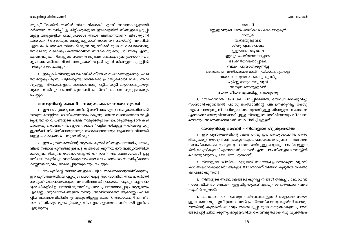#### പറന സഹായി

#### യേശുവിന്റെ ജീവിത ശൈലി

ക്കുക," "തമ്മിൽ തമ്മിൽ സ്നേഹിക്കുക" എന്നീ അവസ്ഥകളുമായി കർത്താവ് ബന്ധിപ്പിച്ചു. മീറ്റിംഗുകളുടെ ഇടവേളയിൽ നിങ്ങളുടെ ഗ്രൂപ്പി ലുള്ള ആളുകളിൽ പത്തുപേരോട് അവർ എങ്ങനെയാണ് ക്രിസ്ത്യാനി യായതെന്ന് ആരായുക. നോട്ടുകളുമായി താരതമ്യം ചെയ്തിട്ട്, അവരിൽ എത്ര പേർ അവരെ സ്നേഹിക്കുന്ന വ്യക്തികൾ മുഖേന രക്ഷാബോധ്യ ത്തിലേക്കു വരികയും കർത്താവിനെ സ്വീകരിക്കുകയും ചെയ്തു എന്നു കണ്ടെത്തുക. നിങ്ങളുടെ സ്വന്ത അനുഭവം രേഖപ്പെടുത്തുകയോ നിങ്ങ ളെങ്ങനെ കർത്താവിന്റെ അനുയായി ആയി എന്ന് നിങ്ങളുടെ ഗ്രുപ്പിൽ പറയുകയോ ചെയ്യുക.

4. ഇപ്പോൾ നിങ്ങളുടെ കൈയിൽ സ്നേഹ സ്വഭാവങ്ങളുടെയും ഫല ത്തിന്റെയും മൂന്നു പട്ടികയുണ്ട്. നിങ്ങൾക്ക് പ്രത്യേകമായി ബലം ആവ ശ്യമുള്ള വിഷയങ്ങളുടെ നാലാമതൊരു പട്ടിക കൂടി തയ്യാറാക്കുകയും ആരോടെങ്കിലും അവയ്ക്കുവേണ്ടി പ്രാർത്ഥിക്കാനാവശ്യപ്പെടുകയും ചെയ്യുക.

#### യേശുവിന്റെ ശൈലി – നമ്മുടെ കൈയെത്തും ദൂരത്ത്

1. ഈ അദ്ധ്യായം, യേശുവിന്റെ സമീപനം എന്ന അദ്ധ്യായത്തിലേക്ക് നമ്മുടെ മനസ്സിനെ മടക്കിക്കൊണ്ടുപോകുന്നു. യേശു തന്നെത്തന്നെ വെളി പ്പെടുത്തിയ വിധങ്ങളുടെ പട്ടിക നമ്മുടേതുമായി പൊരുത്തപ്പെടാൻ കഴി യാത്തതു കൊണ്ട്, നിങ്ങളുടെ സ്വന്തം "പട്ടിക"യിലുള്ള – നിങ്ങളെ മറ്റു ള്ളവർക്ക് സ്പർശിക്കാവുന്നതും അടുക്കാവുന്നതും ആക്കുന്ന വിധത്തി ലുള്ള – കാര്യങ്ങൾ പങ്കുവെയ്ക്കുക.

2. ഈ പുസ്തകത്തിന്റെ ആരംഭം മുതൽ നിങ്ങളുപയോഗിച്ച യേശു വിന്റെ സ്വഭാവ ഗുണങ്ങളുടെ പട്ടിക ആരംഭിക്കുന്നത് ഈ അദ്ധ്യായത്തിൽ കൊടുത്തിരിക്കുന്ന വേദഭാഗങ്ങളിൽ നിന്നാണ്. ആ വേദഭാഗങ്ങൾ ഉച്ച ത്തിലോ ഒരുമിച്ചോ വായിക്കുകയും അവയെ പരസ്പരം ബന്ധിപ്പിക്കുന്ന കണ്ണിയെക്കുറിച്ച് രേഖപ്പെടുത്തുകയും ചെയ്യുക.

3. യേശുവിന്റെ സ്വഭാവങ്ങളുടെ പട്ടിക താഴെക്കൊടുത്തിരിക്കുന്നു. . ഈ പുസ്തകത്തിലെ ഏറ്റവും പ്രധാനപ്പെട്ട അറിവാണിത്. അവ പകർത്തി യെടുത്ത് മനഃപാഠമാക്കുക. അവ നിങ്ങൾക്ക് പ്രയോജനപ്പെടും. മറ്റു ചോ ദ്യാവലികളിൽ ഉപയോഗിക്കുന്നതിനും അവ പ്രയോജനപ്പെടും. ആദ്യത്തെ എട്ടെണ്ണം സുവിശേഷങ്ങളിൽ നിന്നും അവസാനത്തെ ആറെണ്ണം ഫിലി പ്പിയ ലേഖനത്തിൽനിന്നും എടുത്തിട്ടുള്ളവയാണ്. അവയെപ്പറ്റി പിന്നീട് നാം ചിന്തിക്കും. മുഴുപട്ടികയും നിങ്ങളുടെ ഉപയോഗത്തിനായി ഇവിടെ എഴുതുന്നു:

ദാസൻ മറ്റുള്ളവരുടെ മേൽ അധികാരം കൈയാളരുത് മാതൃക താഴ്മയുള്ളവൻ ശിശു എന്നപോലെ ഇളയവനെപ്പോലെ ഏറ്റവും ചെറിയവനെപ്പോലെ ഒടുക്കത്തവനെപ്പോലെ ബലം പ്രയോഗിക്കുന്നില്ല അന്ധമായ അതിമോഹത്താൽ നയിക്കപ്പെടുകയല്ല സ്വയം ബഹുമാനം കൊടുക്കുന്നില്ല പൂർണ്ണമായും മനുഷ്യൻ അനുസരണമുള്ളവൻ സ്വന്ത ജീവൻ ഏല്പിച്ചു കൊടുത്തു

4. യോഹന്നാൻ 13–17 ലെ പഠിപ്പിക്കലിൽ, യേശുവിനെക്കുറിച്ചു സംസാരിക്കുന്നതിൽ പരിശുദ്ധാത്മാവിന്റെ പങ്കിനെക്കുറിച്ച് യേശു വളരെ പറയുന്നുണ്ട്. പരിശുദ്ധാത്മാവുമായിട്ടുള്ള നിങ്ങളുടെ അനുഭവം എന്താണ്? യേശുവിനെക്കുറിച്ചുള്ള നിങ്ങളുടെ അറിവിനെയും വീക്ഷണ ത്തെയും അതെങ്ങനെയാണ് സ്വാധീനിച്ചിട്ടുള്ളത്?

# യേശുവിന്റെ ശൈലി - നിങ്ങളുടെ ശുശ്രുഷയിൽ

1. ഈ പുസ്തകത്തിന്റെ കേന്ദ്ര തന്തു ഈ അദ്ധ്യായത്തിൽ ആരം ഭിക്കുകയും യേശുവിന്റെ പ്രകൃതിയുടെ ഒന്നാമത്തെ ഗുണം — ദാസത്വം സ്ഥാപിക്കുകയും ചെയ്യുന്നു. ദാസത്വത്തിനുള്ള മറ്റൊരു പദം "മറ്റുള്ളവ രിൽ കേന്ദ്രീകൃതം" എന്നതാണ്. ദാസൻ എന്ന പദം നിങ്ങളുടെ മനസ്ലിൽ കൊണ്ടുവരുന്ന പ്രഥമചിന്ത എന്താണ്?

2. നിങ്ങളുടെ ജീവിതം കൂടുതൽ സന്തോഷപ്രദമാക്കുന്ന വ്യക്തി കൾ ആരൊക്കെയാണ്? ആരുടെ ജീവിതമാണ് നിങ്ങൾ കുടുതൽ സന്തോ ഷപ്രദമാക്കുന്നത്?

3. നിങ്ങളുടെ അഭിലാഷങ്ങളെക്കുറിച്ച് നിങ്ങൾ തികച്ചും ബോധവാ നാണെങ്കിൽ, ദാസത്വത്തിനുള്ള വിളിയുമായി എന്തു സംഘർഷമാണ് അവ സൃഷ്ടിക്കുന്നത്?

4. ദാസത്വം നാം നടത്തുന്ന തിരഞ്ഞെടുപ്പാണ് അല്ലാതെ സ്വയം ഉളവാകുന്നതല്ല എന്ന് ഗ്രന്ഥകാരൻ പ്രസ്താവിക്കുന്നു. തുടർന്ന് അദ്ധ്യാ യത്തിന്റെ കൂടുതൽ ഭാഗവും മുതലെടുപ്പു മുഖേനയുണ്ടാകുന്ന പ്രശ്ന ങ്ങളെപ്പറ്റി ചിന്തിക്കുന്നു. മറ്റുള്ളവരിൽ കേന്ദ്രീകൃതമായ ഒരു വൃക്തിയെ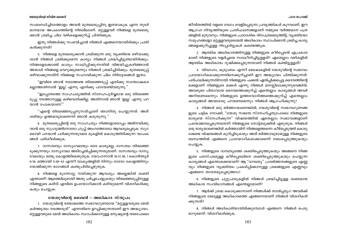#### പഠന സഹായി

#### യേശുവിന്റെ ജീവിത ശൈലി

സംബന്ധിച്ചിടത്തോളം അവൻ മുതലെടുപ്പിനു ഇരയാകുക എന്ന തുടർ മാനമായ അപകടത്തിന്റെ നിഴലിലാണ്. മറ്റുള്ളവർ നിങ്ങളെ മുതലെടു ക്കാൻ ശ്രമിച്ച ചില വഴികളെക്കുറിച്ച് ചിന്തിക്കുക.

ഇതു നിങ്ങൾക്കു സംഭവിച്ചാൽ നിങ്ങൾ എങ്ങനെയായിരിക്കും പ്രതി കരിക്കുന്നത്?

5. നിങ്ങളെ മുതലെടുക്കാൻ ശ്രമിക്കുന്ന ഒരു വ്യക്തിയെ ഒഴിവാക്കു വാൻ നിങ്ങൾ ശ്രമിക്കുമെന്ന കാര്യം നിങ്ങൾ ശ്രദ്ധിച്ചിട്ടുണ്ടായിരിക്കും. നിങ്ങളെക്കൊണ്ട് കാര്യം സാധിപ്പിക്കുന്നതിൽ വിജയിച്ചുകഴിഞ്ഞാൽ അയാൾ നിങ്ങളെ വെറുക്കുമെന്നും നിങ്ങൾ ശ്രദ്ധിച്ചിരിക്കും. മുതലെടുപ്പ് ഒഴിവാക്കുന്നതിന് നിങ്ങളെ സഹായിക്കുന്ന ചില നിർദ്ദേശങ്ങൾ ഇതാ:

"ഇവിടെ ഞാൻ നടത്തേണ്ട തിരഞ്ഞെടുപ്പ് എനിക്കു സന്തോഷകര മല്ലാത്തതിനാൽ 'ഇല്ല' എന്നു എനിക്കു പറയേണ്ടിവരുന്നു."

"ഇപ്പോഴത്തെ സാഹചര്യത്തിൽ സ്നേഹപൂർവ്വമായ ഒരു തിരഞ്ഞെ ടുപ്പു നടത്താനുള്ള കഴിവെനിക്കില്ല. അതിനാൽ ഞാൻ 'ഇല്ല' എന്നു പറ യാൻ പോകയാണ്."

"എന്റെ തിരഞ്ഞെടുപ്പനുസരിച്ചാണ് ഞാനിതു ചെയ്യുന്നത്. അത് ശരിയും ഉത്തമവുമാണെന്ന് ഞാൻ കരുതുന്നു."

6. മുതലെടുപ്പിന്റെ ഒരു സാഹചര്യം നിങ്ങളോടൊപ്പം അഭിനയിക്കു വാൻ ഒരു സുഹൃത്തിനോടോ ഗ്രൂപ്പ് അംഗത്തോടോ ആവശ്യപ്പെടുക. സുഗ മമായി പറയാൻ പഠിക്കുന്നതുവരെ മുകളിൽ കൊടുത്തിരിക്കുന്ന വാചക ങ്ങൾ പരിശീലിക്കുക.

7. ദാസത്വവും ദാസ്യവേലയും ഒരേ കാര്യമല്ല. ദാസത്വം തിരഞ്ഞെ ടുക്കുന്നതും ദാസ്യവേല അടിച്ചേൽപ്പിക്കുന്നതുമാണ്. ദാസത്വവും ദാസ്യ വേലയും രണ്ടു കോളത്തിലെഴുതുക. യോഹന്നാൻ 10:17,18; 1 കൊരിന്ത്യർ 9:19; മത്തായി 5:38-42 എന്നീ വാകൃങ്ങളിൽ നിന്നും ഓരോ കോളത്തിനും യോജിക്കുന്ന ഭാഗങ്ങൾ കണ്ടുപിടിച്ചെഴുതുക.

8. നിങ്ങളെ മുന്നോട്ടു നയിക്കുന്ന ആവശ്യം അല്ലെങ്കിൽ ശക്തി എന്താണ്? ആരെങ്കിലുമായി അതു ചർച്ചചെയ്യുകയും തിരഞ്ഞെടുപ്പിനുള്ള നിങ്ങളുടെ കഴിവ് എവിടെ ഉപയോഗിക്കാൻ കഴിയുമെന്ന് വിശദീകരിക്കു കയും ചെയ്യുക.

## യേശുവിന്റെ ശൈലി – അധികാര സ്തൂപം

1. യേശുവിന്റെ രണ്ടാമത്തെ സ്വഭാവഗുണമായ "മറ്റുള്ളവരുടെ മേൽ കർത്തൃത്വം നടത്തരുത്" എന്നതിനെ ഉറപ്പിക്കുന്നതാണ് ഈ അദ്ധ്യായം. മറ്റുള്ളവരുടെ മേൽ അധികാരം സ്ഥാപിക്കാനുള്ള മനുഷ്യന്റെ ത്വരപോലെ

ജീവിതത്തിൽ വളരെ വേഗം വെളിപ്പെടുന്ന പ്രവൃത്തികൾ കുറവാണ്. ഈ ആഗ്രഹ നിവൃത്തിയുടെ പ്രതിഫലനങ്ങളാണ് നമ്മുടെ വർത്തമാന പത്ര ങ്ങളിൽ മുഴുവനും. നിങ്ങളുടെ പ്രാദേശിക ദിനപത്രമെടുത്തിട്ട്, വ്യക്തിയോ സമൂഹങ്ങളോ മറ്റുള്ളവരുടെമേൽ അധികാരം സ്ഥാപിക്കാൻ ശ്രമിച്ച കാര്യ ങ്ങളെക്കുറിച്ചുള്ള റിപ്പോർട്ടുകൾ കണ്ടെത്തുക.

2. ആത്മിക അധികാരത്തിനുള്ള നിങ്ങളുടെ കീഴ്പ്പെടൽ എപ്രകാര മാണ് നിങ്ങളുടെ വളർച്ചയെ സ്വാധീനിച്ചിട്ടുളളത്? ഏതെല്ലാം വഴികളിൽ ആത്മിക അധികാരം ദുഷിക്കപ്പെടുന്നതാണ് നിങ്ങൾ കണ്ടിട്ടുള്ളത്?

3. വിവാഹം, കുടുംബം എന്നീ മേഖലകളിൽ യേശുവിന്റെ സ്വഭാവം പ്രായോഗികമാക്കുന്നതിനെക്കുറിച്ചാണ് ഈ അദ്ധ്യായം ചിന്തിക്കുന്നത്. പരിപാലിക്കുന്നതിനായി നിങ്ങളുടെ പക്കൽ ഏൽപ്പിക്കപ്പെട്ട ദൈവത്തിന്റെ മക്കളാണ് നിങ്ങളുടെ മക്കൾ എന്നു നിങ്ങൾ മനസ്സിലാക്കുന്നുവെങ്കിൽ, അവരുടെ പിതാവായ ദൈവത്തെക്കുറിച്ച് എന്തെല്ലാം കാര്യങ്ങൾ അവർ അറിയണമെന്നും നിങ്ങളുടെ ഉത്തരവാദിത്തത്തെക്കുറിച്ച് എന്തെല്ലാം കാര്യങ്ങൾ അവരോടു പറയണമെന്നും നിങ്ങൾ ആഗ്രഹിക്കുന്നു?

4. നിങ്ങൾ ഒരു ഭർത്താവാണെങ്കിൽ, യേശുവിന്റെ സ്വഭാവഗുണങ്ങ ളുടെ പട്ടിക നോക്കി, "യേശു സഭയെ സ്നേഹിച്ചതുപോലെ നിങ്ങളുടെ ഭാര്യയെ സ്നേഹിക്കുന്ന" വിഷയത്തിൽ ഏതെല്ലാം സ്വഭാവങ്ങളാണ് പ്രയോജനപ്പെടുന്നതെന്ന് നിങ്ങളുടെ നോട്ട്ബുക്കിൽ എഴുതുക. നിങ്ങൾ ഒരു ഭാര്യയാണെങ്കിൽ കർത്താവിന് നിങ്ങളെത്തന്നെ കീഴ്പ്പെടുത്തി കൊടു ക്കേണ്ട വിഷയങ്ങൾ കുറിച്ചിടുകയും അത് ഭർത്താവുമായുള്ള നിങ്ങളുടെ ബന്ധത്തിൽ എങ്ങനെ പ്രായോഗികമാക്കാമെന്ന് രേഖപ്പെടുത്തുകയും ചെയ്യുക.

5. നിങ്ങളുടെ ദാമ്പത്യത്തെ ശക്തിപ്പെടുത്തുകയും അങ്ങനെ നിങ്ങ ളുടെ പരസ്പരമുള്ള കീഴ്പ്പെടലിനെ ശക്തിപ്പെടുത്തുകയും ചെയ്യുന്ന കാര്യങ്ങൾ എന്തൊക്കെയാണ്? ആ "ദാമ്പത്യ" പ്രവർത്തനങ്ങളുടെ എണ്ണ വും നിങ്ങളുടെ വ്യക്തിത്വം പ്രകടിപ്പിക്കാനുള്ള ശ്രമങ്ങളുടെ എണ്ണവും എങ്ങനെ താരതമ്യപ്പെടുത്താം?

6. നിങ്ങളുടെ ചുറ്റുപാടുകളിൽ നിങ്ങൾ ശ്രദ്ധിച്ചിട്ടുള്ള ശക്തമായ അധികാര സംവിധാനങ്ങൾ എന്തെല്ലാമാണ്?

7. ആർക്ക് ശ്രദ്ധ കൊടുക്കാനാണ് നിങ്ങൾക്ക് താൽപ്പര്യം? അവർക്ക് നിങ്ങളുടെ മേലുള്ള അധികാരത്തെ എങ്ങനെയാണ് നിങ്ങൾ വിശദീകരി ക്കുന്നത്?

8. നിങ്ങൾ അധികാരിയായിരിക്കുമ്പോൾ എങ്ങനെ നിങ്ങൾ പെരു മാറുമെന്ന് വിശദീകരിക്കുക.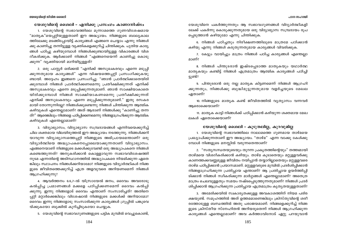#### യേശുവിന്റെ ശൈലി – എനിക്കു പ്രസംഗം കാണാനിഷ്ടം

1. യേശുവിന്റെ സ്വഭാവത്തിലെ മുന്നാമത്തെ ഗുണവിശേഷമായ "മാതൃക"യെപറ്റിയുള്ളതാണ് ഈ അദ്ധ്യായം. നിങ്ങളുടെ ബാല്യകാല ത്തിലേക്കു മടങ്ങിപ്പോയിട്ട് കാര്യങ്ങൾ എങ്ങനെ ചെയ്യാം എന്നു നിങ്ങൾ ക്കു കാണിച്ചു തന്നിട്ടുള്ള വ്യക്തികളെക്കുറിച്ച് ചിന്തിക്കുക. പുതിയ കാര്യ ങ്ങൾ പഠിച്ചു കഴിയുമ്പോൾ നിങ്ങൾക്കുണ്ടായിട്ടുള്ള വികാരങ്ങൾ വിശ ദീകരിക്കുക. ആർക്കാണ് നിങ്ങൾ "എങ്ങനെയെന്ന് കാണിച്ചു കൊടു ക്കുന്ന" വ്യക്തിയായി മാറിയിട്ടുള്ളത്?

2. ഒരു പാസ്റ്റർ ഒരിക്കൽ "എനിക്ക് അസുഖകരവും എന്നെ മടുപ്പി ക്കുന്നതുമായ കാര്യങ്ങൾ" എന്ന വിഷയത്തെപറ്റി പ്രസംഗിക്കുകയു ണ്ടായി. അദ്ദേഹം ഇങ്ങനെ പ്രസംഗിച്ചു: "ഞാൻ പ്രാർത്ഥിക്കാതെയിരി ക്കുമ്പോൾ നിങ്ങൾ പ്രാർത്ഥിക്കണമെന്നു പ്രതീക്ഷിക്കുന്നത് എനിക്ക് അസുഖകരവും എന്നെ മടുപ്പിക്കുന്നതുമാണ്. ഞാൻ സാക്ഷിയാകാതെ യിരിക്കുമ്പോൾ നിങ്ങൾ സാക്ഷിയാകണമെന്നു പ്രതീക്ഷിക്കുന്നത് എനിക്ക് അസുഖകരവും എന്നെ മടുപ്പിക്കുന്നതുമാണ്." ഇതു രസകര മായി തോന്നുന്നില്ലേ? നിങ്ങൾക്കുണ്ടെന്നു നിങ്ങൾ ചിന്തിക്കുന്ന ആത്മിക കഴിവുകൾ എന്തെല്ലാമാണ്? അത് ആരാണ് നിങ്ങൾക്കു "കാണിച്ചു തന്ന ത്?" ആരെങ്കിലും നിങ്ങളെ പഠിപ്പിക്കണമെന്നു നിങ്ങളാഗ്രഹിക്കുന്ന ആത്മിക കഴിവുകൾ എന്തെല്ലാമാണ്?

3. വിദ്യാഭ്യാസം, വിദ്യാഭ്യാസ സമ്പ്രദായങ്ങൾ എന്നിവയെക്കുറിച്ച് ചില ശക്തമായ വിലയിരുത്തൽ ഈ അദ്ധ്യായം നടത്തുന്നു. നിങ്ങൾക്കറി യാവുന്ന വിദ്യാഭ്യാസത്തെപ്പറ്റി നിങ്ങളുടെ അഭിപ്രായമെന്താണ്? ഒരു വിദ്യാർത്ഥിയെ അദ്ധ്യാപകനെപ്പോലെയാക്കുന്നതാണ് വിദ്യാഭ്യാസം. എങ്ങനെയാണ് നിങ്ങളുടെ മക്കൾക്കുവേണ്ടി ഒരു അദ്ധ്യാപകനെ നിങ്ങൾ കണ്ടെത്തുന്നത്? അനുകരിക്കാൻ കൊള്ളാവുന്ന സ്വഭാവവിശേഷത്തി നുടമ എന്നതിന്റെ അടിസ്ഥാനത്തിൽ അദ്ധ്യാപകരെ നിയമിക്കുന്ന ഏതെ ങ്കിലും സ്ഥാപനം നിങ്ങൾക്കറിയാമോ? നിങ്ങളുടെ വിദ്യാർത്ഥികൾ നിങ്ങ ളുടെ ജീവിതത്തെക്കുറിച്ച് എത്ര അളവുവരെ അറിയണമെന്ന് നിങ്ങൾ ആഗ്രഹിക്കുന്നു?

4. ആവർത്തനം 6:6,7-ൽ യിസ്രായേൽ ജനം, ദൈവം അവരോടു കൽപ്പിച്ച പ്രമാണങ്ങൾ മക്കളെ പഠിപ്പിക്കണമെന്ന് ദൈവം കൽപ്പി ക്കുന്നു. ഇന്നു നിങ്ങളോട് ദൈവം എന്താണ് സംസാരിച്ചത്? അതിനെ പ്പറ്റി മറ്റാർക്കെങ്കിലും വിശേഷാൽ നിങ്ങളുടെ മക്കൾക്ക് അറിയാമോ? ദൈവം ഇന്നു നിങ്ങളോടു സംസാരിക്കുന്ന കാര്യങ്ങൾ ഗ്രൂപ്പിൽ പങ്കുവെ യ്ക്കുകയോ ബുക്കിൽ കുറിച്ചിടുകയോ ചെയ്യുക.

5. യേശുവിന്റെ സ്വഭാവഗുണങ്ങളുടെ പട്ടിക മുമ്പിൽ വെച്ചുകൊണ്ട്.

യേശുവിനെ പകർത്തുന്നതും ആ സ്വഭാവഗുണങ്ങൾ വിദ്യാർത്ഥികളി ലേക്ക് പകർന്നു കൊടുക്കുന്നതുമായ ഒരു വിദ്യാഭ്യാസ സമ്പ്രദായം രൂപ പ്പെടുത്താൻ കഴിയുമോ എന്നു ചിന്തിക്കുക.

6. നിങ്ങൾ പഠിച്ചതും നിരീക്ഷണത്തിലൂടെ മാത്രമേ പഠിക്കാൻ കഴിയു എന്നു നിങ്ങൾ കരുതുന്നതുമായ കാര്യങ്ങൾ വിവരിക്കുക.

7. കേട്ടും വായിച്ചും മാത്രം നിങ്ങൾ പഠിച്ച കാര്യങ്ങൾ എന്തെല്ലാ മാണ്?

8. നിങ്ങൾ പിന്തുടരാൻ ഇഷ്ടപ്പെടാത്ത മാതൃകയും യഥാർത്ഥ മാതൃകയും കണ്ടിട്ട് നിങ്ങൾ എത്രമാത്രം ആത്മിക കാര്യങ്ങൾ പഠിച്ചി ട്ടുണ്ട്?

9. പിന്തുടരാൻ ഒരു നല്ല മാതൃക കിട്ടണമെന്ന് നിങ്ങൾ ആഗ്രഹി ക്കുന്നതും, നിങ്ങൾക്കു ബുദ്ധിമുട്ടുന്നതുമായ വളർച്ചയുടെ മേഖല ഏതാണ്?

10. നിങ്ങളുടെ മാതൃക കണ്ട് ജീവിതത്തിൽ വ്യത്യാസം വന്നവർ ആരൊക്കെയാണ്?

11. മാതൃക കാട്ടി നിങ്ങൾക്ക് പഠിപ്പിക്കാൻ കഴിയുന്ന ശക്തമായ മേഖ ലകൾ ഏതൊക്കെയാണ്?

## യേശുവിന്റെ ശൈലി – കൂടുതലില്ല, കുറവുമില്ല

1. യേശുവിന്റെ സ്വഭാവത്തിലെ നാലാമത്തെ ഗുണമായ താഴ്മയെ പ്രഖ്യാപിക്കുന്നതാണ് ഈ അദ്ധ്യായം. "താഴ്മ" എന്ന വാക്കു കേൾക്കു മ്പോൾ നിങ്ങളുടെ മനസ്സിൽ വരുന്നതെന്താണ്?

2. "സത്യസന്ധതയുടെയും തുറന്ന പ്രകൃതത്തിന്റെയും" തത്ത്വമായി താഴ്മയെ വിശദീകരിക്കാൻ കഴിയും. താഴ്മ കൂടാതെയും മറ്റുള്ളവർക്കു കാണത്തക്കവണ്ണമുള്ള ജീവിതം നയിപ്പാൻ തയ്യാറില്ലാതെയും മറ്റുള്ളവരെ താഴ്മ പഠിപ്പിക്കാൻ പ്രയാസമാണ്. മറ്റുള്ളവരുടെ മുമ്പിൽ പ്രദർശിപ്പിക്കാൻ നിങ്ങളാഗ്രഹിക്കുന്ന പ്രതിച്ചായ എന്താണ്? ആ പ്രതിച്ചായ ഉയർത്തിപ്പി ടിക്കാൻ നിങ്ങൾ സ്ഥീകരിക്കുന്ന മാർഗ്ഗങ്ങൾ എന്തെല്ലാമാണ്? അതെത്ര മാത്രം ചെലവുള്ളതും സമയം നഷ്ടപ്പെടുത്തുന്നതുമാണ്? നിങ്ങൾ പ്രദർ ശിപ്പിക്കാൻ ആഗ്രഹിക്കുന്ന പ്രതിച്ചായ എത്രമാത്രം കൃത്യതയുള്ളതാണ്?

3. അമേരിക്കയിൽ സ്വകാര്യതക്കുള്ള അവകാശത്തിന് നിയമ പരിര ക്ഷയുണ്ട്. സമൂഹത്തിൽ അത് ഉത്തമമാണെങ്കിലും ക്രിസ്തുവിന്റെ ശരീ രത്തോടുള്ള ബന്ധത്തിൽ അതു പരാജയമാണ്. നിങ്ങളെക്കുറിച്ച് നിങ്ങ ളുടെ ക്രിസ്തീയ സ്നേഹിതൻ അറിയരുതെന്ന് നിങ്ങൾ ആഗ്രഹിക്കുന്ന കാര്യങ്ങൾ എന്തെല്ലാമാണ്? അവ കർത്താവിനോട് ഏറ്റു പറയുവാൻ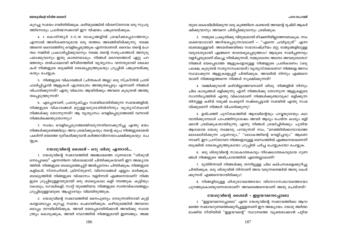കുറച്ചു സമയം വേർതിരിക്കുക. കഴിയുമെങ്കിൽ വിശ്വസ്തനായ ഒരു സുഹൃ ത്തിനോടും പ്രാർത്ഥനക്കായി ഈ വിഷയം പങ്കുവെയ്ക്കുക.

4. 2 കൊരിന്ത്യർ 3:17,18 വാക്യങ്ങളിൽ ശ്രദ്ധിക്കപ്പെടാത്തതും എന്നാൽ അതിശക്തവുമായ ഒരു തത്ത്വം അടങ്ങിയിരിക്കുന്നു. നമ്മെ ത്തന്നെ ദൈവത്തിനു വെളിപ്പെടുത്തുക എന്നതാണത്. ദൈവം തന്റെ മഹ ത്വം നമ്മിൽ പ്രകാശിപ്പിക്കുവാനും നമ്മെ തന്റെ സ്വരുപത്തോട് അനുരു പമാക്കുവാനും ഇതു കാരണമാകും. നിങ്ങൾ ദൈവത്തോട് ഏറ്റു പറ ഞ്ഞതും തൽഫലമായി ജീവിതത്തിൽ വ്യത്യാസം വന്നതുമായി മേഖല കൾ നിങ്ങളുടെ ബുക്കിൽ രേഖപ്പെടുത്തുകയും ഗ്രൂപ്പിൽ പങ്കുവെയ്ക്കു കയും ചെയ്യുക.

5. നിങ്ങളുടെ വികാരങ്ങൾ (ചിന്തകൾ അല്ല) ഒരു സ്ക്രീനിൽ പ്രതി ഫലിപ്പിച്ചാൽ ആളുകൾ എത്രമാത്രം അത്ഭുതപ്പെടും എന്നാണ് നിങ്ങൾ വിചാരിക്കുന്നത്? ഏതു വികാരം ആയിരിക്കും അവരെ കുടുതൽ അത്ഭു തപ്പെടുത്തുന്നത്?

6. എപ്പോഴാണ്, പ്രത്യേകിച്ചും സഭയിലായിരിക്കുന്ന സമയങ്ങളിൽ, നിങ്ങളുടെ വികാരങ്ങൾ മറ്റുള്ളവരുടേതിൽനിന്നും വൃതൃസ്തമായി നിങ്ങൾക്കു തോന്നുന്നത്? ആ വ്യത്യാസം വെളിപ്പെടുത്തേണ്ടി വന്നാൽ നിങ്ങൾക്കെന്തുതോന്നും?

7. സ്വയം വെളിപ്പെടുത്തേണ്ടിവരുന്നതിനെക്കുറിച്ചു എന്തു ഭയം നിങ്ങൾക്കുണ്ടെങ്കിലും അവ ശ്രദ്ധിക്കുകയും തന്റെ കൃപ നിങ്ങളുടെമേൽ പകർന്ന് ഭയത്തെ ദുരീകരിക്കുവാൻ കർത്താവിനോടപേക്ഷിക്കുകയും ചെ യ്യുക.

## യേശുവിന്റെ ശൈലി – ഒരു ശിശു എന്നാൽ...

1. യേശുവിന്റെ സ്വഭാവത്തിൽ അഞ്ചാമത്തെ ഗുണമായ ''ശിശുവി നെപ്പോലെ'' എന്നതിനെ വിശാലമായി ചിന്തിക്കുകയാണ് ഈ അദ്ധ്യായ ത്തിൽ. നിങ്ങളുടെ ബാല്യത്തെപ്പറ്റി അൽപ്പനേരം ചിന്തിക്കുക; നിങ്ങളുടെ കളികൾ, സ്നേഹിതർ, ക്രിസ്തുമസ്, വിനോദങ്ങൾ എല്ലാം ഓർക്കുക. ബാല്യത്തിൽ നിങ്ങളുടെ വിശ്വാസം വളർന്നത് എങ്ങനെയാണ്? നിങ്ങ ളുടെ ഗ്രൂപ്പിലുള്ളവരുമായി ഒരു ബാല്യകാല കളി നടത്തുക: കുട്ടിയും കോലും, ഗോലികളി, സാറ്റ് തുടങ്ങിയവ. നിങ്ങളുടെ സ്വന്തവികാരങ്ങളും ഗ്രൂപ്പിലുള്ളവരുടെ ആഹ്ലാദവും വിലയിരുത്തുക.

2. യേശുവിന്റെ സ്വഭാവത്തിൽ നൈപുണ്യം നേടുന്നതിനായി കുട്ടി കളോടൊപ്പം കുറച്ചു സമയം ചെലവഴിക്കുക. കഴിയുമെങ്കിൽ അവരോ ടൊപ്പം തറയിലിരിക്കുക. അവർ ഭയപ്പെടാതിരിക്കാൻ അവർക്കു സ്വാത ന്ത്ര്യം കൊടുക്കുക, അവർ വേഗത്തിൽ നിങ്ങളുമായി ഇണങ്ങും. അമ്മ

യുടെ കൈയിലിരിക്കുന്ന ഒരു കുഞ്ഞിനെ കണ്ടാൽ അവന്റെ ദൃഷ്ടി ആകർ ഷിക്കുവാനും അവനെ ചിരിപ്പിക്കുവാനും ശ്രമിക്കുക.

3. നമ്മുടെ പ്രകൃതിക്കു വിരുദ്ധമായി ഭീഷണിയില്ലാത്തവരാകുക. നാം ശക്തന്മാരായി അറിയപ്പെടുന്നവരാണ് – "എന്നെ ചവിട്ടരുത്" എന്ന ലേബലുള്ളവർ. അമേരിക്കയിലെ സഭാരാഷ്ട്രീയം മറ്റു രാജ്യങ്ങളിലുള്ള വരുടേതുമായി എങ്ങനെ താരതമ്യപ്പെടുത്താം? ആരുടെ സമർപ്പണവും വളർച്ചയുമാണ് മികച്ചു നിൽക്കുന്നത്, നമ്മുടേതോ അതോ അവരുടേതോ? നിങ്ങൾ ഭയപ്പെടാത്ത ആളുകളോടുള്ള നിങ്ങളുടെ പ്രതികരണം (ഒരു പക്ഷേ, കൂടുതൽ സതൃസന്ധമായത്) വൃതൃസ്തമാണോ? നിങ്ങളെ അസ്വ സ്ഥമാക്കുന്ന ആളുകളെപ്പറ്റി ചിന്തിക്കുക. അവരിൽ നിന്നും എങ്ങനെ യാണ് നിങ്ങളെത്തന്നെ നിങ്ങൾ സൂക്ഷിക്കുന്നത്?

4. വഞ്ചിക്കുവാൻ കഴിവില്ലാത്തവനാണ് ശിശു. നിങ്ങളിൽ നിന്നും ചില കാര്യങ്ങൾ ഒളിക്കുന്നു എന്ന് നിങ്ങൾക്കു തോന്നുന്ന ആളുകളുടെ സാന്നിധ്യത്തിൽ എന്തു വികാരമാണ് നിങ്ങൾക്കുണ്ടാവുക? ഒളിക്കുന്ന തിനുള്ള കഴിവ് നമുക്ക് പെട്ടെന്ന് നഷ്ടപ്പെട്ടാൽ സഭയിൽ എന്തു സംഭ വിക്കുമെന്ന് നിങ്ങൾ വിചാരിക്കുന്നു?

5. ഉൽപത്തി പുസ്തകത്തിൽ ആദാമിന്റെയും ഹവ്വയുടേയും കഥ വായിക്കുമ്പോൾ പാപത്തിനുശേഷം അവർ ആദ്യം ചെയ്ത കാര്യം ഒളി ക്കാൻ ശ്രമിക്കുകയായിരുന്നു എന്നു നിങ്ങൾ ശ്രദ്ധിച്ചിരിക്കും. പുതിയ ആദാമായ യേശു നമ്മോടു പറയുന്നത് നാം, "മറഞ്ഞിരിക്കാനാവാത്ത മലമേലിരിക്കുന്ന പട്ടണവും," "ലോകത്തിന്റെ വെളിച്ചവും" ആണെ ന്നാണ്. ഈ പ്രസ്താവന നിങ്ങളോടുള്ള ബന്ധത്തിൽ എങ്ങനെയാണെന്ന് ബുക്കിൽ രേഖപ്പെടുത്തുകയോ ഗ്രൂപ്പിൽ ചർച്ച ചെയ്യുകയോ ചെയ്യുക.

6. ഒരു ശിശുവിന്റെ സാധകാത്മകവും നിഷേധാത്മകവുമായ ഗുണ ങ്ങൾ നിങ്ങളുടെ അഭിപ്രായത്തിൽ എന്തെല്ലാമാണ്?

7. മുതിർന്നവർ നിങ്ങൾക്കു തന്നിട്ടുള്ള ചില കല്പനകളെക്കുറിച്ചു ചിന്തിക്കുക. ഒരു ശിശുവിൽ നിന്നാണ് അവ വരുന്നതെങ്കിൽ അതു കേൾ ക്കുന്നത് എങ്ങനെയായിരിക്കും?

8. നിങ്ങളിലുള്ള ശിശുഭാവത്തെയോ വിനോദസ്വഭാവത്തെയോ പുറത്തുകൊണ്ടുവന്നതാരാണ്? അവരെങ്ങനെയാണ് അതു ചെയ്തത്?

# യേശുവിന്റെ ശൈലി – ഇളയവനെപ്പോലെ

1. "ഇളയവനെപ്പോലെ" എന്ന യേശുവിന്റെ സ്വഭാവത്തിലെ ആറാ മത്തെ സ്വഭാവഗുണത്തെക്കുറിച്ചുള്ളതാണ് ഈ അദ്ധ്യായം. യേശു അർത്ഥ മാക്കിയ രീതിയിൽ "ഇളയവന്റെ" സ്ഥാനത്തെ വ്യക്തമാക്കാൻ പറ്റിയ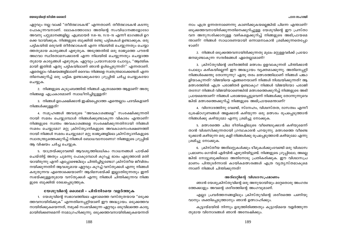#### പഠന സഹായി

ഏറ്റവും നല്ല വാക്ക് "തീർത്ഥാടകൻ" എന്നതാണ്. തീർത്ഥാടകൻ കടന്നു പോകുന്നവനാണ്. ലോകത്തോടോ അതിന്റെ സംവിധാനങ്ങളോടോ അവനു പറ്റുമാനങ്ങളില്ല. എബ്രായർ 11:8–10; 11:13–15 എന്നീ ഭാഗങ്ങൾ ഉറ ക്കെ വായിക്കുക. നിങ്ങളുടെ ബുക്കിൽ രണ്ടു പട്ടികകൾ ഉണ്ടാക്കുക. ഒരു പട്ടികയിൽ ഒരുവൻ തീർത്ഥാടകൻ എന്ന നിലയിൽ ചെയ്യുന്നതും ചെയ്യാ ത്തതുമായ കാര്യങ്ങൾ എഴുതുക. അടുത്തതിൽ ഒരു രാജ്യത്തെ പൗരൻ അഥവാ സ്ഥിരതാമസക്കാരൻ എന്ന നിലയിൽ ചെയ്യുന്നതും ചെയ്യാത്ത തുമായ കാര്യങ്ങൾ എഴുതുക. ഏറ്റവും പ്രയാസമായ ചോദ്യം, "ആത്മിക മായി ഇതിൽ ഏതു പട്ടികയിലാണ് ഞാൻ ഉൾപ്പെടുന്നത്?" എന്നതാണ്. ഏതെല്ലാം വിഷയങ്ങളിലാണ് ദൈവം നിങ്ങളെ സ്വതന്ത്രമാക്കേണ്ടത് എന്ന തിനെക്കുറിച്ച് ഒരു പട്ടിക ഉണ്ടാക്കുകയോ ഗ്രുപ്പിൽ ചർച്ച ചെയ്യുകയോ ചെയ്യുക.

2. നിങ്ങളുടെ കുടുംബത്തിൽ നിങ്ങൾ എത്രാമത്തെ ആളാണ്? അതു നിങ്ങളെ എപ്രകാരമാണ് സ്വാധീനിച്ചിട്ടുള്ളത്?

3. നിങ്ങൾ ഉപേക്ഷിക്കാൻ ഇഷ്ടപ്പെടാത്ത എന്തെല്ലാം പദവികളാണ് നിങ്ങൾക്കുള്ളത്?

4. സമുഹങ്ങൾ അവരുടെ "അവകാശങ്ങളെ" സംരക്ഷിക്കുന്നതി നായി സമരം ചെയ്യുമ്പോൾ നിങ്ങൾക്കുണ്ടാകുന്ന വികാരം എന്താണ്? നിങ്ങളുടെ സ്വന്തം അവകാശങ്ങളെ സംരക്ഷിക്കുന്നതിനായി നിങ്ങൾ സമരം ചെയ്യുമോ? മറ്റു ക്രിസ്ത്യാനികളുടെ അവകാശസംരക്ഷണത്തി നായി നിങ്ങൾ സമരം ചെയ്യുമോ? മറ്റു രാജ്യങ്ങളിലെ ക്രിസ്ത്യാനികളുടെ സ്വാതന്ത്ര്യത്തെക്കുറിച്ച് നിങ്ങൾ ബോധവാനാണോ? നിങ്ങളുടെ ഗ്രൂപ്പിൽ ആ വിഷയം ചർച്ച ചെയ്യുക.

5. യാത്രയ്ക്കുവേണ്ടി ആവശ്യത്തിലധികം സാധനങ്ങൾ പായ്ക്ക് ചെയ്തിട്ട് അതും ചുമന്നു പോകുമ്പോൾ കുറച്ചു ഭാരം എടുത്താൽ മതി യായിരുന്നു എന്ന് എപ്പോഴെങ്കിലും ചിന്തിച്ചിട്ടുണ്ടോ? ക്രിസ്തീയ ജീവിതം നയിക്കുന്നതിന് ആവശ്യമായ ഏറ്റവും കുറച്ച് വസ്തുക്കൾ എന്നു നിങ്ങൾ കരുതുന്നവ എന്തൊക്കെയാണ്? ആദിമസഭയ്ക്ക് ഇല്ലാതിരുന്നതും ഇന്ന് സഭയ്ക്കുള്ളതുമായ വസ്തുക്കൾ എന്നു നിങ്ങൾ ചിന്തിക്കുന്നവ നിങ്ങ ളുടെ ബുക്കിൽ രേഖപ്പെടുത്തുക.

#### യേശുവിന്റെ ശൈലി – പിൻനിരയെ വളർത്തുക

1. യേശുവിന്റെ സ്വഭാവത്തിലെ ഏഴാമത്തെ വസ്തുതയായ "ഒടുക്ക ത്തവനായിരിക്കുക" എന്നതിനെപ്പറ്റിയാണ് ഈ അദ്ധ്യായം. ഒടുക്കത്തവ നായിരിക്കുകയെന്നത്, നമുക്ക് സംഭവിക്കുന്ന ഏറ്റവും ഒടുവിലത്തെ കാര്യ മായിരിക്കണമെന്ന് നാമാഗ്രഹിക്കുന്നു. ഒടുക്കത്തവനായിരിക്കുകയെന്നത്

നാം എത്ര ഉന്നതനാണെന്നു കാണിക്കുകയല്ലെങ്കിൽ പിന്നെ എന്താണ്? ഒടുക്കത്തവനായിരിക്കുന്നതിനെക്കുറിച്ചുള്ള യേശുവിന്റെ ഈ പ്രസ്താ വന അനുസരിക്കാനുള്ള വഴികളെക്കുറിച്ച് നിങ്ങളുടെ അഭിപ്രായമെ ന്താണ്? നിങ്ങൾ സാധാരണയായി ഒന്നാമനാകാൻ ശ്രമിക്കുന്നതെപ്പോ ഴാണ്?

2. നിങ്ങൾ ഒടുക്കത്തവനായിരിക്കുന്നതു മൂലം മറ്റുള്ളവർക്ക് പ്രയോ ജനമുണ്ടാകുന്ന സന്ദർഭങ്ങൾ ഏതെല്ലാമാണ്?

3. ക്രിസ്തുവിന്റെ ശരീരത്തിൽ മത്സരം ഉളവാകുന്നത് ചിന്തിക്കാൻ പോലും കഴികയില്ലെന്ന് ഈ അദ്ധ്യായം വ്യക്തമാക്കുന്നു. അതിനെപ്പറ്റി നിങ്ങൾക്കെന്തു തോന്നുന്നു? ഏതു തരം മത്സരത്തിലാണ് നിങ്ങൾ പങ്കാ ളിയാകുന്നത്? വിജയിയെ എങ്ങനെയാണ് നിങ്ങൾ നിശ്ചയിക്കുന്നത്? ആ മത്സരത്തിൽ എത്ര പരാജിതർ ഉണ്ടാകും? നിങ്ങൾ വിജയിയോ പരാജി തനോ? നിങ്ങൾ വിജയിയാണെങ്കിൽ മത്സരത്തെക്കുറിച്ച് നിങ്ങളുടെ അഭി പ്രായമെന്താണ്? നിങ്ങൾ പരാജയപ്പെട്ടുവെന്ന് നിങ്ങൾക്കു തോന്നുന്നുവെ ങ്കിൽ മത്സരത്തെക്കുറിച്ച് നിങ്ങളുടെ അഭിപ്രായമെന്താണ്?

4. വിനോദത്തിനു വേണ്ടി, സ്നേഹം, വിശ്വസ്തത, ദാസത്വം എന്നീ ശ്രേഷ്ഠഗുണങ്ങൾ അളക്കാൻ കഴിയുന്ന ഒരു മത്സരം രൂപപ്പെടുത്താൻ നിങ്ങൾക്കു കഴിയുമോ എന്നു ശ്രമിച്ചു നോക്കുക.

5. മത്സരത്തെ ചില രീതികളിലൂടെ വീണ്ടെടുക്കാൻ കഴിയുമെന്ന് താൻ വിശ്വസിക്കുന്നതായി ഗ്രന്ഥകാരൻ പറയുന്നു. മത്സരത്തെ വീണ്ടെ ടുക്കാൻ കഴിയുന്ന ഒരു കളി നിങ്ങൾക്കു രുപപ്പെടുത്താൻ കഴിയുമോ എന്നു ശ്രമിച്ചു നോക്കുക.

6. ക്രിസ്തീയ അത്ലറ്റുകൾക്കും ടീമുകൾക്കുംവേണ്ടി ഒരു വിശ്വാസ പ്രമാണം ഗെയ്ൽ എർവിൻ എഴുതിയിട്ടുണ്ട്. നിങ്ങളുടെ ഗ്രുപ്പിലോ, അല്ലെ ങ്കിൽ നോട്ടുബുക്കിലോ അതിനോടു പ്രതികരിക്കുക. ഈ വിശ്വാസപ്ര മാണം പിന്തുടർന്നാൽ കായികമത്സരങ്ങൾ എത്ര വ്യത്യസ്തമാകുമെ ന്നാണ് നിങ്ങൾ ചിന്തിക്കുന്നത്?

#### അത്ലറ്റിന്റെ വിശ്വാസപ്രമാണം

ഞാൻ യേശുക്രിസ്തുവിന്റെ ഒരു അനുയായിയും മറ്റേതൊരു അംഗത്വ ത്തേക്കാളും അവന്റെ ശരീരത്തിന്റെ അംഗവുമാണ്.

എല്ലാ പ്രവർത്തനങ്ങളിലും ക്രിസ്തുവിന്റെ ശരീരത്തെ പണിയു വാനും ശക്തിപ്പെടുത്താനും ഞാൻ ഉത്സാഹിക്കും.

കൂട്ടായ്മയിൽ നിന്നും ഉരുത്തിരിഞ്ഞതും കൂട്ടായ്മയെ വളർത്തുന്ന തുമായ വിനോദങ്ങൾ ഞാൻ അമ്പേഷിക്കും.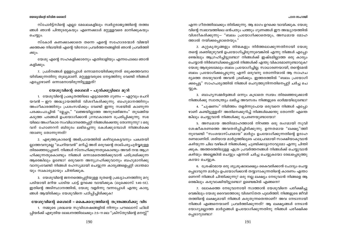സ്പോർട്ട്സിന്റെ എല്ലാ മേഖലകളിലും സ്വർഗ്ഗരാജ്യത്തിന്റെ തത്ത്വ ങ്ങൾ ഞാൻ പിന്തുടരുകയും എന്നെക്കാൾ മറ്റുള്ളവരെ മാനിക്കുകയും ചെയ്യും.

സ്കോർ കണക്കാക്കാതെ തന്നെ എന്റെ സഹോദരന്മാർ വിജയി ക്കത്തക്ക നിലയിൽ എന്റെ വിനോദ പ്രവർത്തനങ്ങളിൽ ഞാൻ പ്രവർത്തി ക്കും.

യേശു എന്റെ സഹകളിക്കാരനും എതിരാളിയും എന്നപോലെ ഞാൻ കളിക്കും.

7. പ്രശ്നങ്ങൾ ഉള്ളപ്പോൾ ഒന്നാമനായിരിക്കുന്നത് ഒടുക്കത്തവനാ യിരിക്കുന്നതിനു തുല്യമാണ്. മറ്റുള്ളവരുടെ നേട്ടത്തിനു വേണ്ടി നിങ്ങൾ എപ്പോഴാണ് ഒന്നാമനായിരുന്നിട്ടുള്ളത്?

# യേശുവിന്റെ ശൈലി – പുൽക്കുട്ടിലെ മുറി

1. യേശുവിന്റെ പ്രകൃതത്തിലെ എട്ടാമത്തെ ഗുണം — ഏറ്റവും ചെറി യവൻ – ഈ അദ്ധ്യായത്തിൽ വിശദീകരിക്കുന്നു. ബഹുമാനത്തിനും അംഗീകാരത്തിനും പ്രശംസയ്ക്കും വേണ്ടി ഇന്നു സഭയിൽ കാണുന്ന പരക്കംപാച്ചിൽ "മ്ലേച്ചം," "ലജ്ജയില്ലാത്ത അനുരഞ്ജനം" തുടങ്ങിയ കടുത്ത പദങ്ങൾ ഉപയോഗിക്കാൻ ഗ്രന്ഥകാരനെ പ്രേരിപ്പിക്കുന്നു. സഭ യിലെ അംഗീകാര സംവിധാനത്തെപ്പറ്റി നിങ്ങൾക്കെന്തു തോന്നുന്നു? ഃ ഒരു വന് ഹോണററി ബിരുദം ലഭിച്ചെന്നു കേൾക്കുമ്പോൾ നിങ്ങൾക്കെ ന്താണു തോന്നുന്നത്?

2. എഴുത്തുകാരന്റെ അഭിപ്രായത്തിൽ കഴിവുകെട്ടവനും പക്വതയി ്ലാത്തവനുമല്ല "ചെറിയവൻ" മറിച്ച് അത് ഒരുവന്റെ താല്പര്യപൂർവ്വമുള്ള തിരഞ്ഞെടുപ്പാണ്. നിങ്ങൾ സ്നേഹിക്കുന്നതുകൊണ്ടും അവർ നന്മ ആഗ്ര ഹിക്കുന്നതുകൊണ്ടും നിങ്ങൾ ഒന്നാമതെത്തിക്കുവാൻ പരിശ്രമിക്കുന്ന ആരെങ്കിലും ഉണ്ടോ? ഒരുവനെ അനുഗ്രഹിക്കുവാനും ബഹുമാനിക്കു വാനുംവേണ്ടി നിങ്ങൾ രഹസ്യമായി ചെയ്യുന്ന കാര്യങ്ങളെപ്പറ്റി ശാന്തമാ യും സ്വകാര്യമായും ചിന്തിക്കുക.

3. യേശുവിന്റെ ജനനത്തെപ്പറ്റിയുള്ള ദൂതന്റെ പ്രഖ്യാപനത്തിനു മറു പടിയായി മറിയ പാടിയ പാട്ട് ഉറക്കെ വായിക്കുക (ലൂക്കൊസ് 1:46-55). ഇതിന്റെ അടിസ്ഥാനത്തിൽ, യേശു വളർന്നു വന്നപ്പോൾ എന്തു കാര്യ ങ്ങൾ ആയിരിക്കും യേശുവിനെ പഠിപ്പിച്ചിരിക്കുക?

യേശുവിന്റെ ശൈലി – കൈക്കരുത്തിന്റെ തന്ത്രങ്ങൾക്കു വിട 1. നമ്മുടെ ശ്രദ്ധയെ സുവിശേഷങ്ങളിൽ നിന്നും പൗലൊസ് ഫിലി പ്പിയർക്ക് എഴുതിയ ലേഖനത്തിലേക്കും 2:5–11 ലെ "ക്രിസ്തുവിന്റെ മനസ്സ്'

എന്ന ഗീതത്തിലേക്കും തിരിക്കുന്നു. ആ ഭാഗം ഉറക്കെ വായിക്കുക. യേശു വിന്റെ സ്വഭാവത്തിലെ ഒൻപതും പത്തും ഗുണങ്ങൾ ഈ അദ്ധ്യായത്തിൽ വിശദീകരിക്കുന്നു— "ബലം പ്രയോഗിക്കാതെയും, അന്ധമായ മോഹ ത്താൽ നയിക്കപ്പെടാതെയും."

2. കുറ്റകൃത്യങ്ങളും തിന്മകളും നിർത്തലാക്കുന്നതിനായി യേശു തന്റെ ശക്തിമുഴുവൻ ഉപയോഗിച്ചിരുന്നുവെങ്കിൽ എന്നു നിങ്ങൾ എപ്പോ ഴെങ്കിലും ആഗ്രഹിച്ചിട്ടുണ്ടോ? നിങ്ങൾക്ക് ഇഷ്ടമില്ലാത്ത ഒരു കാര്യം ചെയ്യാൻ നിർബന്ധിക്കപ്പെട്ടാൽ നിങ്ങൾക്ക് എന്തു വികാരമാണുണ്ടാവുക? യേശു ആരുടെമേലും ബലം പ്രയോഗിച്ചില്ല. സാധാരണയായി, തന്റെമേൽ ബലം പ്രയോഗിക്കപ്പെടുന്നു എന്ന് ഒരുവനു തോന്നിയാൽ ആ സാഹച ര്യത്തെ തടയുവാൻ അവൻ ശ്രമിക്കും. ഇത്തരത്തിൽ "ബലം പ്രയോഗി ക്കപ്പെട്ട" സാഹചര്യത്തിൽ നിങ്ങൾ ചെറുത്തുനിന്നതിനെപ്പറ്റി ചർച്ച ചെ യ്യുക.

3. ബാഹ്യസമ്മർദ്ദങ്ങൾ ഒന്നും കൂടാതെ സ്വയം തിരഞ്ഞെടുക്കാൻ നിങ്ങൾക്കു സ്വാതന്ത്ര്യം ലഭിച്ച അവസരം നിങ്ങളുടെ ഓർമ്മയിലുണ്ടോ?

4. "ചുഷണം" നിമിത്തം തളർന്നുപോയ ഒരുവനെ നിങ്ങൾ എപ്പോ ഴാണ് കണ്ടിട്ടുള്ളത്? അതിനെക്കുറിച്ച് നിങ്ങൾക്കെന്തു തോന്നി? എന്തെ ങ്കിലും ചെയ്യുവാൻ നിങ്ങൾക്കു പ്രേരണയുണ്ടായോ?

5. അന്ധമായ അതിമോഹത്താൽ നിറഞ്ഞ ഒരു രംഗമായി സുവി ശേഷീകരണത്തെ അവതരിപ്പിച്ചിരിക്കുന്നു. ഉന്നതമായ "ലക്ഷ്യ"ത്തി നുവേണ്ടി "സംശയാസ്പദമായ" മാർഗ്ഗം ഉപയോഗിക്കുന്നതിന്റെ ഉദാഹ രണമാണിത്. ശരിയായ മാർഗ്ഗത്തിലൂടെ ഫലപ്രദമായി സാക്ഷിയാകുവാൻ കഴിയുന്ന ചില വഴികൾ നിങ്ങൾക്കു ചൂണ്ടിക്കാട്ടാനാവുമോ എന്നു ചിന്തി ക്കുക. അത്തരത്തിലുള്ള എത്ര പ്രവർത്തനങ്ങൾ നിങ്ങൾക്ക് ചെയ്യുവാൻ കഴിയും അല്ലെങ്കിൽ ചെയ്യും എന്നത് ചർച്ച ചെയ്യുകയോ രേഖപ്പെടുത്തു കയോ ചെയ്യുക.

6. ശ്രേഷ്ഠമായ ഒരു ശുശ്രൂഷാലക്ഷ്യം കൈവരിക്കാൻ ചോദ്യം ചെയ്യ പ്പെടാവുന്ന മാർഗ്ഗം ഉപയോഗിക്കാൻ തയ്യാറാകുന്നതിന്റെ കാരണം എന്താ ണെന്ന് നിങ്ങൾ ചിന്തിക്കുന്നു? ഒരു നല്ല ലക്ഷ്യം നേടുവാൻ നിങ്ങളെ ആ രെങ്കിലും കരുവാക്കിയിട്ടുണ്ടോ? ഉണ്ടെങ്കിൽ എങ്ങനെ?

7. ലോകത്തെ നേടുവാനായി സാത്താൻ യേശുവിനെ പരീക്ഷിച്ചു വെങ്കിലും യേശു ദൈവത്തോടു വിശ്വസ്തത പുലർത്തി. നിങ്ങളുടെ ജീവി തത്തിന്റെ ലക്ഷ്യമായി നിങ്ങൾ കരുതുന്നതെന്താണ്? അവ നേടാനായി നിങ്ങൾ എങ്ങനെയാണ് പ്രവർത്തിക്കുന്നത്? ആ ലക്ഷ്യങ്ങൾ നേടാൻ യോഗ്യമല്ലാത്ത മാർഗ്ഗങ്ങൾ ഉപയോഗിക്കുന്നതിനു നിങ്ങൾ പരീക്ഷിക്ക പ്പെടാറുണ്ടോ?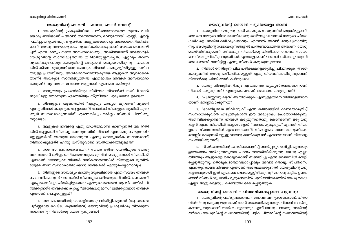# യേശുവിന്റെ ശൈലി - ഭൂമിയോളം താണ്

1. യേശുവിനെ മനുഷ്യനായി കാണുക സത്യത്തിൽ ബുദ്ധിമുട്ടാണ്; അവനെ നമ്മുടെ നിലവാരത്തിലേക്കു താഴ്ത്തുകയെന്നത് നമ്മുടെ ചിന്താ ഗതികളെ അതിലംഘിക്കുകയാവും. എന്നാൽ അവൻ മനുഷ്യനായിരു ന്നു, യേശുവിന്റെ സ്വഭാവഗുണങ്ങളിൽ പന്ത്രണ്ടാമത്തേത് അതാണ്. യേശു ചെയ്തിരിക്കുമെന്ന് ഒരിക്കലും നിങ്ങൾക്കു ചിന്തിക്കാനാവാത്ത സാധാ രണ "മാനുഷിക" പ്രവൃത്തികൾ എന്തെല്ലാമാണ്? അവന് ഒരിക്കലും തുണി അലക്കേണ്ടി വന്നിട്ടില്ല എന്നു നിങ്ങൾ കരുതുന്നുണ്ടോ?

2. നിങ്ങൾ നേരിടുന്ന ചില പരീക്ഷകളെക്കുറിച്ചു ചിന്തിക്കുക. അതേ കാര്യത്തിൽ യേശു പരീക്ഷിക്കപ്പെട്ടത് ഏതു വിധത്തിലായിരുന്നുവെന്ന് നിങ്ങൾക്കു ചിന്തിക്കാൻ കഴിയുമോ?

3. യേശു നിങ്ങളിൽനിന്നും എത്രമാത്രം വ്യതൃസ്തനാണെന്നാണ് നിങ്ങൾ കരുതുന്നത്? എന്തുകൊണ്ടാണ് അങ്ങനെ കരുതുന്നത്?

4. "പൂർണ്ണമനുഷ്യൻ" ആയിരിക്കുക എന്നുള്ളതിനെ നിങ്ങളെങ്ങനെ യാണ് മനസ്സിലാക്കുന്നത്?

5. "ഭാരമില്ലാതെ ജീവിക്കുക" എന്ന തലക്കെട്ടിൽ ക്ഷമയെക്കുറിച്ച് സംസാരിക്കുവാൻ എഴുത്തുകാരൻ ഈ അദ്ധ്യായം ഉപയോഗിക്കുന്നു. അതിവിടെയുണ്ടെന്ന് നിങ്ങൾ കരുതുന്നതെന്തു കൊണ്ടാണ്? ഒരു മനു ഷ്യൻ എന്ന നിലയിൽ മറ്റൊരാളോട് "താദാത്മ്യപ്പെടുക" എന്നത് നിങ്ങ ളുടെ വീക്ഷണത്തിൽ എങ്ങനെയാണ്? നിങ്ങളുടെ സ്വന്ത മാനുഷീകത മനസ്സിലാക്കുന്നത് മറ്റുള്ളവരോടു ക്ഷമിക്കുവാൻ എങ്ങനെയാണ് നിങ്ങളെ സഹായിക്കുന്നത്?

6. സ്പർശനത്തിന്റെ ശക്തിയെക്കുറിച്ച് താൽപ്പര്യം ജനിപ്പിക്കുന്നതും ഉത്തേജനം നൽകുന്നതുമായ പഠനം നടത്തിയിരിക്കുന്നു. യേശു എല്ലാ യിടത്തും ആളുകളെ തൊട്ടുകൊണ്ട് സഞ്ചരിച്ചു എന്ന് ബൈബിൾ വെളി പ്പെടുത്തുന്നു. തൊട്ടുകൂടാത്തവരെപ്പോലും അവൻ തൊട്ടു. സ്പർശനം എന്നതുകൊണ്ട് നിങ്ങൾ എന്താണ് അർത്ഥമാക്കുന്നത്? യേശുവിന്റെ മനു ഷ്യത്വവുമായി ഇത് എങ്ങനെ ബന്ധപ്പെട്ടിരിക്കുന്നു? മറ്റൊരു പട്ടിക ഉണ്ടാ ക്കാൻ നിങ്ങൾക്കു താല്പര്യമുണ്ടെങ്കിൽ പുതിയനിയമത്തിൽ യേശു തൊട്ട എല്ലാ ആളുകളെയും കണ്ടെത്തി രേഖപ്പെടുത്തുക.

# യേശുവിന്റെ ശൈലി - പിതാവിനെപ്പോലെ പുത്രനും

1. യേശുവിന്റെ പതിമൂന്നാമത്തെ സ്വഭാവം അനുസരണമാണ്. പിതാ വിൽനിന്നു കേട്ടതു മാത്രമാണ് താൻ സംസാരിക്കുന്നതും പിതാവ് ചെയ്തു കണ്ടതു മാത്രമാണ് താൻ ചെയ്യുന്നതും എന്ന് യേശു പറഞ്ഞു. അതിന്റെ യർത്ഥം യേശുവിന്റെ സ്വഭാവത്തിന്റെ പട്ടിക പിതാവിന്റെ സ്വഭാവത്തിന്റെ

# യേശുവിന്റെ ശൈലി – ഹലോ, ഞാൻ റവറന്റ്

1. യേശുവിന്റെ പ്രകൃതിയിലെ പതിനൊന്നാമത്തെ ഗുണം വലി യൊരു അടിയാണ് — അവൻ തന്നെത്തന്നെ, വെറുമയായി എണ്ണി. എന്റെ പ്രതിച്ചായ ഉയർത്തുന്ന ഉയർന്ന ആളുകൾക്കൊപ്പം നടക്കാനെനിക്കിഷ്ട മാണ്. യേശു അയോഗൃരായ വൃക്തികൾക്കൊപ്പമാണ് സമയം ചെലവഴി ച്ചത് എന്ന കാര്യം നമ്മെ അസ്വസ്ഥരാക്കും. അതിനാലാണ് അയോഗ്യർ യേശുവിന്റെ സാന്നിദ്ധ്യത്തിൽ തിമിർത്തുല്ലസിച്ചത്. ഏറ്റവും താണ വ്യക്തിക്കുപോലും യേശുവിന്റെ അടുക്കൽ ചെല്ലാമായിരുന്നു — ചങ്ങല യിൽ കിടന്ന ഭൂതഗ്രസ്തനു പോലും. നിങ്ങൾ കണ്ടുമുട്ടിയിട്ടുള്ള, പരിച യമുള്ള പ്രശസ്തരും അധികാരസ്ഥാനീയരുമായ ആളുകൾ ആരൊക്കെ യാണ്? അവരുടെ സാന്നിദ്ധ്യത്തിൽ എത്രമാത്രം നിങ്ങൾ അസ്വസ്ഥരാ കാറുണ്ട്? ആ അസ്വസ്ഥതയെ മാറ്റുവാൻ എങ്ങനെ കഴിയും?

2. മാന്യതയും പ്രശസ്തിയും നിമിത്തം നിങ്ങൾക്ക് സമീപിക്കാൻ ബുദ്ധിമുട്ടു തോന്നുന്ന ഏതെങ്കിലും സ്ത്രീയോ പുരുഷനോ ഉണ്ടോ?

3. നിങ്ങളുടെ പട്ടണത്തിൽ "ഏറ്റവും മാന്യത കുറഞ്ഞ" വ്യക്തി എന്നു നിങ്ങൾ കരുതുന്ന ആളാരാണ്? അവർക്ക് നിങ്ങളുടെ മുമ്പിൽ കുറേ ക്കൂടി സ്വസ്ഥമാകുന്നതിന് എന്തെങ്കിലും മാർഗ്ഗം നിങ്ങൾ ചിന്തിക്കു ന്നുണ്ടോ?

4. ആളുകൾ നിങ്ങളെ ഏതു വിധത്തിലാണ് കാണുന്നത്? ആ രീതി യിൽ ആളുകൾ നിങ്ങളെ കാണുന്നതിന് നിങ്ങൾ എന്താണു ചെയ്യുന്നത്? മറ്റുള്ളവർക്ക് അസുയ തോന്നുന്ന എന്തു ഔദ്യോഗിക സ്ഥാനമാണ് നിങ്ങൾക്കുള്ളത്? എന്തു വസ്തുവാണ് സ്വന്തമാക്കിയിട്ടുള്ളത്?

5. നാം സമ്പന്നരാകേണ്ടതിന് സ്വയം ദരിദ്രനായതിലൂടെ യേശു തന്നെത്താൻ ഒഴിച്ചു. ധനികരായവരുടെ മുമ്പിൽ ചെല്ലുമ്പോൾ നിങ്ങൾക്ക് എന്താണ് തോന്നുക? നിങ്ങൾ ധനികനാണെങ്കിൽ നിങ്ങളുടെ മുമ്പിൽ ദരിദ്രർ അസ്വസ്ഥരാകാതിരിക്കാൻ നിങ്ങൾക്ക് എന്തുചെയ്യാനാവും?

6. നിങ്ങളുടെ സമ്പാദ്യം കാത്തു സൂക്ഷിക്കാൻ എത്ര സമയം നിങ്ങൾ ചെലവഴിക്കാറുണ്ട്? അവയിൽ നിന്നെല്ലാം ഒഴിഞ്ഞുമാറി നിൽക്കണമെന്ന് എപ്പോഴെങ്കിലും ചിന്തിച്ചിട്ടുണ്ടോ? എന്തുകൊണ്ടാണ് ആ വിധത്തിൽ ചി ന്തിക്കുന്നത്? നിങ്ങൾക്ക് കുറച്ച് "അധികവരുമാനം" ലഭിക്കുമ്പോൾ നിങ്ങൾ എന്താണ് ചെയ്യാറുള്ളത്?

7. സഭ പണത്തിന്റെ ധാരാളിത്തം പ്രദർശിപ്പിക്കുന്നത് (ആഡംബര പൂർണ്ണമായ കെട്ടിടം തുടങ്ങിയവ) യേശുവിന്റെ പ്രകൃതിക്കു നിരക്കുന്ന താണെന്നു നിങ്ങൾക്കു തോന്നുന്നുണ്ടോ?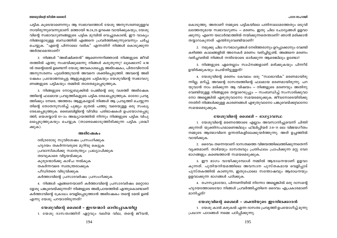#### പഠന സഹായി

#### യേശുവിന്റെ ജീവിത ശൈലി

പട്ടിക കൂടെയാണെന്നും ആ സ്വഭാവത്തോട് യേശു അനുസരണമുള്ളവ നായിരുന്നുവെന്നുമാണ്. മത്തായി 16:24,25 ഉറക്കെ വായിക്കുകയും, യേശു വിന്റെ സ്വഭാവഗുണങ്ങളുടെ പട്ടിക മുമ്പിൽ വെച്ചുകൊണ്ട്, ഈ വാക്യം നിങ്ങളോടുള്ള ബന്ധത്തിൽ എങ്ങനെ പ്രവർത്തിക്കുന്നുവെന്നും ചർച്ച ചെയ്യുക. "എന്റെ പിന്നാലെ വരിക" എന്നതിന് നിങ്ങൾ കൊടുക്കുന്ന അർത്ഥമെന്താണ്?

2. നിങ്ങൾ "അഭിഷിക്തൻ" ആണെന്നറിഞ്ഞാൽ നിങ്ങളുടെ ജീവി തത്തിൽ എന്തു സംഭവിക്കുമെന്നു നിങ്ങൾ കരുതുന്നു? ലുക്കൊസ് 4:18 ൽ തന്റെമേൽ ഉണ്ടെന്ന് യേശു അവകാശപ്പെട്ട അഭിഷേകം, പിതാവിനോട് അനുസരണം പുലർത്തുവാൻ അവനെ ശക്തിപ്പെടുത്തി. അവന്റെ അഭി ഷേകം പ്രയോജനപ്പെട്ട ആളുകളുടെ പട്ടികയും യേശുവിന്റെ സ്വഭാവഗു ണങ്ങളുടെ പട്ടികയും തമ്മിൽ താരതമ്യപ്പെടുത്തുക.

3. നിങ്ങളുടെ നോട്ടുബുക്കിൽ പേജിന്റെ ഒരു വശത്ത് അഭിഷേക ത്തിന്റെ ഫലമായ പ്രവൃത്തികളുടെ പട്ടിക രേഖപ്പെടുത്തുക. ഓരോ പ്രവൃ ത്തിക്കും നേരെ, അത്തരം ആളുകളോട് നിങ്ങൾ ആ പ്രവൃത്തി ചെയ്യുന്ന തിന്റെ തോതനുസരിച്ച് പുജ്യം മുതൽ പത്തു വരെയുള്ള ഒരു സംഖ്യ രേഖപ്പെടുത്തുക. ബൈബിളിന്റെ വിവിധ പരിഭാഷകൾ ഉപയോഗപ്പെടു ത്തി, യെശയ്യാവ് 61–ാം അദ്ധ്യായത്തിൽ നിന്നും നിങ്ങളുടെ പട്ടിക വിപു ലപ്പെടുത്തുകയും ചെയ്യുക (താഴെക്കൊടുത്തിരിക്കുന്ന പട്ടിക ശ്രദ്ധി ക്കുക).

## അഭിഹ്ഷേകം

ദരിദ്രരോടു സുവിശേഷം പ്രസംഗിക്കുക ഹൃദയം തകർന്നവരുടെ മുറിവു കെട്ടുക പ്രവാസികൾക്കു സ്വാതന്ത്ര്യം പ്രഖ്യാപിക്കുക തടവുകാരെ വിട്ടയയ്ക്കുക കുരുടന്മാർക്കു കാഴ്ച നൽകുക തകർന്നവരെ സ്വതന്ത്രരാക്കുക പീഡിതരെ വിടുവിക്കുക

കർത്താവിന്റെ പ്രസാദവർഷം പ്രസംഗിക്കുക

4. നിങ്ങൾ എങ്ങനെയാണ് കർത്താവിന്റെ പ്രസാദവർഷം മറ്റൊരാ ളോടു പങ്കുവെയ്ക്കുന്നത്? നിങ്ങളുടെ അഭിപ്രായത്തിൽ എന്തുകൊണ്ടാണ് കർത്താവിന്റെ ക്രോധം വെളിപ്പെടുത്താൻ അഭിഷേകം തന്റെ മേൽ ഉണ്ട് എന്നു യേശു പറയാതിരുന്നത്?

## യേശുവിന്റെ ശൈലി – ഇടയന്മാർ ഓടിപ്പോകയില്ല

1. യേശു ദാസത്വത്തിന് ഏറ്റവും വലിയ വില, തന്റെ ജീവൻ,

കൊടുത്തു. അതാണ് നമ്മുടെ പട്ടികയിലെ പതിനാലാമത്തേതും ഒടുവി ലത്തേതുമായ സ്വഭാവഗുണം – മരണം. ഇതു ചില ചോദ്യങ്ങൾ ഉളവാ ക്കുന്നു: എന്നെ യഥാർത്ഥത്തിൽ നയിക്കുന്നതെന്താണ്? ഞാൻ മരിക്കാൻ തയ്യാറാകുന്നത് എന്തിനുവേണ്ടിയാണ്?

2. നമുക്കു ചില സൗഭാഗ്യങ്ങൾ നേടിത്തരാനും ഉറപ്പാക്കാനും വേണ്ടി കഴിഞ്ഞ കാലങ്ങളിൽ അനേകർ മരണം വരിച്ചിട്ടുണ്ട്. അങ്ങനെ മരണം വരിച്ചവരിൽ നിങ്ങൾ നന്ദിയോടെ ഓർക്കുന്ന ആരെങ്കിലും ഉണ്ടോ?

3. നിങ്ങളുടെ ഏതെല്ലാം സ്വപ്നങ്ങളാണ് മരിക്കുകയും പിന്നീട് ഉയിർക്കുകയും ചെയ്തിട്ടുള്ളത്?

4. യേശുവിന്റെ മരണം കേവലം ഒരു "സ്വാഭാവിക" മരണമായിരു ന്നില്ല, മറിച്ച്, അവന്റെ ദാസത്വത്തിന്റെ ഫലമായ മരണമായിരുന്നു. പറ യുവാൻ നാം മടിക്കുന്ന ആ വിഷയം – നിങ്ങളുടെ മരണവും അതിനു വേണ്ടിയുള്ള നിങ്ങളുടെ തയ്യാറെടുപ്പും — സംബന്ധിച്ച് സംസാരിക്കുവാ നോ അല്ലെങ്കിൽ എഴുതുവാനോ സമയമെടുക്കുക. ജീവനോടെയിരിക്കു ന്നതിന് നിങ്ങൾക്കുള്ള കാരണങ്ങൾ എഴുതുവാനോ പങ്കുവെയ്ക്കുവാനോ സമയമെടുക്കുക.

#### യേശുവിന്റെ ശൈലി – ഭാഗ്യാവസ്ഥ

1. യേശുവിന്റെ മരണത്തോടെ എല്ലാം അവസാനിച്ചുവെന്ന് ചിന്തി ക്കുന്നത് യുക്തിസഹമാണെങ്കിലും ഫിലിപ്പിയർ 2:9–11 ലെ വിജയഗീതം നമ്മുടെ ആത്മാവിനെ ഉന്നതികളിലേക്കുയർത്തുന്നു. അത് ഉച്ചത്തിൽ വായിക്കുക.

2. ദൈവം തന്നെയാണ് ദാസത്വത്തെ വിജയത്തിലെത്തിക്കുന്നതെന്ന് വ്യക്തമാണ്. താഴ്മയും ദാസത്വവും പ്രതിഫലം പ്രാപിക്കുന്ന മറ്റു വേദ ഭാഗങ്ങളും കണ്ടെത്താൻ സമയമെടുക്കുക.

3. ഈ ഭാഗം വായിക്കുമ്പോൾ നമ്മിൽ ആരാധനയാണ് ഉളവാ കുന്നത്. പുതിയനിയമത്തിലെ അവസാന പുസ്തകമായ വെളിപ്പാട് പുസ്തകത്തിൽ കാണുന്ന, ഇതുപോലെ സന്തോഷവും ആരാധനയും ഉളവാക്കുന്ന ഭാഗങ്ങൾ പഠിക്കുക.

4. രഹസ്യമായോ, പിന്നണിയിൽ നിന്നോ അല്ലെങ്കിൽ ഒരു ദാസന്റെ ഹൃദയത്തോടെയോ നിങ്ങൾ പ്രവർത്തിച്ചതിനെ ദൈവം എപ്രകാരമാണ് മാനിച്ചത്?

യേശുവിന്റെ ശൈലി - ശക്തിയുടെ ഇടനിലക്കാരൻ

1. യേശു കാൽ കഴുകൽ എന്ന ദാസത്വ പ്രവൃത്തി ഉപയോഗിച്ച് മൂന്നു പ്രധാന പാഠങ്ങൾ നമ്മെ പഠിപ്പിക്കുന്നു.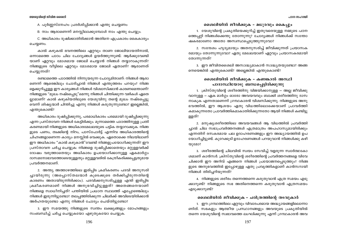A. പൂർണ്ണസ്നേഹം പ്രദർശിപ്പിക്കാൻ എന്തു ചെയ്യണം

B. നാം ആരാണെന്ന് മനസ്സിലാക്കുമ്പോൾ നാം എന്തു ചെയ്യും.

C. അധികാരം ദുഷിക്കാതിരിക്കാൻ അതിനെ എപ്രകാരം കൈകാര്യം ചെയ്യണം.

കാൽ കഴുകൽ ഭവനത്തിലെ ഏറ്റവും താണ ജോലിയായതിനാൽ, ഒന്നാമത്തെ പാഠം ചില ചോദ്യങ്ങൾ ഉയർത്തുന്നുണ്ട്: ആർക്കുവേണ്ടി യാണ് ഏറ്റവും മോശമായ ജോലി ചെയ്യാൻ നിങ്ങൾ തയ്യാറാകുന്നത്? നിങ്ങളുടെ വീട്ടിലെ ഏറ്റവും മോശമായ ജോലി ഏതാണ്? ആരാണത് ചെയ്യുന്നത്?

രണ്ടാമത്തെ പാഠത്തിൽ നിന്നുയരുന്ന ചോദ്യമിതാണ്: നിങ്ങൾ ആരാ ണെന്ന് ആരെങ്കിലും ചോദിച്ചാൽ നിങ്ങൾ എന്തുത്തരം പറയും? നിങ്ങ ളെക്കുറിച്ചുള്ള ഈ കാര്യങ്ങൾ നിങ്ങൾ വിശ്വാസിക്കാൻ കാരണമെന്താണ്? നിങ്ങളുടെ "മുഖം നഷ്ടപ്പെടു"മെന്നു നിങ്ങൾ ചിന്തിക്കുന്ന വഴികൾ ഏതെ ല്ലാമാണ്? കാൽ കഴുകിയതിലൂടെ യേശുവിനു തന്റെ മുഖം നഷ്ടപ്പെട്ടു വെന്ന് ശിഷ്യന്മാർ ചിന്തിച്ചു എന്നു നിങ്ങൾ കരുതുന്നുണ്ടോ? ഇല്ലെങ്കിൽ, എന്തുകൊണ്ട്?

അധികാരം ദുഷിപ്പിക്കുന്നു, പരമാധികാരം പരമമായി ദുഷിപ്പിക്കുന്നു എന്ന പ്രസ്താവന നിങ്ങൾ കേട്ടിരിക്കും. മുന്നാമത്തെ പാഠത്തിനുള്ള പ്രതി കരണമായി നിങ്ങളുടെ അധികാരമേഖലയുടെ പട്ടിക തയ്യാറാക്കുക. നിങ്ങ ളുടെ പണം, ത്വക്കിന്റെ നിറം, പാസ്പോർട്ട് എന്നിവ അധികാരത്തിന്റെ ചിഹ്നങ്ങളാണെന്ന കാര്യം മനസ്സിൽ വെക്കുക. ഏതൊക്കെ നിലയിലാണ് ഈ അധികാരം "കാൽ കഴുകാൻ"വേണ്ടി നിങ്ങളുപയോഗിക്കുന്നത്? ഈ പ്രസ്താവന ചർച്ച ചെയ്യുക: നിങ്ങളെ ദുഷിപ്പിക്കാതെയും മറ്റുള്ളവർക്ക് ദോഷം വരുത്താതെയും അധികാരം ഉപയോഗിക്കാനുള്ള ഏകമാർഗ്ഗം ദാസമനോഭാവത്തോടെയുള്ളതും മറ്റുള്ളവരിൽ കേന്ദ്രീകരിക്കപ്പെട്ടതുമായ ്പവർത്തനമാണ്.

2. അന്ത്യ അത്താഴത്തിലെ ഇരിപ്പിട ക്രമീകരണം പദവി അനുസരി ച്ചായിരുന്നു (അപ്പൊസ്തലന്മാർ കൂടെക്കൂടെ തർക്കിച്ചിരുന്നതിന്റെ കാരണം അതായിരുന്നിരിക്കാം). പദവിക്കനുസരിച്ചുള്ള എന്ത് ഇരിപ്പിട ക്രമീകരണമാണ് നിങ്ങൾ അനുഭവിച്ചിട്ടുള്ളത്? അതെങ്ങനെയാണ് നിങ്ങളെ സ്വാധീനിച്ചത്? പന്തിയിൽ പ്രധാന സ്ഥലത്ത് എപ്പോഴെങ്കിലും നിങ്ങൾ ഇരുന്നിട്ടുണ്ടോ? തലപ്പത്തിരിക്കുന്ന ചിലർക്ക് അവിടെയിരിക്കാൻ അർഹതയുണ്ടോ എന്നു നിങ്ങൾ ചോദ്യം ചെയ്തിട്ടുണ്ടോ?

3. ഈ സമയത്തു നിങ്ങളുടെ സ്വന്തം ലക്ഷ്യങ്ങളും മോഹങ്ങളും സംബന്ധിച്ച് ചർച്ച ചെയ്യുകയോ എഴുതുകയോ ചെയ്യുക.

ശൈലിയിൽ ജീവിക്കുക – മധുരവും കൈപ്പും

1. യേശുവിന്റെ പ്രകൃതിയെക്കുറിച്ച് ഇതുവരെയുള്ള നമ്മുടെ പഠന ത്തെപ്പറ്റി നിങ്ങൾക്കെന്തു തോന്നുന്നു? ചോദ്യങ്ങൾ നിങ്ങൾക്ക് സന്തോ ഷകരമാണോ അതോ അസ്വസ്ഥപ്പെടുത്തുന്നുവോ?

2. സന്ദേശം ഹൃദ്യമായും അതനുസരിച്ച് ജീവിക്കുന്നത് പ്രയാസക രമായും തോന്നുന്നുവോ? ഏതു മേഖലയാണ് ഏറ്റവും പ്രയാസകരമായി തോന്നുന്നത്?

3. ഈ ജീവിതശൈലി അസാദ്ധ്യമാകാൻ സാദ്ധ്യതയുണ്ടോ? അങ്ങ നെയെങ്കിൽ എന്തുകൊണ്ട്? അല്ലെങ്കിൽ എന്തുകൊണ്ട്?

# ശൈലിയിൽ ജീവിക്കുക – കണങ്കാൽ അസ്ഥി പാദാസ്ഥിയോടു ബന്ധപ്പെട്ടിരിക്കുന്നു

1. ക്രിസ്തുവിന്റെ ശരീരത്തിനു വിജയിക്കാനുള്ള — അല്ല ജീവിക്കു വാനുള്ള – ഏക മാർഗ്ഗം ഓരോ അവയവവും ബാക്കി ശരീരത്തിനു ദാസ നാകുക എന്നതാണെന്ന് ഗ്രന്ഥകാരൻ വിശ്വസിക്കുന്നു. നിങ്ങളുടെ അനു ഭവത്തിൽ, ഈ ആശയം ഏതു വിധത്തിലൊക്കെയാണ് പ്രാവർത്തി കമാകുന്നതോ പ്രാവർത്തികമാകാതിരിക്കുന്നതോ ആയി നിങ്ങൾ കണ്ടിട്ടു ള്ളത്?

2. മനുഷ്യശരീരത്തിലെ അവയവങ്ങൾ ആ വിധത്തിൽ പ്രവർത്തി ച്ചാൽ ചില സഭാപ്രവർത്തനങ്ങൾ എത്രമാത്രം അപഹാസ്യമായിരിക്കും എന്നതിന് രസകരമായ പല ഉദാഹരണങ്ങളും ഈ അദ്ധ്യായത്തിൽ ഉപ യോഗിച്ചിട്ടുണ്ട്. കുറേക്കുടി ഉദാഹരണങ്ങൾ പറയുവാൻ നിങ്ങൾക്കു കഴി  $\omega$ ) CDO?

3. ശരീരത്തിന്റെ ചിലവിൽ സ്വയം സേവിച്ച് വളരുന്ന സ്വാർത്ഥകോ ശമാണ് കാൻസർ. ക്രിസ്തുവിന്റെ ശരീരത്തിന്റെ പ്രവർത്തനങ്ങളെ വിവേ ചിക്കാൻ ഈ അറിവ് എങ്ങനെ നിങ്ങൾ പ്രയോജനപ്പെടുത്തും? നിങ്ങ ളുടെ അനുഭവത്തിൽ ഇപ്പോഴുള്ള ഏതു പ്രവൃത്തികളാണ് കാൻസറായി നിങ്ങൾ തിരിച്ചറിയുന്നത്?

4. നിങ്ങളുടെ ശരീരം തന്നെത്തന്നെ കരുതുവാൻ എത്ര സമയം എടു ക്കാറുണ്ട്? നിങ്ങളുടെ സഭ അതിനെത്തന്നെ കരുതുവാൻ എത്രസമയം എടുക്കാറുണ്ട്?

## ശൈലിയിൽ ജീവിക്കുക – ചരിത്രത്തിന്റെ തടവുകാർ

1. ഈ ഗ്രന്ഥത്തിലെ ഏറ്റവും വിവാദപരമായ അദ്ധ്യായങ്ങളിലൊന്നാ ണിത്. സഭകളും ആത്മീയ പ്രസ്ഥാനങ്ങളും അവയുടെ പ്രകൃതിയിൽ തന്നെ യേശുവിന്റെ സ്വഭാവത്തെ ലംഘിക്കുന്നു എന്ന് ഗ്രന്ഥകാരൻ അവ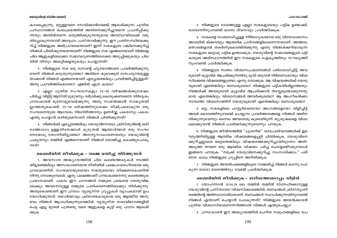കാശപ്പെടുന്നു. മറ്റുള്ളവരെ സേവിക്കാൻവേണ്ടി ആരംഭിക്കുന്ന പുതിയ പ്രസ്ഥാനങ്ങൾ കാലക്രമത്തിൽ അതിനെക്കുറിച്ചുതന്നെ പ്രചരിപ്പിക്കു ന്നതും അതിൽതന്നെ ഒതുങ്ങിക്കുടുന്നതുമായ അവസ്ഥയിലേക്ക് വഴു തിപ്പോകുന്നതായി അദ്ദേഹം പ്രസ്താവിക്കുന്നു. ഈ പ്രതിസന്ധിയെക്കു റിച്ച് നിങ്ങളുടെ അഭിപ്രായമെന്താണ്? ഇന്ന് സഭകളുടെ പങ്കിനെക്കുറിച്ച് നിങ്ങൾ ചിന്തിക്കുന്നതെന്താണ്? നിങ്ങളുടെ സഭ എങ്ങനെയാണ് നിങ്ങളെ ചില ആളുകളിലേക്കോ സ്വഭാവഗുണത്തിലേക്കോ അടുപ്പിക്കുകയും ചില തിൽ നിന്നും അകറ്റിക്കളയുകയും ചെയ്യുന്നത്?

2. നിങ്ങളുടെ സഭ ഒരു ദാസന്റെ ഹൃദയത്തോടെ പ്രവർത്തിക്കുന്നു വെന്ന് നിങ്ങൾ കരുതുന്നുണ്ടോ? അതിനെ കുറെക്കുടി ദാസഹൃദയമുള്ള താക്കാൻ നിങ്ങൾ എങ്ങനെയാണ് എപ്പോഴെങ്കിലും പ്രവർത്തിച്ചിട്ടുള്ളത്? അതു പ്രാവർത്തികമായോ? എങ്കിൽ എത്ര കാലം?

3. എല്ലാ പുതിയ സംഘടനകളും 25-50 വർഷങ്ങൾക്കുശേഷം പിരിച്ചു വിട്ടിട്ട് ആസ്തി മുഴുവനും ദരിദ്രർക്കു കൊടുക്കണമെന്ന നിർദ്ദേശം ഗ്രന്ഥകാരൻ മുന്നോട്ടുവെയ്ക്കുന്നു. അതു സംഭവിക്കാൻ സാദ്ധ്യതയി ല്ലാത്തതുകൊണ്ട്, 25-50 വർഷത്തിനുശേഷം നിഷ്പ്രഭമാകുന്ന ഒരു സംഘടനയുടെ ആവേശം നിലനിർത്താനും ഉണർവ്വു പകരാനും പകരം എന്തു ചെയ്യാൻ കഴിയുമെന്നാണ് നിങ്ങൾ ചിന്തിക്കുന്നത്?

4. നിങ്ങൾക്ക് എപ്പോഴെങ്കിലും യേശുവിനോടോ, ക്രിസ്തുവിന്റെ ശരീ രത്തോടോ ഉള്ളതിനേക്കാൾ കൂടുതൽ ആത്മാർത്ഥത ഒരു സംഘ ടനയോടു തോന്നിയിട്ടുണ്ടോ? അനനൃസാധാരണത്വവും യേശുവിന്റെ പ്രകൃതവും തമ്മിൽ എങ്ങനെയാണ് നിങ്ങൾ യോജിച്ചു കൊണ്ടുപോകൂ ന്നത്?

## ശൈലിയിൽ ജീവിക്കുക - നമ്മെ ഒന്നിച്ചു നിർത്തുന്നത്

1. അവസാന അദ്ധ്യായത്തിൽ ചില കണ്ടെത്തലുകൾ നടത്തി യിട്ടുണ്ടെങ്കിലും അസാധാരണമായ രീതിയിൽ പക്ഷപാതരഹിതമായ ഒരു ഗ്രന്ഥമാണിത്. സംഘടനയുടെയോ സഭയുടെയോ വീക്ഷണകോണിൽ നിന്നു നോക്കുമ്പോൾ, ഏതു പക്ഷത്താണ് ഗ്രന്ഥകാരനെന്നു കണ്ടെത്തുക പ്രയാസമാണ്. പകരം ഈ പഠനങ്ങൾ നമ്മുടെ ശ്രദ്ധയെ യേശുവിങ്ക ലേക്കും അവനോടുള്ള നമ്മുടെ പ്രതികരണത്തിലേക്കും തിരിക്കുന്നു. അതുകൊണ്ടാണ് ഈ ഗ്രന്ഥം വൃതൃസ്ത ഗ്രൂപ്പുകൾ വ്യാപകമായി ഉപ യോഗിക്കുന്നത്. യഥാർത്ഥവും ക്രിയാത്മകവുമായ ഒരു ആത്മീയ അനു ഭവം നിങ്ങൾ ആഗ്രഹിക്കുന്നുവെങ്കിൽ, വ്യത്യസ്ത സഭാവിഭാഗങ്ങളിൽ പെട്ട എട്ടു മുതൽ പന്ത്രണ്ടു വരെ ആളുകളെ കൂട്ടി ഒരു പഠനം ആരംഭി ക്കുക.

2. നിങ്ങളുടെ ദേശത്തുള്ള എല്ലാ സഭകളുടെയും പട്ടിക ഉണ്ടാക്കി, ഓരോന്നിന്നംവേണ്ടി ഓരോ ദിവസവ്വം പ്രാർത്ഥിക്കുക.

3. സഭകളെ സംബന്ധിച്ചുള്ള നിർഭാഗ്യകരമായ ഒരു വിരോധാഭാസം അവയിൽ മിക്കവയും ആന്തരിക പ്രശ്നങ്ങളിലാണെന്നതാണ്. അത്തരം മത്സരങ്ങളാൽ തകർന്നുകൊണ്ടിരിക്കുന്നു എന്നു നിങ്ങൾക്കറിയാവുന്ന സഭകളുടെ മറ്റൊരു പട്ടിക ഉണ്ടാക്കുക. യേശുവിന്റെ സ്വഭാവങ്ങളുടെ പട്ടി കയുടെ അടിസ്ഥാനത്തിൽ ഈ സഭകളുടെ ഐകൃത്തിനും സൗഖൃത്തി നുംവേണ്ടി പ്രാർത്ഥിക്കുക.

4. നിങ്ങളുടെ സ്വന്തം വിശ്വാസപ്രമാണങ്ങൾ പരിശോധിച്ചിട്ട്, അവ രുമായി കൂട്ടായ്മ ആചരിക്കുന്നതിനു മുമ്പ് ഒരുവൻ നിർബന്ധമായും വിശ്വ സിക്കേണ്ട വിഷയങ്ങളുണ്ടോ എന്നു നോക്കുക. ആ വിഷയങ്ങൾക്ക് യേശു വുമായി എന്തെങ്കിലും ബന്ധമുണ്ടോ? നിങ്ങളുടെ പട്ടികയിലില്ലാത്തതും നിങ്ങൾക്ക് അവരുമായി കുട്ടായ്മ ആചരിക്കാൻ തടസ്സമുണ്ടാക്കുന്നതു മായ എന്തെങ്കിലും വിശ്വാസങ്ങൾ അവർക്കുണ്ടോ? ആ അംഗീകരിക്കാ നാവാത്ത വിശ്വാസത്തിന് യേശുവുമായി എന്തെങ്കിലും ബന്ധമുണ്ടോ?

5. മറ്റു സഭകളിലെ പാസ്റ്റർമാരെയോ അംഗങ്ങളെയോ വിളിച്ചിട്ട് അവർ ദൈവത്തിനുവേണ്ടി ചെയ്യുന്ന പ്രവർത്തനങ്ങളെ നിങ്ങൾ അഭിന ന്ദിക്കുന്നുവെന്നും ദൈവം അവരോടു കുടെയിരുന്ന് ശുശ്രുഷകളെ വിശാ ലമാക്കുവാൻ നിങ്ങൾ പ്രാർത്ഥിക്കുന്നുവെന്നും പറയുക.

6. നിങ്ങളുടെ ജീവിതത്തിൽ "ചൂടേറിയ" വാദപ്രതിവാദങ്ങൾക്ക് ഇട വരുത്തിയിട്ടുള്ള ആത്മിക വിഷയങ്ങളെപ്പറ്റി ചിന്തിക്കുക. യേശുവിനെ ക്കുറിച്ചല്ലാതെ മറ്റെന്തെങ്കിലും വിഷയത്തെക്കുറിച്ചായിരുന്നോ അത്? അടുത്ത തവണ ഒരു ആത്മിക വിഷയം ചർച്ച ചെയ്യേണ്ടിവരുമ്പോൾ ഇങ്ങനെ പറയുക: "നമുക്ക് യേശുവിനെക്കുറിച്ചു സംസാരിക്കാം." പരി ണത ഫലം നിങ്ങളുടെ ഗ്രൂപ്പിനെ അറിയിക്കുക.

7. നിങ്ങളുടെ അയൽപക്കങ്ങളിലുടെ സഞ്ചരിച്ച് നിങ്ങൾ കടന്നു പോ കുന്ന ഓരോ ഭവനത്തിനും വേണ്ടി പ്രാർത്ഥിക്കുക.

#### ശൈലിയിൽ ജീവിക്കുക - ശരീരത്തോടൊപ്പം വീട്ടിൽ

1. യോഹന്നാൻ 13:34,35 ലെ തമ്മിൽ തമ്മിൽ സ്നേഹിക്കാനുള്ള യേശുവിന്റെ പ്രസ്താവന വിശ്വസിക്കാമെങ്കിൽ, ബന്ധങ്ങൾ ക്രിസ്ത്യാനി ത്വത്തിന്റെ അടിസ്ഥാനശിലയാണ്. ബന്ധങ്ങൾ സ്ഥാപിക്കുന്നതിനുവേണ്ടി നിങ്ങൾ എന്താണ് ചെയ്യാൻ പോകുന്നത്? നിങ്ങളുടെ അയൽക്കാരൻ പുതിയ വിശ്വാസിയാണെന്നറിഞ്ഞാൽ നിങ്ങൾ എന്തുചെയ്യും?

2. ഗ്രന്ഥകാരൻ ഈ അദ്ധ്യായത്തിൽ ചെറിയ സമൂഹങ്ങളിലെ വച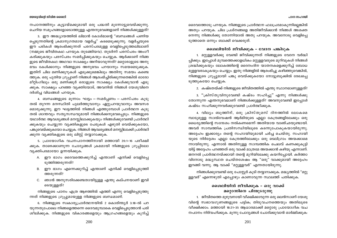ദൈവത്തോടു പറയുക. നിങ്ങളുടെ പ്രാർത്ഥന ഫലപ്രദമാകുന്നില്ലെങ്കിൽ അതും പറയുക. ചില പ്രശ്നങ്ങളെ അതിജീവിക്കാൻ നിങ്ങൾ അശക്ത നെന്നു നിങ്ങൾക്കു തോന്നിയാൽ അതു പറയുക. അവനോടു വെളിപ്പെ ടുത്താതെ ഒന്നും ബാക്കി വെക്കരുത്.

#### ശൈലിയിൽ ജീവിക്കുക - വേദന പങ്കിടുക

1. മറ്റുള്ളവർക്കു വേണ്ടി ജീവിക്കുന്നത് നിങ്ങളുടെ വേദന വർദ്ധി പ്പിക്കും. ഇപ്പോൾ മുമ്പത്തെക്കാളധികം മറ്റുള്ളവരുടെ മുറിവുകൾ നിങ്ങൾ ശ്രദ്ധിക്കുകയും ലോകത്തിന്റെ ദൈനംദിന യാതനകളെക്കുറിച്ച് ബോധ മുള്ളവരാകുകയും ചെയ്യും. ഇതു നിങ്ങളിൽ ആരംഭിച്ചു കഴിഞ്ഞുവെങ്കിൽ, നിങ്ങളുടെ ഗ്രൂപ്പുമായി പങ്കു വെയ്ക്കുകയോ നോട്ടുബുക്കിൽ രേഖപ്പെ ടുത്തുകയോ ചെയ്യുക.

2. കഷ്ടതയ്ക്ക് നിങ്ങളുടെ ജീവിതത്തിൽ എന്തു സ്ഥാനമാണുള്ളത്?

3. "ക്രിസ്തുവിനുവേണ്ടി കഷ്ടം സഹിച്ചു" എന്നു നിങ്ങൾക്കു തോന്നുന്ന എന്തനുഭവമാണ് നിങ്ങൾക്കുള്ളത്? അവനുവേണ്ടി ഇപ്പോൾ കഷ്ടം സഹിക്കുന്നവർക്കുവേണ്ടി പ്രാർത്ഥിക്കുക.

4. വില്യം ബൂത്തിന്, ഒരു ക്രിസ്തുമസ് ദിനത്തിൽ ലോകമെ മ്പാടുമുള്ള സാൽവേഷൻ ആർമിയുടെ എല്ലാ കേന്ദ്രങ്ങളിലേക്കും ഒരു ധൈര്യത്തിന്റെ സന്ദേശം നൽകണമെന്ന് അതിയായ വാഞ്ഛയുണ്ടായി. അവർ സാമ്പത്തിക പ്രതിസന്ധിയിലൂടെ കടന്നുപോകുകയായിരുന്നു. അദ്ദേഹം ഇക്കാര്യം തന്റെ സഹായിയുമായി ചർച്ച ചെയ്തു. സഹായി യുടെ നിർദ്ദേശം എല്ലാ കേന്ദ്രത്തിലേക്കും ഒരു ടെലിഗ്രാം അയക്കാമെ ന്നായിരുന്നു. എന്നാൽ അതിനുള്ള സാമ്പത്തിക ചെലവ് കണക്കുകൂട്ടി യിട്ട് അദ്ദേഹം പറഞ്ഞത് ഒരു വാക്ക് മാത്രമേ അയക്കാൻ കഴിയു എന്നാണ്. ജനറൽ പ്രാർത്ഥനയ്ക്കായി തന്റെ മുറിയിലേക്കു കയറിപ്പോയി. കർത്താ വിനോടു മദ്ധ്യസ്ഥത ചെയ്തശേഷം ആ "ഒരു" വാക്കുമായി അദ്ദേഹം ഇറങ്ങി വന്നു. ആ വാക്ക് "മറ്റുള്ളവർ" എന്നതായിരുന്നു.

നിങ്ങൾക്കുവേണ്ടി ഒരു പോസ്റ്റർ കൂടി തയ്യാറാക്കുക. മദ്ധ്യത്തിൽ "മറ്റു ള്ളവർ" എന്നെഴുതി എപ്പോഴും കാണാവുന്ന സ്ഥലത്ത് പതിക്കുക.

# ശൈലിയിൽ ജീവിക്കുക – ഒരു വാക്ക് മറ്റൊന്നിനെ പിന്തുടരുന്നു

1. ജീവിതത്തെ മുഴുവനായി വീക്ഷിക്കാവുന്ന ഒരു ലെൻസാണ് യേശു വിന്റെ സ്വഭാവഗുണങ്ങളുടെ പട്ടിക; തിരുവചനത്തെയും അതിലൂടെ വീക്ഷിക്കാം. മത്തായി 18:21-35 ആധാരമാക്കി മറ്റൊരു പ്രായോഗിക വച നപഠനം നിർവഹിക്കുക. മൂന്നു ചോദ്യങ്ങൾ ചോദിക്കുവാൻ ഓർമ്മിക്കുക:

നപഠനത്തിനും കൂട്ടായ്മക്കുമായി ഒരു പദ്ധതി മുന്നോട്ടുവെയ്ക്കുന്നു. ചെറിയ സമുഹങ്ങളോടൊത്തുള്ള എന്തനുഭവങ്ങളാണ് നിങ്ങൾക്കുള്ളത്?

3. ഈ അദ്ധ്യായത്തിൽ ലിമാൻ കോൾമാന്റെ "ബന്ധങ്ങൾ പണിയ പ്പെടുന്നതിന്റെ ക്രമാനുഗതമായ വളർച്ച" കടമെടുക്കുന്നു. വളർച്ചയുടെ ഈ പടികൾ ആരംഭിക്കുന്നത് പരസ്പരമുള്ള വെളിപെടുത്തലിലാണ് (നമ്മുടെ ജീവിതകഥ പറയുക തുടങ്ങിയവ). തുടർന്ന് പരസ്പരം അംഗീ കരിക്കുകയും പരസ്പരം സമർപ്പിക്കുകയും ചെയ്യുക. ആർക്കാണ് നിങ്ങ ളുടെ ജീവിതകഥ അഥവാ സാക്ഷ്യം അറിയാവുന്നത്? മറ്റൊരാളുടെ അനു ഭവം കേൾക്കാനും നിങ്ങളുടെ അനുഭവം പറയാനും സമയമെടുക്കുക. ഇതിന് ചില മണിക്കുറുകൾ എടുക്കുമെങ്കിലും അതിനു സമയം കണ്ടെ ത്തുക. ഒരു പുതിയ ഗ്രൂപ്പാണ് നിങ്ങൾ ആരംഭിച്ചിരിക്കുന്നതെങ്കിൽ ഓരോ മീറ്റിംഗിലും ഒരു മണിക്കൂർ ഒരാളുടെ സാക്ഷ്യം കേൾക്കുവാൻ എടു ക്കുക. സാക്ഷ്യം പറഞ്ഞ വ്യക്തിയോട്, അവനിൽ നിങ്ങൾ യേശുവിനെ ദർശിച്ച വിധങ്ങൾ പറയുക.

4. ബന്ധങ്ങളുടെ മൂന്നാം ഘട്ടം – സമർപ്പണം – പരസ്പരം കൂടു തൽ തുറന്ന മനസ്ഥിതി പുലർത്തുവാനും ഏറ്റുപറയുവാനും അവസര മൊരുക്കുന്നു. ഈ ഘട്ടത്തിൽ നിങ്ങൾ എത്തുമ്പോൾ പ്രാർത്ഥന കൂടു തൽ ശാന്തവും സത്യസന്ധവുമായി നിങ്ങൾക്കനുഭവപ്പെടും. നിങ്ങളുടെ യഥാർത്ഥ ആവശ്യങ്ങൾ മനസ്സിലാക്കുകയും നിങ്ങൾക്കുവേണ്ടി പ്രാർത്ഥി ക്കുകയും ചെയ്യുന്ന വ്യക്തികളുടെ പേരുകൾ എഴുതി വെയ്ക്കുകയോ, പങ്കുവെയ്ക്കുകയോ ചെയ്യുക. നിങ്ങൾ ആവശ്യങ്ങൾ മനസ്സിലാക്കി പ്രാർത്ഥി ക്കുന്ന വ്യക്തികളുടെ ഒരു ലിസ്റ്റ് തയ്യാറാക്കുക.

5. പ്രായോഗിക വചനപഠനത്തിനായി മത്തായി 20:1-16 പരീക്ഷി ക്കുക. താഴെക്കാണുന്ന ചോദ്യങ്ങൾ ക്രമമായി നിങ്ങളുടെ ഗ്രുപ്പിലോ വ്യക്തിപരമായോ ഉന്നയിക്കുക.

- A. ഈ ഭാഗം ദൈവത്തെക്കുറിച്ച് എന്താണ് എനിക്ക് വെളിപ്പെ ടുത്തിത്തരുന്നത്?
- B. ഈ ഭാഗം എന്നെക്കുറിച്ച് എന്താണ് എനിക്ക് വെളിപ്പെടുത്തി ത്തരുന്നത്?
- C. ഞാൻ അനുസരിക്കേണ്ടതായിട്ടുള്ള എന്തു കല്പനയാണ് ഇവി ടെയുള്ളത്?

നിങ്ങളുടെ പഠനം എത്ര ആഴത്തിൽ എത്തി എന്നു വെളിപ്പെടുത്തു ന്നത് നിങ്ങളുടെ ഗ്രുപ്പുമായുള്ള നിങ്ങളുടെ ബന്ധമാണ്.

6. നിങ്ങളുടെ സ്വകാര്യപ്രാർത്ഥനയിൽ 2 കൊരിന്ത്യർ 3:18-ൽ പറ യുന്നതുപോലെ നിങ്ങളെത്തന്നെ ദൈവമുമ്പാകെ വെളിപ്പെടുത്താൻ പരി ശീലിക്കുക. നിങ്ങളുടെ വികാരങ്ങളെയും ആഗ്രഹങ്ങളെയും കുറിച്ച്